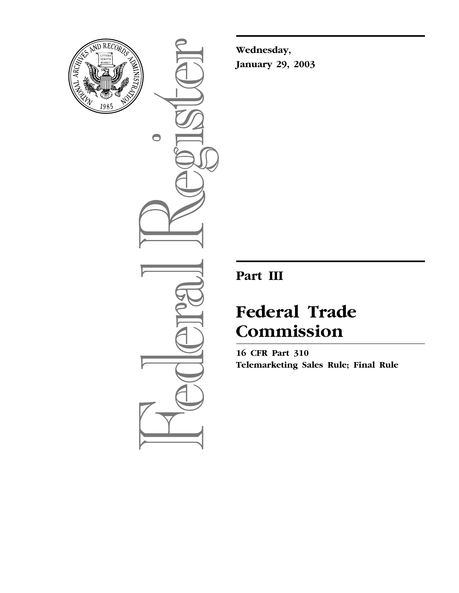

 $\bullet$ 

**Wednesday, January 29, 2003**

# **Part III**

# **Federal Trade Commission**

**16 CFR Part 310 Telemarketing Sales Rule; Final Rule**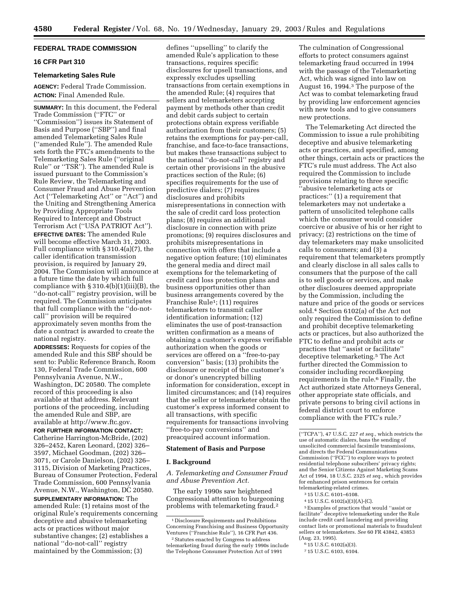# **FEDERAL TRADE COMMISSION**

# **16 CFR Part 310**

# **Telemarketing Sales Rule**

**AGENCY:** Federal Trade Commission. **ACTION:** Final Amended Rule.

**SUMMARY:** In this document, the Federal Trade Commission (''FTC'' or ''Commission'') issues its Statement of Basis and Purpose (''SBP'') and final amended Telemarketing Sales Rule (''amended Rule''). The amended Rule sets forth the FTC's amendments to the Telemarketing Sales Rule (''original Rule'' or ''TSR''). The amended Rule is issued pursuant to the Commission's Rule Review, the Telemarketing and Consumer Fraud and Abuse Prevention Act (''Telemarketing Act'' or ''Act'') and the Uniting and Strengthening America by Providing Appropriate Tools Required to Intercept and Obstruct Terrorism Act (''USA PATRIOT Act''). **EFFECTIVE DATES:** The amended Rule will become effective March 31, 2003. Full compliance with § 310.4(a)(7), the caller identification transmission provision, is required by January 29, 2004. The Commission will announce at a future time the date by which full compliance with  $\S 310.4(b)(1)(iii)(B)$ , the

''do-not-call'' registry provision, will be required. The Commission anticipates that full compliance with the ''do-notcall'' provision will be required approximately seven months from the date a contract is awarded to create the national registry.

**ADDRESSES:** Requests for copies of the amended Rule and this SBP should be sent to: Public Reference Branch, Room 130, Federal Trade Commission, 600 Pennsylvania Avenue, N.W., Washington, DC 20580. The complete record of this proceeding is also available at that address. Relevant portions of the proceeding, including the amended Rule and SBP, are available at http://www.ftc.gov.

**FOR FURTHER INFORMATION CONTACT:** Catherine Harrington-McBride, (202) 326–2452, Karen Leonard, (202) 326– 3597, Michael Goodman, (202) 326– 3071, or Carole Danielson, (202) 326– 3115, Division of Marketing Practices, Bureau of Consumer Protection, Federal Trade Commission, 600 Pennsylvania Avenue, N.W., Washington, DC 20580. **SUPPLEMENTARY INFORMATION:** The amended Rule: (1) retains most of the original Rule's requirements concerning deceptive and abusive telemarketing acts or practices without major substantive changes; (2) establishes a national ''do-not-call'' registry maintained by the Commission; (3)

defines ''upselling'' to clarify the amended Rule's application to these transactions, requires specific disclosures for upsell transactions, and expressly excludes upselling transactions from certain exemptions in the amended Rule; (4) requires that sellers and telemarketers accepting payment by methods other than credit and debit cards subject to certain protections obtain express verifiable authorization from their customers; (5) retains the exemptions for pay-per-call, franchise, and face-to-face transactions, but makes these transactions subject to the national ''do-not-call'' registry and certain other provisions in the abusive practices section of the Rule; (6) specifies requirements for the use of predictive dialers; (7) requires disclosures and prohibits misrepresentations in connection with the sale of credit card loss protection plans; (8) requires an additional disclosure in connection with prize promotions; (9) requires disclosures and prohibits misrepresentations in connection with offers that include a negative option feature; (10) eliminates the general media and direct mail exemptions for the telemarketing of credit card loss protection plans and business opportunities other than business arrangements covered by the Franchise Rule1; (11) requires telemarketers to transmit caller identification information; (12) eliminates the use of post-transaction written confirmation as a means of obtaining a customer's express verifiable authorization when the goods or services are offered on a ''free-to-pay conversion'' basis; (13) prohibits the disclosure or receipt of the customer's or donor's unencrypted billing information for consideration, except in limited circumstances; and (14) requires that the seller or telemarketer obtain the customer's express informed consent to all transactions, with specific requirements for transactions involving ''free-to-pay conversions'' and preacquired account information.

#### **Statement of Basis and Purpose**

#### **I. Background**

*A. Telemarketing and Consumer Fraud and Abuse Prevention Act.*

The early 1990s saw heightened Congressional attention to burgeoning problems with telemarketing fraud.2

The culmination of Congressional efforts to protect consumers against telemarketing fraud occurred in 1994 with the passage of the Telemarketing Act, which was signed into law on August 16, 1994.3 The purpose of the Act was to combat telemarketing fraud by providing law enforcement agencies with new tools and to give consumers new protections.

The Telemarketing Act directed the Commission to issue a rule prohibiting deceptive and abusive telemarketing acts or practices, and specified, among other things, certain acts or practices the FTC's rule must address. The Act also required the Commission to include provisions relating to three specific ''abusive telemarketing acts or practices:'' (1) a requirement that telemarketers may not undertake a pattern of unsolicited telephone calls which the consumer would consider coercive or abusive of his or her right to privacy; (2) restrictions on the time of day telemarketers may make unsolicited calls to consumers; and (3) a requirement that telemarketers promptly and clearly disclose in all sales calls to consumers that the purpose of the call is to sell goods or services, and make other disclosures deemed appropriate by the Commission, including the nature and price of the goods or services sold.4 Section 6102(a) of the Act not only required the Commission to define and prohibit deceptive telemarketing acts or practices, but also authorized the FTC to define and prohibit acts or practices that ''assist or facilitate'' deceptive telemarketing.5 The Act further directed the Commission to consider including recordkeeping requirements in the rule.6 Finally, the Act authorized state Attorneys General, other appropriate state officials, and private persons to bring civil actions in federal district court to enforce compliance with the FTC's rule.7

- 3 15 U.S.C. 6101–6108.
- 4 15 U.S.C. 6102(a)(3)(A)-(C).

- 6 15 U.S.C. 6102(a)(3).
- 7 15 U.S.C. 6103, 6104.

<sup>1</sup> Disclosure Requirements and Prohibitions Concerning Franchising and Business Opportunity Ventures (''Franchise Rule''), 16 CFR Part 436.

<sup>2</sup>Statutes enacted by Congress to address telemarketing fraud during the early 1990s include the Telephone Consumer Protection Act of 1991

<sup>(&#</sup>x27;'TCPA''), 47 U.S.C. 227 *et seq.*, which restricts the use of automatic dialers, bans the sending of unsolicited commercial facsimile transmissions, and directs the Federal Communications Commission (''FCC'') to explore ways to protect residential telephone subscribers' privacy rights; and the Senior Citizens Against Marketing Scams Act of 1994, 18 U.S.C. 2325 *et seq.*, which provides for enhanced prison sentences for certain telemarketing-related crimes.

<sup>5</sup>Examples of practices that would ''assist or facilitate<sup>"</sup> deceptive telemarketing under the Rule include credit card laundering and providing contact lists or promotional materials to fraudulent sellers or telemarketers. *See* 60 FR 43842, 43853 (Aug. 23, 1995).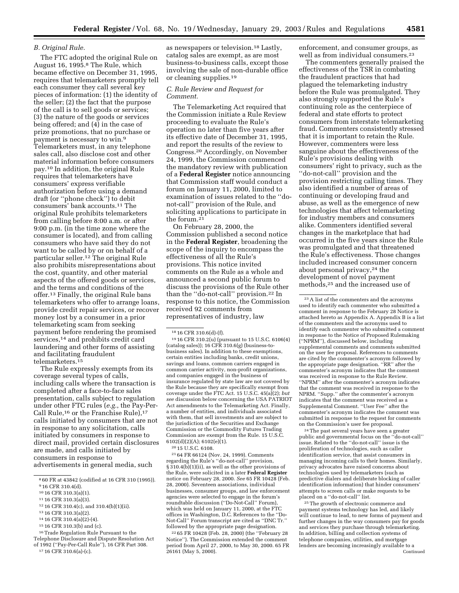# *B. Original Rule.*

The FTC adopted the original Rule on August 16, 1995.8 The Rule, which became effective on December 31, 1995, requires that telemarketers promptly tell each consumer they call several key pieces of information: (1) the identity of the seller; (2) the fact that the purpose of the call is to sell goods or services; (3) the nature of the goods or services being offered; and (4) in the case of prize promotions, that no purchase or payment is necessary to win.9 Telemarketers must, in any telephone sales call, also disclose cost and other material information before consumers pay.10 In addition, the original Rule requires that telemarketers have consumers' express verifiable authorization before using a demand draft (or ''phone check'') to debit consumers' bank accounts.11 The original Rule prohibits telemarketers from calling before 8:00 a.m. or after 9:00 p.m. (in the time zone where the consumer is located), and from calling consumers who have said they do not want to be called by or on behalf of a particular seller.12 The original Rule also prohibits misrepresentations about the cost, quantity, and other material aspects of the offered goods or services, and the terms and conditions of the offer.13 Finally, the original Rule bans telemarketers who offer to arrange loans, provide credit repair services, or recover money lost by a consumer in a prior telemarketing scam from seeking payment before rendering the promised services,14 and prohibits credit card laundering and other forms of assisting and facilitating fraudulent telemarketers.15

The Rule expressly exempts from its coverage several types of calls, including calls where the transaction is completed after a face-to-face sales presentation, calls subject to regulation under other FTC rules (*e.g.*, the Pay-Per-Call Rule,<sup>16</sup> or the Franchise Rule),<sup>17</sup> calls initiated by consumers that are not in response to any solicitation, calls initiated by consumers in response to direct mail, provided certain disclosures are made, and calls initiated by consumers in response to advertisements in general media, such

12 16 CFR 310.4(c), and 310.4(b)(1)(ii).

- 14 16 CFR 310.4(a)(2)-(4). 15 16 CFR 310.3(b) and (c).
- 

16Trade Regulation Rule Pursuant to the Telephone Disclosure and Dispute Resolution Act of 1992 (''Pay-Per-Call Rule''), 16 CFR Part 308.

17 16 CFR 310.6(a)-(c).

as newspapers or television.18 Lastly, catalog sales are exempt, as are most business-to-business calls, except those involving the sale of non-durable office or cleaning supplies.19

#### *C. Rule Review and Request for Comment.*

The Telemarketing Act required that the Commission initiate a Rule Review proceeding to evaluate the Rule's operation no later than five years after its effective date of December 31, 1995, and report the results of the review to Congress.20 Accordingly, on November 24, 1999, the Commission commenced the mandatory review with publication of a **Federal Register** notice announcing that Commission staff would conduct a forum on January 11, 2000, limited to examination of issues related to the ''donot-call'' provision of the Rule, and soliciting applications to participate in the forum.21

On February 28, 2000, the Commission published a second notice in the **Federal Register**, broadening the scope of the inquiry to encompass the effectiveness of all the Rule's provisions. This notice invited comments on the Rule as a whole and announced a second public forum to discuss the provisions of the Rule other than the ''do-not-call'' provision.22 In response to this notice, the Commission received 92 comments from representatives of industry, law

19 16 CFR 310.2(u) (pursuant to 15 U.S.C. 6106(4) (catalog sales)); 16 CFR 310.6(g) (business-tobusiness sales). In addition to these exemptions, certain entities including banks, credit unions, savings and loans, common carriers engaged in common carrier activity, non-profit organizations, and companies engaged in the business of insurance regulated by state law are not covered by the Rule because they are specifically exempt from coverage under the FTC Act. 15 U.S.C. 45(a)(2); *but see* discussion below concerning the USA PATRIOT Act amendments to the Telemarketing Act. Finally, a number of entities, and individuals associated with them, that sell investments and are subject to the jurisdiction of the Securities and Exchange Commission or the Commodity Futures Trading Commission are exempt from the Rule. 15 U.S.C. 6102(d)(2)(A); 6102(e)(1).

20 15 U.S.C. 6108.

21 64 FR 66124 (Nov. 24, 1999). Comments regarding the Rule's ''do-not-call'' provision, § 310.4(b)(1)(ii), as well as the other provisions of the Rule, were solicited in a later **Federal Register** notice on February 28, 2000. *See* 65 FR 10428 (Feb. 28, 2000). Seventeen associations, individual businesses, consumer groups, and law enforcement agencies were selected to engage in the forum's roundtable discussion (''Do-Not-Call'' Forum), which was held on January 11, 2000, at the FTC offices in Washington, D.C. References to the ''Do-Not-Call'' Forum transcript are cited as ''DNC Tr.'' followed by the appropriate page designation.

22 65 FR 10428 (Feb. 28, 2000) (the ''February 28 Notice''). The Commission extended the comment period from April 27, 2000, to May 30, 2000. 65 FR 26161 (May 5, 2000).

enforcement, and consumer groups, as well as from individual consumers.23

The commenters generally praised the effectiveness of the TSR in combating the fraudulent practices that had plagued the telemarketing industry before the Rule was promulgated. They also strongly supported the Rule's continuing role as the centerpiece of federal and state efforts to protect consumers from interstate telemarketing fraud. Commenters consistently stressed that it is important to retain the Rule. However, commenters were less sanguine about the effectiveness of the Rule's provisions dealing with consumers' right to privacy, such as the ''do-not-call'' provision and the provision restricting calling times. They also identified a number of areas of continuing or developing fraud and abuse, as well as the emergence of new technologies that affect telemarketing for industry members and consumers alike. Commenters identified several changes in the marketplace that had occurred in the five years since the Rule was promulgated and that threatened the Rule's effectiveness. Those changes included increased consumer concern about personal privacy,<sup>24</sup> the development of novel payment methods,25 and the increased use of

24The past several years have seen a greater public and governmental focus on the ''do-not-call'' issue. Related to the ''do-not-call'' issue is the proliferation of technologies, such as caller identification service, that assist consumers in managing incoming calls to their homes. Similarly, privacy advocates have raised concerns about technologies used by telemarketers (such as predictive dialers and deliberate blocking of caller identification information) that hinder consumers' attempts to screen calls or make requests to be placed on a ''do-not-call'' list.

25The growth of electronic commerce and payment systems technology has led, and likely will continue to lead, to new forms of payment and further changes in the way consumers pay for goods and services they purchase through telemarketing. In addition, billing and collection systems of telephone companies, utilities, and mortgage lenders are becoming increasingly available to a Continued

<sup>8</sup> 60 FR at 43842 (codified at 16 CFR 310 (1995)).

<sup>9</sup> 16 CFR 310.4(d).

<sup>10</sup> 16 CFR 310.3(a)(1).

<sup>11</sup> 16 CFR 310.3(a)(3).

<sup>13</sup> 16 CFR 310.3(a)(2).

<sup>18</sup> 16 CFR 310.6(d)-(f).

<sup>23</sup>A list of the commenters and the acronyms used to identify each commenter who submitted a comment in response to the February 28 Notice is attached hereto as Appendix A. Appendix B is a list of the commenters and the acronyms used to identify each commenter who submitted a comment in response to the Notice of Proposed Rulemaking (''NPRM''), discussed below, including supplemental comments and comments submitted on the user fee proposal. References to comments are cited by the commenter's acronym followed by the appropriate page designation. ''RR'' after the commenter's acronym indicates that the comment was received in response to the Rule Review. ''NPRM'' after the commenter's acronym indicates that the comment was received in response to the NPRM. ''Supp.'' after the commenter's acronym indicates that the comment was received as a Supplemental Comment. ''User Fee'' after the commenter's acronym indicates the comment was submitted in response to the request for comments on the Commission's user fee proposal.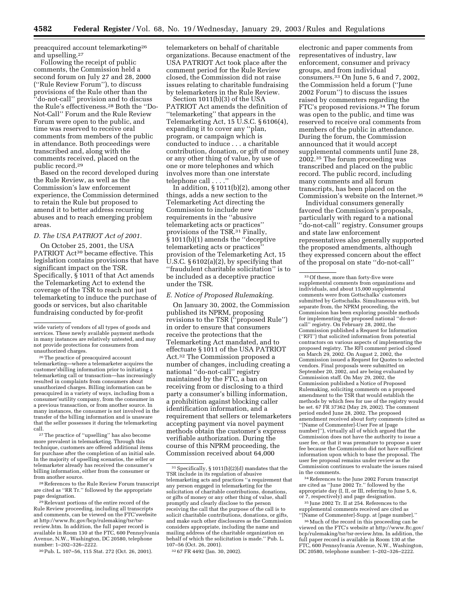preacquired account telemarketing26 and upselling.27

Following the receipt of public comments, the Commission held a second forum on July 27 and 28, 2000 (''Rule Review Forum''), to discuss provisions of the Rule other than the ''do-not-call'' provision and to discuss the Rule's effectiveness.28 Both the ''Do-Not-Call'' Forum and the Rule Review Forum were open to the public, and time was reserved to receive oral comments from members of the public in attendance. Both proceedings were transcribed and, along with the comments received, placed on the public record.29

Based on the record developed during the Rule Review, as well as the Commission's law enforcement experience, the Commission determined to retain the Rule but proposed to amend it to better address recurring abuses and to reach emerging problem areas.

# *D. The USA PATRIOT Act of 2001.*

On October 25, 2001, the USA PATRIOT Act<sup>30</sup> became effective. This legislation contains provisions that have significant impact on the TSR. Specifically, § 1011 of that Act amends the Telemarketing Act to extend the coverage of the TSR to reach not just telemarketing to induce the purchase of goods or services, but also charitable fundraising conducted by for-profit

26The practice of preacquired account telemarketing—where a telemarketer acquires the customer'sbilling information prior to initiating a telemarketing call or transaction—has increasingly resulted in complaints from consumers about unauthorized charges. Billing information can be preacquired in a variety of ways, including from a consumer'sutility company, from the consumer in a previous transaction, or from another source. In many instances, the consumer is not involved in the transfer of the billing information and is unaware that the seller possesses it during the telemarketing call.

 $^{\mathrm{27}}$  The practice of ''upselling'' has also become more prevalent in telemarketing. Through this technique, customers are offered additional items for purchase after the completion of an initial sale. In the majority of upselling scenarios, the seller or telemarketer already has received the consumer's billing information, either from the consumer or from another source.

28References to the Rule Review Forum transcript are cited as ''RR Tr.'' followed by the appropriate page designation.

29Relevant portions of the entire record of the Rule Review proceeding, including all transcripts and comments, can be viewed on the FTC'swebsite at http://www.ftc.gov/bcp/rulemaking/tsr/tsrreview.htm. In addition, the full paper record is available in Room 130 at the FTC, 600 Pennsylvania Avenue, N.W., Washington, DC 20580, telephone number: 1–202–326–2222.

30Pub. L. 107–56, 115 Stat. 272 (Oct. 26, 2001).

telemarketers on behalf of charitable organizations. Because enactment of the USA PATRIOT Act took place after the comment period for the Rule Review closed, the Commission did not raise issues relating to charitable fundraising by telemarketers in the Rule Review.

Section 1011(b)(3) of the USA PATRIOT Act amends the definition of ''telemarketing'' that appears in the Telemarketing Act, 15 U.S.C. § 6106(4), expanding it to cover any ''plan, program, or campaign which is conducted to induce . . . a charitable contribution, donation, or gift of money or any other thing of value, by use of one or more telephones and which involves more than one interstate telephone call . . . .''

In addition, § 1011(b)(2), among other things, adds a new section to the Telemarketing Act directing the Commission to include new requirements in the ''abusive telemarketing acts or practices'' provisions of the TSR.31 Finally, § 1011(b)(1) amends the ''deceptive telemarketing acts or practices'' provision of the Telemarketing Act, 15 U.S.C. § 6102(a)(2), by specifying that ''fraudulent charitable solicitation'' is to be included as a deceptive practice under the TSR.

#### *E. Notice of Proposed Rulemaking.*

On January 30, 2002, the Commission published its NPRM, proposing revisions to the TSR (''proposed Rule'') in order to ensure that consumers receive the protections that the Telemarketing Act mandated, and to effectuate § 1011 of the USA PATRIOT Act.32 The Commission proposed a number of changes, including creating a national ''do-not-call'' registry maintained by the FTC, a ban on receiving from or disclosing to a third party a consumer's billing information, a prohibition against blocking caller identification information, and a requirement that sellers or telemarketers accepting payment via novel payment methods obtain the customer's express verifiable authorization. During the course of this NPRM proceeding, the Commission received about 64,000

electronic and paper comments from representatives of industry, law enforcement, consumer and privacy groups, and from individual consumers.33 On June 5, 6 and 7, 2002, the Commission held a forum (''June 2002 Forum'') to discuss the issues raised by commenters regarding the FTC's proposed revisions.34 The forum was open to the public, and time was reserved to receive oral comments from members of the public in attendance. During the forum, the Commission announced that it would accept supplemental comments until June 28, 2002.35 The forum proceeding was transcribed and placed on the public record. The public record, including many comments and all forum transcripts, has been placed on the Commission's website on the Internet.36

Individual consumers generally favored the Commission's proposals, particularly with regard to a national ''do-not-call'' registry. Consumer groups and state law enforcement representatives also generally supported the proposed amendments, although they expressed concern about the effect of the proposal on state ''do-not-call''

34References to the June 2002 Forum transcript are cited as ''June 2002 Tr.'' followed by the appropriate day (I, II, or III, referring to June 5, 6, or 7, respectively) and page designation.

35 June 2002 Tr. II at 254. References to the supplemental comments received are cited as ''[Name of Commenter]-Supp. at [page number].''

36Much of the record in this proceeding can be viewed on the FTC's website at http://www.ftc.gov/ bcp/rulemaking/tsr/tsr-review.htm. In addition, the full paper record is available in Room 130 at the FTC, 600 Pennsylvania Avenue, N.W., Washington, DC 20580, telephone number: 1–202–326–2222.

wide variety of vendors of all types of goods and services. These newly available payment methods in many instances are relatively untested, and may not provide protections for consumers from unauthorized charges.

<sup>31</sup>Specifically, § 1011(b)(2)(d) mandates that the TSR include in its regulation of abusive telemarketing acts and practices ''a requirement that any person engaged in telemarketing for the solicitation of charitable contributions, donations, or gifts of money or any other thing of value, shall promptly and clearly disclose to the person receiving the call that the purpose of the call is to solicit charitable contributions, donations, or gifts, and make such other disclosures as the Commission considers appropriate, including the name and mailing address of the charitable organization on behalf of which the solicitation is made.'' Pub. L. 107–56 (Oct. 26, 2001).

<sup>32</sup> 67 FR 4492 (Jan. 30, 2002).

<sup>33</sup>Of these, more than forty-five were supplemental comments from organizations and individuals, and about 15,000 supplemental comments were from Gottschalks' customers submitted by Gottschalks. Simultaneous with, but separate from, the NPRM proceeding, the Commission has been exploring possible methods for implementing the proposed national ''do-notcall'' registry. On February 28, 2002, the Commission published a Request for Information (''RFI'') that solicited information from potential contractors on various aspects of implementing the proposed registry. The RFI comment period closed on March 29, 2002. On August 2, 2002, the Commission issued a Request for Quotes to selected vendors. Final proposals were submitted on September 20, 2002, and are being evaluated by Commission staff. On May 29, 2002, the Commission published a Notice of Proposed Rulemaking, soliciting comments on a proposed amendment to the TSR that would establish the methods by which fees for use of the registry would be set. 67 FR 37362 (May 29, 2002). The comment period ended June 28, 2002. The proposed amendment received about forty comments (cited as ''[Name of Commenter]-User Fee at [page number]''), virtually all of which argued that the Commission does not have the authority to issue a user fee, or that it was premature to propose a user fee because the Commission did not have sufficient information upon which to base the proposal. The user fee proposal remains under review as the Commission continues to evaluate the issues raised in the comments.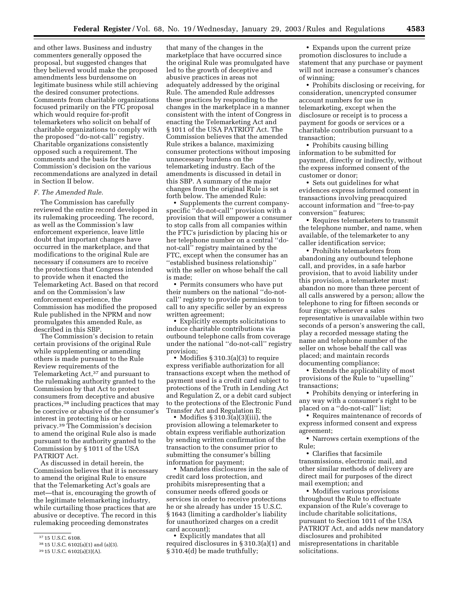and other laws. Business and industry commenters generally opposed the proposal, but suggested changes that they believed would make the proposed amendments less burdensome on legitimate business while still achieving the desired consumer protections. Comments from charitable organizations focused primarily on the FTC proposal which would require for-profit telemarketers who solicit on behalf of charitable organizations to comply with the proposed ''do-not-call'' registry. Charitable organizations consistently opposed such a requirement. The comments and the basis for the Commission's decision on the various recommendations are analyzed in detail in Section II below.

#### *F. The Amended Rule.*

The Commission has carefully reviewed the entire record developed in its rulemaking proceeding. The record, as well as the Commission's law enforcement experience, leave little doubt that important changes have occurred in the marketplace, and that modifications to the original Rule are necessary if consumers are to receive the protections that Congress intended to provide when it enacted the Telemarketing Act. Based on that record and on the Commission's law enforcement experience, the Commission has modified the proposed Rule published in the NPRM and now promulgates this amended Rule, as described in this SBP.

The Commission's decision to retain certain provisions of the original Rule while supplementing or amending others is made pursuant to the Rule Review requirements of the Telemarketing Act,37 and pursuant to the rulemaking authority granted to the Commission by that Act to protect consumers from deceptive and abusive practices,38 including practices that may be coercive or abusive of the consumer's interest in protecting his or her privacy.39 The Commission's decision to amend the original Rule also is made pursuant to the authority granted to the Commission by § 1011 of the USA PATRIOT Act.

As discussed in detail herein, the Commission believes that it is necessary to amend the original Rule to ensure that the Telemarketing Act's goals are met—that is, encouraging the growth of the legitimate telemarketing industry, while curtailing those practices that are abusive or deceptive. The record in this rulemaking proceeding demonstrates

that many of the changes in the marketplace that have occurred since the original Rule was promulgated have led to the growth of deceptive and abusive practices in areas not adequately addressed by the original Rule. The amended Rule addresses these practices by responding to the changes in the marketplace in a manner consistent with the intent of Congress in enacting the Telemarketing Act and § 1011 of the USA PATRIOT Act. The Commission believes that the amended Rule strikes a balance, maximizing consumer protections without imposing unnecessary burdens on the telemarketing industry. Each of the amendments is discussed in detail in this SBP. A summary of the major changes from the original Rule is set forth below. The amended Rule:

• Supplements the current companyspecific ''do-not-call'' provision with a provision that will empower a consumer to stop calls from all companies within the FTC's jurisdiction by placing his or her telephone number on a central ''donot-call'' registry maintained by the FTC, except when the consumer has an ''established business relationship'' with the seller on whose behalf the call is made;

• Permits consumers who have put their numbers on the national ''do-notcall'' registry to provide permission to call to any specific seller by an express written agreement;

• Explicitly exempts solicitations to induce charitable contributions via outbound telephone calls from coverage under the national ''do-not-call'' registry provision;

• Modifies § 310.3(a)(3) to require express verifiable authorization for all transactions except when the method of payment used is a credit card subject to protections of the Truth in Lending Act and Regulation Z, or a debit card subject to the protections of the Electronic Fund Transfer Act and Regulation E;

• Modifies § 310.3(a)(3)(iii), the provision allowing a telemarketer to obtain express verifiable authorization by sending written confirmation of the transaction to the consumer prior to submitting the consumer's billing information for payment;

• Mandates disclosures in the sale of credit card loss protection, and prohibits misrepresenting that a consumer needs offered goods or services in order to receive protections he or she already has under 15 U.S.C. § 1643 (limiting a cardholder's liability for unauthorized charges on a credit card account);

• Explicitly mandates that all required disclosures in § 310.3(a)(1) and § 310.4(d) be made truthfully;

• Expands upon the current prize promotion disclosures to include a statement that any purchase or payment will not increase a consumer's chances of winning;

• Prohibits disclosing or receiving, for consideration, unencrypted consumer account numbers for use in telemarketing, except when the disclosure or receipt is to process a payment for goods or services or a charitable contribution pursuant to a transaction;

• Prohibits causing billing information to be submitted for payment, directly or indirectly, without the express informed consent of the customer or donor;

• Sets out guidelines for what evidences express informed consent in transactions involving preacquired account information and ''free-to-pay conversion'' features;

• Requires telemarketers to transmit the telephone number, and name, when available, of the telemarketer to any caller identification service;

• Prohibits telemarketers from abandoning any outbound telephone call, and provides, in a safe harbor provision, that to avoid liability under this provision, a telemarketer must: abandon no more than three percent of all calls answered by a person; allow the telephone to ring for fifteen seconds or four rings; whenever a sales representative is unavailable within two seconds of a person's answering the call, play a recorded message stating the name and telephone number of the seller on whose behalf the call was placed; and maintain records documenting compliance;

• Extends the applicability of most provisions of the Rule to ''upselling'' transactions;

• Prohibits denying or interfering in any way with a consumer's right to be placed on a ''do-not-call'' list;

• Requires maintenance of records of express informed consent and express agreement;

• Narrows certain exemptions of the Rule;

• Clarifies that facsimile transmissions, electronic mail, and other similar methods of delivery are direct mail for purposes of the direct mail exemption; and

• Modifies various provisions throughout the Rule to effectuate expansion of the Rule's coverage to include charitable solicitations, pursuant to Section 1011 of the USA PATRIOT Act, and adds new mandatory disclosures and prohibited misrepresentations in charitable solicitations.

<sup>37</sup> 15 U.S.C. 6108.

<sup>38</sup> 15 U.S.C. 6102(a)(1) and (a)(3).

<sup>39</sup> 15 U.S.C. 6102(a)(3)(A).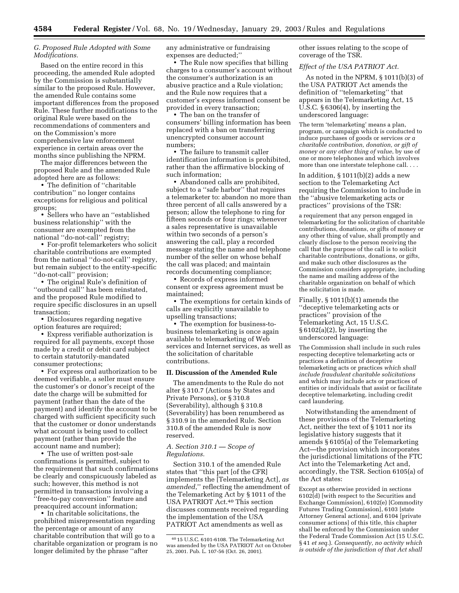# *G. Proposed Rule Adopted with Some Modifications.*

Based on the entire record in this proceeding, the amended Rule adopted by the Commission is substantially similar to the proposed Rule. However, the amended Rule contains some important differences from the proposed Rule. These further modifications to the original Rule were based on the recommendations of commenters and on the Commission's more comprehensive law enforcement experience in certain areas over the months since publishing the NPRM.

The major differences between the proposed Rule and the amended Rule adopted here are as follows:

• The definition of ''charitable contribution'' no longer contains exceptions for religious and political groups;

• Sellers who have an ''established business relationship'' with the consumer are exempted from the national ''do-not-call'' registry;

• For-profit telemarketers who solicit charitable contributions are exempted from the national ''do-not-call'' registry, but remain subject to the entity-specific ''do-not-call'' provision;

• The original Rule's definition of ''outbound call'' has been reinstated, and the proposed Rule modified to require specific disclosures in an upsell transaction;

• Disclosures regarding negative option features are required;

• Express verifiable authorization is required for all payments, except those made by a credit or debit card subject to certain statutorily-mandated consumer protections;

• For express oral authorization to be deemed verifiable, a seller must ensure the customer's or donor's receipt of the date the charge will be submitted for payment (rather than the date of the payment) and identify the account to be charged with sufficient specificity such that the customer or donor understands what account is being used to collect payment (rather than provide the account name and number);

• The use of written post-sale confirmations is permitted, subject to the requirement that such confirmations be clearly and conspicuously labeled as such; however, this method is not permitted in transactions involving a 'free-to-pay conversion'' feature and preacquired account information;

• In charitable solicitations, the prohibited misrepresentation regarding the percentage or amount of any charitable contribution that will go to a charitable organization or program is no longer delimited by the phrase ''after

any administrative or fundraising expenses are deducted;''

• The Rule now specifies that billing charges to a consumer's account without the consumer's authorization is an abusive practice and a Rule violation; and the Rule now requires that a customer's express informed consent be provided in every transaction;

• The ban on the transfer of consumers' billing information has been replaced with a ban on transferring unencrypted consumer account numbers;

• The failure to transmit caller identification information is prohibited, rather than the affirmative blocking of such information;

• Abandoned calls are prohibited, subject to a ''safe harbor'' that requires a telemarketer to: abandon no more than three percent of all calls answered by a person; allow the telephone to ring for fifteen seconds or four rings; whenever a sales representative is unavailable within two seconds of a person's answering the call, play a recorded message stating the name and telephone number of the seller on whose behalf the call was placed; and maintain records documenting compliance;

• Records of express informed consent or express agreement must be maintained;

• The exemptions for certain kinds of calls are explicitly unavailable to upselling transactions;

• The exemption for business-tobusiness telemarketing is once again available to telemarketing of Web services and Internet services, as well as the solicitation of charitable contributions.

#### **II. Discussion of the Amended Rule**

The amendments to the Rule do not alter § 310.7 (Actions by States and Private Persons), or § 310.8 (Severability), although § 310.8 (Severability) has been renumbered as § 310.9 in the amended Rule. Section 310.8 of the amended Rule is now reserved.

#### *A. Section 310.1 — Scope of Regulations.*

Section 310.1 of the amended Rule states that ''this part [of the CFR] implements the [Telemarketing Act], *as amended*,'' reflecting the amendment of the Telemarketing Act by § 1011 of the USA PATRIOT Act.40 This section discusses comments received regarding the implementation of the USA PATRIOT Act amendments as well as

other issues relating to the scope of coverage of the TSR.

#### *Effect of the USA PATRIOT Act.*

As noted in the NPRM, § 1011(b)(3) of the USA PATRIOT Act amends the definition of ''telemarketing'' that appears in the Telemarketing Act, 15 U.S.C. § 6306(4), by inserting the underscored language:

The term 'telemarketing' means a plan, program, or campaign which is conducted to induce purchases of goods or services *or a charitable contribution, donation, or gift of money or any other thing of value*, by use of one or more telephones and which involves more than one interstate telephone call. . . .

In addition,  $\S 1011(b)(2)$  adds a new section to the Telemarketing Act requiring the Commission to include in the ''abusive telemarketing acts or practices'' provisions of the TSR:

a requirement that any person engaged in telemarketing for the solicitation of charitable contributions, donations, or gifts of money or any other thing of value, shall promptly and clearly disclose to the person receiving the call that the purpose of the call is to solicit charitable contributions, donations, or gifts, and make such other disclosures as the Commission considers appropriate, including the name and mailing address of the charitable organization on behalf of which the solicitation is made.

Finally, § 1011(b)(1) amends the ''deceptive telemarketing acts or practices'' provision of the Telemarketing Act, 15 U.S.C. § 6102(a)(2), by inserting the underscored language:

The Commission shall include in such rules respecting deceptive telemarketing acts or practices a definition of deceptive telemarketing acts or practices *which shall include fraudulent charitable solicitations* and which may include acts or practices of entities or individuals that assist or facilitate deceptive telemarketing, including credit card laundering.

Notwithstanding the amendment of these provisions of the Telemarketing Act, neither the text of § 1011 nor its legislative history suggests that it amends § 6105(a) of the Telemarketing Act—the provision which incorporates the jurisdictional limitations of the FTC Act into the Telemarketing Act and, accordingly, the TSR. Section 6105(a) of the Act states:

Except as otherwise provided in sections 6102(d) [with respect to the Securities and Exchange Commission], 6102(e) [Commodity Futures Trading Commission], 6103 [state Attorney General actions], and 6104 [private consumer actions] of this title, this chapter shall be enforced by the Commission under the Federal Trade Commission Act (15 U.S.C. § 41 *et seq.*). *Consequently, no activity which is outside of the jurisdiction of that Act shall* 

<sup>40</sup> 15 U.S.C. 6101-6108. The Telemarketing Act was amended by the USA PATRIOT Act on October 25, 2001. Pub. L. 107-56 (Oct. 26, 2001).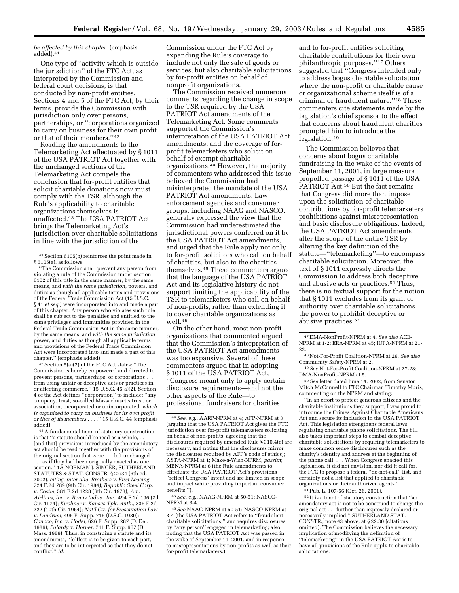*be affected by this chapter.* (emphasis added).41

One type of ''activity which is outside the jurisdiction'' of the FTC Act, as interpreted by the Commission and federal court decisions, is that conducted by non-profit entities. Sections 4 and 5 of the FTC Act, by their terms, provide the Commission with jurisdiction only over persons, partnerships, or ''corporations organized to carry on business for their own profit or that of their members.''42

Reading the amendments to the Telemarketing Act effectuated by § 1011 of the USA PATRIOT Act together with the unchanged sections of the Telemarketing Act compels the conclusion that for-profit entities that solicit charitable donations now must comply with the TSR, although the Rule's applicability to charitable organizations themselves is unaffected.43 The USA PATRIOT Act brings the Telemarketing Act's jurisdiction over charitable solicitations in line with the jurisdiction of the

42Section 5(a)(2) of the FTC Act states: ''The Commission is hereby empowered and directed to prevent persons, partnerships, or corporations . . . from using unfair or deceptive acts or practices in or affecting commerce.'' 15 U.S.C. 45(a)(2). Section 4 of the Act defines ''corporation'' to include: ''any company, trust, so-called Massachusetts trust, or association, incorporated or unincorporated, *which is organized to carry on business for its own profit or that of its members* . . . .'' 15 U.S.C. 44 (emphasis added).

43A fundamental tenet of statutory construction is that "a statute should be read as a whole, . [and that] provisions introduced by the amendatory act should be read together with the provisions of the original section that were . . . left unchanged . . . as if they had been originally enacted as one section.'' 1A NORMAN J. SINGER, SUTHERLAND STATUTES & STAT. CONSTR. § 22:34 (6th ed. 2002), *citing, inter alia, Brothers v. First Leasing*, 724 F.2d 789 (9th Cir. 1984); *Republic Steel Corp. v. Costle*, 581 F.2d 1228 (6th Cir. 1978); *Am. Airlines, Inc. v. Remis Indus., Inc.*, 494 F.2d 196 (2d Cir. 1974); *Kirchner v. Kansas Tpk. Auth.*, 336 F.2d 222 (10th Cir. 1964); *Nat'l Ctr. for Preservation Law v. Landrieu*, 496 F. Supp. 716 (D.S.C. 1980); *Conoco, Inc. v. Hodel*, 626 F. Supp. 287 (D. Del. 1986); *Palardy v. Horner*, 711 F. Supp. 667 (D. Mass. 1989). Thus, in construing a statute and its amendments, ''[e]ffect is to be given to each part, and they are to be int erpreted so that they do not conflict.'' *Id.*

Commission under the FTC Act by expanding the Rule's coverage to include not only the sale of goods or services, but also charitable solicitations by for-profit entities on behalf of nonprofit organizations.

The Commission received numerous comments regarding the change in scope to the TSR required by the USA PATRIOT Act amendments of the Telemarketing Act. Some comments supported the Commission's interpretation of the USA PATRIOT Act amendments, and the coverage of forprofit telemarketers who solicit on behalf of exempt charitable organizations.44 However, the majority of commenters who addressed this issue believed the Commission had misinterpreted the mandate of the USA PATRIOT Act amendments. Law enforcement agencies and consumer groups, including NAAG and NASCO, generally expressed the view that the Commission had underestimated the jurisdictional powers conferred on it by the USA PATRIOT Act amendments, and urged that the Rule apply not only to for-profit solicitors who call on behalf of charities, but also to the charities themselves.45 These commenters argued that the language of the USA PATRIOT Act and its legislative history do not support limiting the applicability of the TSR to telemarketers who call on behalf of non-profits, rather than extending it to cover charitable organizations as well.46

On the other hand, most non-profit organizations that commented argued that the Commission's interpretation of the USA PATRIOT Act amendments was too expansive. Several of these commenters argued that in adopting § 1011 of the USA PATRIOT Act, ''Congress meant only to apply certain disclosure requirements—and not the other aspects of the Rule—to professional fundraisers for charities

45*See, e.g.*, NAAG-NPRM at 50-51; NASCO-NPRM at 3-4.

46*See* NAAG-NPRM at 50-51; NASCO-NPRM at 3-4 (the USA PATRIOT Act refers to ''fraudulent charitable solicitations,'' and requires disclosures by ''any person'' engaged in telemarketing; also noting that the USA PATRIOT Act was passed in the wake of September 11, 2001, and in response to misrepresentations by non-profits as well as their for-profit telemarketers.).

and to for-profit entities soliciting charitable contributions for their own philanthropic purposes.''47 Others suggested that ''Congress intended only to address bogus charitable solicitation where the non-profit or charitable cause or organizational scheme itself is of a criminal or fraudulent nature.''48 These commenters cite statements made by the legislation's chief sponsor to the effect that concerns about fraudulent charities prompted him to introduce the legislation.49

The Commission believes that concerns about bogus charitable fundraising in the wake of the events of September 11, 2001, in large measure propelled passage of § 1011 of the USA PATRIOT Act.<sup>50</sup> But the fact remains that Congress did more than impose upon the solicitation of charitable contributions by for-profit telemarketers prohibitions against misrepresentation and basic disclosure obligations. Indeed, the USA PATRIOT Act amendments alter the scope of the entire TSR by altering the key definition of the statute—''telemarketing''—to encompass charitable solicitation. Moreover, the text of § 1011 expressly directs the Commission to address both deceptive and abusive acts or practices.<sup>51</sup> Thus, there is no textual support for the notion that § 1011 excludes from its grant of authority over charitable solicitations the power to prohibit deceptive or abusive practices.52

50*See* letter dated June 14, 2002, from Senator Mitch McConnell to FTC Chairman Timothy Muris, commenting on the NPRM and stating:

''In an effort to protect generous citizens and the charitable institutions they support, I was proud to introduce the Crimes Against Charitable Americans Act and secure its inclusion in the USA PATRIOT Act. This legislation strengthens federal laws regulating charitable phone solicitations. The bill also takes important steps to combat deceptive charitable solicitations by requiring telemarketers to make common sense disclosures such as the charity's identity and address at the beginning of the phone call. . . . When Congress enacted this legislation, it did not envision, nor did it call for, the FTC to propose a federal ''do-not-call'' list, and certainly not a list that applied to charitable organizations or their authorized agents.''

51Pub. L. 107-56 (Oct. 26, 2001).

52 It is a tenet of statutory construction that ''an amendatory act is not to be construed to change the original act . . . further than expressly declared or necessarily implied.'' SUTHERLAND STAT. CONSTR., note 43 above, at § 22:30 (citations omitted). The Commission believes the necessary implication of modifying the definition of ''telemarketing'' in the USA PATRIOT Act is to have all provisions of the Rule apply to charitable solicitations.

 $^{\rm 41}$  Section 6105(b) reinforces the point made in § 6105(a), as follows:

<sup>&#</sup>x27;'The Commission shall prevent any person from violating a rule of the Commission under section 6102 of this title in the same manner, by the same means, and *with the same jurisdiction*, powers, and duties as though all applicable terms and provisions of the Federal Trade Commission Act (15 U.S.C. § 41 *et seq.*) were incorporated into and made a part of this chapter. Any person who violates such rule shall be subject to the penalties and entitled to the same privileges and immunities provided in the Federal Trade Commission Act in the same manner, by the same means, and *with the same jurisdiction*, power, and duties as though all applicable terms and provisions of the Federal Trade Commission Act were incorporated into and made a part of this chapter.'' (emphasis added).

<sup>44</sup>*See, e.g.*, AARP-NPRM at 4; AFP-NPRM at 3 (arguing that the USA PATRIOT Act gives the FTC jurisdiction over for-profit telemarketers soliciting on behalf of non-profits, agreeing that the disclosures required by amended Rule § 310.4(e) are necessary, and noting that the disclosures mirror the disclosures required by AFP's code of ethics); ASTA-NPRM at 1; Make-a-Wish-NPRM, *passim*; MBNA-NPRM at 6 (the Rule amendments to effectuate the USA PATRIOT Act's provisions ''reflect Congress' intent and are limited in scope and impact while providing important consumer benefits.'').

<sup>47</sup> DMA-NonProfit-NPRM at 4. *See also* ACE-NPRM at 1-2; ERA-NPRM at 45; IUPA-NPRM at 21- 22.

<sup>48</sup>Not-For-Profit Coalition-NPRM at 26. *See also* Community Safety-NPRM at 2.

<sup>49</sup>*See* Not-For-Profit Coalition-NPRM at 27-28; DMA-NonProfit-NPRM at 5.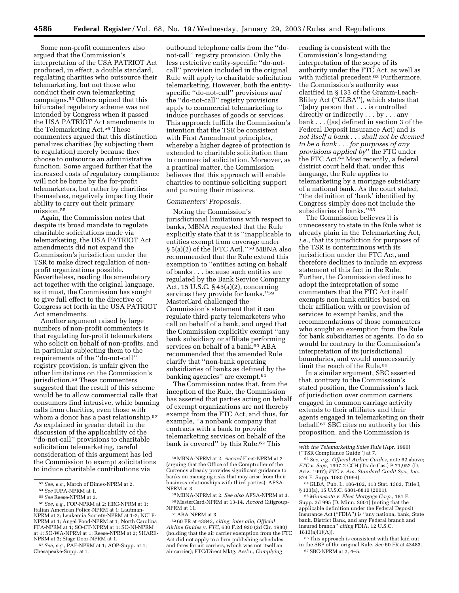Some non-profit commenters also argued that the Commission's interpretation of the USA PATRIOT Act produced, in effect, a double standard, regulating charities who outsource their telemarketing, but not those who conduct their own telemarketing campaigns.53 Others opined that this bifurcated regulatory scheme was not intended by Congress when it passed the USA PATRIOT Act amendments to the Telemarketing Act.54 These commenters argued that this distinction penalizes charities (by subjecting them to regulation) merely because they choose to outsource an administrative function. Some argued further that the increased costs of regulatory compliance will not be borne by the for-profit telemarketers, but rather by charities themselves, negatively impacting their ability to carry out their primary mission.55

Again, the Commission notes that despite its broad mandate to regulate charitable solicitations made via telemarketing, the USA PATRIOT Act amendments did not expand the Commission's jurisdiction under the TSR to make direct regulation of nonprofit organizations possible. Nevertheless, reading the amendatory act together with the original language, as it must, the Commission has sought to give full effect to the directive of Congress set forth in the USA PATRIOT Act amendments.

Another argument raised by large numbers of non-profit commenters is that regulating for-profit telemarketers who solicit on behalf of non-profits, and in particular subjecting them to the requirements of the ''do-not-call'' registry provision, is unfair given the other limitations on the Commission's jurisdiction.56 These commenters suggested that the result of this scheme would be to allow commercial calls that consumers find intrusive, while banning calls from charities, even those with whom a donor has a past relationship.<sup>57</sup> As explained in greater detail in the discussion of the applicability of the ''do-not-call'' provisions to charitable solicitation telemarketing, careful consideration of this argument has led the Commission to exempt solicitations to induce charitable contributions via

outbound telephone calls from the ''donot-call'' registry provision. Only the less restrictive entity-specific ''do-notcall'' provision included in the original Rule will apply to charitable solicitation telemarketing. However, both the entityspecific ''do-not-call'' provisions *and* the ''do-not-call'' registry provisions apply to commercial telemarketing to induce purchases of goods or services. This approach fulfills the Commission's intention that the TSR be consistent with First Amendment principles, whereby a higher degree of protection is extended to charitable solicitation than to commercial solicitation. Moreover, as a practical matter, the Commission believes that this approach will enable charities to continue soliciting support and pursuing their missions.

# *Commenters' Proposals.*

Noting the Commission's jurisdictional limitations with respect to banks, MBNA requested that the Rule explicitly state that it is ''inapplicable to entities exempt from coverage under § 5(a)(2) of the [FTC Act]."<sup>58</sup> MBNA also recommended that the Rule extend this exemption to ''entities acting on behalf of banks . . . because such entities are regulated by the Bank Service Company Act, 15 U.S.C. § 45(a)(2), concerning services they provide for banks.''59 MasterCard challenged the Commission's statement that it can regulate third-party telemarketers who call on behalf of a bank, and urged that the Commission explicitly exempt ''any bank subsidiary or affiliate performing services on behalf of a bank.<sup>60</sup> ABA recommended that the amended Rule clarify that ''non-bank operating subsidiaries of banks as defined by the banking agencies'' are exempt.61

The Commission notes that, from the inception of the Rule, the Commission has asserted that parties acting on behalf of exempt organizations are not thereby exempt from the FTC Act, and thus, for example, ''a nonbank company that contracts with a bank to provide telemarketing services on behalf of the bank is covered'' by this Rule.62 This

59MBNA-NPRM at 2. *See also* AFSA-NPRM at 3. 60MasterCard-NPRM at 13-14. *Accord* Citigroup-NPRM at 11.

62 60 FR at 43843, *citing, inter alia, Official Airline Guides v. FTC*, 630 F.2d 920 (2d Cir. 1980) (holding that the air carrier exemption from the FTC Act did not apply to a firm publishing schedules and fares for air carriers, which was not itself an air carrier); FTC/Direct Mktg. Ass'n., *Complying* 

reading is consistent with the Commission's long-standing interpretation of the scope of its authority under the FTC Act, as well as with judicial precedent.<sup>63</sup> Furthermore, the Commission's authority was clarified in § 133 of the Gramm-Leach-Bliley Act (''GLBA''), which states that ''[a]ny person that . . . is controlled directly or indirectly . . . by . . . any bank . . . ([as] defined in section 3 of the Federal Deposit Insurance Act) and *is not itself a bank . . . shall not be deemed to be a bank . . . for purposes of any provisions applied by*'' the FTC under the FTC Act.64 Most recently, a federal district court held that, under this language, the Rule applies to telemarketing by a mortgage subsidiary of a national bank. As the court stated, ''the definition of 'bank' identified by Congress simply does not include the subsidiaries of banks.''65

The Commission believes it is unnecessary to state in the Rule what is already plain in the Telemarketing Act, *i.e.*, that its jurisdiction for purposes of the TSR is conterminous with its jurisdiction under the FTC Act, and therefore declines to include an express statement of this fact in the Rule. Further, the Commission declines to adopt the interpretation of some commenters that the FTC Act itself exempts non-bank entities based on their affiliation with or provision of services to exempt banks, and the recommendations of those commenters who sought an exemption from the Rule for bank subsidiaries or agents. To do so would be contrary to the Commission's interpretation of its jurisdictional boundaries, and would unnecessarily limit the reach of the Rule.<sup>66</sup>

In a similar argument, SBC asserted that, contrary to the Commission's stated position, the Commission's lack of jurisdiction over common carriers engaged in common carriage activity extends to their affiliates and their agents engaged in telemarketing on their behalf.67 SBC cites no authority for this proposition, and the Commission is

64 GLBA, Pub. L. 106-102, 113 Stat. 1383, Title I, § 133(a), 15 U.S.C. 6801-6810 (2001).

65 *Minnesota v. Fleet Mortgage Corp.*, 181 F. Supp. 2d 995 (D. Minn. 2001) (noting that the applicable definition under the Federal Deposit Insurance Act (''FDIA'') is ''any national bank, State bank, District Bank, and any Federal branch and insured branch'' *citing* FDIA, 12 U.S.C.  $1813(a)(1)(A)$ .

 $\rm ^{66}$  This approach is consistent with that laid out in the SBP of the original Rule. *See* 60 FR at 43483. 67SBC-NPRM at 2, 4–5.

<sup>53</sup>*See, e.g.*, March of Dimes-NPRM at 2.

<sup>54</sup>*See* IUPA-NPRM at 1.

<sup>55</sup>*See* Reese-NPRM at 2.

<sup>56</sup>*See, e.g.*, FOP-NPRM at 2; HRC-NPRM at 1; Italian American Police-NPRM at 1; Lautman-NPRM at 2; Leukemia Society-NPRM at 1-2; NCLF-NPRM at 1; Angel Food-NPRM at 1; North Carolina FFA-NPRM at 1; SO-CT-NPRM at 1; SO-NJ-NPRM at 1; SO-WA-NPRM at 1; Reese-NPRM at 2; SHARE-NPRM at 3; Stage Door-NPRM at 1.

<sup>57</sup>*See, e.g.*, PAF-NPRM at 1; AOP-Supp. at 1; Chesapeake-Supp. at 1.

<sup>58</sup>MBNA-NPRM at 2. *Accord* Fleet-NPRM at 2 (arguing that the Office of the Comptroller of the Currency already provides significant guidance to banks on managing risks that may arise from their business relationships with third parties); AFSA-NPRM at 3.

<sup>61</sup>ABA-NPRM at 3.

*with the Telemarketing Sales Rule* (Apr. 1996) (''TSR Compliance Guide'') at 7.

<sup>63</sup>*See, e.g., Official Airline Guides*, note 62 above; *FTC v. Saja*, 1997-2 CCH (Trade Cas.) P 71,952 (D. Ariz. 1997); *FTC v. Am. Standard Credit Sys., Inc.*, 874 F. Supp. 1080 (1994).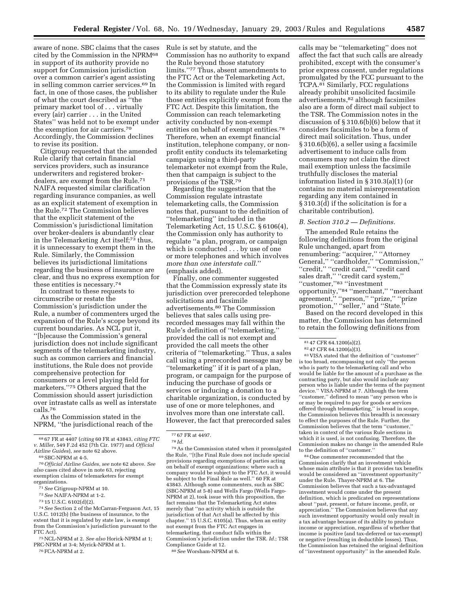aware of none. SBC claims that the cases cited by the Commission in the NPRM68 in support of its authority provide no support for Commission jurisdiction over a common carrier's agent assisting in selling common carrier services.69 In fact, in one of those cases, the publisher of what the court described as ''the primary market tool of . . . virtually every (air) carrier . . . in the United States'' was held not to be exempt under the exemption for air carriers.70 Accordingly, the Commission declines to revise its position.

Citigroup requested that the amended Rule clarify that certain financial services providers, such as insurance underwriters and registered brokerdealers, are exempt from the Rule.71 NAIFA requested similar clarification regarding insurance companies, as well as an explicit statement of exemption in the Rule.72 The Commission believes that the explicit statement of the Commission's jurisdictional limitation over broker-dealers is abundantly clear in the Telemarketing Act itself;73 thus, it is unnecessary to exempt them in the Rule. Similarly, the Commission believes its jurisdictional limitations regarding the business of insurance are clear, and thus no express exemption for these entities is necessary.74

In contrast to these requests to circumscribe or restate the Commission's jurisdiction under the Rule, a number of commenters urged the expansion of the Rule's scope beyond its current boundaries. As NCL put it, ''[b]ecause the Commission's general jurisdiction does not include significant segments of the telemarketing industry, such as common carriers and financial institutions, the Rule does not provide comprehensive protection for consumers or a level playing field for marketers.''75 Others argued that the Commission should assert jurisdiction over intrastate calls as well as interstate calls.76

As the Commission stated in the NPRM, ''the jurisdictional reach of the

74*See* Section 2 of the McCarran-Ferguson Act, 15 U.S.C. 1012(b) (the business of insurance, to the extent that it is regulated by state law, is exempt from the Commission's jurisdiction pursuant to the FTC Act).

75NCL-NPRM at 2. *See also* Horick-NPRM at 1; PRC-NPRM at 3-4; Myrick-NPRM at 1.

76FCA-NPRM at 2.

Rule is set by statute, and the Commission has no authority to expand the Rule beyond those statutory limits.''77 Thus, absent amendments to the FTC Act or the Telemarketing Act, the Commission is limited with regard to its ability to regulate under the Rule those entities explicitly exempt from the FTC Act. Despite this limitation, the Commission can reach telemarketing activity conducted by non-exempt entities on behalf of exempt entities.78 Therefore, when an exempt financial institution, telephone company, or nonprofit entity conducts its telemarketing campaign using a third-party telemarketer not exempt from the Rule, then that campaign is subject to the provisions of the TSR.79

Regarding the suggestion that the Commission regulate intrastate telemarketing calls, the Commission notes that, pursuant to the definition of ''telemarketing'' included in the Telemarketing Act, 15 U.S.C. § 6106(4), the Commission only has authority to regulate ''a plan, program, or campaign which is conducted . . . by use of one or more telephones and which involves *more than one interstate call*.'' (emphasis added).

Finally, one commenter suggested that the Commission expressly state its jurisdiction over prerecorded telephone solicitations and facsimile advertisements.80 The Commission believes that sales calls using prerecorded messages may fall within the Rule's definition of ''telemarketing,'' provided the call is not exempt and provided the call meets the other criteria of ''telemarketing.'' Thus, a sales call using a prerecorded message may be ''telemarketing'' if it is part of a plan, program, or campaign for the purpose of inducing the purchase of goods or services or inducing a donation to a charitable organization, is conducted by use of one or more telephones, and involves more than one interstate call. However, the fact that prerecorded sales

79As the Commission stated when it promulgated the Rule, ''[t]he Final Rule does not include special provisions regarding exemptions of parties acting on behalf of exempt organizations; where such a company would be subject to the FTC Act, it would be subject to the Final Rule as well.'' 60 FR at 43843. Although some commenters, such as SBC (SBC-NPRM at 5-8) and Wells Fargo (Wells Fargo-NPRM at 2), took issue with this proposition, the fact remains that the Telemarketing Act states merely that ''no activity which is outside the jurisdiction of that Act shall be affected by this chapter.'' 15 U.S.C. 6105(a). Thus, when an entity not exempt from the FTC Act engages in telemarketing, that conduct falls within the Commission's jurisdiction under the TSR. *Id.*; TSR Compliance Guide at 12. 80*See* Worsham-NPRM at 6.

calls may be ''telemarketing'' does not affect the fact that such calls are already prohibited, except with the consumer's prior express consent, under regulations promulgated by the FCC pursuant to the TCPA.81 Similarly, FCC regulations already prohibit unsolicited facsimile advertisements,82 although facsimiles also are a form of direct mail subject to the TSR. The Commission notes in the discussion of § 310.6(b)(6) below that it considers facsimiles to be a form of direct mail solicitation. Thus, under § 310.6(b)(6), a seller using a facsimile advertisement to induce calls from consumers may not claim the direct mail exemption unless the facsimile truthfully discloses the material information listed in § 310.3(a)(1) (or contains no material misrepresentation regarding any item contained in § 310.3(d) if the solicitation is for a charitable contribution).

# *B. Section 310.2 — Definitions.*

The amended Rule retains the following definitions from the original Rule unchanged, apart from renumbering: ''acquirer,'' ''Attorney General,'' ''cardholder,'' ''Commission,'' ''credit,'' ''credit card,'' ''credit card sales draft,'' ''credit card system,'' ''customer,''83 ''investment opportunity,''84 ''merchant,'' ''merchant agreement,'' ''person,'' ''prize,'' ''prize promotion,'' ''seller,'' and ''State.''

Based on the record developed in this matter, the Commission has determined to retain the following definitions from

83 VISA stated that the definition of ''customer'' is too broad, encompassing not only ''the person who is party to the telemarketing call and who would be liable for the amount of a purchase as the contracting party, but also would include any person who is liable under the terms of the payment device.'' VISA-NPRM at 7. Although the term ''customer,'' defined to mean ''any person who is or may be required to pay for goods or services offered through telemarketing,'' is broad in scope, the Commission believes this breadth is necessary to effect the purposes of the Rule. Further, the Commission believes that the term ''customer,'' taken in context of the various Rule sections in which it is used, is not confusing. Therefore, the Commission makes no change in the amended Rule to the definition of ''customer.''

84One commenter recommended that the Commission clarify that an investment vehicle whose main attribute is that it provides tax benefits would be considered an ''investment opportunity'' under the Rule. Thayer-NPRM at 6. The Commission believes that such a tax-advantaged investment would come under the present definition, which is predicated on representations about ''past, present, or future income, profit, or appreciation.'' The Commission believes that any such investment opportunity would only result in a tax advantage because of its ability to produce income or appreciation, regardless of whether that income is positive (and tax-deferred or tax-exempt) or negative (resulting in deductible losses). Thus, the Commission has retained the original definition of ''investment opportunity'' in the amended Rule.

<sup>68</sup> 67 FR at 4407 (*citing* 60 FR at 43843, *citing FTC v. Miller*, 549 F.2d 452 (7th Cir. 1977) and *Official Airline Guides*), *see* note 62 above.

<sup>69</sup>SBC-NPRM at 4-5.

<sup>70</sup>*Official Airline Guides*, *see* note 62 above. *See also* cases cited above in note 63, rejecting exemption claims of telemarketers for exempt organizations.

<sup>71</sup>*See* Citigroup-NPRM at 10.

<sup>72</sup>*See* NAIFA-NPRM at 1-2.

<sup>73</sup> 15 U.S.C. 6102(d)(2).

<sup>77</sup> 67 FR at 4497.

<sup>78</sup> *Id.*

<sup>81</sup> 47 CFR 64.1200(a)(2).

<sup>82</sup> 47 CFR 64.1200(a)(3).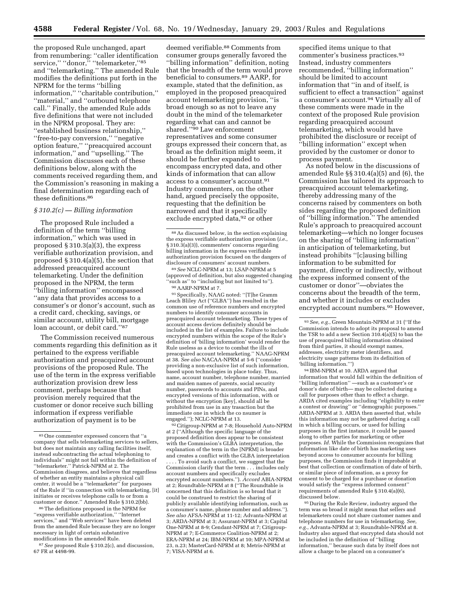the proposed Rule unchanged, apart from renumbering: ''caller identification service," "donor," "telemarketer,"<sup>85</sup> and ''telemarketing.'' The amended Rule modifies the definitions put forth in the NPRM for the terms ''billing information,'' ''charitable contribution,'' ''material,'' and ''outbound telephone call.'' Finally, the amended Rule adds five definitions that were not included in the NPRM proposal. They are: ''established business relationship,'' ''free-to-pay conversion,'' ''negative option feature,'' ''preacquired account information,'' and ''upselling.'' The Commission discusses each of these definitions below, along with the comments received regarding them, and the Commission's reasoning in making a final determination regarding each of these definitions.86

# *§ 310.2(c) — Billing information*

The proposed Rule included a definition of the term ''billing information,'' which was used in proposed § 310.3(a)(3), the express verifiable authorization provision, and proposed § 310.4(a)(5), the section that addressed preacquired account telemarketing. Under the definition proposed in the NPRM, the term ''billing information'' encompassed ''any data that provides access to a consumer's or donor's account, such as a credit card, checking, savings, or similar account, utility bill, mortgage loan account, or debit card.''87

The Commission received numerous comments regarding this definition as it pertained to the express verifiable authorization and preacquired account provisions of the proposed Rule. The use of the term in the express verifiable authorization provision drew less comment, perhaps because that provision merely required that the customer or donor receive such billing information if express verifiable authorization of payment is to be

86The definitions proposed in the NPRM for ''express verifiable authorization,'' ''Internet services,'' and ''Web services'' have been deleted from the amended Rule because they are no longer necessary in light of certain substantive modifications in the amended Rule.

87*See* proposed Rule § 310.2(c), and discussion, 67 FR at 4498-99.

deemed verifiable.88 Comments from consumer groups generally favored the ''billing information'' definition, noting that the breadth of the term would prove beneficial to consumers.89 AARP, for example, stated that the definition, as employed in the proposed preacquired account telemarketing provision, ''is broad enough so as not to leave any doubt in the mind of the telemarketer regarding what can and cannot be shared."<sup>90</sup> Law enforcement representatives and some consumer groups expressed their concern that, as broad as the definition might seem, it should be further expanded to encompass encrypted data, and other kinds of information that can allow access to a consumer's account.91 Industry commenters, on the other hand, argued precisely the opposite, requesting that the definition be narrowed and that it specifically exclude encrypted data, 92 or other

89*See* NCLC-NPRM at 13; LSAP-NPRM at 5 (approved of definition, but also suggested changing 'such as" to "including but not limited to").

90AARP-NPRM at 7.

91Specifically, NAAG noted: ''[T]he Gramm Leach Bliley Act (''GLBA'') has resulted in the common use of reference numbers and encrypted numbers to identify consumer accounts in preacquired account telemarketing. These types of account access devices definitely should be included in the list of examples. Failure to include encrypted numbers within the scope of the Rule's definition of 'billing information' would render the Rule useless as a device to combat the ills of preacquired account telemarketing.'' NAAG-NPRM at 38. *See also* NACAA-NPRM at 5-6 (''consider providing a non-exclusive list of such information, based upon technologies in place today. Thus, name, account number, telephone number, married and maiden names of parents, social security number, passwords to accounts and PINs, and encrypted versions of this information, with or without the encryption [key], should all be prohibited from use in any trasaction but the immediate one in which the co nsumer is engaged.''); NCLC-NPRM at 13.

92 Citigroup-NPRM at 7-8; Household Auto-NPRM at 2 (''Although the specific language of the proposed definition does appear to be consistent with the Commission's GLBA interpretation, the explanation of the term in the [NPRM] is broader and creates a conflict with the GLBA interpretation . . . . To avoid such a conflict, we suggest that the

Commission clarify that the term . . . includes only account numbers and specifically excludes encrypted account numbers.''). *Accord* ABIA-NPRM at 2; Roundtable-NPRM at 8 (''The Roundtable is concerned that this definition is so broad that it could be construed to restrict the sharing of publicly available identifying information, such as a consumer's name, phone number and address.''). *See also* AFSA-NPRM at 11-12; Advanta-NPRM at 3; ARDA-NPRM at 3; Assurant-NPRM at 3; Capital One-NPRM at 8-9; Cendant-NPRM at 7; Citigroup-NPRM at 7; E-Commerce Coalition-NPRM at 2; ERA-NPRM at 24; IBM-NPRM at 10; MPA-NPRM at 23, n.23; MasterCard-NPRM at 8; Metris-NPRM at 7; VISA-NPRM at 6.

specified items unique to that commenter's business practices.93 Instead, industry commenters recommended, ''billing information'' should be limited to account information that ''in and of itself, is sufficient to effect a transaction'' against a consumer's account.94 Virtually all of these comments were made in the context of the proposed Rule provision regarding preacquired account telemarketing, which would have prohibited the disclosure or receipt of ''billing information'' except when provided by the customer or donor to process payment.

As noted below in the discussions of amended Rule §§ 310.4(a)(5) and (6), the Commission has tailored its approach to preacquired account telemarketing, thereby addressing many of the concerns raised by commenters on both sides regarding the proposed definition of ''billing information.'' The amended Rule's approach to preacquired account telemarketing—which no longer focuses on the sharing of ''billing information'' in anticipation of telemarketing, but instead prohibits ''[c]ausing billing information to be submitted for payment, directly or indirectly, without the express informed consent of the customer or donor''—obviates the concerns about the breadth of the term, and whether it includes or excludes encrypted account numbers.95 However,

94 IBM-NPRM at 10. ARDA argued that information that would fall within the definition of ''billing information'' —such as a customer's or donor's date of birth— may be collected during a call for purposes other than to effect a charge. ARDA cited examples including ''eligibility to enter a contest or drawing" or "demographic purposes. ARDA-NPRM at 3. ARDA then asserted that, while this information may not be gathered during a call in which a billing occurs, or used for billing purposes in the first instance, it could be passed along to other parties for marketing or other purposes. *Id.* While the Commission recognizes that information like date of birth has marketing uses beyond access to consumer accounts for billing purposes, the Commission finds it improbable at best that collection or confirmation of date of birth, or similar piece of information, as a proxy for consent to be charged for a purchase or donation would satisfy the ''express informed consent'' requirements of amended Rule § 310.4(a)(6), discussed below.

95 During the Rule Review, industry argued the term was so broad it might mean that sellers and telemarketers could not share customer names and telephone numbers for use in telemarketing. *See, e.g.*, Advanta-NPRM at 3; Roundtable-NPRM at 8. Industry also argued that encrypted data should not be included in the definition of ''billing information,'' because such data by itself does not allow a charge to be placed on a consumer's

<sup>85</sup>One commenter expressed concern that ''a company that sells telemarketing services to sellers, but does not maintain any calling facilities itself, instead subcontracting the actual telephoning to individuals'' might not fall within the definition of ''telemarketer.'' Patrick-NPRM at 2. The Commission disagrees, and believes that regardless of whether an entity maintains a physical call center, it would be a ''telemarketer'' for purposes of the Rule if ''in connection with telemarketing, [it] initiates or receives telephone calls to or from a customer or donor.'' Amended Rule § 310.2(bb).

<sup>88</sup>As discussed below, in the section explaining the express verifiable authorization provision (*i.e.*, § 310.3(a)(3)), commenters' concerns regarding billing information in the express verifiable authorization provision focused on the dangers of disclosure of consumers' account numbers.

<sup>93</sup>*See, e.g.*, Green Mountain-NPRM at 31 (''If the Commission intends to adopt its proposal to amend the TSR to add a new Section 310.4(a)(5) to ban the use of preacquired billing information obtained from third parties, it should exempt names, addresses, electricity meter identifiers, and electricity usage patterns from its definition of 'billing information.''')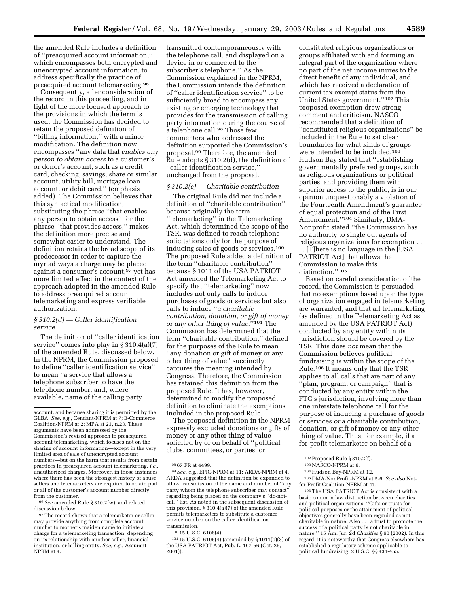the amended Rule includes a definition of ''preacquired account information,'' which encompasses both encrypted and unencrypted account information, to address specifically the practice of preacquired account telemarketing.96

Consequently, after consideration of the record in this proceeding, and in light of the more focused approach to the provisions in which the term is used, the Commission has decided to retain the proposed definition of ''billing information,'' with a minor modification. The definition now encompasses ''any data that *enables any person to obtain access* to a customer's or donor's account, such as a credit card, checking, savings, share or similar account, utility bill, mortgage loan account, or debit card.'' (emphasis added). The Commission believes that this syntactical modification, substituting the phrase ''that enables any person to obtain access'' for the phrase ''that provides access,'' makes the definition more precise and somewhat easier to understand. The definition retains the broad scope of its predecessor in order to capture the myriad ways a charge may be placed against a consumer's account,  $97$  yet has more limited effect in the context of the approach adopted in the amended Rule to address preacquired account telemarketing and express verifiable authorization.

#### *§ 310.2(d) — Caller identification service*

The definition of ''caller identification service'' comes into play in § 310.4(a)(7) of the amended Rule, discussed below. In the NPRM, the Commission proposed to define ''caller identification service'' to mean ''a service that allows a telephone subscriber to have the telephone number, and, where available, name of the calling party

96*See* amended Rule § 310.2(w), and related discussion below.

transmitted contemporaneously with the telephone call, and displayed on a device in or connected to the subscriber's telephone.'' As the Commission explained in the NPRM, the Commission intends the definition of ''caller identification service'' to be sufficiently broad to encompass any existing or emerging technology that provides for the transmission of calling party information during the course of a telephone call.98 Those few commenters who addressed the definition supported the Commission's proposal.99 Therefore, the amended Rule adopts § 310.2(d), the definition of ''caller identification service,'' unchanged from the proposal.

# *§ 310.2(e) — Charitable contribution*

The original Rule did not include a definition of ''charitable contribution'' because originally the term ''telemarketing'' in the Telemarketing Act, which determined the scope of the TSR, was defined to reach telephone solicitations only for the purpose of inducing sales of goods or services.100 The proposed Rule added a definition of the term ''charitable contribution'' because § 1011 of the USA PATRIOT Act amended the Telemarketing Act to specify that ''telemarketing'' now includes not only calls to induce purchases of goods or services but also calls to induce ''*a charitable contribution, donation, or gift of money or any other thing of value*.''101 The Commission has determined that the term ''charitable contribution,'' defined for the purposes of the Rule to mean ''any donation or gift of money or any other thing of value'' succinctly captures the meaning intended by Congress. Therefore, the Commission has retained this definition from the proposed Rule. It has, however, determined to modify the proposed definition to eliminate the exemptions included in the proposed Rule.

The proposed definition in the NPRM expressly excluded donations or gifts of money or any other thing of value solicited by or on behalf of ''political clubs, committees, or parties, or

constituted religious organizations or groups affiliated with and forming an integral part of the organization where no part of the net income inures to the direct benefit of any individual, and which has received a declaration of current tax exempt status from the United States government.''102 This proposed exemption drew strong comment and criticism. NASCO recommended that a definition of ''constituted religious organizations'' be included in the Rule to set clear boundaries for what kinds of groups were intended to be included.103 Hudson Bay stated that ''establishing governmentally preferred groups, such as religious organizations or political parties, and providing them with superior access to the public, is in our opinion unquestionably a violation of the Fourteenth Amendment's guarantee of equal protection and of the First Amendment.''104 Similarly, DMA-Nonprofit stated ''the Commission has no authority to single out agents of religious organizations for exemption . . . . [T]here is no language in the [USA PATRIOT Act] that allows the Commission to make this distinction.''105

Based on careful consideration of the record, the Commission is persuaded that no exemptions based upon the type of organization engaged in telemarketing are warranted, and that all telemarketing (as defined in the Telemarketing Act as amended by the USA PATRIOT Act) conducted by any entity within its jurisdiction should be covered by the TSR. This does *not* mean that the Commission believes political fundraising is within the scope of the Rule.106 It means only that the TSR applies to all calls that are part of any ''plan, program, or campaign'' that is conducted by any entity within the FTC's jurisdiction, involving more than one interstate telephone call for the purpose of inducing a purchase of goods or services *or* a charitable contribution, donation, or gift of money or any other thing of value. Thus, for example, if a for-profit telemarketer on behalf of a

105 DMA-NonProfit-NPRM at 5-6. *See also* Notfor-Profit Coalition-NPRM at 41.

106The USA PATRIOT Act is consistent with a basic common law distinction between charities and political organizations. ''Gifts or trusts for political purposes or the attainment of political objectives generally have been regarded as not charitable in nature. Also . . . a trust to promote the success of a political party is not charitable in nature.'' 15 Am. Jur. 2d *Charities* § 60 (2002). In this regard, it is noteworthy that Congress elsewhere has established a regulatory scheme applicable to political fundraising. 2 U.S.C. §§ 431-455.

account, and because sharing it is permitted by the GLBA. *See, e.g.*, Cendant-NPRM at 7; E-Commerce Coalition-NPRM at 2; MPA at 23, n.23. These arguments have been addressed by the Commission's revised approach to preacquired account telemarketing, which focuses not on the sharing of account information—except in the very limited area of sale of unencrypted account numbers—but on the harm that results from certain practices in preacquired account telemarketing, *i.e.*, unauthorized charges. Moreover, in those instances where there has been the strongest history of abuse, sellers and telemarketers are required to obtain part or all of the customer's account number directly from the customer.

<sup>97</sup>The record shows that a telemarketer or seller may provide anything from complete account number to mother's maiden name to initiate a charge for a telemarketing transaction, depending on its relationship with another seller, financial institution, or billing entity. *See, e.g.*, Assurant-NPRM at 4.

<sup>98</sup> 67 FR at 4499.

<sup>99</sup>*See, e.g.*, EPIC-NPRM at 11; ARDA-NPRM at 4. ARDA suggested that the definition be expanded to allow transmission of the name and number of ''any party whom the telephone subscriber may contact'' regarding being placed on the company's ''do-notcall'' list. As noted in the subsequent discussion of this provision, § 310.4(a)(7) of the amended Rule permits telemarketers to substitute a customer service number on the caller identification transmission.

<sup>100</sup> 15 U.S.C. 6106(4).

<sup>101</sup> 15 U.S.C. 6106(4) (amended by § 1011(b)(3) of the USA PATRIOT Act, Pub. L. 107-56 (Oct. 26, 2001)).

<sup>102</sup>Proposed Rule § 310.2(f).

<sup>&</sup>lt;sup>103</sup> NASCO-NPRM at 6.

<sup>104</sup>Hudson Bay-NPRM at 12.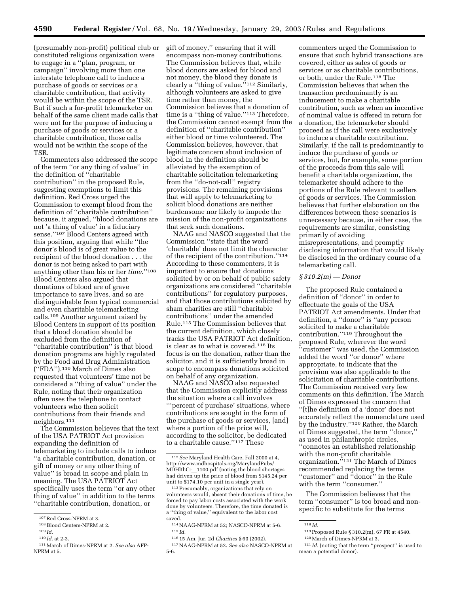(presumably non-profit) political club or constituted religious organization were to engage in a ''plan, program, or campaign'' involving more than one interstate telephone call to induce a purchase of goods or services *or* a charitable contribution, that activity would be within the scope of the TSR. But if such a for-profit telemarketer on behalf of the same client made calls that were not for the purpose of inducing a purchase of goods or services or a charitable contribution, those calls would not be within the scope of the TSR.

Commenters also addressed the scope of the term ''or any thing of value'' in the definition of ''charitable contribution'' in the proposed Rule, suggesting exemptions to limit this definition. Red Cross urged the Commission to exempt blood from the definition of ''charitable contribution'' because, it argued, ''blood donations are not 'a thing of value' in a fiduciary sense."107 Blood Centers agreed with this position, arguing that while ''the donor's blood is of great value to the recipient of the blood donation . . . the donor is not being asked to part with anything other than his or her *time*.''108 Blood Centers also argued that donations of blood are of grave importance to save lives, and so are distinguishable from typical commercial and even charitable telemarketing calls.109 Another argument raised by Blood Centers in support of its position that a blood donation should be excluded from the definition of ''charitable contribution'' is that blood donation programs are highly regulated by the Food and Drug Administration (''FDA'').110 March of Dimes also requested that volunteers' time not be considered a ''thing of value'' under the Rule, noting that their organization often uses the telephone to contact volunteers who then solicit contributions from their friends and neighbors.111

The Commission believes that the text of the USA PATRIOT Act provision expanding the definition of telemarketing to include calls to induce ''a charitable contribution, donation, or gift of money or any other thing of value'' is broad in scope and plain in meaning. The USA PATRIOT Act specifically uses the term ''or any other thing of value'' in addition to the terms ''charitable contribution, donation, or

gift of money,'' ensuring that it will encompass non-money contributions. The Commission believes that, while blood donors are asked for blood and not money, the blood they donate is clearly a ''thing of value.''112 Similarly, although volunteers are asked to give time rather than money, the Commission believes that a donation of time is a "thing of value."<sup>113</sup> Therefore, the Commission cannot exempt from the definition of ''charitable contribution'' either blood or time volunteered. The Commission believes, however, that legitimate concern about inclusion of blood in the definition should be alleviated by the exemption of charitable solicitation telemarketing from the ''do-not-call'' registry provisions. The remaining provisions that will apply to telemarketing to solicit blood donations are neither burdensome nor likely to impede the mission of the non-profit organizations that seek such donations.

NAAG and NASCO suggested that the Commission ''state that the word 'charitable' does not limit the character of the recipient of the contribution.''114 According to these commenters, it is important to ensure that donations solicited by or on behalf of public safety organizations are considered ''charitable contributions'' for regulatory purposes, and that those contributions solicited by sham charities are still ''charitable contributions'' under the amended Rule.115 The Commission believes that the current definition, which closely tracks the USA PATRIOT Act definition, is clear as to what is covered.116 Its focus is on the donation, rather than the solicitor, and it is sufficiently broad in scope to encompass donations solicited on behalf of any organization.

NAAG and NASCO also requested that the Commission explicitly address the situation where a call involves '''percent of purchase' situations, where contributions are sought in the form of the purchase of goods or services, [and] where a portion of the price will, according to the solicitor, be dedicated to a charitable cause.''117 These

113Presumably, organizations that rely on volunteers would, absent their donations of time, be forced to pay labor costs associated with the work done by volunteers. Therefore, the time donated is a ''thing of value,'' equivalent to the labor cost saved.

commenters urged the Commission to ensure that such hybrid transactions are covered, either as sales of goods or services or as charitable contributions, or both, under the Rule.118 The Commission believes that when the transaction predominantly is an inducement to make a charitable contribution, such as when an incentive of nominal value is offered in return for a donation, the telemarketer should proceed as if the call were exclusively to induce a charitable contribution. Similarly, if the call is predominantly to induce the purchase of goods or services, but, for example, some portion of the proceeds from this sale will benefit a charitable organization, the telemarketer should adhere to the portions of the Rule relevant to sellers of goods or services. The Commission believes that further elaboration on the differences between these scenarios is unnecessary because, in either case, the requirements are similar, consisting primarily of avoiding misrepresentations, and promptly disclosing information that would likely be disclosed in the ordinary course of a telemarketing call.

#### *§ 310.2(m) — Donor*

The proposed Rule contained a definition of ''donor'' in order to effectuate the goals of the USA PATRIOT Act amendments. Under that definition, a ''donor'' is ''any person solicited to make a charitable contribution.''119 Throughout the proposed Rule, wherever the word ''customer'' was used, the Commission added the word ''or donor'' where appropriate, to indicate that the provision was also applicable to the solicitation of charitable contributions. The Commission received very few comments on this definition. The March of Dimes expressed the concern that ''[t]he definition of a 'donor' does not accurately reflect the nomenclature used by the industry.''120 Rather, the March of Dimes suggested, the term ''donor,'' as used in philanthropic circles, ''connotes an established relationship with the non-profit charitable organization.''121 The March of Dimes recommended replacing the terms ''customer'' and ''donor'' in the Rule with the term ''consumer.''

The Commission believes that the term ''consumer'' is too broad and nonspecific to substitute for the terms

<sup>107</sup>Red Cross-NPRM at 3.

<sup>108</sup>Blood Centers-NPRM at 2.

<sup>109</sup> *Id.*

<sup>110</sup> *Id.* at 2-3.

<sup>111</sup>March of Dimes-NPRM at 2. *See also* AFP-NPRM at 5.

<sup>112</sup>*See* Maryland Health Care, Fall 2000 at 4, http://www.mdhospitals.org/MarylandPubs/ MDHlthCr\_1100.pdf (noting the blood shortages had driven up the price of blood from \$145.24 per unit to \$174.10 per unit in a single year).

<sup>114</sup>NAAG-NPRM at 52; NASCO-NPRM at 5-6. 115 *Id.*

<sup>116</sup> 15 Am. Jur. 2d *Charitie*s § 60 (2002).

<sup>117</sup>NAAG-NPRM at 52. *See also* NASCO-NPRM at 5-6.

<sup>118</sup> *Id.*

<sup>119</sup>Proposed Rule § 310.2(m), 67 FR at 4540.

<sup>120</sup>March of Dimes-NPRM at 3.

<sup>&</sup>lt;sup>121</sup> *Id.* (noting that the term "prospect" is used to mean a potential donor).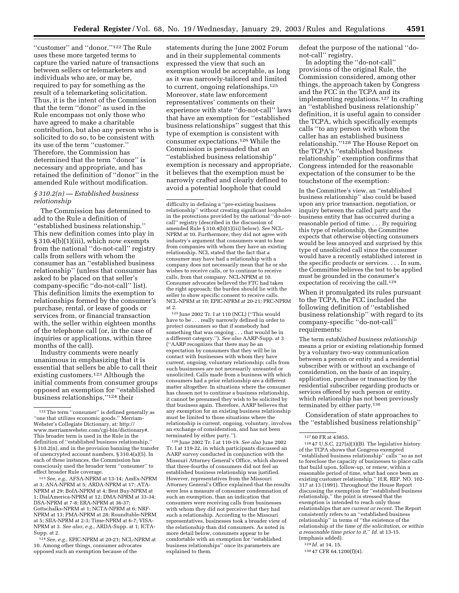''customer'' and ''donor.''122 The Rule uses these more targeted terms to capture the varied nature of transactions between sellers or telemarketers and individuals who are, or may be, required to pay for something as the result of a telemarketing solicitation. Thus, it is the intent of the Commission that the term ''donor'' as used in the Rule encompass not only those who have agreed to make a charitable contribution, but also any person who is solicited to do so, to be consistent with its use of the term ''customer.'' Therefore, the Commission has determined that the term ''donor'' is necessary and appropriate, and has retained the definition of ''donor'' in the amended Rule without modification.

# *§ 310.2(n) — Established business relationship*

The Commission has determined to add to the Rule a definition of ''established business relationship.'' This new definition comes into play in § 310.4(b)(1)(iii), which now exempts from the national ''do-not-call'' registry calls from sellers with whom the consumer has an ''established business relationship'' (unless that consumer has asked to be placed on that seller's company-specific ''do-not-call'' list). This definition limits the exemption to relationships formed by the consumer's purchase, rental, or lease of goods or services from, or financial transaction with, the seller within eighteen months of the telephone call (or, in the case of inquiries or applications, within three months of the call).

Industry comments were nearly unanimous in emphasizing that it is essential that sellers be able to call their existing customers.123 Although the initial comments from consumer groups opposed an exemption for ''established business relationships,''124 their

123*See, e.g.*, AFSA-NPRM at 13-14; AmEx-NPRM at 3; ANA-NPRM at 5; ARDA-NPRM at 17; ATA-NPRM at 29; BofA-NPRM at 4; Best Buy-NPRM at 1; DialAmerica-NPRM at 12; DMA-NPRM at 33-34; DSA-NPRM at 7-8; ERA-NPRM at 36-37; Gottschalks-NPRM at 1; NCTA-NPRM at 6; NRF-NPRM at 13; PMA-NPRM at 28; Roundtable-NPRM at 5; SIIA-NPRM at 2-3; Time-NPRM at 6-7; VISA-NPRM at 3. *See also, e.g.*, ARDA-Supp. at 1; ICTA-Supp. at 2.

124*See, e.g.*, EPIC-NPRM at 20-21; NCL-NPRM at 10. Among other things, consumer advocates opposed such an exemption because of the

statements during the June 2002 Forum and in their supplemental comments expressed the view that such an exemption would be acceptable, as long as it was narrowly-tailored and limited to current, ongoing relationships.125 Moreover, state law enforcement representatives' comments on their experience with state ''do-not-call'' laws that have an exemption for ''established business relationships'' suggest that this type of exemption is consistent with consumer expectations.126 While the Commission is persuaded that an ''established business relationship'' exemption is necessary and appropriate, it believes that the exemption must be narrowly crafted and clearly defined to avoid a potential loophole that could

difficulty in defining a ''pre-existing business relationship'' without creating significant loopholes in the protections provided by the national ''do-notcall'' registry (described in the discussion of amended Rule § 310.4(b)(1)(iii) below). *See* NCL-NPRM at 10. Furthermore, they did not agree with industry's argument that consumers want to hear from companies with whom they have an existing relationship. NCL stated that the fact that a consumer may have had a relationship with a company does not necessarily mean that he or she wishes to receive calls, or to continue to receive calls, from that company. NCL-NPRM at 10. Consumer advocates believed the FTC had taken the right approach: the burden should lie with the seller to show specific consent to receive calls. NCL-NPRM at 10; EPIC-NPRM at 20-21; PRC-NPRM at 2.

125 June 2002 Tr. I at 110 (NCL) (''This would have to be . . . really narrowly defined in order to protect consumers so that if somebody had something that was ongoing . . . that would be in a different category.''). *See also* AARP-Supp. at 3 (''AARP recognizes that there may be an expectation by consumers that they will be in contact with businesses with whom they have current, ongoing, voluntary relationship; calls from such businesses are not necessarily unwanted or unsolicited. Calls made from a business with which consumers had a prior relationship are a different matter altogether. In situations where the consumer has chosen not to continue a business relationship, it cannot be presumed they wish to be solicited by that business again. Therefore, AARP believes that any exemption for an existing business relationship must be limited to those situations where the relationship is current, ongoing, voluntary, involves an exchange of consideration, and has not been terminated by either party.'').

126 June 2002 Tr. I at 110-19. *See also* June 2002 Tr. I at 119-22, in which participants discussed an AARP survey conducted in conjunction with the Missouri Attorney General's Office, which showed that three-fourths of consumers did not feel an established business relationship was justified. However, representatives from the Missouri Attorney General's Office explained that the results were less a measure of consumer condemnation of such an exemption, than an indication that consumers were receiving calls from businesses with whom they did not perceive that they had such a relationship. According to the Missouri representatives, businesses took a broader view of the relationship than did consumers. As noted in more detail below, consumers appear to be comfortable with an exemption for ''established business relationships'' once its parameters are explained to them.

defeat the purpose of the national ''donot-call'' registry.

In adopting the ''do-not-call'' provisions of the original Rule, the Commission considered, among other things, the approach taken by Congress and the FCC in the TCPA and its implementing regulations.127 In crafting an ''established business relationship'' definition, it is useful again to consider the TCPA, which specifically exempts calls ''to any person with whom the caller has an established business relationship.''128 The House Report on the TCPA's ''established business relationship'' exemption confirms that Congress intended for the reasonable expectation of the consumer to be the touchstone of the exemption:

In the Committee's view, an ''established business relationship'' also could be based upon any prior transaction, negotiation, or inquiry between the called party and the business entity that has occurred during a reasonable period of time. . . . By requiring this type of relationship, the Committee expects that otherwise objecting consumers would be less annoyed and surprised by this type of unsolicited call since the consumer would have a recently established interest in the specific products or services. . . . In sum, the Committee believes the test to be applied must be grounded in the consumer's expectation of receiving the call.<sup>129</sup>

When it promulgated its rules pursuant to the TCPA, the FCC included the following definition of ''established business relationship'' with regard to its company-specific ''do-not-call'' requirements:

The term *established business relationship* means a prior or existing relationship formed by a voluntary two-way communication between a person or entity and a residential subscriber with or without an exchange of consideration, on the basis of an inquiry, application, purchase or transaction by the residential subscriber regarding products or services offered by such person or entity, which relationship has not been previously terminated by either party.<sup>130</sup>

Consideration of state approaches to the ''established business relationship''

128 47 U.S.C. 227(a)(3)(B). The legislative history of the TCPA shows that Congress exempted ''established business relationship'' calls ''so as not to foreclose the capacity of businesses to place calls that build upon, follow-up, or renew, within a reasonable period of time, what had once been an existing customer relationship.'' H.R. REP. NO. 102- 317 at 13 (1991). Throughout the House Report discussing the exemption for ''established business relationship,'' the point is stressed that the exemption is intended to reach only those relationships that are *current or recent*. The Report consistently refers to an ''established business relationship'' in terms of ''the existence of the relationship *at the time of the solicitation, or within a reasonable time prior to it*.'' *Id.* at 13-15. (emphasis added).

129 *Id.* at 14, 15.

<sup>122</sup>The term ''consumer'' is defined generally as ''one that utilizes economic goods.'' Merriam-Webster's Collegiate Dictionary, at: http:// www.merriamwebster.com/cgi-bin/dictionary#. This broader term is used in the Rule in the definition of ''established business relationship,'' § 310.2(n), and in the provision banning the transfer of unencrypted account numbers, § 310.4(a)(5). In each of these instances, the Commission has consciously used the broader term ''consumer'' to effect broader Rule coverage.

<sup>127</sup> 60 FR at 43855.

<sup>130</sup> 47 CFR 64.1200(f)(4).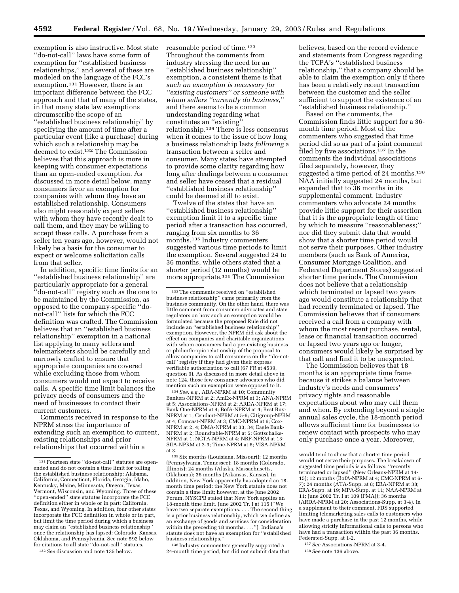exemption is also instructive. Most state ''do-not-call'' laws have some form of exemption for ''established business relationships,'' and several of these are modeled on the language of the FCC's exemption.131 However, there is an important difference between the FCC approach and that of many of the states, in that many state law exemptions circumscribe the scope of an ''established business relationship'' by specifying the amount of time after a particular event (like a purchase) during which such a relationship may be deemed to exist.132 The Commission believes that this approach is more in keeping with consumer expectations than an open-ended exemption. As discussed in more detail below, many consumers favor an exemption for companies with whom they have an established relationship. Consumers also might reasonably expect sellers with whom they have recently dealt to call them, and they may be willing to accept these calls. A purchase from a seller ten years ago, however, would not likely be a basis for the consumer to expect or welcome solicitation calls from that seller.

In addition, specific time limits for an ''established business relationship'' are particularly appropriate for a general<br>"do not call" 'do-not-call'' registry such as the one to be maintained by the Commission, as opposed to the company-specific ''donot-call'' lists for which the FCC definition was crafted. The Commission believes that an ''established business relationship'' exemption in a national list applying to many sellers and telemarketers should be carefully and narrowly crafted to ensure that appropriate companies are covered while excluding those from whom consumers would not expect to receive calls. A specific time limit balances the privacy needs of consumers and the need of businesses to contact their current customers.

Comments received in response to the NPRM stress the importance of extending such an exemption to current, existing relationships and prior relationships that occurred within a

132*See* discussion and note 135 below.

reasonable period of time.<sup>133</sup> Throughout the comments from industry stressing the need for an ''established business relationship'' exemption, a consistent theme is that *such an exemption is necessary for ''existing customers'' or someone with whom sellers ''currently do business*,'' and there seems to be a common understanding regarding what constitutes an "existing relationship.134 There is less consensus when it comes to the issue of how long a business relationship lasts *following* a transaction between a seller and consumer. Many states have attempted to provide some clarity regarding how long after dealings between a consumer and seller have ceased that a residual ''established business relationship'' could be deemed still to exist.

Twelve of the states that have an ''established business relationship'' exemption limit it to a specific time period after a transaction has occurred, ranging from six months to 36 months.135 Industry commenters suggested various time periods to limit the exemption. Several suggested 24 to 36 months, while others stated that a shorter period (12 months) would be more appropriate.136 The Commission

134*See, e.g.*, ABA-NPRM at 10; Community Bankers-NPRM at 2; AmEx-NPRM at 3; ANA-NPRM at 5; Associations-NPRM at 2; ARDA-NPRM at 17; Bank One-NPRM at 4; BofA-NPRM at 4; Best Buy-NPRM at 1; Cendant-NPRM at 5-6; Citigroup-NPRM at 4; Comcast-NPRM at 3; CMC-NPRM at 6; Cox-NPRM at 2, 4; DMA-NPRM at 33, 34; Eagle Bank-NPRM at 2; Roundtable-NPRM at 5; Gottschalks-NPRM at 1; NCTA-NPRM at 4; NRF-NPRM at 13; SIIA-NPRM at 2-3; Time-NPRM at 6; VISA-NPRM at 3.

135Six months (Louisiana, Missouri); 12 months (Pennsylvania, Tennessee); 18 months (Colorado, Illinois); 24 months (Alaska, Massachusetts, Oklahoma); 36 months (Arkansas, Kansas). In addition, New York apparently has adopted an 18 month time period: the New York statute does not contain a time limit; however, at the June 2002 Forum, NYSCPB stated that New York applies an 18-month time limit. June 2002 Tr. I at 115 (''We have two separate exemptions. . . . The second thing is a prior business relationship, which we define as an exchange of goods and services for consideration within the preceding 18 months. . . .''). Indiana's statute does not have an exemption for ''established business relationships.''

136 Industry commenters generally supported a 24-month time period, but did not submit data that believes, based on the record evidence and statements from Congress regarding the TCPA's ''established business relationship,'' that a company should be able to claim the exemption only if there has been a relatively recent transaction between the customer and the seller sufficient to support the existence of an ''established business relationship.''

Based on the comments, the Commission finds little support for a 36 month time period. Most of the commenters who suggested that time period did so as part of a joint comment filed by five associations.137 In the comments the individual associations filed separately, however, they suggested a time period of 24 months.<sup>138</sup> NAA initially suggested 24 months, but expanded that to 36 months in its supplemental comment. Industry commenters who advocate 24 months provide little support for their assertion that it is the appropriate length of time by which to measure ''reasonableness;'' nor did they submit data that would show that a shorter time period would not serve their purposes. Other industry members (such as Bank of America, Consumer Mortgage Coalition, and Federated Department Stores) suggested shorter time periods. The Commission does not believe that a relationship which terminated or lapsed two years ago would constitute a relationship that had recently terminated or lapsed. The Commission believes that if consumers received a call from a company with whom the most recent purchase, rental, lease or financial transaction occurred or lapsed two years ago or longer, consumers would likely be surprised by that call and find it to be unexpected.

The Commission believes that 18 months is an appropriate time frame because it strikes a balance between industry's needs and consumers' privacy rights and reasonable expectations about who may call them and when. By extending beyond a single annual sales cycle, the 18-month period allows sufficient time for businesses to renew contact with prospects who may only purchase once a year. Moreover,

<sup>131</sup>Fourteen state ''do-not-call'' statutes are openended and do not contain a time limit for tolling the established business relationship: Alabama, California, Connecticut, Florida, Georgia, Idaho, Kentucky, Maine, Minnesota, Oregon, Texas, Vermont, Wisconsin, and Wyoming. Three of these ''open-ended'' state statutes incorporate the FCC definition either in whole or in part: California, Texas, and Wyoming. In addition, four other states incorporate the FCC definition in whole or in part, but limit the time period during which a business may claim an ''established business relationship'' once the relationship has lapsed: Colorado, Kansas, Oklahoma, and Pennsylvania. See note 592 below for citations to all state ''do-not-call'' statutes.

<sup>133</sup>The comments received on ''established business relationship'' came primarily from the business community. On the other hand, there was little comment from consumer advocates and state regulators on how such an exemption would be formulated because the proposed Rule did not include an ''established business relationship'' exemption. However, the NPRM did ask about the effect on companies and charitable organizations with whom consumers had a pre-existing business or philanthropic relationship of the proposal to allow companies to call consumers on the ''do-notcall'' registry if they had given their express verifiable authorization to call (67 FR at 4539, question 9). As discussed in more detail above in note 124, those few consumer advocates who did mention such an exemption were opposed to it.

would tend to show that a shorter time period would not serve their purposes. The breakdown of suggested time periods is as follows: ''recently terminated or lapsed'' (New Orleans-NPRM at 14- 15); 12 months (BofA-NPRM at 4; CMC-NPRM at 6- 7); 24 months (ATA-Supp. at 8; ERA-NPRM at 38; ERA-Supp. at 19; MPA-Supp. at 11; NAA-NPRM at 11; June 2002 Tr. I at 109 (PMA)); 36 months (ARDA-NPRM at 20; Associations-Supp. at 3-4). In a supplement to their comment, FDS supported limiting telemarketing sales calls to customers who have made a purchase in the past 12 months, while allowing strictly informational calls to persons who have had a transaction within the past 36 months. Federated-Supp. at 1-2.

<sup>137</sup>*See* Associations-NPRM at 3-4.

<sup>138</sup>*See* note 136 above.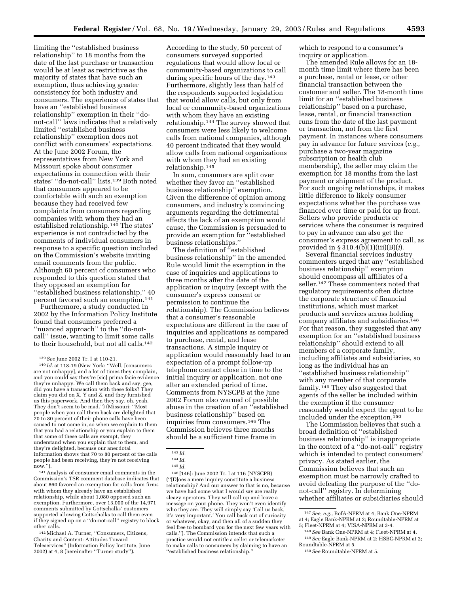According to the study, 50 percent of consumers surveyed supported

date of the last purchase or transaction would be at least as restrictive as the majority of states that have such an exemption, thus achieving greater consistency for both industry and consumers. The experience of states that have an ''established business relationship'' exemption in their ''donot-call'' laws indicates that a relatively limited ''established business relationship'' exemption does not conflict with consumers' expectations. At the June 2002 Forum, the representatives from New York and Missouri spoke about consumer expectations in connection with their states' ''do-not-call'' lists.139 Both noted that consumers appeared to be comfortable with such an exemption because they had received few complaints from consumers regarding companies with whom they had an established relationship.<sup>140</sup> The states' experience is not contradicted by the comments of individual consumers in response to a specific question included on the Commission's website inviting email comments from the public. Although 60 percent of consumers who responded to this question stated that they opposed an exemption for ''established business relationship,'' 40 percent favored such an exemption.141

limiting the ''established business relationship'' to 18 months from the

Furthermore, a study conducted in 2002 by the Information Policy Institute found that consumers preferred a ''nuanced approach'' to the ''do-notcall'' issue, wanting to limit some calls to their household, but not all calls.142

141Analysis of consumer email comments in the Commission's TSR comment database indicates that about 860 favored an exemption for calls from firms with whom they already have an established relationship, while about 1,080 opposed such an exemption. Furthermore, over 13,000 of the 14,971 comments submitted by Gottschalks' customers supported allowing Gottschalks to call them even if they signed up on a ''do-not-call'' registry to block other calls.

142Michael A. Turner, ''Consumers, Citizens, Charity and Content: Attitudes Toward Teleservices'' (Information Policy Institute, June 2002) at 4, 8 (hereinafter ''Turner study'').

regulations that would allow local or community-based organizations to call during specific hours of the day.143 Furthermore, slightly less than half of the respondents supported legislation that would allow calls, but only from local or community-based organizations with whom they have an existing relationship.144 The survey showed that consumers were less likely to welcome calls from national companies, although 40 percent indicated that they would allow calls from national organizations with whom they had an existing relationship.145 In sum, consumers are split over

whether they favor an ''established business relationship'' exemption. Given the difference of opinion among consumers, and industry's convincing arguments regarding the detrimental effects the lack of an exemption would cause, the Commission is persuaded to provide an exemption for ''established business relationships.''

The definition of ''established business relationship'' in the amended Rule would limit the exemption in the case of inquiries and applications to three months after the date of the application or inquiry (except with the consumer's express consent or permission to continue the relationship). The Commission believes that a consumer's reasonable expectations are different in the case of inquiries and applications as compared to purchase, rental, and lease transactions. A simple inquiry or application would reasonably lead to an expectation of a prompt follow-up telephone contact close in time to the initial inquiry or application, not one after an extended period of time. Comments from NYSCPB at the June 2002 Forum also warned of possible abuse in the creation of an ''established business relationship'' based on inquiries from consumers.146 The Commission believes three months should be a sufficient time frame in

146 [146]: June 2002 Tr. I at 116 (NYSCPB) (''[D]oes a mere inquiry constitute a business relationship? And our answer to that is no, because we have had some what I would say are really sleazy operators. They will call up and leave a message on your phone. They won't even identify who they are. They will simply say 'Call us back, it's very important.' You call back out of curiosity or whatever, okay, and then all of a sudden they feel free to bombard you for the next few years with calls.''). The Commission intends that such a practice would not entitle a seller or telemarketer to make calls to consumers by claiming to have an ''established business relationship.''

which to respond to a consumer's inquiry or application.

The amended Rule allows for an 18 month time limit where there has been a purchase, rental or lease, or other financial transaction between the customer and seller. The 18-month time limit for an ''established business relationship'' based on a purchase, lease, rental, or financial transaction runs from the date of the last payment or transaction, not from the first payment. In instances where consumers pay in advance for future services (*e.g.*, purchase a two-year magazine subscription or health club membership), the seller may claim the exemption for 18 months from the last payment or shipment of the product. For such ongoing relationships, it makes little difference to likely consumer expectations whether the purchase was financed over time or paid for up front. Sellers who provide products or services where the consumer is required to pay in advance can also get the consumer's express agreement to call, as provided in § 310.4(b)(1)(iii)(B)(*i*).

Several financial services industry commenters urged that any ''established business relationship'' exemption should encompass all affiliates of a seller.147 These commenters noted that regulatory requirements often dictate the corporate structure of financial institutions, which must market products and services across holding company affiliates and subsidiaries.<sup>148</sup> For that reason, they suggested that any exemption for an ''established business relationship'' should extend to all members of a corporate family, including affiliates and subsidiaries, so long as the individual has an ''established business relationship'' with any member of that corporate family.149 They also suggested that agents of the seller be included within the exemption if the consumer reasonably would expect the agent to be included under the exception.150

The Commission believes that such a broad definition of ''established business relationship'' is inappropriate in the context of a ''do-not-call'' registry which is intended to protect consumers' privacy. As stated earlier, the Commission believes that such an exemption must be narrowly crafted to avoid defeating the purpose of the ''donot-call'' registry. In determining whether affiliates or subsidiaries should

<sup>139</sup>*See* June 2002 Tr. I at 110-21.

<sup>140</sup> *Id.* at 118-19 (New York: ''Well, [consumers are not unhappy], and a lot of times they complain, and you could say they're [sic] prima facie evidence they're unhappy. We call them back and say, gee, did you have a transaction with these folks? They claim you did on X, Y and Z, and they furnished us this paperwork. And then they say, oh, yeah. They don't seem to be mad.'') (Missouri: ''Most people when you call them back are delighted that 70 to 80 percent of their phone calls have been caused to not come in, so when we explain to them that you had a relationship or you explain to them that some of these calls are exempt, they understand when you explain that to them, and they're delighted, because our anecdotal information shows that 70 to 80 percent of the calls people had been receiving, they're not receiving now.'').

<sup>143</sup> *Id.*

<sup>144</sup> *Id.*

<sup>145</sup> *Id.*

<sup>147</sup>*See, e.g.*, BofA-NPRM at 4; Bank One-NPRM at 4; Eagle Bank-NPRM at 2; Roundtable-NPRM at 5; Fleet-NPRM at 4; VISA-NPRM at 3-4.

<sup>148</sup>*See* Bank One-NPRM at 4; Fleet-NPRM at 4.

<sup>149</sup>*See* Eagle Bank-NPRM at 2; HSBC-NPRM at 2; Roundtable-NPRM at 5.

<sup>150</sup>*See* Roundtable-NPRM at 5.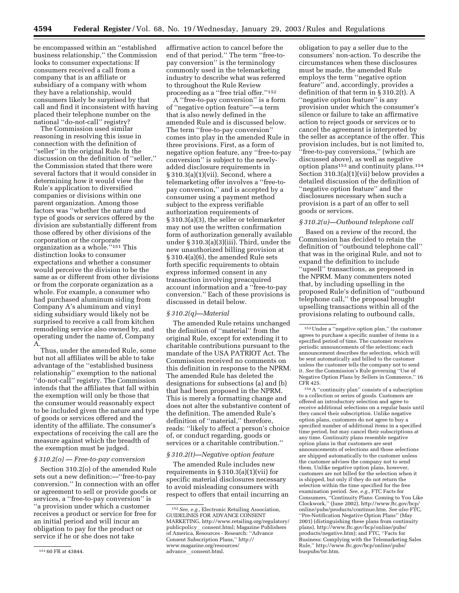be encompassed within an ''established business relationship,'' the Commission looks to consumer expectations: If consumers received a call from a company that is an affiliate or subsidiary of a company with whom they have a relationship, would consumers likely be surprised by that call and find it inconsistent with having placed their telephone number on the national ''do-not-call'' registry?

The Commission used similar reasoning in resolving this issue in connection with the definition of ''seller'' in the original Rule. In the discussion on the definition of ''seller,'' the Commission stated that there were several factors that it would consider in determining how it would view the Rule's application to diversified companies or divisions within one parent organization. Among those factors was ''whether the nature and type of goods or services offered by the division are substantially different from those offered by other divisions of the corporation or the corporate organization as a whole.''151 This distinction looks to consumer expectations and whether a consumer would perceive the division to be the same as or different from other divisions or from the corporate organization as a whole. For example, a consumer who had purchased aluminum siding from Company A's aluminum and vinyl siding subsidiary would likely not be surprised to receive a call from kitchen remodeling service also owned by, and operating under the name of, Company A.

Thus, under the amended Rule, some but not all affiliates will be able to take advantage of the ''established business relationship'' exemption to the national ''do-not-call'' registry. The Commission intends that the affiliates that fall within the exemption will only be those that the consumer would reasonably expect to be included given the nature and type of goods or services offered and the identity of the affiliate. The consumer's expectations of receiving the call are the measure against which the breadth of the exemption must be judged.

#### *§ 310.2(o) — Free-to-pay conversion*

Section 310.2(o) of the amended Rule sets out a new definition:—''free-to-pay conversion.'' In connection with an offer or agreement to sell or provide goods or services, a ''free-to-pay conversion'' is ''a provision under which a customer receives a product or service for free for an initial period and will incur an obligation to pay for the product or service if he or she does not take

affirmative action to cancel before the end of that period.'' The term ''free-topay conversion'' is the terminology commonly used in the telemarketing industry to describe what was referred to throughout the Rule Review proceeding as a ''free trial offer.''152

A ''free-to-pay conversion'' is a form of ''negative option feature''—a term that is also newly defined in the amended Rule and is discussed below. The term ''free-to-pay conversion'' comes into play in the amended Rule in three provisions. First, as a form of negative option feature, any ''free-to-pay conversion'' is subject to the newlyadded disclosure requirements in § 310.3(a)(1)(vii). Second, where a telemarketing offer involves a ''free-topay conversion,'' and is accepted by a consumer using a payment method subject to the express verifiable authorization requirements of § 310.3(a)(3), the seller or telemarketer may not use the written confirmation form of authorization generally available under § 310.3(a)(3)(iii). Third, under the new unauthorized billing provision at § 310.4(a)(6), the amended Rule sets forth specific requirements to obtain express informed consent in any transaction involving preacquired account information and a ''free-to-pay conversion.'' Each of these provisions is discussed in detail below.

#### *§ 310.2(q)—Material*

The amended Rule retains unchanged the definition of ''material'' from the original Rule, except for extending it to charitable contributions pursuant to the mandate of the USA PATRIOT Act. The Commission received no comments on this definition in response to the NPRM. The amended Rule has deleted the designations for subsections (a) and (b) that had been proposed in the NPRM. This is merely a formatting change and does not alter the substantive content of the definition. The amended Rule's definition of ''material,'' therefore, reads: ''likely to affect a person's choice of, or conduct regarding, goods or services or a charitable contribution.''

#### *§ 310.2(t)—Negative option feature*

The amended Rule includes new requirements in § 310.3(a)(1)(vii) for specific material disclosures necessary to avoid misleading consumers with respect to offers that entail incurring an

obligation to pay a seller due to the consumers' non-action. To describe the circumstances when these disclosures must be made, the amended Rule employs the term ''negative option feature'' and, accordingly, provides a definition of that term in § 310.2(t). A ''negative option feature'' is any provision under which the consumer's silence or failure to take an affirmative action to reject goods or services or to cancel the agreement is interpreted by the seller as acceptance of the offer. This provision includes, but is not limited to, ''free-to-pay conversions,'' (which are discussed above), as well as negative option plans153 and continuity plans.154 Section 310.3(a)(1)(vii) below provides a detailed discussion of the definition of ''negative option feature'' and the disclosures necessary when such a provision is a part of an offer to sell goods or services.

#### *§ 310.2(u)—Outbound telephone call*

Based on a review of the record, the Commission has decided to retain the definition of ''outbound telephone call'' that was in the original Rule, and not to expand the definition to include ''upsell'' transactions, as proposed in the NPRM. Many commenters noted that, by including upselling in the proposed Rule's definition of ''outbound telephone call,'' the proposal brought upselling transactions within all of the provisions relating to outbound calls,

154A ''continuity plan'' consists of a subscription to a collection or series of goods. Customers are offered an introductory selection and agree to receive additional selections on a regular basis until they cancel their subscription. Unlike negative option plans, customers do not agree to buy a specified number of additional items in a specified time period, but may cancel their subscriptions at any time. Continuity plans resemble negative option plans in that customers are sent announcements of selections and those selections are shipped automatically to the customer unless the customer advises the company not to send them. Unlike negative option plans, however, customers are not billed for the selection when it is shipped, but only if they do not return the selection within the time specified for the free examination period. *See, e.g.*, FTC Facts for Consumers, ''Continuity Plans: Coming to You Like Clockwork,'' (June 2002), http://www.ftc.gov/bcp/ online/pubs/products/continue.htm. *See also* FTC, ''Pre-Notification Negative Option Plans'' (May 2001) (distinguishing these plans from continuity plans), http://www.ftc.gov/bcp/online/pubs/ products/negative.htm); and FTC, ''Facts for Business: Complying with the Telemarketing Sales Rule,'' http://www.ftc.gov/bcp/online/pubs/ buspubs/tsr.htm.

<sup>151</sup> 60 FR at 43844.

<sup>152</sup>*See, e.g.*, Electronic Retailing Association, GUIDELINES FOR ADVANCE CONSENT MARKETING, http://www.retailing.org/regulatory/ publicpolicy\_consent.html; Magazine Publishers of America, Resources - Research: ''Advance Consent Subscription Plans,'' http:// www.magazine.org/resources/ advance\_consent.html.

<sup>153</sup>Under a ''negative option plan,'' the customer agrees to purchase a specific number of items in a specified period of time. The customer receives periodic announcements of the selections; each announcement describes the selection, which will be sent automatically and billed to the customer unless the customer tells the company not to send it. *See* the Commission's Rule governing ''Use of Negative Option Plans by Sellers in Commerce,'' 16 CFR 425.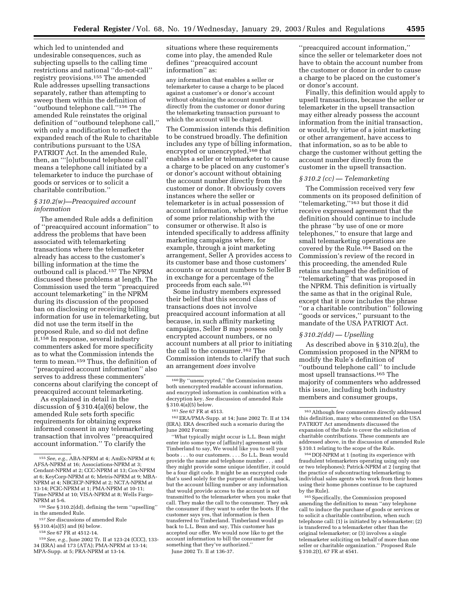which led to unintended and undesirable consequences, such as subjecting upsells to the calling time restrictions and national ''do-not-call'' registry provisions.155 The amended Rule addresses upselling transactions separately, rather than attempting to sweep them within the definition of ''outbound telephone call.''156 The amended Rule reinstates the original definition of ''outbound telephone call,'' with only a modification to reflect the expanded reach of the Rule to charitable contributions pursuant to the USA PATRIOT Act. In the amended Rule, then, an '''[o]utbound telephone call' means a telephone call initiated by a telemarketer to induce the purchase of goods or services or to solicit a charitable contribution.''

# *§ 310.2(w)—Preacquired account information*

The amended Rule adds a definition of ''preacquired account information'' to address the problems that have been associated with telemarketing transactions where the telemarketer already has access to the customer's billing information at the time the outbound call is placed.157 The NPRM discussed these problems at length. The Commission used the term ''preacquired account telemarketing'' in the NPRM during its discussion of the proposed ban on disclosing or receiving billing information for use in telemarketing, but did not use the term itself in the proposed Rule, and so did not define it.158 In response, several industry commenters asked for more specificity as to what the Commission intends the term to mean.159 Thus, the definition of ''preacquired account information'' also serves to address these commenters' concerns about clarifying the concept of preacquired account telemarketing.

As explained in detail in the discussion of § 310.4(a)(6) below, the amended Rule sets forth specific requirements for obtaining express informed consent in any telemarketing transaction that involves ''preacquired account information.'' To clarify the

157*See* discussions of amended Rule

situations where these requirements come into play, the amended Rule defines ''preacquired account information'' as:

any information that enables a seller or telemarketer to cause a charge to be placed against a customer's or donor's account without obtaining the account number directly from the customer or donor during the telemarketing transaction pursuant to which the account will be charged.

The Commission intends this definition to be construed broadly. The definition includes any type of billing information, encrypted or unencrypted,<sup>160</sup> that enables a seller or telemarketer to cause a charge to be placed on any customer's or donor's account without obtaining the account number directly from the customer or donor. It obviously covers instances where the seller or telemarketer is in actual possession of account information, whether by virtue of some prior relationship with the consumer or otherwise. It also is intended specifically to address affinity marketing campaigns where, for example, through a joint marketing arrangement, Seller A provides access to its customer base and those customers' accounts or account numbers to Seller B in exchange for a percentage of the proceeds from each sale.161

Some industry members expressed their belief that this second class of transactions does not involve preacquired account information at all because, in such affinity marketing campaigns, Seller B may possess only encrypted account numbers, or no account numbers at all prior to initiating the call to the consumer.162 The Commission intends to clarify that such an arrangement *does* involve

162ERA/PMA-Supp. at 14; June 2002 Tr. II at 134 (ERA). ERA described such a scenario during the June 2002 Forum:

''What typically might occur is L.L. Bean might enter into some type of [affinity] agreement with Timberland to say, We would like you to sell your boots . . . to our customers. . . . So L.L. Bean would provide the name and telephone number . . . and they might provide some unique identifier, it could be a four digit code. It might be an encrypted code that's used solely for the purpose of matching back, but the account billing number or any information that would provide access to the account is not transmitted to the telemarketer when you make that call. They make the call to the consumer. They ask the consumer if they want to order the boots. If the customer says yes, that information is then transferred to Timberland. Timberland would go back to L.L. Bean and say, This customer has accepted our offer. We would now like to get the account information to bill the consumer for something that they've authorized.'' June 2002 Tr. II at 136-37.

''preacquired account information,'' since the seller or telemarketer does not have to obtain the account number from the customer or donor in order to cause a charge to be placed on the customer's or donor's account.

Finally, this definition would apply to upsell transactions, because the seller or telemarketer in the upsell transaction may either already possess the account information from the initial transaction, or would, by virtue of a joint marketing or other arrangement, have access to that information, so as to be able to charge the customer without getting the account number directly from the customer in the upsell transaction.

# *§ 310.2 (cc) — Telemarketing*

The Commission received very few comments on its proposed definition of ''telemarketing,''163 but those it did receive expressed agreement that the definition should continue to include the phrase ''by use of one or more telephones,'' to ensure that large and small telemarketing operations are covered by the Rule.164 Based on the Commission's review of the record in this proceeding, the amended Rule retains unchanged the definition of ''telemarketing'' that was proposed in the NPRM. This definition is virtually the same as that in the original Rule, except that it now includes the phrase ''or a charitable contribution'' following ''goods or services,'' pursuant to the mandate of the USA PATRIOT Act.

#### *§ 310.2(dd) — Upselling*

As described above in § 310.2(u), the Commission proposed in the NPRM to modify the Rule's definition of ''outbound telephone call'' to include most upsell transactions.165 The majority of commenters who addressed this issue, including both industry members and consumer groups,

164 DOJ-NPRM at 1 (noting its experience with fraudulent telemarketers operating using only one or two telephones); Patrick-NPRM at 2 (urging that the practice of subcontracting telemarketing to individual sales agents who work from their homes using their home phones continue to be captured by the Rule).

165Specifically, the Commission proposed amending the definition to mean ''any telephone call to induce the purchase of goods or services or to solicit a charitable contribution, when such telephone call: (1) is initiated by a telemarketer; (2) is transferred to a telemarketer other than the original telemarketer; or (3) involves a single telemarketer soliciting on behalf of more than one seller or charitable organization.'' Proposed Rule § 310.2(t), 67 FR at 4541.

<sup>155</sup>*See, e.g.*, ABA-NPRM at 4; AmEx-NPRM at 6; AFSA-NPRM at 16; Associations-NPRM at 3; Cendant-NPRM at 2; CCC-NPRM at 13; Cox-NPRM at 6; KeyCorp-NPRM at 6; Metris-NPRM at 9; MBA-NPRM at 4; NBCECP-NPRM at 2; NCTA-NPRM at 13-14; PCIC-NPRM at 1; PMA-NPRM at 10-11; Time-NPRM at 10; VISA-NPRM at 8; Wells Fargo-NPRM at 5-6.

<sup>156</sup>*See* § 310.2(dd), defining the term ''upselling'' in the amended Rule.

<sup>§§</sup> 310.4(a)(5) and (6) below.

<sup>158</sup>*See* 67 FR at 4512-14.

<sup>159</sup>*See, e.g.*, June 2002 Tr. II at 123-24 (CCC), 133- 34 (ERA) and 173 (ATA); PMA-NPRM at 13-14; MPA-Supp. at 5; PRA-NPRM at 13-14.

<sup>160</sup>By ''unencrypted,'' the Commission means both unencrypted readable account information, and encrypted information in combination with a decryption key. *See* discussion of amended Rule § 310.4(a)(5) below.

<sup>161</sup>*See* 67 FR at 4513.

<sup>163</sup>Although few commenters directly addressed this definition, many who commented on the USA PATRIOT Act amendments discussed the expansion of the Rule to cover the solicitation of charitable contributions. These comments are addressed above, in the discussion of amended Rule § 310.1 relating to the scope of the Rule.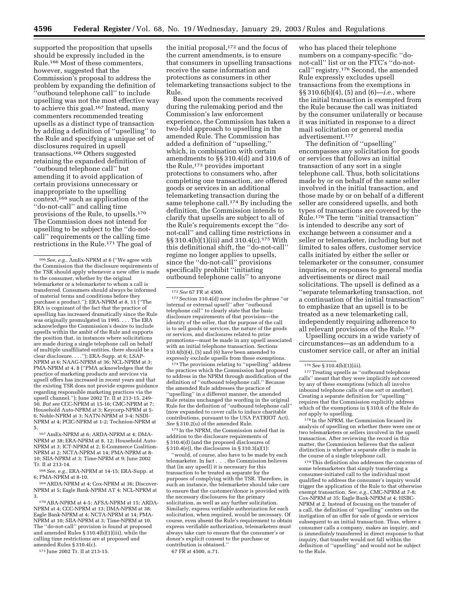supported the proposition that upsells should be expressly included in the Rule.166 Most of these commenters, however, suggested that the Commission's proposal to address the problem by expanding the definition of 'outbound telephone call" to include upselling was not the most effective way to achieve this goal.167 Instead, many commenters recommended treating upsells as a distinct type of transaction by adding a definition of ''upselling'' to the Rule and specifying a unique set of disclosures required in upsell transactions.168 Others suggested retaining the expanded definition of ''outbound telephone call'' but amending it to avoid application of certain provisions unnecessary or inappropriate to the upselling context,169 such as application of the ''do-not-call'' and calling time provisions of the Rule, to upsells.170 The Commission does not intend for upselling to be subject to the ''do-notcall'' requirements or the calling time restrictions in the Rule.171 The goal of

167AmEx-NPRM at 6; ARDA-NPRM at 4; DMA-NPRM at 38; ERA-NPRM at 8, 12; Household Auto-NPRM at 3; ICT-NPRM at 2; E-Commerce Coalition-NPRM at 2; NCTA-NPRM at 14; PMA-NPRM at 8- 10; SIIA-NPRM at 3; Time-NPRM at 9; June 2002 Tr. II at 213-14.

168*See, e.g.*, ERA-NPRM at 14-15; ERA-Supp. at 6; PMA-NPRM at 8-10.

169ARDA-NPRM at 4; Cox-NPRM at 36; Discover-NPRM at 5; Eagle Bank-NPRM AT 4; NCL-NPRM at 3.

170ABA-NPRM at 4-5; AFSA-NPRM at 15; ARDA-NPRM at 4; CCC-NPRM at 13; DMA-NPRM at 38; Eagle Bank-NPRM at 4; NCTA-NPRM at 14; PMA-NPRM at 10; SIIA-NPRM at 3; Time-NPRM at 10. The ''do-not-call'' provision is found at proposed and amended Rules § 310.4(b)(1)(iii), while the calling time restrictions are at proposed and amended Rules § 310.4(c).

171 June 2002 Tr. II at 213-15.

the initial proposal, $172$  and the focus of the current amendments, is to ensure that consumers in upselling transactions receive the same information and protections as consumers in other telemarketing transactions subject to the Rule.

Based upon the comments received during the rulemaking period and the Commission's law enforcement experience, the Commission has taken a two-fold approach to upselling in the amended Rule. The Commission has added a definition of ''upselling,'' which, in combination with certain amendments to §§ 310.4(d) and 310.6 of the Rule,173 provides important protections to consumers who, after completing one transaction, are offered goods or services in an additional telemarketing transaction during the same telephone call.<sup>174</sup> By including the definition, the Commission intends to clarify that upsells are subject to all of the Rule's requirements except the ''donot-call'' and calling time restrictions in §§ 310.4(b)(1)(iii) and 310.4(c).<sup>175</sup> With this definitional shift, the ''do-not-call'' regime no longer applies to upsells, since the ''do-not-call'' provisions specifically prohibit ''initiating outbound telephone calls'' to anyone

172*See* 67 FR at 4500.

173Section 310.4(d) now includes the phrase ''or internal or external upsell'' after ''outbound telephone call'' to clearly state that the basic disclosure requirements of that provision—the identity of the seller, that the purpose of the call is to sell goods or services, the nature of the goods or services, and disclosures related to prize promotions—must be made in any upsell associated with an initial telephone transaction. Sections  $310.6(b)(4)$ ,  $(5)$  and  $(6)$  have been amended to expressly exclude upsells from these exemptions.

174The provisions relating to ''upselling'' address the practices which the Commission had proposed to address in the NPRM through modification of the definition of ''outbound telephone call.'' Because the amended Rule addresses the practice of ''upselling'' in a different manner, the amended Rule retains unchanged the wording in the original Rule for the definition of ''outbound telephone call'' (now expanded to cover calls to induce charitable contributions, pursuant to the USA PATRIOT Act). *See* § 310.2(u) of the amended Rule.

175 In the NPRM, the Commission noted that in addition to the disclosure requirements of § 310.4(d) (and the proposed disclosures of § 310.4(e)), the disclosures in § 310.3(a)(1):

''would, of course, also have to be made by each telemarketer. In fact . . . the Commission believes that [in any upsell] it is necessary for this transaction to be treated as separate for the purposes of complying with the TSR. Therefore, in such an instance, the telemarketer should take care to ensure that the customer/donor is provided with the necessary disclosures for the primary solicitation, as well as any further solicitation. Similarly, express verifiable authorization for each solicitation, when required, would be necessary. Of course, even absent the Rule's requirement to obtain express verifiable authorization, telemarketers must always take care to ensure that the consumer's or donor's explicit consent to the purchase or contribution is obtained.'' 67 FR at 4500, n.71.

who has placed their telephone numbers on a company-specific ''donot-call'' list or on the FTC's ''do-notcall'' registry.176 Second, the amended Rule expressly excludes upsell transactions from the exemptions in §§ 310.6(b)(4), (5) and (6)—*i.e.*, where the initial transaction is exempted from the Rule because the call was initiated by the consumer unilaterally or because it was initiated in response to a direct mail solicitation or general media advertisement.177

The definition of ''upselling'' encompasses any solicitation for goods or services that follows an initial transaction of any sort in a single telephone call. Thus, both solicitations made by or on behalf of the same seller involved in the initial transaction, and those made by or on behalf of a different seller are considered upsells, and both types of transactions are covered by the Rule.178 The term ''initial transaction'' is intended to describe any sort of exchange between a consumer and a seller or telemarketer, including but not limited to sales offers, customer service calls initiated by either the seller or telemarketer or the consumer, consumer inquiries, or responses to general media advertisements or direct mail solicitations. The upsell is defined as a ''separate telemarketing transaction, not a continuation of the initial transaction'' to emphasize that an upsell is to be treated as a new telemarketing call, independently requiring adherence to all relevant provisions of the Rule.179

Upselling occurs in a wide variety of circumstances—as an addendum to a customer service call, or after an initial

178 In the NPRM, the Commission focused its analysis of upselling on whether there were one or two telemarketers or sellers involved in the upsell transaction. After reviewing the record in this matter, the Commission believes that the salient distinction is whether a separate offer is made in the course of a single telephone call.

179This definition also addresses the concerns of some telemarketers that simply transferring a consumer-initiated call to the individual most qualified to address the consumer's inquiry would trigger the application of the Rule to that otherwise exempt transaction. *See, e.g.*, CMC-NPRM at 7-8; Cox-NPRM at 35; Eagle Bank-NPRM at 4; HSBC-NPRM at 2. Instead of focusing on the transfer of a call, the definition of ''upselling'' centers on the instigation of an offer for sale of goods or services subsequent to an initial transaction. Thus, where a consumer calls a company, makes an inquiry, and is *immediately* transferred in direct response to that inquiry, that transfer would not fall within the definition of ''upselling'' and would not be subject to the Rule.

 $^{166} \, See,$   $e.g.,$   $\rm AmEx\mbox{-}NPRM$  at 6 (''We agree with the Commission that the disclosure requirements of the TSR should apply whenever a new offer is made to the consumer, whether by the original telemarketer or a telemarketer to whom a call is transferred. Consumers should always be informed of material terms and conditions before they purchase a product.''); ERA-NPRM at 8, 11 (''The ERA is cognizant of the fact that the practice of upselling has increased dramatically since the Rule was originally promulgated in 1995. . . . The ERA acknowledges the Commission's desire to include upsells within the ambit of the Rule and supports the position that, in instances where solicitations are made during a single telephone call on behalf of multiple unaffiliated entities, there should be a clear disclosure. . . .''); ERA-Supp. at 6; LSAP-NPRM at 6; NAAG-NPRM at 36; NCL-NPRM at 3; PMA-NPRM at 4, 8 (''PMA acknowledges that the practice of marketing products and services via upsell offers has increased in recent years and that the existing TSR does not provide express guidance regarding responsible marketing practices via the upsell channel.''); June 2002 Tr. II at 213-15, 249- 50. *But see* CCC-NPRM at 15-16; CMC-NPRM at 7; Household Auto-NPRM at 3; Keycorp-NPRM at 5- 6; Noble-NPRM at 3; NATN-NPRM at 3-4; NSDI-NPRM at 4; PCIC-NPRM at 1-2; Technion-NPRM at 5.

<sup>176</sup>*See* § 310.4(b)(1)(iii).

<sup>177</sup> Treating upsells as "outbound telephone calls'' meant that they were implicitly not covered by any of these exemptions (which all involve inbound telephone calls of one sort or another). Creating a separate definition for ''upselling'' requires that the Commission explicitly address which of the exemptions in § 310.6 of the Rule do *not* apply to upselling.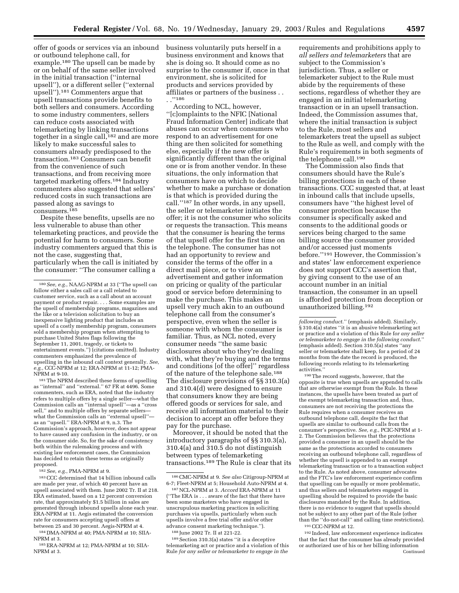offer of goods or services via an inbound or outbound telephone call, for example.180 The upsell can be made by or on behalf of the same seller involved in the initial transaction (''internal upsell''), or a different seller (''external upsell'').181 Commenters argue that upsell transactions provide benefits to both sellers and consumers. According to some industry commenters, sellers can reduce costs associated with telemarketing by linking transactions together in a single call,  $182$  and are more likely to make successful sales to consumers already predisposed to the transaction.183 Consumers can benefit from the convenience of such transactions, and from receiving more targeted marketing offers.184 Industry commenters also suggested that sellers' reduced costs in such transactions are passed along as savings to consumers.185

Despite these benefits, upsells are no less vulnerable to abuse than other telemarketing practices, and provide the potential for harm to consumers. Some industry commenters argued that this is not the case, suggesting that, particularly when the call is initiated by the consumer: ''The consumer calling a

181The NPRM described these forms of upselling as ''internal'' and ''external.'' 67 FR at 4496. Some commenters, such as ERA, noted that the industry refers to multiple offers by a single seller—what the Commission calls an ''internal upsell''—as a ''cross sell,'' and to multiple offers by separate sellers what the Commission calls an ''external upsell'' as an ''upsell.'' ERA-NPRM at 9, n.3. The Commission's approach, however, does not appear to have caused any confusion in the industry, or on the consumer side. So, for the sake of consistency both within the rulemaking process and with existing law enforcement cases, the Commission has decided to retain these terms as originally proposed.

182*See, e.g.*, PMA-NPRM at 9.

183CCC determined that 14 billion inbound calls are made per year, of which 40 percent have an upsell associated with them. June 2002 Tr. II at 218. ERA estimated, based on a 12 percent conversion rate, that approximately \$1.5 billion in sales are generated through inbound upsells alone each year. ERA-NPRM at 11. Aegis estimated the conversion rate for consumers accepting upsell offers at between 25 and 30 percent. Aegis-NPRM at 4.

184 DMA-NPRM at 40; PMA-NPRM at 10; SIIA-NPRM at 3.

185ERA-NPRM at 12; PMA-NPRM at 10; SIIA-NPRM at 3.

business voluntarily puts herself in a business environment and knows that she is doing so. It should come as no surprise to the consumer if, once in that environment, she is solicited for products and services provided by affiliates or partners of the business . . . .''186

According to NCL, however, ''[c]omplaints to the NFIC [National Fraud Information Center] indicate that abuses can occur when consumers who respond to an advertisement for one thing are then solicited for something else, especially if the new offer is significantly different than the original one or is from another vendor. In these situations, the only information that consumers have on which to decide whether to make a purchase or donation is that which is provided during the call.''187 In other words, in any upsell, the seller or telemarketer initiates the offer; it is not the consumer who solicits or requests the transaction. This means that the consumer is hearing the terms of that upsell offer for the first time on the telephone. The consumer has not had an opportunity to review and consider the terms of the offer in a direct mail piece, or to view an advertisement and gather information on pricing or quality of the particular good or service before determining to make the purchase. This makes an upsell very much akin to an outbound telephone call from the consumer's perspective, even when the seller is someone with whom the consumer is familiar. Thus, as NCL noted, every consumer needs ''the same basic disclosures about who they're dealing with, what they're buying and the terms and conditions [of the offer]'' regardless of the nature of the telephone sale.188 The disclosure provisions of §§ 310.3(a) and 310.4(d) were designed to ensure that consumers know they are being offered goods or services for sale, and receive all information material to their decision to accept an offer before they pay for the purchase.

Moreover, it should be noted that the introductory paragraphs of §§ 310.3(a), 310.4(a) and 310.5 do not distinguish between types of telemarketing transactions.189 The Rule is clear that its

189Section 310.3(a) states ''it is a deceptive telemarketing act or practice and a violation of this Rule *for any seller or telemarketer to engage in the*  requirements and prohibitions apply to *all sellers and telemarketers* that are subject to the Commission's jurisdiction. Thus, a seller or telemarketer subject to the Rule must abide by the requirements of these sections, regardless of whether they are engaged in an initial telemarketing transaction or in an upsell transaction. Indeed, the Commission assumes that, where the initial transaction is subject to the Rule, most sellers and telemarketers treat the upsell as subject to the Rule as well, and comply with the Rule's requirements in both segments of the telephone call.<sup>190</sup>

The Commission also finds that consumers should have the Rule's billing protections in each of these transactions. CCC suggested that, at least in inbound calls that include upsells, consumers have ''the highest level of consumer protection because the consumer is specifically asked and consents to the additional goods or services being charged to the same billing source the consumer provided and/or accessed just moments before.''191 However, the Commission's and states' law enforcement experience does not support CCC's assertion that, by giving consent to the use of an account number in an initial transaction, the consumer in an upsell is afforded protection from deception or unauthorized billing.192

190The record suggests, however, that the opposite is true when upsells are appended to calls that are otherwise exempt from the Rule. In these instances, the upsells have been treated as part of the exempt telemarketing transaction and, thus, consumers are not receiving the protections the Rule requires when a consumer receives an outbound telephone call, despite the fact that upsells are similar to outbound calls from the consumer's perspective. *See, e.g.*, PCIC-NPRM at 1- 2. The Commission believes that the protections provided a consumer in an upsell should be the same as the protections accorded to consumers receiving an outbound telephone call, regardless of whether the upsell is appended to an exempt telemarketing transaction or to a transaction subject to the Rule. As noted above, consumer advocates and the FTC's law enforcement experience confirm that upselling can be equally or more problematic, and thus sellers and telemarketers engaged in upselling should be required to provide the basic disclosures mandated by the Rule. In addition, there is no evidence to suggest that upsells should not be subject to any other part of the Rule (other than the ''do-not-call'' and calling time restrictions). 191CCC-NPRM at 12.

192 Indeed, law enforcement experience indicates that the fact that the consumer has already provided or authorized use of his or her billing information Continued

<sup>180</sup>*See, e.g.*, NAAG-NPRM at 33 (''The upsell can follow either a sales call or a call related to customer service, such as a call about an account payment or product repair. . . . Some examples are the upsell of membership programs, magazines and the like or a television solicitation to buy an inexpensive lighting product that includes an upsell of a costly membership program, consumers sold a membership program when attempting to purchase United States flags following the September 11, 2001, tragedy, or tickets to entertainment events.'') (citations omitted). Industry commenters emphasized the prevalence of upselling in the inbound call context generally. *See, e.g.*, CCC-NPRM at 12; ERA-NPRM at 11-12; PMA-NPRM at 9-10.

<sup>186</sup>CMC-NPRM at 9. *See also* Citigroup-NPRM at 6-7; Fleet-NPRM at 5; Household Auto-NPRM at 4.

<sup>187</sup>NCL-NPRM at 3. *Accord* ERA-NPRM at 11 (''The ERA is . . . aware of the fact that there have been some marketers who have engaged in unscrupulous marketing practices in soliciting purchases via upsells, particularly when such upsells involve a free trial offer and/or other advance consent marketing technique.'').

<sup>188</sup> June 2002 Tr. II at 221-22.

*following conduct*.'' (emphasis added). Similarly, § 310.4(a) states ''it is an abusive telemarketing act or practice and a violation of this Rule f*or any seller or telemarketer to engage in the following conduct*.'' (emphasis added). Section 310.5(a) states ''any seller or telemarketer shall keep, for a period of 24 months from the date the record is produced, the following records relating to its telemarketing activities.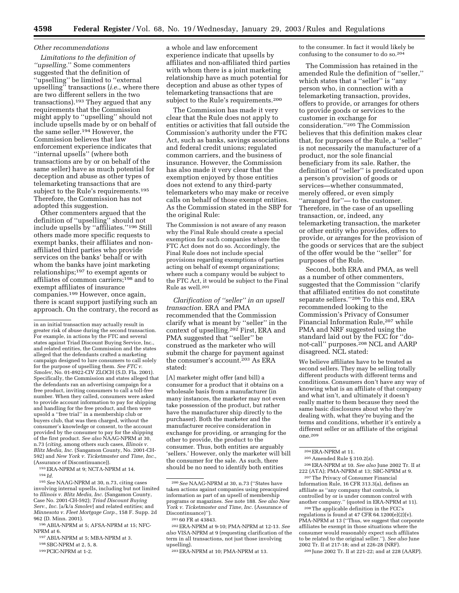#### *Other recommendations*

*Limitations to the definition of ''upselling.*'' Some commenters suggested that the definition of ''upselling'' be limited to ''external upselling'' transactions (*i.e.*, where there are two different sellers in the two transactions).193 They argued that any requirements that the Commission might apply to ''upselling'' should not include upsells made by or on behalf of the same seller.194 However, the Commission believes that law enforcement experience indicates that ''internal upsells'' (where both transactions are by or on behalf of the same seller) have as much potential for deception and abuse as other types of telemarketing transactions that are subject to the Rule's requirements.195 Therefore, the Commission has not adopted this suggestion.

Other commenters argued that the definition of ''upselling'' should not include upsells by ''affiliates.''196 Still others made more specific requests to exempt banks, their affiliates and nonaffiliated third parties who provide services on the banks' behalf or with whom the banks have joint marketing relationships;197 to exempt agents or affiliates of common carriers;198 and to exempt affiliates of insurance companies.199 However, once again, there is scant support justifying such an approach. On the contrary, the record as

193ERA-NPRM at 9; NCTA-NPRM at 14.

194 *Id.*

195*See* NAAG-NPRM at 30, n.73, citing cases involving internal upsells, including but not limited to *Illinois v. Blitz Media, Inc.* (Sangamon County, Case No. 2001-CH-592); *Triad Discount Buying Serv., Inc.* [a/k/a *Smolev*] and related entities; and *Minnesota v. Fleet Mortgage Corp.*, 158 F. Supp. 2d 962 (D. Minn. 2001).

196ABIA-NPRM at 5; AFSA-NPRM at 15; NFC-NPRM at 6.

- 197ABIA-NPRM at 5; MBA-NPRM at 3.
- 198SBC-NPRM at 2, 5, 8.
- 199PCIC-NPRM at 1-2.

a whole and law enforcement experience indicate that upsells by affiliates and non-affiliated third parties with whom there is a joint marketing relationship have as much potential for deception and abuse as other types of telemarketing transactions that are subject to the Rule's requirements.<sup>200</sup>

The Commission has made it very clear that the Rule does not apply to entities or activities that fall outside the Commission's authority under the FTC Act, such as banks, savings associations and federal credit unions; regulated common carriers, and the business of insurance. However, the Commission has also made it very clear that the exemption enjoyed by those entities does not extend to any third-party telemarketers who may make or receive calls on behalf of those exempt entities. As the Commission stated in the SBP for the original Rule:

The Commission is not aware of any reason why the Final Rule should create a special exemption for such companies where the FTC Act does not do so. Accordingly, the Final Rule does not include special provisions regarding exemptions of parties acting on behalf of exempt organizations; where such a company would be subject to the FTC Act, it would be subject to the Final Rule as well.201

*Clarification of ''seller'' in an upsell transaction.* ERA and PMA recommended that the Commission clarify what is meant by ''seller'' in the context of upselling.202 First, ERA and PMA suggested that ''seller'' be construed as the marketer who will submit the charge for payment against the consumer's account.<sup>203</sup> As ERA stated:

[A] marketer might offer (and bill) a consumer for a product that it obtains on a wholesale basis from a manufacturer (in many instances, the marketer may not even take possession of the product, but rather have the manufacturer ship directly to the purchaser). Both the marketer and the manufacturer receive consideration in exchange for providing, or arranging for the other to provide, the product to the consumer. Thus, both entities are arguably 'sellers.' However, only the marketer will bill the consumer for the sale. As such, there should be no need to identify both entities

202ERA-NPRM at 9-10; PMA-NPRM at 12-13. *See also* VISA-NPRM at 9 (requesting clarification of the term in all transactions, not just those involving upselling).

to the consumer. In fact it would likely be confusing to the consumer to do so.204

The Commission has retained in the amended Rule the definition of ''seller,'' which states that a "seller" is "any person who, in connection with a telemarketing transaction, provides, offers to provide, or arranges for others to provide goods or services to the customer in exchange for consideration.''205 The Commission believes that this definition makes clear that, for purposes of the Rule, a ''seller'' is not necessarily the manufacturer of a product, nor the sole financial beneficiary from its sale. Rather, the definition of ''seller'' is predicated upon a person's provision of goods or services—whether consummated, merely offered, or even simply ''arranged for''— to the customer. Therefore, in the case of an upselling transaction, or, indeed, any telemarketing transaction, the marketer or other entity who provides, offers to provide, or arranges for the provision of the goods or services that are the subject of the offer would be the ''seller'' for purposes of the Rule.

Second, both ERA and PMA, as well as a number of other commenters, suggested that the Commission ''clarify that affiliated entities do not constitute separate sellers.''206 To this end, ERA recommended looking to the Commission's Privacy of Consumer Financial Information Rule,<sup>207</sup> while PMA and NRF suggested using the standard laid out by the FCC for ''donot-call" purposes.<sup>208</sup> NCL and AARP disagreed. NCL stated:

We believe affiliates have to be treated as second sellers. They may be selling totally different products with different terms and conditions. Consumers don't have any way of knowing what is an affiliate of that company and what isn't, and ultimately it doesn't really matter to them because they need the same basic disclosures about who they're dealing with, what they're buying and the terms and conditions, whether it's entirely a different seller or an affiliate of the original one.209

207The Privacy of Consumer Financial Information Rule, 16 CFR 313.3(a), defines an affiliate as ''any company that controls, is controlled by or is under common control with another company.'' (quoted in ERA-NPRM at 11).

208The applicable definition in the FCC's regulations is found at 47 CFR 64.1200(e)(2)(v). PMA-NPRM at 13 (''Thus, we suggest that corporate affiliates be exempt in those situations where the consumer would reasonably expect such affiliates to be related to the original seller.''). *See also* June 2002 Tr. II at 217-18; and at 226-28 (NRF). 209 June 2002 Tr. II at 221-22; and at 228 (AARP).

in an initial transaction may actually result in greater risk of abuse during the second transaction. For example, in actions by the FTC and several states against Triad Discount Buying Service, Inc., and related entities, the Commission and the states alleged that the defendants crafted a marketing campaign designed to lure consumers to call solely for the purpose of upselling them. *See FTC v. Smolev*, No. 01-8922-CIV ZLOCH (S.D. Fla. 2001). Specifically, the Commission and states alleged that the defendants ran an advertising campaign for a free product, inviting consumers to call a toll-free number. When they called, consumers were asked to provide account information to pay for shipping and handling for the free product, and then were upsold a ''free trial'' in a membership club or buyers club, that was then charged, without the consumer's knowledge or consent, to the account provided by the consumer to pay for the shipping of the first product. *See also* NAAG-NPRM at 30, n.73 (*citing*, among others such cases, *Illinois v. Blitz Media, Inc.* (Sangamon County, No. 2001-CH-592) and *New York v. Ticketmaster and Time, Inc.*, (Assurance of Discontinuance)).

<sup>200</sup>*See* NAAG-NPRM at 30, n.73 (''States have taken actions against companies using preacquired information as part of an upsell of membership programs or magazines. *See* note 188. *See also New York v. Ticketmaster and Time, Inc.* (Assurance of Discontinuance)'').

<sup>201</sup> 60 FR at 43843.

<sup>203</sup>ERA-NPRM at 10; PMA-NPRM at 13.

 $^{204}\mathrm{ERA}\text{-}\mathrm{NPRM}$  at 11.

<sup>205</sup>Amended Rule § 310.2(z).

<sup>206</sup>ERA-NPRM at 10. *See also* June 2002 Tr. II at 222 (ATA); PMA-NPRM at 13; SBC-NPRM at 9.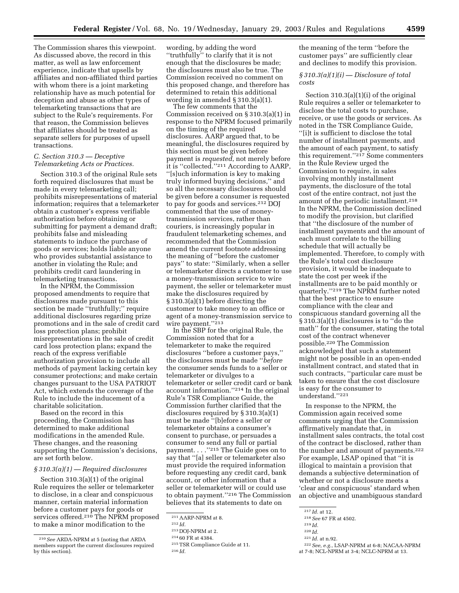The Commission shares this viewpoint. As discussed above, the record in this matter, as well as law enforcement experience, indicate that upsells by affiliates and non-affiliated third parties with whom there is a joint marketing relationship have as much potential for deception and abuse as other types of telemarketing transactions that are subject to the Rule's requirements. For that reason, the Commission believes that affiliates should be treated as separate sellers for purposes of upsell transactions.

#### *C. Section 310.3 — Deceptive Telemarketing Acts or Practices.*

Section 310.3 of the original Rule sets forth required disclosures that must be made in every telemarketing call; prohibits misrepresentations of material information; requires that a telemarketer obtain a customer's express verifiable authorization before obtaining or submitting for payment a demand draft; prohibits false and misleading statements to induce the purchase of goods or services; holds liable anyone who provides substantial assistance to another in violating the Rule; and prohibits credit card laundering in telemarketing transactions.

In the NPRM, the Commission proposed amendments to require that disclosures made pursuant to this section be made ''truthfully;'' require additional disclosures regarding prize promotions and in the sale of credit card loss protection plans; prohibit misrepresentations in the sale of credit card loss protection plans; expand the reach of the express verifiable authorization provision to include all methods of payment lacking certain key consumer protections; and make certain changes pursuant to the USA PATRIOT Act, which extends the coverage of the Rule to include the inducement of a charitable solicitation.

Based on the record in this proceeding, the Commission has determined to make additional modifications in the amended Rule. These changes, and the reasoning supporting the Commission's decisions, are set forth below.

# *§ 310.3(a)(1) — Required disclosures*

Section 310.3(a)(1) of the original Rule requires the seller or telemarketer to disclose, in a clear and conspicuous manner, certain material information before a customer pays for goods or services offered.<sup>210</sup> The NPRM proposed to make a minor modification to the

wording, by adding the word ''truthfully'' to clarify that it is not enough that the disclosures be made; the disclosures must also be true. The Commission received no comment on this proposed change, and therefore has determined to retain this additional wording in amended § 310.3(a)(1).

The few comments that the Commission received on § 310.3(a)(1) in response to the NPRM focused primarily on the timing of the required disclosures. AARP argued that, to be meaningful, the disclosures required by this section must be given before payment is *requested*, not merely before it is ''collected.''211 According to AARP, ''[s]uch information is key to making truly informed buying decisions,'' and so all the necessary disclosures should be given before a consumer is requested to pay for goods and services.212 DOJ commented that the use of moneytransmission services, rather than couriers, is increasingly popular in fraudulent telemarketing schemes, and recommended that the Commission amend the current footnote addressing the meaning of ''before the customer pays'' to state: ''Similarly, when a seller or telemarketer directs a customer to use a money-transmission service to wire payment, the seller or telemarketer must make the disclosures required by § 310.3(a)(1) before directing the customer to take money to an office or agent of a money-transmission service to wire payment."<sup>213</sup>

In the SBP for the original Rule, the Commission noted that for a telemarketer to make the required disclosures ''before a customer pays,'' the disclosures must be made ''*before* the consumer sends funds to a seller or telemarketer or divulges to a telemarketer or seller credit card or bank account information.''214 In the original Rule's TSR Compliance Guide, the Commission further clarified that the disclosures required by § 310.3(a)(1) must be made ''[b]efore a seller or telemarketer obtains a consumer's consent to purchase, or persuades a consumer to send any full or partial payment. . . .''215 The Guide goes on to say that ''[a] seller or telemarketer also must provide the required information before requesting any credit card, bank account, or other information that a seller or telemarketer will or could use to obtain payment.''216 The Commission believes that its statements to date on

214 60 FR at 4384.

the meaning of the term ''before the customer pays'' are sufficiently clear and declines to modify this provision.

## *§ 310.3(a)(1)(i) — Disclosure of total costs*

Section 310.3(a)(1)(i) of the original Rule requires a seller or telemarketer to disclose the total costs to purchase, receive, or use the goods or services. As noted in the TSR Compliance Guide, ''[i]t is sufficient to disclose the total number of installment payments, and the amount of each payment, to satisfy this requirement.''217 Some commenters in the Rule Review urged the Commission to require, in sales involving monthly installment payments, the disclosure of the total cost of the entire contract, not just the amount of the periodic installment.<sup>218</sup> In the NPRM, the Commission declined to modify the provision, but clarified that ''the disclosure of the number of installment payments and the amount of each must correlate to the billing schedule that will actually be implemented. Therefore, to comply with the Rule's total cost disclosure provision, it would be inadequate to state the cost per week if the installments are to be paid monthly or quarterly.''219 The NPRM further noted that the best practice to ensure compliance with the clear and conspicuous standard governing all the § 310.3(a)(1) disclosures is to ''do the math'' for the consumer, stating the total cost of the contract whenever possible.220 The Commission acknowledged that such a statement might not be possible in an open-ended installment contract, and stated that in such contracts, ''particular care must be taken to ensure that the cost disclosure is easy for the consumer to understand.''221

In response to the NPRM, the Commission again received some comments urging that the Commission affirmatively mandate that, in installment sales contracts, the total cost of the contract be disclosed, rather than the number and amount of payments.222 For example, LSAP opined that ''it is illogical to maintain a provision that demands a subjective determination of whether or not a disclosure meets a 'clear and conspicuous' standard when an objective and unambiguous standard

220 *Id.*

```
221 Id. at n.92.
```
222*See, e.g.*, LSAP-NPRM at 6-8; NACAA-NPRM at 7-8; NCL-NPRM at 3-4; NCLC-NPRM at 13.

<sup>210</sup>*See* ARDA-NPRM at 5 (noting that ARDA members support the current disclosures required by this section).

<sup>211</sup>AARP-NPRM at 8.

<sup>212</sup> *Id.*

<sup>213</sup> DOJ-NPRM at 2.

<sup>215</sup>TSR Compliance Guide at 11.

<sup>216</sup> *Id.*

<sup>217</sup> *Id.* at 12.

<sup>218</sup>*See* 67 FR at 4502.

<sup>219</sup> *Id.*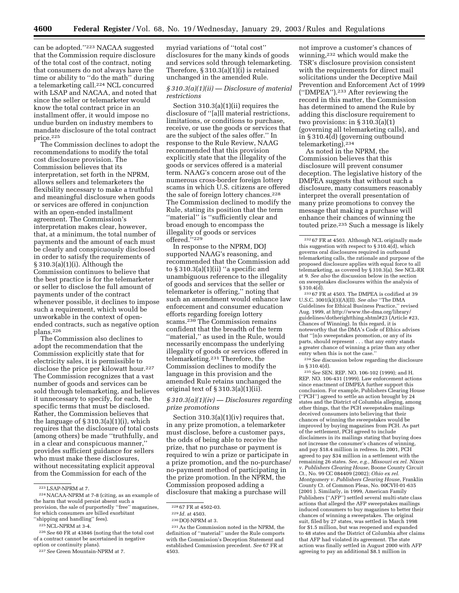can be adopted.''223 NACAA suggested that the Commission require disclosure of the total cost of the contract, noting that consumers do not always have the time or ability to ''do the math'' during a telemarketing call.224 NCL concurred with LSAP and NACAA, and noted that since the seller or telemarketer would know the total contract price in an installment offer, it would impose no undue burden on industry members to mandate disclosure of the total contract price.225

The Commission declines to adopt the recommendations to modify the total cost disclosure provision. The Commission believes that its interpretation, set forth in the NPRM, allows sellers and telemarketers the flexibility necessary to make a truthful and meaningful disclosure when goods or services are offered in conjunction with an open-ended installment agreement. The Commission's interpretation makes clear, however, that, at a minimum, the total number of payments and the amount of each must be clearly and conspicuously disclosed in order to satisfy the requirements of  $§ 310.3(a)(1)(i)$ . Although the Commission continues to believe that the best practice is for the telemarketer or seller to disclose the full amount of payments under of the contract whenever possible, it declines to impose such a requirement, which would be unworkable in the context of openended contracts, such as negative option plans.226

The Commission also declines to adopt the recommendation that the Commission explicitly state that for electricity sales, it is permissible to disclose the price per kilowatt hour.227 The Commission recognizes that a vast number of goods and services can be sold through telemarketing, and believes it unnecessary to specify, for each, the specific terms that must be disclosed. Rather, the Commission believes that the language of § 310.3(a)(1)(i), which requires that the disclosure of total costs (among others) be made ''truthfully, and in a clear and conspicuous manner,'' provides sufficient guidance for sellers who must make these disclosures, without necessitating explicit approval from the Commission for each of the

myriad variations of ''total cost'' disclosures for the many kinds of goods and services sold through telemarketing. Therefore,  $\S 310.3(a)(1)(i)$  is retained unchanged in the amended Rule.

#### *§ 310.3(a)(1)(ii) — Disclosure of material restrictions*

Section 310.3(a)(1)(ii) requires the disclosure of ''[a]ll material restrictions, limitations, or conditions to purchase, receive, or use the goods or services that are the subject of the sales offer.'' In response to the Rule Review, NAAG recommended that this provision explicitly state that the illegality of the goods or services offered is a material term. NAAG's concern arose out of the numerous cross-border foreign lottery scams in which U.S. citizens are offered the sale of foreign lottery chances.228 The Commission declined to modify the Rule, stating its position that the term ''material'' is ''sufficiently clear and broad enough to encompass the illegality of goods or services offered.''229

In response to the NPRM, DOJ supported NAAG's reasoning, and recommended that the Commission add to  $\S 310.3(a)(1)(ii)$  "a specific and unambiguous reference to the illegality of goods and services that the seller or telemarketer is offering,'' noting that such an amendment would enhance law enforcement and consumer education efforts regarding foreign lottery scams.230 The Commission remains confident that the breadth of the term "material," as used in the Rule, would necessarily encompass the underlying illegality of goods or services offered in telemarketing.231 Therefore, the Commission declines to modify the language in this provision and the amended Rule retains unchanged the original text of § 310.3(a)(1)(ii).

# *§ 310.3(a)(1)(iv) — Disclosures regarding prize promotions*

Section 310.3(a)(1)(iv) requires that, in any prize promotion, a telemarketer must disclose, before a customer pays, the odds of being able to receive the prize, that no purchase or payment is required to win a prize or participate in a prize promotion, and the no-purchase/ no-payment method of participating in the prize promotion. In the NPRM, the Commission proposed adding a disclosure that making a purchase will

not improve a customer's chances of winning,232 which would make the TSR's disclosure provision consistent with the requirements for direct mail solicitations under the Deceptive Mail Prevention and Enforcement Act of 1999 (''DMPEA'').233 After reviewing the record in this matter, the Commission has determined to amend the Rule by adding this disclosure requirement to two provisions: in  $\S 310.3(a)(1)$ (governing all telemarketing calls), and in § 310.4(d) (governing outbound telemarketing).234

As noted in the NPRM, the Commission believes that this disclosure will prevent consumer deception. The legislative history of the DMPEA suggests that without such a disclosure, many consumers reasonably interpret the overall presentation of many prize promotions to convey the message that making a purchase will enhance their chances of winning the touted prize.235 Such a message is likely

233 67 FR at 4503. The DMPEA is codified at 39 U.S.C. 3001(k)(3)(A)(II). *See also* ''The DMA Guidelines for Ethical Business Practice,'' revised Aug. 1999, at http://www.the-dma.org/library/ guidelines/dotherightthing.shtml#23 (Article #23, Chances of Winning). In this regard, it is noteworthy that the DMA's Code of Ethics advises that ''[n]o sweepstakes promotion, or any of its parts, should represent . . . that any entry stands a greater chance of winning a prize than any other entry when this is not the case.''

234*See* discussion below regarding the disclosure in § 310.4(d).

235*See* SEN. REP. NO. 106-102 (1999); and H. REP. NO. 106-431 (1999). Law enforcement actions since enactment of DMPEA further support this conclusion. For example, Publishers Clearing House (''PCH'') agreed to settle an action brought by 24 states and the District of Columbia alleging, among other things, that the PCH sweepstakes mailings deceived consumers into believing that their chances of winning the sweepstakes would be improved by buying magazines from PCH. As part of the settlement, PCH agreed to include disclaimers in its mailings stating that buying does not increase the consumer's chances of winning, and pay \$18.4 million in redress. In 2001, PCH agreed to pay \$34 million in a settlement with the remaining 26 states. *See, e.g., Missouri ex rel. Nixon v. Publishers Clearing House*, Boone County Circuit Ct., No. 99 CC 084409 (2002); *Ohio ex rel. Montgomery v. Publishers Clearing House*, Franklin County Ct. of Common Pleas, No. 00CVH-01-635 (2001 ). Similarly, in 1999, American Family Publishers (''AFP'') settled several multi-state class actions that alleged the AFP sweepstakes mailings induced consumers to buy magazines to better their chances of winning a sweepstakes. The original suit, filed by 27 states, was settled in March 1998 for \$1.5 million, but was reopened and expanded to 48 states and the District of Columbia after claims that AFP had violated its agreement. The state action was finally settled in August 2000 with AFP agreeing to pay an additional \$8.1 million in

<sup>223</sup>LSAP-NPRM at 7.

<sup>224</sup>NACAA-NPRM at 7-8 (citing, as an example of the harm that would persist absent such a provision, the sale of purportedly ''free'' magazines, for which consumers are billed exorbitant ''shipping and handling'' fees).

<sup>&</sup>lt;sup>225</sup> NCL-NPRM at 3-4.

<sup>226</sup>*See* 60 FR at 43846 (noting that the total cost of a contract cannot be ascertained in negative option or continuity plans).

<sup>227</sup>*See* Green Mountain-NPRM at 7.

<sup>228</sup> 67 FR at 4502-03.

<sup>229</sup> *Id.* at 4503.

 $\,$   $\,$  230 DOJ-NPRM at 3.

<sup>231</sup>As the Commission noted in the NPRM, the definition of ''material'' under the Rule comports with the Commission's Deception Statement and established Commission precedent. *See* 67 FR at 4503.

<sup>232</sup> 67 FR at 4503. Although NCL originally made this suggestion with respect to § 310.4(d), which governs oral disclosures required in outbound telemarketing calls, the rationale and purpose of the proposed disclosure applies with equal force to all telemarketing, as covered by § 310.3(a). See NCL-RR at 9. *See also* the discussion below in the section on sweepstakes disclosures within the analysis of  $§ 310.4(\hat{d}).$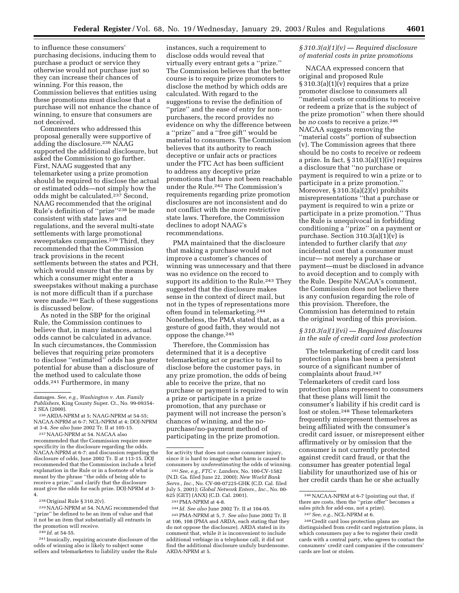to influence these consumers' purchasing decisions, inducing them to purchase a product or service they otherwise would not purchase just so they can increase their chances of winning. For this reason, the Commission believes that entities using these promotions must disclose that a purchase will not enhance the chance of winning, to ensure that consumers are not deceived.

Commenters who addressed this proposal generally were supportive of adding the disclosure.236 NAAG supported the additional disclosure, but asked the Commission to go further. First, NAAG suggested that any telemarketer using a prize promotion should be required to disclose the actual or estimated odds—not simply how the odds might be calculated.237 Second, NAAG recommended that the original Rule's definition of ''prize''238 be made consistent with state laws and regulations, and the several multi-state settlements with large promotional sweepstakes companies.<sup>239</sup> Third, they recommended that the Commission track provisions in the recent settlements between the states and PCH, which would ensure that the means by which a consumer might enter a sweepstakes without making a purchase is not more difficult than if a purchase were made.240 Each of these suggestions is discussed below.

As noted in the SBP for the original Rule, the Commission continues to believe that, in many instances, actual odds cannot be calculated in advance. In such circumstances, the Commission believes that requiring prize promoters to disclose ''estimated'' odds has greater potential for abuse than a disclosure of the method used to calculate those odds.241 Furthermore, in many

236ARDA-NPRM at 5; NAAG-NPRM at 54-55; NACAA-NPRM at 6-7; NCL-NPRM at 4; DOJ-NPRM at 3-4. *See also* June 2002 Tr. II at 105-15.

237NAAG-NPRM at 54. NACAA also recommended that the Commission require more specificity in the disclosure regarding the odds. NACAA-NPRM at 6-7; and discussion regarding the disclosure of odds, June 2002 Tr. II at 113-15. DOJ recommended that the Commission include a brief explanation in the Rule or in a footnote of what is meant by the phrase ''the odds of being able to receive a prize,'' and clarify that the disclosure must give the odds for each prize. DOJ-NPRM at 3- 4.

239NAAG-NPRM at 54. NAAG recommended that 'prize'' be defined to be an item of value and that it not be an item that substantially all entrants in the promotion will receive.

240 *Id.* at 54-55.

241 Ironically, requiring accurate disclosure of the odds of winning also is likely to subject some sellers and telemarketers to liability under the Rule

instances, such a requirement to disclose odds would reveal that virtually every entrant gets a ''prize.'' The Commission believes that the better course is to require prize promoters to disclose the method by which odds are calculated. With regard to the suggestions to revise the definition of ''prize'' and the ease of entry for nonpurchasers, the record provides no evidence on why the difference between a ''prize'' and a ''free gift'' would be material to consumers. The Commission believes that its authority to reach deceptive or unfair acts or practices under the FTC Act has been sufficient to address any deceptive prize promotions that have not been reachable under the Rule.242 The Commission's requirements regarding prize promotion disclosures are not inconsistent and do not conflict with the more restrictive state laws. Therefore, the Commission declines to adopt NAAG's recommendations.

PMA maintained that the disclosure that making a purchase would not improve a customer's chances of winning was unnecessary and that there was no evidence on the record to support its addition to the Rule.<sup>243</sup> They suggested that the disclosure makes sense in the context of direct mail, but not in the types of representations more often found in telemarketing.244 Nonetheless, the PMA stated that, as a gesture of good faith, they would not oppose the change.245

Therefore, the Commission has determined that it is a deceptive telemarketing act or practice to fail to disclose before the customer pays, in any prize promotion, the odds of being able to receive the prize, that no purchase or payment is required to win a prize or participate in a prize promotion, that any purchase or payment will not increase the person's chances of winning, and the nopurchase/no-payment method of participating in the prize promotion.

245PMA-NPRM at 5, 7. *See also* June 2002 Tr. II at 106, 108 (PMA and ARDA, each stating that they do not oppose the disclosure). ARDA stated in its comment that, while it is inconvenient to include additional verbiage in a telephone call, it did not find the additional disclosure unduly burdensome. ARDA-NPRM at 5.

# *§ 310.3(a)(1)(v) — Required disclosure of material costs in prize promotions*

NACAA expressed concern that original and proposed Rule  $\S 310.3(a)(1)(v)$  requires that a prize promoter disclose to consumers all ''material costs or conditions to receive or redeem a prize that is the subject of the prize promotion'' when there should be *no* costs to receive a prize.246 NACAA suggests removing the ''material costs'' portion of subsection (v). The Commission agrees that there should be no costs to receive or redeem a prize. In fact,  $\S 310.3(a)(1)(iv)$  requires a disclosure that ''no purchase or payment is required to win a prize or to participate in a prize promotion.'' Moreover, § 310.3(a)(2)(v) prohibits misrepresentations ''that a purchase or payment is required to win a prize or participate in a prize promotion.'' Thus the Rule is unequivocal in forbidding conditioning a ''prize'' on a payment or purchase. Section  $310.3(a)(1)(v)$  is intended to further clarify that *any* incidental cost that a consumer must incur— not merely a purchase or payment—must be disclosed in advance to avoid deception and to comply with the Rule. Despite NACAA's comment, the Commission does not believe there is any confusion regarding the role of this provision. Therefore, the Commission has determined to retain the original wording of this provision.

# *§ 310.3(a)(1)(vi) — Required disclosures in the sale of credit card loss protection*

The telemarketing of credit card loss protection plans has been a persistent source of a significant number of complaints about fraud.247 Telemarketers of credit card loss protection plans represent to consumers that these plans will limit the consumer's liability if his credit card is lost or stolen.248 These telemarketers frequently misrepresent themselves as being affiliated with the consumer's credit card issuer, or misrepresent either affirmatively or by omission that the consumer is not currently protected against credit card fraud, or that the consumer has greater potential legal liability for unauthorized use of his or her credit cards than he or she actually

damages. *See, e.g., Washington v. Am. Family Publishers*, King County Super. Ct., No. 99-09354- 2 SEA (2000).

<sup>238</sup>Original Rule § 310.2(v).

for activity that does not cause consumer injury, since it is hard to imagine what harm is caused to consumers by *underestimating* the odds of winning.

<sup>242</sup>*See, e.g.*, *FTC v. Landers*, No. 100-CV-1582 (N.D. Ga. filed June 22, 2000); *New World Bank Servs., Inc.*, No. CV-00-07225-GHK (C.D. Cal. filed July 5, 2001); *Global Network Enters., Inc.*, No. 00- 625 (GET) (ANX) (C.D. Cal. 2001). 243PMA-NPRM at 4-8.

<sup>244</sup> *Id. See also* June 2002 Tr. II at 104-05.

<sup>246</sup>NACAA-NPRM at 6-7 (pointing out that, if there are costs, then the ''prize offer'' becomes a sales pitch for add-ons, not a prize).

<sup>247</sup>*See, e.g.*, NCL-NPRM at 6.

<sup>248</sup>Credit card loss protection plans are distinguished from credit card registration plans, in which consumers pay a fee to register their credit cards with a central party, who agrees to contact the consumers' credit card companies if the consumers' cards are lost or stolen.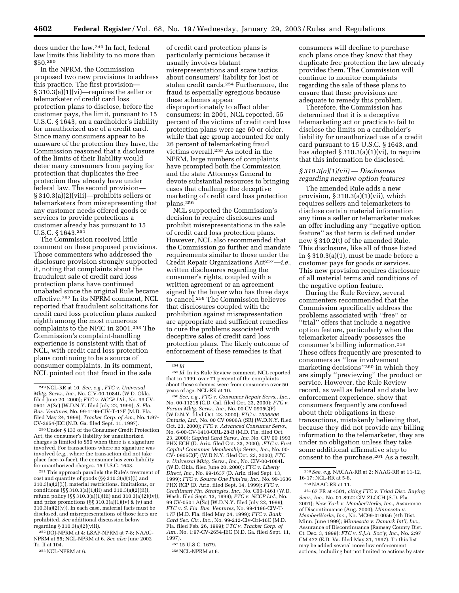does under the law.249 In fact, federal law limits this liability to no more than \$50.250

In the NPRM, the Commission proposed two new provisions to address this practice. The first provision— § 310.3(a)(1)(vi)—requires the seller or telemarketer of credit card loss protection plans to disclose, before the customer pays, the limit, pursuant to 15 U.S.C. § 1643, on a cardholder's liability for unauthorized use of a credit card. Since many consumers appear to be unaware of the protection they have, the Commission reasoned that a disclosure of the limits of their liability would deter many consumers from paying for protection that duplicates the free protection they already have under federal law. The second provision— § 310.3(a)(2)(viii)—prohibits sellers or telemarketers from misrepresenting that any customer needs offered goods or services to provide protections a customer already has pursuant to 15 U.S.C. § 1643.251

The Commission received little comment on these proposed provisions. Those commenters who addressed the disclosure provision strongly supported it, noting that complaints about the fraudulent sale of credit card loss protection plans have continued unabated since the original Rule became effective.252 In its NPRM comment, NCL reported that fraudulent solicitations for credit card loss protection plans ranked eighth among the most numerous complaints to the NFIC in 2001.253 The Commission's complaint-handling experience is consistent with that of NCL, with credit card loss protection plans continuing to be a source of consumer complaints. In its comment, NCL pointed out that fraud in the sale

250Under § 133 of the Consumer Credit Protection Act, the consumer's liability for unauthorized charges is limited to \$50 when there is a signature involved. For transactions where no signature was involved (*e.g.*, where the transaction did not take place face-to-face), the consumer has zero liability for unauthorized charges. 15 U.S.C. 1643.

251This approach parallels the Rule's treatment of cost and quantity of goods (§§ 310.3(a)(1)(i) and 310.3(a)(2)(i)), material restrictions, limitations, or conditions (§§ 310.3(a)(1)(ii) and 310.3(a)(2)(ii)), refund policy (§§ 310.3(a)(1)(iii) and 310.3(a)(2)(iv)), and prize promotions (§§ 310.3(a)(1)(iv) & (v) and  $310.3(a)(2)(v)$ ). In each case, material facts must be disclosed, and misrepresentations of those facts are prohibited. *See* additional discussion below regarding § 310.3(a)(2)(viii).

252 DOJ-NPRM at 4; LSAP-NPRM at 7-8; NAAG-NPRM at 55; NCL-NPRM at 6. *See also* June 2002 Tr. II at 104.

253NCL-NPRM at 6.

of credit card protection plans is particularly pernicious because it usually involves blatant misrepresentations and scare tactics about consumers' liability for lost or stolen credit cards.254 Furthermore, the fraud is especially egregious because these schemes appear disproportionately to affect older consumers: in 2001, NCL reported, 55 percent of the victims of credit card loss protection plans were age 60 or older, while that age group accounted for only 26 percent of telemarketing fraud victims overall.255 As noted in the NPRM, large numbers of complaints have prompted both the Commission and the state Attorneys General to devote substantial resources to bringing cases that challenge the deceptive marketing of credit card loss protection plans.256

NCL supported the Commission's decision to require disclosures and prohibit misrepresentations in the sale of credit card loss protection plans. However, NCL also recommended that the Commission go further and mandate requirements similar to those under the Credit Repair Organizations Act257—*i.e.*, written disclosures regarding the consumer's rights, coupled with a written agreement or an agreement signed by the buyer who has three days to cancel.258 The Commission believes that disclosures coupled with the prohibition against misrepresentation are appropriate and sufficient remedies to cure the problems associated with deceptive sales of credit card loss protection plans. The likely outcome of enforcement of these remedies is that

256*See, e.g., FTC v. Consumer Repair Servs., Inc.*, No. 00-11218 (C.D. Cal. filed Oct. 23, 2000); *FTC v. Forum Mktg. Servs., Inc.*, No. 00 CV 0905C(F) (W.D.N.Y. filed Oct. 23, 2000); *FTC v. 1306506 Ontario, Ltd.*, No. 00 CV 0906A (SR) (W.D.N.Y. filed Oct. 23, 2000); *FTC v. Advanced Consumer Servs.*, No. 6-00-CV-1410-ORL-28-B (M.D. Fla. filed Oct. 23, 2000); *Capital Card Servs., Inc.* No. CIV 00 1993 PHX ECH (D. Ariz. filed Oct. 23, 2000); .*FTC v. First Capital Consumer Membership Servs., Inc.*, No. 00- CV- 0905C(F) (W.D.N.Y. filed Oct. 23, 2000); *FTC v. Universal Mktg. Servs., Inc.*, No. CIV-00-1084L (W.D. Okla. filed June 20, 2000); *FTC v. Liberty Direct, Inc.*, No. 99-1637 (D. Ariz. filed Sept. 13, 1999); *FTC v. Source One Publ'ns, Inc.*, No. 99-1636 PHX RCP (D. Ariz. filed Sept. 14, 1999); *FTC v. Creditmart Fin. Strategies, Inc.*, No. C99-1461 (W.D. Wash. filed Sept. 13, 1999); *FTC v. NCCP Ltd.*, No. 99 CV-0501 A(Sc) (W.D.N.Y. filed July 22, 1999); *FTC v. S. Fla. Bus. Ventures*, No. 99-1196-CIV-T-17F (M.D. Fla. filed May 24, 1999); *FTC v. Bank Card Sec. Ctr., Inc.*, No. 99-212-Civ-Orl-18C (M.D. Fla. filed Feb. 26, 1999); F*TC v. Tracker Corp. of Am.*, No. 1:97-CV-2654-JEC (N.D. Ga. filed Sept. 11, 1997).

consumers will decline to purchase such plans once they know that they duplicate free protection the law already provides them. The Commission will continue to monitor complaints regarding the sale of these plans to ensure that these provisions are adequate to remedy this problem.

Therefore, the Commission has determined that it is a deceptive telemarketing act or practice to fail to disclose the limits on a cardholder's liability for unauthorized use of a credit card pursuant to 15 U.S.C. § 1643, and has adopted  $\S 310.3(a)(1)(vi)$ , to require that this information be disclosed.

# *§ 310.3(a)(1)(vii) — Disclosures regarding negative option features*

The amended Rule adds a new provision,  $\S 310.3(a)(1)(vii)$ , which requires sellers and telemarketers to disclose certain material information any time a seller or telemarketer makes an offer including any ''negative option feature'' as that term is defined under new § 310.2(t) of the amended Rule. This disclosure, like all of those listed in § 310.3(a)(1), must be made before a customer pays for goods or services. This new provision requires disclosure of all material terms and conditions of the negative option feature.

During the Rule Review, several commenters recommended that the Commission specifically address the problems associated with ''free'' or ''trial'' offers that include a negative option feature, particularly when the telemarketer already possesses the consumer's billing information.259 These offers frequently are presented to consumers as ''low involvement marketing decisions''260 in which they are simply ''previewing'' the product or service. However, the Rule Review record, as well as federal and state law enforcement experience, show that consumers frequently are confused about their obligations in these transactions, mistakenly believing that, because they did not provide any billing information to the telemarketer, they are under no obligation unless they take some additional affirmative step to consent to the purchase.261 As a result,

261 67 FR at 4501, *citing FTC v. Triad Disc. Buying Serv., Inc.*, No. 01-8922 CIV ZLOCH (S.D. Fla. 2001); *New York v. MemberWorks, Inc.*, Assurance of Discontinuance (Aug. 2000); *Minnesota v. MemberWorks, Inc.*, No. MC99-010056 (4th Dist. Minn. June 1999); *Minnesota v. Damark Int'l, Inc.*, Assurance of Discontinuance (Ramsey County Dist. Ct. Dec. 3, 1999); *FTC v. S.J.A. Soc'y, Inc.*, No. 2:97 CM 472 (E.D. Va. filed May 31, 1997). To this list may be added several more law enforcement actions, including but not limited to actions by state

<sup>249</sup>NCL-RR at 10. *See, e.g., FTC v. Universal Mktg. Servs., Inc.*, No. CIV-00-1084L (W.D. Okla. filed June 20, 2000); *FTC v. NCCP Ltd.*, No. 99 CV-0501 A(Sc) (W.D.N.Y. filed July 22, 1999); *S. Fla. Bus. Ventures*, No. 99-1196-CIV-T-17F (M.D. Fla. filed May 24, 1999); *Tracker Corp. of Am.*, No. 1:97- CV-2654-JEC (N.D. Ga. filed Sept. 11, 1997).

<sup>254</sup> *Id.*

<sup>255</sup> *Id.* In its Rule Review comment, NCL reported that in 1999, over 71 percent of the complaints about these schemes were from consumers over 50 years of age. NCL-RR at 10.

<sup>257</sup> 15 U.S.C. 1679.

<sup>258</sup>NCL-NPRM at 6.

<sup>259</sup>*See, e.g.* NACAA-RR at 2; NAAG-RR at 11-12, 16-17; NCL-RR at 5-6.

<sup>260</sup>NAAG-RR at 11.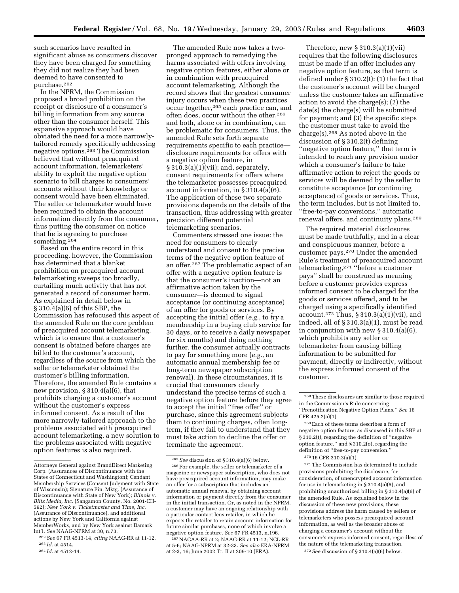such scenarios have resulted in significant abuse as consumers discover they have been charged for something they did not realize they had been deemed to have consented to purchase.262

In the NPRM, the Commission proposed a broad prohibition on the receipt or disclosure of a consumer's billing information from any source other than the consumer herself. This expansive approach would have obviated the need for a more narrowlytailored remedy specifically addressing negative options.263 The Commission believed that without preacquired account information, telemarketers' ability to exploit the negative option scenario to bill charges to consumers' accounts without their knowledge or consent would have been eliminated. The seller or telemarketer would have been required to obtain the account information directly from the consumer, thus putting the consumer on notice that he is agreeing to purchase something.264

Based on the entire record in this proceeding, however, the Commission has determined that a blanket prohibition on preacquired account telemarketing sweeps too broadly, curtailing much activity that has not generated a record of consumer harm. As explained in detail below in § 310.4(a)(6) of this SBP, the Commission has refocused this aspect of the amended Rule on the core problem of preacquired account telemarketing, which is to ensure that a customer's consent is obtained before charges are billed to the customer's account, regardless of the source from which the seller or telemarketer obtained the customer's billing information. Therefore, the amended Rule contains a new provision, § 310.4(a)(6), that prohibits charging a customer's account without the customer's express informed consent. As a result of the more narrowly-tailored approach to the problems associated with preacquired account telemarketing, a new solution to the problems associated with negative option features is also required.

264 *Id.* at 4512-14.

The amended Rule now takes a twopronged approach to remedying the harms associated with offers involving negative option features, either alone or in combination with preacquired account telemarketing. Although the record shows that the greatest consumer injury occurs when these two practices occur together,265 each practice can, and often does, occur without the other,<sup>266</sup> and both, alone or in combination, can be problematic for consumers. Thus, the amended Rule sets forth separate requirements specific to each practice disclosure requirements for offers with a negative option feature, in  $\S 310.3(a)(1)(vii)$ ; and, separately, consent requirements for offers where the telemarketer possesses preacquired account information, in § 310.4(a)(6). The application of these two separate provisions depends on the details of the transaction, thus addressing with greater precision different potential telemarketing scenarios.

Commenters stressed one issue: the need for consumers to clearly understand and consent to the precise terms of the negative option feature of an offer.267 The problematic aspect of an offer with a negative option feature is that the consumer's inaction—not an affirmative action taken by the consumer—is deemed to signal acceptance (or continuing acceptance) of an offer for goods or services. By accepting the initial offer (*e.g.*, to *try* a membership in a buying club service for 30 days, or to receive a daily newspaper for six months) and doing nothing further, the consumer actually contracts to pay for something more (*e.g.*, an automatic annual membership fee or long-term newspaper subscription renewal). In these circumstances, it is crucial that consumers clearly understand the precise terms of such a negative option feature before they agree to accept the initial ''free offer'' or purchase, since this agreement subjects them to continuing charges, often longterm, if they fail to understand that they must take action to decline the offer or terminate the agreement.

Therefore, new  $\S 310.3(a)(1)(vii)$ requires that the following disclosures must be made if an offer includes any negative option feature, as that term is defined under § 310.2(t): (1) the fact that the customer's account will be charged unless the customer takes an affirmative action to avoid the charge(s); (2) the date(s) the charge(s) will be submitted for payment; and (3) the specific steps the customer must take to avoid the charge(s).268 As noted above in the discussion of § 310.2(t) defining ''negative option feature,'' that term is intended to reach any provision under which a consumer's failure to take affirmative action to reject the goods or services will be deemed by the seller to constitute acceptance (or continuing acceptance) of goods or services. Thus, the term includes, but is not limited to, ''free-to-pay conversions,'' automatic renewal offers, and continuity plans.269

The required material disclosures must be made truthfully, and in a clear and conspicuous manner, before a customer pays.270 Under the amended Rule's treatment of preacquired account telemarketing,271 ''before a customer pays'' shall be construed as meaning before a customer provides express informed consent to be charged for the goods or services offered, and to be charged using a specifically identified account.272 Thus, § 310.3(a)(1)(vii), and indeed, all of § 310.3(a)(1), must be read in conjunction with new § 310.4(a)(6), which prohibits any seller or telemarketer from causing billing information to be submitted for payment, directly or indirectly, without the express informed consent of the customer.

271The Commission has determined to include provisions prohibiting the disclosure, for consideration, of unencrypted account information for use in telemarketing in § 310.4(a)(5), and prohibiting unauthorized billing in § 310.4(a)(6) of the amended Rule. As explained below in the discussion of these new provisions, these provisions address the harm caused by sellers or telemarketers who possess preacquired account information, as well as the broader abuse of charging a consumer's account without the consumer's express informed consent, regardless of the nature of the telemarketing transaction.

272*See* discussion of § 310.4(a)(6) below.

Attorneys General against BrandDirect Marketing Corp. (Assurances of Discontinuance with the States of Connecticut and Washington); Cendant Membership Services (Consent Judgment with State of Wisconsin); Signature Fin. Mktg. (Assurance of Discontinuance with State of New York); *Illinois v. Blitz Media, Inc.* (Sangamon County, No. 2001-CH-592); *New York v. Ticketmaster and Time, Inc.* (Assurance of Discontinuance), and additional actions by New York and California against MemberWorks, and by New York against Damark Int'l. *See* NAAG-NPRM at 30, n.73.

<sup>262</sup>*See* 67 FR 4513-14, *citing* NAAG-RR at 11-12. 263 *Id.* at 4514.

<sup>265</sup>*See* discussion of § 310.4(a)(6) below. 266For example, the seller or telemarketer of a magazine or newspaper subscription, who does not have preacquired account information, may make an offer for a subscription that includes an automatic annual renewal by obtaining account information or payment directly from the consumer in the initial transaction. Or, as noted in the NPRM, a customer may have an ongoing relationship with a particular contact lens retailer, in which he expects the retailer to retain account information for future similar purchases, none of which involve a negative option feature. *See* 67 FR 4513, n.196.

<sup>267</sup>NACAA-RR at 2; NAAG-RR at 11-12; NCL-RR at 5-6; NAAG-NPRM at 32-33. *See also* ERA-NPRM at 2-3, 16; June 2002 Tr. II at 209-10 (ERA).

<sup>268</sup>These disclosures are similar to those required in the Commission's Rule concerning ''Prenotification Negative Option Plans.'' *See* 16 CFR 425.2(a)(1).

<sup>269</sup>Each of these terms describes a form of negative option feature, as discussed in this SBP at § 310.2(t), regarding the definition of ''negative option feature,'' and § 310.2(o), regarding the definition of ''free-to-pay conversion.''

<sup>270</sup> 16 CFR 310.3(a)(1).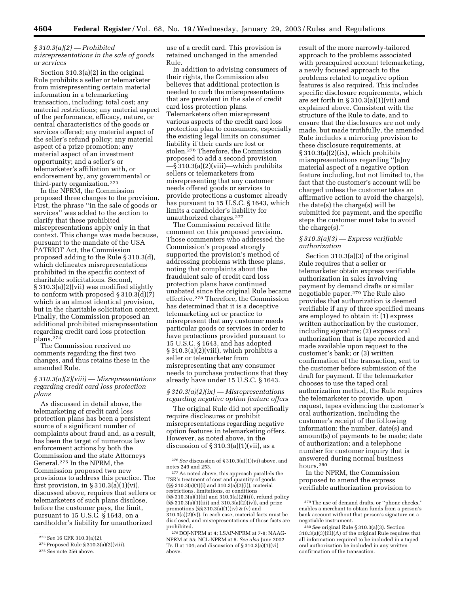# *§ 310.3(a)(2) — Prohibited misrepresentations in the sale of goods or services*

Section 310.3(a)(2) in the original Rule prohibits a seller or telemarketer from misrepresenting certain material information in a telemarketing transaction, including: total cost; any material restrictions; any material aspect of the performance, efficacy, nature, or central characteristics of the goods or services offered; any material aspect of the seller's refund policy; any material aspect of a prize promotion; any material aspect of an investment opportunity; and a seller's or telemarketer's affiliation with, or endorsement by, any governmental or third-party organization.273

In the NPRM, the Commission proposed three changes to the provision. First, the phrase ''in the sale of goods or services'' was added to the section to clarify that these prohibited misrepresentations apply only in that context. This change was made because, pursuant to the mandate of the USA PATRIOT Act, the Commission proposed adding to the Rule § 310.3(d), which delineates misrepresentations prohibited in the specific context of charitable solicitations. Second, § 310.3(a)(2)(vii) was modified slightly to conform with proposed § 310.3(d)(7) which is an almost identical provision, but in the charitable solicitation context. Finally, the Commission proposed an additional prohibited misrepresentation regarding credit card loss protection plans.274

The Commission received no comments regarding the first two changes, and thus retains these in the amended Rule.

# *§ 310.3(a)(2)(viii) — Misrepresentations regarding credit card loss protection plans*

As discussed in detail above, the telemarketing of credit card loss protection plans has been a persistent source of a significant number of complaints about fraud and, as a result, has been the target of numerous law enforcement actions by both the Commission and the state Attorneys General.275 In the NPRM, the Commission proposed two new provisions to address this practice. The first provision, in  $\S 310.3(a)(1)(vi)$ , discussed above, requires that sellers or telemarketers of such plans disclose, before the customer pays, the limit, pursuant to 15 U.S.C. § 1643, on a cardholder's liability for unauthorized

use of a credit card. This provision is retained unchanged in the amended Rule.

In addition to advising consumers of their rights, the Commission also believes that additional protection is needed to curb the misrepresentations that are prevalent in the sale of credit card loss protection plans. Telemarketers often misrepresent various aspects of the credit card loss protection plan to consumers, especially the existing legal limits on consumer liability if their cards are lost or stolen.276 Therefore, the Commission proposed to add a second provision —§ 310.3(a)(2)(viii)—which prohibits sellers or telemarketers from misrepresenting that any customer needs offered goods or services to provide protections a customer already has pursuant to 15 U.S.C. § 1643, which limits a cardholder's liability for unauthorized charges.277

The Commission received little comment on this proposed provision. Those commenters who addressed the Commission's proposal strongly supported the provision's method of addressing problems with these plans, noting that complaints about the fraudulent sale of credit card loss protection plans have continued unabated since the original Rule became effective.278 Therefore, the Commission has determined that it is a deceptive telemarketing act or practice to misrepresent that any customer needs particular goods or services in order to have protections provided pursuant to 15 U.S.C. § 1643, and has adopted § 310.3(a)(2)(viii), which prohibits a seller or telemarketer from misrepresenting that any consumer needs to purchase protections that they already have under 15 U.S.C. § 1643.

# *§ 310.3(a)(2)(ix) — Misrepresentations regarding negative option feature offers*

The original Rule did not specifically require disclosures or prohibit misrepresentations regarding negative option features in telemarketing offers. However, as noted above, in the discussion of  $\S 310.3(a)(1)(vii)$ , as a

result of the more narrowly-tailored approach to the problems associated with preacquired account telemarketing, a newly focused approach to the problems related to negative option features is also required. This includes specific disclosure requirements, which are set forth in § 310.3(a)(1)(vii) and explained above. Consistent with the structure of the Rule to date, and to ensure that the disclosures are not only made, but made truthfully, the amended Rule includes a mirroring provision to these disclosure requirements, at § 310.3(a)(2)(ix), which prohibits misrepresentations regarding ''[a]ny material aspect of a negative option feature including, but not limited to, the fact that the customer's account will be charged unless the customer takes an affirmative action to avoid the charge(s), the date(s) the charge(s) will be submitted for payment, and the specific steps the customer must take to avoid the charge(s).''

# *§ 310.3(a)(3) — Express verifiable authorization*

Section 310.3(a)(3) of the original Rule requires that a seller or telemarketer obtain express verifiable authorization in sales involving payment by demand drafts or similar negotiable paper.279 The Rule also provides that authorization is deemed verifiable if any of three specified means are employed to obtain it: (1) express written authorization by the customer, including signature; (2) express oral authorization that is tape recorded and made available upon request to the customer's bank; or (3) written confirmation of the transaction, sent to the customer before submission of the draft for payment. If the telemarketer chooses to use the taped oral authorization method, the Rule requires the telemarketer to provide, upon request, tapes evidencing the customer's oral authorization, including the customer's receipt of the following information: the number, date(s) and amount(s) of payments to be made; date of authorization; and a telephone number for customer inquiry that is answered during normal business hours.280

In the NPRM, the Commission proposed to amend the express verifiable authorization provision to

<sup>273</sup>*See* 16 CFR 310.3(a)(2).

<sup>274</sup>Proposed Rule § 310.3(a)(2)(viii).

<sup>275</sup>*See* note 256 above.

<sup>276</sup>*See* discussion of § 310.3(a)(1)(vi) above, and notes 249 and 253.

<sup>277</sup>As noted above, this approach parallels the TSR's treatment of cost and quantity of goods  $(S\ S\ 310.3(a)(1)(i)$  and  $310.3(a)(2)(i)$ , material restrictions, limitations, or conditions (§§ 310.3(a)(1)(ii) and 310.3(a)(2)(ii)), refund policy (§§ 310.3(a)(1)(iii) and 310.3(a)(2)(iv)), and prize promotions  $(\frac{6}{5}, \frac{310.3}{a})(1)(iv)$  &  $(v)$  and 310.3(a)(2)(v)). In each case, material facts must be disclosed, and misrepresentations of those facts are prohibited.

<sup>278</sup> DOJ-NPRM at 4; LSAP-NPRM at 7-8; NAAG-NPRM at 55; NCL-NPRM at 6. *See also* June 2002 Tr. II at 104; and discussion of  $\S 310.3(a)(1)(vi)$ above.

<sup>279</sup>The use of demand drafts, or ''phone checks,'' enables a merchant to obtain funds from a person's bank account without that person's signature on a negotiable instrument.

<sup>280</sup>*See* original Rule § 310.3(a)(3). Section 310.3(a)(3)(iii)(A) of the original Rule requires that all information required to be included in a taped oral authorization be included in any written confirmation of the transaction.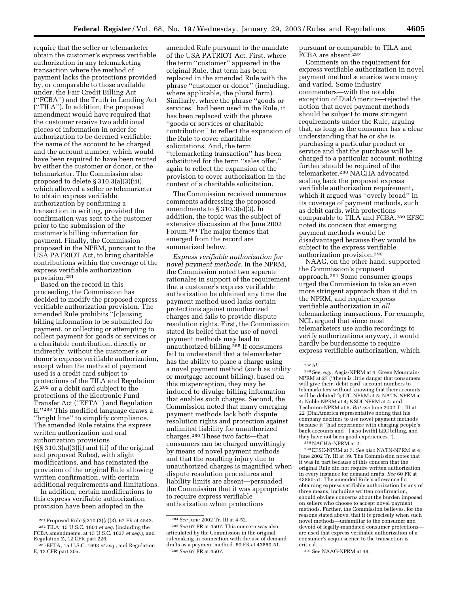pursuant or comparable to TILA and FCBA are absent.287

Comments on the requirement for express verifiable authorization in novel payment method scenarios were many and varied. Some industry commenters—with the notable exception of DialAmerica—rejected the notion that novel payment methods should be subject to more stringent requirements under the Rule, arguing that, as long as the consumer has a clear understanding that he or she is purchasing a particular product or service and that the purchase will be charged to a particular account, nothing further should be required of the telemarketer.288 NACHA advocated scaling back the proposed express verifiable authorization requirement, which it argued was ''overly broad'' in its coverage of payment methods, such as debit cards, with protections comparable to TILA and FCBA.289 EFSC noted its concern that emerging payment methods would be disadvantaged because they would be subject to the express verifiable authorization provision.290

NAAG, on the other hand, supported the Commission's proposed approach.291 Some consumer groups urged the Commission to take an even more stringent approach than it did in the NPRM, and require express verifiable authorization in *all* telemarketing transactions. For example, NCL argued that since most telemarketers use audio recordings to verify authorizations anyway, it would hardly be burdensome to require express verifiable authorization, which

289NACHA-NPRM at 2.

290EFSC-NPRM at 7. *See also* NATN-NPRM at 4; June 2002 Tr. III at 39. The Commission notes that it was in part because of this concern that the original Rule did not require written authorization in every instance for demand drafts. *See* 60 FR at 43850-51. The amended Rule's allowance for obtaining express verifiable authorization by any of three means, including written confirmation, should obviate concerns about the burden imposed on sellers who choose to accept novel payment methods. Further, the Commission believes, for the reasons stated above, that it is precisely when such novel methods—unfamiliar to the consumer and devoid of legally-mandated consumer protections are used that express verifiable authorization of a consumer's acquiescence to the transaction is critical.

291See NAAG-NPRM at 48.

require that the seller or telemarketer obtain the customer's express verifiable authorization in any telemarketing transaction where the method of payment lacks the protections provided by, or comparable to those available under, the Fair Credit Billing Act (''FCBA'') and the Truth in Lending Act (''TILA''). In addition, the proposed amendment would have required that the customer receive two additional pieces of information in order for authorization to be deemed verifiable: the name of the account to be charged and the account number, which would have been required to have been recited by either the customer or donor, or the telemarketer. The Commission also proposed to delete § 310.3(a)(3)(iii), which allowed a seller or telemarketer to obtain express verifiable authorization by confirming a transaction in writing, provided the confirmation was sent to the customer prior to the submission of the customer's billing information for payment. Finally, the Commission proposed in the NPRM, pursuant to the USA PATRIOT Act, to bring charitable contributions within the coverage of the express verifiable authorization provision.281

Based on the record in this proceeding, the Commission has decided to modify the proposed express verifiable authorization provision. The amended Rule prohibits ''[c]ausing billing information to be submitted for payment, or collecting or attempting to collect payment for goods or services or a charitable contribution, directly or indirectly, without the customer's or donor's express verifiable authorization, except when the method of payment used is a credit card subject to protections of the TILA and Regulation Z,282 or a debit card subject to the protections of the Electronic Fund Transfer Act (''EFTA'') and Regulation E.''283 This modified language draws a ''bright line'' to simplify compliance. The amended Rule retains the express written authorization and oral authorization provisions  $(\S\S 310.3(a)(3)(i)$  and (ii) of the original and proposed Rules), with slight modifications, and has reinstated the provision of the original Rule allowing written confirmation, with certain additional requirements and limitations.

In addition, certain modifications to this express verifiable authorization provision have been adopted in the

amended Rule pursuant to the mandate of the USA PATRIOT Act. First, where the term ''customer'' appeared in the original Rule, that term has been replaced in the amended Rule with the phrase ''customer or donor'' (including, where applicable, the plural form). Similarly, where the phrase ''goods or services'' had been used in the Rule, it has been replaced with the phrase ''goods or services or charitable contribution'' to reflect the expansion of the Rule to cover charitable solicitations. And, the term ''telemarketing transaction'' has been substituted for the term ''sales offer,'' again to reflect the expansion of the provision to cover authorization in the context of a charitable solicitation.

The Commission received numerous comments addressing the proposed amendments to § 310.3(a)(3). In addition, the topic was the subject of extensive discussion at the June 2002 Forum.284 The major themes that emerged from the record are summarized below.

*Express verifiable authorization for novel payment methods.* In the NPRM, the Commission noted two separate rationales in support of the requirement that a customer's express verifiable authorization be obtained any time the payment method used lacks certain protections against unauthorized charges and fails to provide dispute resolution rights. First, the Commission stated its belief that the use of novel payment methods may lead to unauthorized billing.<sup>285</sup> If consumers fail to understand that a telemarketer has the ability to place a charge using a novel payment method (such as utility or mortgage account billing), based on this misperception, they may be induced to divulge billing information that enables such charges. Second, the Commission noted that many emerging payment methods lack both dispute resolution rights and protection against unlimited liability for unauthorized charges.286 These two facts—that consumers can be charged unwittingly by means of novel payment methods and that the resulting injury due to unauthorized charges is magnified when dispute resolution procedures and liability limits are absent—persuaded the Commission that it was appropriate to require express verifiable authorization when protections

<sup>287</sup> *Id.*

<sup>288</sup>See, e.g., Aegis-NPRM at 4; Green Mountain-NPRM at 27 (''there is little danger that consumers will give their [debit card] account numbers to telemarketers without knowing that their accounts will be debited''); ITC-NPRM at 5; NATN-NPRM at 4; Noble-NPRM at 4; NSDI-NPRM at 4; and Technion-NPRM at 5. *But see* June 2002 Tr. III at 22 (DialAmerica representative noting that his company declines to use novel payment methods because it ''had experience with charging people's bank accounts and [ ] also [with] LEC billing, and they have not been good experiences.'').

<sup>281</sup>Proposed Rule § 310.(3)(a)(3), 67 FR at 4542. 282TILA, 15 U.S.C. 1601 *et seq.* (including the FCBA amendments, at 15 U.S.C. 1637 *et seq.*), and Regulation Z, 12 CFR part 226.

<sup>283</sup>EFTA, 15 U.S.C. 1693 *et seq.*, and Regulation E, 12 CFR part 205.

<sup>284</sup>*See* June 2002 Tr. III at 4-52.

<sup>285</sup>*See* 67 FR at 4507. This concern was also articulated by the Commission in the original rulemaking in connection with the use of demand drafts as a payment method. 60 FR at 43850-51. 286*See* 67 FR at 4507.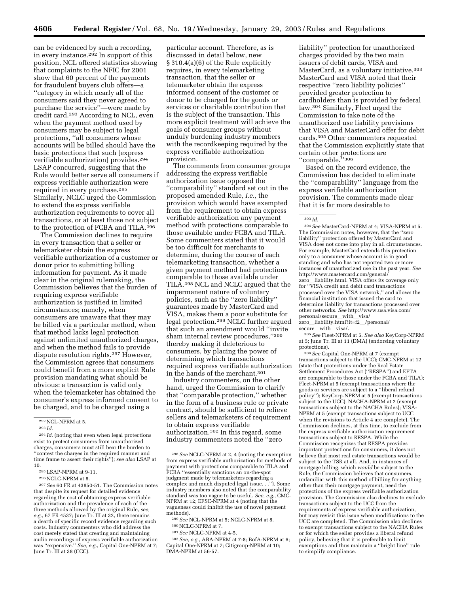can be evidenced by such a recording, in every instance.292 In support of this position, NCL offered statistics showing that complaints to the NFIC for 2001 show that 60 percent of the payments for fraudulent buyers club offers—a ''category in which nearly all of the consumers said they never agreed to purchase the service''—were made by credit card.<sup>293</sup> According to NCL, even when the payment method used by consumers may be subject to legal protections, ''all consumers whose accounts will be billed should have the basic protections that such [express verifiable authorization] provides.294 LSAP concurred, suggesting that the Rule would better serve all consumers if express verifiable authorization were required in every purchase.295 Similarly, NCLC urged the Commission to extend the express verifiable authorization requirements to cover all transactions, or at least those not subject to the protection of FCBA and TILA.296

The Commission declines to require in every transaction that a seller or telemarketer obtain the express verifiable authorization of a customer or donor prior to submitting billing information for payment. As it made clear in the original rulemaking, the Commission believes that the burden of requiring express verifiable authorization is justified in limited circumstances; namely, when consumers are unaware that they may be billed via a particular method, when that method lacks legal protection against unlimited unauthorized charges, and when the method fails to provide dispute resolution rights.297 However, the Commission agrees that consumers could benefit from a more explicit Rule provision mandating what should be obvious: a transaction is valid only when the telemarketer has obtained the consumer's express informed consent to be charged, and to be charged using a

 $^{\rm 294}$   $ld.$  (noting that even when legal protections exist to protect consumers from unauthorized charges, consumers must still bear the burden to ''contest the charges in the required manner and time frame to assert their rights''); *see also* LSAP at 10.

297*See* 60 FR at 43850-51. The Commission notes that despite its request for detailed evidence regarding the cost of obtaining express verifiable authorization and the prevalence of each of the three methods allowed by the original Rule, *see, e.g.*, 67 FR 4537; June Tr. III at 32, there remains a dearth of specific record evidence regarding such costs. Industry commenters who did address the cost merely stated that creating and maintaining audio recordings of express verifiable authorization was ''expensive.'' *See, e.g.*, Capital One-NPRM at 7; June Tr. III at 38 (CCC).

particular account. Therefore, as is discussed in detail below, new § 310.4(a)(6) of the Rule explicitly requires, in every telemarketing transaction, that the seller or telemarketer obtain the express informed consent of the customer or donor to be charged for the goods or services or charitable contribution that is the subject of the transaction. This more explicit treatment will achieve the goals of consumer groups without unduly burdening industry members with the recordkeeping required by the express verifiable authorization provision.

The comments from consumer groups addressing the express verifiable authorization issue opposed the ''comparability'' standard set out in the proposed amended Rule, *i.e.*, the provision which would have exempted from the requirement to obtain express verifiable authorization any payment method with protections comparable to those available under FCBA and TILA. Some commenters stated that it would be too difficult for merchants to determine, during the course of each telemarketing transaction, whether a given payment method had protections comparable to those available under TILA.298 NCL and NCLC argued that the impermanent nature of voluntary policies, such as the ''zero liability'' guarantees made by MasterCard and VISA, makes them a poor substitute for legal protection.299 NCLC further argued that such an amendment would ''invite sham internal review procedures,''300 thereby making it deleterious to consumers, by placing the power of determining which transactions required express verifiable authorization in the hands of the merchant.301

Industry commenters, on the other hand, urged the Commission to clarify that ''comparable protection,'' whether in the form of a business rule or private contract, should be sufficient to relieve sellers and telemarketers of requirement to obtain express verifiable authorization.302 In this regard, some industry commenters noted the ''zero

- 300 NCLC-NPRM at 7.
- 301*See* NCLC-NPRM at 4-5.

liability'' protection for unauthorized charges provided by the two main issuers of debit cards, VISA and MasterCard, as a voluntary initiative.303 MasterCard and VISA noted that their respective ''zero liability policies'' provided greater protection to cardholders than is provided by federal law.304 Similarly, Fleet urged the Commission to take note of the unauthorized use liability provisions that VISA and MasterCard offer for debit cards.305 Other commenters requested that the Commission explicitly state that certain other protections are ''comparable.''306

Based on the record evidence, the Commission has decided to eliminate the ''comparability'' language from the express verifiable authorization provision. The comments made clear that it is far more desirable to

304*See* MasterCard-NPRM at 4; VISA-NPRM at 5. The Commission notes, however, that the ''zero liability'' protection offered by MasterCard and VISA does not come into play in all circumstances. For example, MasterCard extends this protection only to a consumer whose account is in good standing and who has not reported two or more instances of unauthorized use in the past year. *See* http://www.mastercard.com/general/<br>zero liability.html. VISA offers its c  $\_$ liability.html. VISA offers its coverage only for ''VISA credit and debit card transactions processed over the VISA network,'' and allows the financial institution that issued the card to determine liability for transactions processed over other networks. *See* http://www.usa.visa.com/ personal/secure\_with\_visa/<br>zero =liability.html?it=f2 /n

zero\_liability.html?it=f2\_/personal/<br>secure\_with\_visa/  $secure$  with visa/.

305*See* Fleet-NPRM at 5. *See also* KeyCorp-NPRM at 5; June Tr. III at 11 (DMA) (endorsing voluntary protections).

306*See* Capital One-NPRM at 7 (exempt transactions subject to the UCC); CMC-NPRM at 12 (state that protections under the Real Estate Settlement Procedures Act (''RESPA'') and EFTA are comparable to those under the FCBA and TILA); Fleet-NPRM at 5 (exempt transactions where the goods or services are subject to a ''liberal refund policy''); KeyCorp-NPRM at 5 (exempt transactions subject to the UCC); NACHA-NPRM at 2 (exempt transactions subject to the NACHA Rules); VISA-NPRM at 5 (exempt transactions subject to UCC when the revisions to Article 4 are complete). The Commission declines, at this time, to exclude from the express verifiable authorization requirement transactions subject to RESPA. While the Commission recognizes that RESPA provides important protections for consumers, it does not believe that most real estate transactions would be subject to the TSR at all. And, in instances of mortgage billing, which *would* be subject to the Rule, the Commission believes that consumers, unfamiliar with this method of billing for anything other than their mortgage payment, need the protections of the express verifiable authorization provision. The Commission also declines to exclude transactions subject to the UCC from the requirements of express verifiable authorization, but may revisit this issue when modifications to the UCC are completed. The Commission also declines to exempt transactions subject to the NACHA Rules or for which the seller provides a liberal refund policy, believing that it is preferable to limit exemptions and thus maintain a ''bright line'' rule to simplify compliance.

 $\rm ^{292}$  NCL-NPRM at 5.

<sup>293</sup> *Id.*

<sup>295</sup>LSAP-NPRM at 9-11.

<sup>&</sup>lt;sup>296</sup> NCLC-NPRM at 8.

<sup>298</sup>*See* NCLC-NPRM at 2, 4 (noting the exemption from express verifiable authorization for methods of payment with protections comparable to TILA and FCBA ''essentially sanctions an on-the-spot judgment made by telemarketers regarding a complex and much disputed legal issue. . .''). Some industry members also noted that the comparability standard was too vague to be useful. *See, e.g.*, CMC-NPRM at 12; EFSC-NPRM at 4 (noting that the vagueness could inhibit the use of novel payment methods).

<sup>299</sup>*See* NCL-NPRM at 5; NCLC-NPRM at 8.

<sup>302</sup>*See, e.g.*, ABA-NPRM at 7-8; BofA-NPRM at 6; Capital One-NPRM at 7; Citigroup-NPRM at 10; DMA-NPRM at 56-57.

<sup>303</sup> *Id.*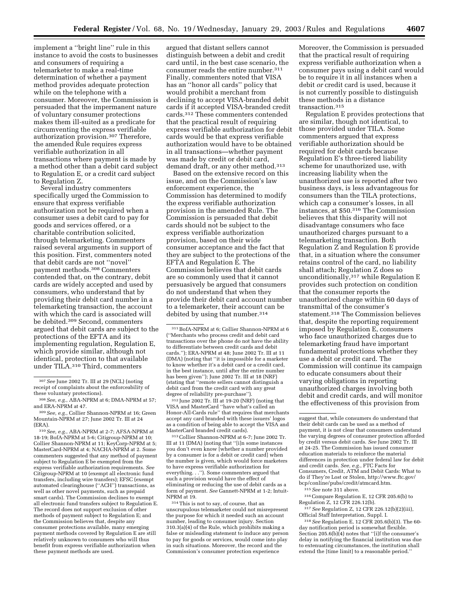implement a ''bright line'' rule in this instance to avoid the costs to businesses and consumers of requiring a telemarketer to make a real-time determination of whether a payment method provides adequate protection while on the telephone with a consumer. Moreover, the Commission is persuaded that the impermanent nature of voluntary consumer protections makes them ill-suited as a predicate for circumventing the express verifiable authorization provision.307 Therefore, the amended Rule requires express verifiable authorization in all transactions where payment is made by a method other than a debit card subject to Regulation E, or a credit card subject to Regulation Z.

Several industry commenters specifically urged the Commission to ensure that express verifiable authorization not be required when a consumer uses a debit card to pay for goods and services offered, or a charitable contribution solicited, through telemarketing. Commenters raised several arguments in support of this position. First, commenters noted that debit cards are not ''novel'' payment methods.308 Commenters contended that, on the contrary, debit cards are widely accepted and used by consumers, who understand that by providing their debit card number in a telemarketing transaction, the account with which the card is associated will be debited.309 Second, commenters argued that debit cards are subject to the protections of the EFTA and its implementing regulation, Regulation E, which provide similar, although not identical, protection to that available under TILA.310 Third, commenters

310*See, e.g.*, ABA-NPRM at 2-7; AFSA-NPRM at 18-19; BofA-NPRM at 5-6; Citigroup-NPRM at 10; Collier Shannon-NPRM at 11; KeyCorp-NPRM at 5; MasterCard-NPRM at 4; NACHA-NPRM at 2. Some commenters suggested that any method of payment subject to Regulation E be exempted from the express verifiable authorization requirements. *See* Citigroup-NPRM at 10 (exempt all electronic fund transfers, including wire transfers); EFSC (exempt automated clearinghouse (''ACH'') transactions, as well as other novel payments, such as prepaid smart cards). The Commission declines to exempt all electronic fund transfers subject to Regulation E. The record does not support exclusion of other methods of payment subject to Regulation E; and the Commission believes that, despite any consumer protections available, many emerging payment methods covered by Regulation E are still relatively unknown to consumers who will thus benefit from express verifiable authorization when these payment methods are used.

argued that distant sellers cannot distinguish between a debit and credit card until, in the best case scenario, the consumer reads the entire number.311 Finally, commenters noted that VISA has an ''honor all cards'' policy that would prohibit a merchant from declining to accept VISA-branded debit cards if it accepted VISA-branded credit cards.312 These commenters contended that the practical result of requiring express verifiable authorization for debit cards would be that express verifiable authorization would have to be obtained in all transactions—whether payment was made by credit or debit card, demand draft, or any other method.313

Based on the extensive record on this issue, and on the Commission's law enforcement experience, the Commission has determined to modify the express verifiable authorization provision in the amended Rule. The Commission is persuaded that debit cards should not be subject to the express verifiable authorization provision, based on their wide consumer acceptance and the fact that they are subject to the protections of the EFTA and Regulation E. The Commission believes that debit cards are so commonly used that it cannot persuasively be argued that consumers do not understand that when they provide their debit card account number to a telemarketer, their account can be debited by using that number.314

312 June 2002 Tr. III at 19-20 (NRF) (noting that VISA and MasterCard ''have what's called an Honor-All-Cards rule'' that requires that merchants accept any card branded with these issuers' logos as a condition of being able to accept the VISA and MasterCard branded credit cards).

313Collier Shannon-NPRM at 6-7; June 2002 Tr. III at 11 (DMA) (noting that ''[i]n some instances you don't even know [whether a number provided by a consumer is for a debit or credit card] when the number is given, which would force marketers to have express verifiable authorization for everything. . .''). Some commenters argued that such a provision would have the effect of eliminating or reducing the use of debit cards as a form of payment. *See* Gannett-NPRM at 1-2; Intuit-NPRM at 19.

314This is not to say, of course, that an unscrupulous telemarketer could not misrepresent the purpose for which it needed such an account number, leading to consumer injury. Section 310.3(a)(4) of the Rule, which prohibits making a false or misleading statement to induce any person to pay for goods or services, would come into play in such situations. Moreover, the record and the Commission's consumer protection experience

Moreover, the Commission is persuaded that the practical result of requiring express verifiable authorization when a consumer pays using a debit card would be to require it in all instances when a debit *or* credit card is used, because it is not currently possible to distinguish these methods in a distance transaction.315

Regulation E provides protections that are similar, though not identical, to those provided under TILA. Some commenters argued that express verifiable authorization should be required for debit cards because Regulation E's three-tiered liability scheme for unauthorized use, with increasing liability when the unauthorized use is reported after two business days, is less advantageous for consumers than the TILA protections, which cap a consumer's losses, in all instances, at \$50.316 The Commission believes that this disparity will not disadvantage consumers who face unauthorized charges pursuant to a telemarketing transaction. Both Regulation Z and Regulation E provide that, in a situation where the consumer retains control of the card, no liability shall attach; Regulation Z does so unconditionally,317 while Regulation E provides such protection on condition that the consumer reports the unauthorized charge within 60 days of transmittal of the consumer's statement.318 The Commission believes that, despite the reporting requirement imposed by Regulation E, consumers who face unauthorized charges due to telemarketing fraud have important fundamental protections whether they use a debit or credit card. The Commission will continue its campaign to educate consumers about their varying obligations in reporting unauthorized charges involving both debit and credit cards, and will monitor the effectiveness of this provision from

316Compare Regulation E, 12 CFR 205.6(b) to Regulation Z, 12 CFR 226.12(b).

317*See* Regulation Z, 12 CFR 226.12(b)(2)(iii), Official Staff Interpretation, Suppl. I.

318*See* Regulation E, 12 CFR 205.6(b)(3). The 60 day notification period is somewhat flexible. Section 205.6(b)(4) notes that "[i]f the consumer's delay in notifying the financial institution was due to extenuating circumstances, the institution shall extend the [time limit] to a reasonable period.''

<sup>307</sup>*See* June 2002 Tr. III at 29 (NCL) (noting receipt of complaints about the enforceability of these voluntary protections).

<sup>308</sup>*See, e.g.*, ABA-NPRM at 6; DMA-NPRM at 57; and ERA-NPRM at 47.

<sup>309</sup>*See, e.g.*, Collier Shannon-NPRM at 16; Green Mountain-NPRM at 27; June 2002 Tr. III at 24 (ERA).

<sup>311</sup>BofA-NPRM at 6; Collier Shannon-NPRM at 6 (''Merchants who process credit and debit card transactions over the phone do not have the ability to differentiate between credit cards and debit cards.''); ERA-NPRM at 48; June 2002 Tr. III at 11 (DMA) (noting that ''it is impossible for a marketer to know whether it's a debit card or a credit card, in the best instance, until after the entire number has been given''); June 2002 Tr. III at 18 (NRF) (stating that ''remote sellers cannot distinguish a debit card from the credit card with any great degree of reliability pre-purchase'').

suggest that, while consumers do understand that their debit cards can be used as a method of payment, it is not clear that consumers understand the varying degrees of consumer protection afforded by credit versus debit cards. *See* June 2002 Tr. III at 24-25. The Commission has issued consumer education materials to reinforce the material differences in protection under federal law for debit and credit cards. *See, e.g.*, FTC Facts for Consumers, Credit, ATM and Debit Cards: What to do if They're Lost or Stolen, http://www.ftc.gov/ bcp/conline/pubs/credit/atmcard.htm.

<sup>315</sup>*See* note 311 above.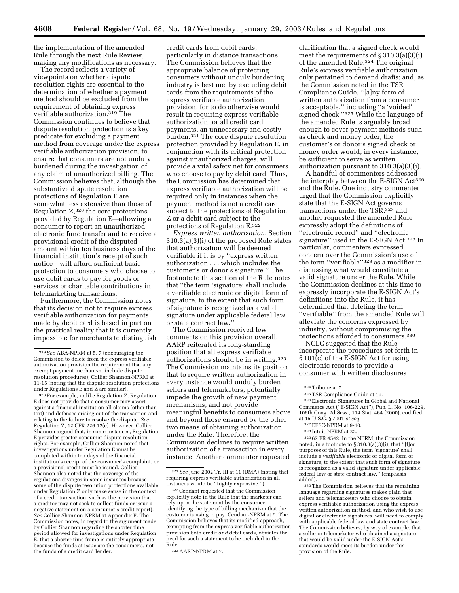the implementation of the amended Rule through the next Rule Review, making any modifications as necessary.

The record reflects a variety of viewpoints on whether dispute resolution rights are essential to the determination of whether a payment method should be excluded from the requirement of obtaining express verifiable authorization.319 The Commission continues to believe that dispute resolution protection is a key predicate for excluding a payment method from coverage under the express verifiable authorization provision, to ensure that consumers are not unduly burdened during the investigation of any claim of unauthorized billing. The Commission believes that, although the substantive dispute resolution protections of Regulation E are somewhat less extensive than those of Regulation Z,320 the core protections provided by Regulation E—allowing a consumer to report an unauthorized electronic fund transfer and to receive a provisional credit of the disputed amount within ten business days of the financial institution's receipt of such notice—will afford sufficient basic protection to consumers who choose to use debit cards to pay for goods or services or charitable contributions in telemarketing transactions.

Furthermore, the Commission notes that its decision not to require express verifiable authorization for payments made by debit card is based in part on the practical reality that it is currently impossible for merchants to distinguish

320For example, unlike Regulation Z, Regulation E does not provide that a consumer may assert against a financial institution all claims (other than tort) and defenses arising out of the transaction and relating to the failure to resolve the dispute. *See* Regulation Z, 12 CFR 226.12(c). However, Collier Shannon argued that, in some instances, Regulation E provides greater consumer dispute resolution rights. For example, Collier Shannon noted that investigations under Regulation E must be completed within ten days of the financial institution's receipt of the consumer's complaint, or a provisional credit must be issued. Collier Shannon also noted that the coverage of the regulations diverges in some instances because some of the dispute resolution protections available under Regulation Z only make sense in the context of a credit transaction, such as the provision that a creditor may not seek to collect funds or issue a negative statement on a consumer's credit report). *See* Collier Shannon-NPRM at Appendix F. The Commission notes, in regard to the argument made by Collier Shannon regarding the shorter time period allowed for investigations under Regulation E, that a shorter time frame is entirely appropriate because the funds at issue are the consumer's, not the funds of a credit card lender.

credit cards from debit cards, particularly in distance transactions. The Commission believes that the appropriate balance of protecting consumers without unduly burdening industry is best met by excluding debit cards from the requirements of the express verifiable authorization provision, for to do otherwise would result in requiring express verifiable authorization for all credit card payments, an unnecessary and costly burden.321 The core dispute resolution protection provided by Regulation E, in conjunction with its critical protection against unauthorized charges, will provide a vital safety net for consumers who choose to pay by debit card. Thus, the Commission has determined that express verifiable authorization will be required only in instances when the payment method is not a credit card subject to the protections of Regulation Z or a debit card subject to the protections of Regulation E.322

*Express written authorization.* Section 310.3(a)(3)(i) of the proposed Rule states that authorization will be deemed verifiable if it is by ''express written authorization . . . which includes the customer's or donor's signature.'' The footnote to this section of the Rule notes that ''the term 'signature' shall include a verifiable electronic or digital form of signature, to the extent that such form of signature is recognized as a valid signature under applicable federal law or state contract law.''

The Commission received few comments on this provision overall. AARP reiterated its long-standing position that all express verifiable authorizations should be in writing.323 The Commission maintains its position that to require written authorization in every instance would unduly burden sellers and telemarketers, potentially impede the growth of new payment mechanisms, and not provide meaningful benefits to consumers above and beyond those ensured by the other two means of obtaining authorization under the Rule. Therefore, the Commission declines to require written authorization of a transaction in every instance. Another commenter requested

clarification that a signed check would meet the requirements of § 310.3(a)(3)(i) of the amended Rule.324 The original Rule's express verifiable authorization only pertained to demand drafts; and, as the Commission noted in the TSR Compliance Guide, ''[a]ny form of written authorization from a consumer is acceptable,'' including ''a 'voided' signed check.''325 While the language of the amended Rule is arguably broad enough to cover payment methods such as check and money order, the customer's or donor's signed check or money order would, in every instance, be sufficient to serve as written authorization pursuant to 310.3(a)(3)(i).

A handful of commenters addressed the interplay between the E-SIGN Act<sup>326</sup> and the Rule. One industry commenter urged that the Commission explicitly state that the E-SIGN Act governs transactions under the TSR,327 and another requested the amended Rule expressly adopt the definitions of ''electronic record'' and ''electronic signature'' used in the E-SIGN Act.328 In particular, commenters expressed concern over the Commission's use of the term ''verifiable''329 as a modifier in discussing what would constitute a valid signature under the Rule. While the Commission declines at this time to expressly incorporate the E-SIGN Act's definitions into the Rule, it has determined that deleting the term ''verifiable'' from the amended Rule will alleviate the concerns expressed by industry, without compromising the protections afforded to consumers.330

NCLC suggested that the Rule incorporate the procedures set forth in § 101(c) of the E-SIGN Act for using electronic records to provide a consumer with written disclosures

326Electronic Signatures in Global and National Commerce Act (''E-SIGN Act''), Pub. L. No. 106-229, 106th Cong. 2d Sess., 114 Stat. 464 (2000), codified at 15 U.S.C. § 7001 *et seq.*

329 67 FR 4542. In the NPRM, the Commission noted, in a footnote to § 310.3(a)(3)(i), that ''[f]or purposes of this Rule, the term 'signature' shall include a *verifiable* electronic or digital form of signature, to the extent that such form of signature is recognized as a valid signature under applicable federal law or state contract law.'' (emphasis added).

330The Commission believes that the remaining language regarding signatures makes plain that sellers and telemarketers who choose to obtain express verifiable authorization using the express written authorization method, and who wish to use digital or electronic signatures, will need to comply with applicable federal law and state contract law. The Commission believes, by way of example, that a seller or telemarketer who obtained a signature that would be valid under the E-SIGN Act's standards would meet its burden under this provision of the Rule.

<sup>319</sup>*See* ABA-NPRM at 5, 7 (encouraging the Commission to delete from the express verifiable authorization provision the requirement that any exempt payment mechanism include dispute resolution procedures); Collier Shannon-NPRM at 11-15 (noting that the dispute resolution protections under Regulations E and Z are similar).

<sup>321</sup>*See* June 2002 Tr. III at 11 (DMA) (noting that requiring express verifiable authorization in all instances would be ''highly expensive.'').

<sup>322</sup>Cendant requested that the Commission explicitly note in the Rule that the marketer can rely upon the statement by the consumer identifying the type of billing mechanism that the customer is using to pay. Cendant-NPRM at 9. The Commission believes that its modified approach, exempting from the express verifiable authorization provision both credit *and* debit cards, obviates the need for such a statement to be included in the Rule.

<sup>323</sup>AARP-NPRM at 7.

<sup>324</sup>Tribune at 7.

<sup>325</sup>TSR Compliance Guide at 19.

<sup>327</sup>EFSC-NPRM at 9-10.

<sup>328</sup> Intuit-NPRM at 22.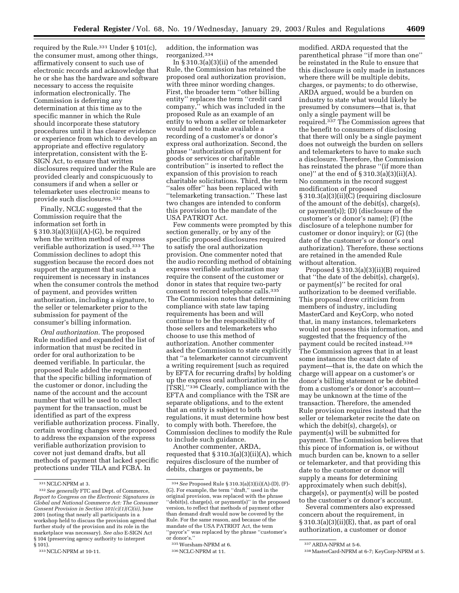required by the Rule. $331$  Under § 101(c), the consumer must, among other things, affirmatively consent to such use of electronic records and acknowledge that he or she has the hardware and software necessary to access the requisite information electronically. The Commission is deferring any determination at this time as to the specific manner in which the Rule should incorporate these statutory procedures until it has clearer evidence or experience from which to develop an appropriate and effective regulatory interpretation, consistent with the E-SIGN Act, to ensure that written disclosures required under the Rule are provided clearly and conspicuously to consumers if and when a seller or telemarketer uses electronic means to provide such disclosures.332

Finally, NCLC suggested that the Commission require that the information set forth in § 310.3(a)(3)(ii)(A)-(G), be required when the written method of express verifiable authorization is used.333 The Commission declines to adopt this suggestion because the record does not support the argument that such a requirement is necessary in instances when the consumer controls the method of payment, and provides written authorization, including a signature, to the seller or telemarketer prior to the submission for payment of the consumer's billing information.

*Oral authorization.* The proposed Rule modified and expanded the list of information that must be recited in order for oral authorization to be deemed verifiable. In particular, the proposed Rule added the requirement that the specific billing information of the customer or donor, including the name of the account and the account number that will be used to collect payment for the transaction, must be identified as part of the express verifiable authorization process. Finally, certain wording changes were proposed to address the expansion of the express verifiable authorization provision to cover not just demand drafts, but all methods of payment that lacked specific protections under TILA and FCBA. In

addition, the information was reorganized.334

In  $\S 310.3(a)(3)(ii)$  of the amended Rule, the Commission has retained the proposed oral authorization provision, with three minor wording changes. First, the broader term ''other billing entity'' replaces the term ''credit card company,'' which was included in the proposed Rule as an example of an entity to whom a seller or telemarketer would need to make available a recording of a customer's or donor's express oral authorization. Second, the phrase ''authorization of payment for goods or services or charitable contribution'' is inserted to reflect the expansion of this provision to reach charitable solicitations. Third, the term "sales offer" has been replaced with ''telemarketing transaction.'' These last two changes are intended to conform this provision to the mandate of the USA PATRIOT Act.

Few comments were prompted by this section generally, or by any of the specific proposed disclosures required to satisfy the oral authorization provision. One commenter noted that the audio recording method of obtaining express verifiable authorization may require the consent of the customer or donor in states that require two-party consent to record telephone calls.335 The Commission notes that determining compliance with state law taping requirements has been and will continue to be the responsibility of those sellers and telemarketers who choose to use this method of authorization. Another commenter asked the Commission to state explicitly that ''a telemarketer cannot circumvent a writing requirement [such as required by EFTA for recurring drafts] by holding up the express oral authorization in the [TSR].''336 Clearly, compliance with the EFTA and compliance with the TSR are separate obligations, and to the extent that an entity is subject to both regulations, it must determine how best to comply with both. Therefore, the Commission declines to modify the Rule to include such guidance.

Another commenter, ARDA, requested that  $\S 310.3(a)(3)(ii)(A)$ , which requires disclosure of the number of debits, charges or payments, be

modified. ARDA requested that the parenthetical phrase ''if more than one'' be reinstated in the Rule to ensure that this disclosure is only made in instances where there will be multiple debits, charges, or payments; to do otherwise, ARDA argued, would be a burden on industry to state what would likely be presumed by consumers—that is, that only a single payment will be required.337 The Commission agrees that the benefit to consumers of disclosing that there will only be a single payment does not outweigh the burden on sellers and telemarketers to have to make such a disclosure. Therefore, the Commission has reinstated the phrase ''(if more than one)" at the end of  $\S 310.3(a)(3)(ii)(A)$ . No comments in the record suggest modification of proposed § 310.3(a)(3)(ii)(C) (requiring disclosure of the amount of the debit(s), charge(s), or payment(s)); (D) (disclosure of the customer's or donor's name); (F) (the disclosure of a telephone number for customer or donor inquiry); or (G) (the date of the customer's or donor's oral authorization). Therefore, these sections are retained in the amended Rule without alteration.

Proposed § 310.3(a)(3)(ii)(B) required that ''the date of the debit(s), charge(s), or payment(s)'' be recited for oral authorization to be deemed verifiable. This proposal drew criticism from members of industry, including MasterCard and KeyCorp, who noted that, in many instances, telemarketers would not possess this information, and suggested that the frequency of the payment could be recited instead.338 The Commission agrees that in at least some instances the exact date of payment—that is, the date on which the charge will appear on a customer's or donor's billing statement or be debited from a customer's or donor's account may be unknown at the time of the transaction. Therefore, the amended Rule provision requires instead that the seller or telemarketer recite the date on which the debit(s), charge(s), or payment(s) will be submitted for payment. The Commission believes that this piece of information is, or without much burden can be, known to a seller or telemarketer, and that providing this date to the customer or donor will supply a means for determining approximately when such debit(s), charge(s), or payment(s) will be posted to the customer's or donor's account.

Several commenters also expressed concern about the requirement, in  $§ 310.3(a)(3)(ii)(E)$ , that, as part of oral authorization, a customer or donor

<sup>331</sup>NCLC-NPRM at 3.

<sup>332</sup>*See generally* FTC and Dept. of Commerce, *Report to Congress on the Electronic Signatures in Global and National Commerce Act: The Consumer Consent Provision in Section 101(c)(1)(C)(ii)*, June 2001 (noting that nearly all participants in a workshop held to discuss the provision agreed that further study of the provision and its role in the marketplace was necessary). *See also* E-SIGN Act § 104 (preserving agency authority to interpret § 101).

<sup>333</sup>NCLC-NPRM at 10-11.

<sup>334</sup>*See* Proposed Rule § 310.3(a)(3)(ii)(A)-(D), (F)- (G). For example, the term ''draft,'' used in the original provision, was replaced with the phrase ''debit(s), charge(s), or payment(s)'' in the proposed version, to reflect that methods of payment other than demand draft would now be covered by the Rule. For the same reason, and because of the mandate of the USA PATRIOT Act, the term ''payor's'' was replaced by the phrase ''customer's or donor's.''

<sup>335</sup>Worsham-NPRM at 6.

<sup>336</sup>NCLC-NPRM at 11.

<sup>337</sup>ARDA-NPRM at 5-6.

<sup>338</sup>MasterCard-NPRM at 6-7; KeyCorp-NPRM at 5.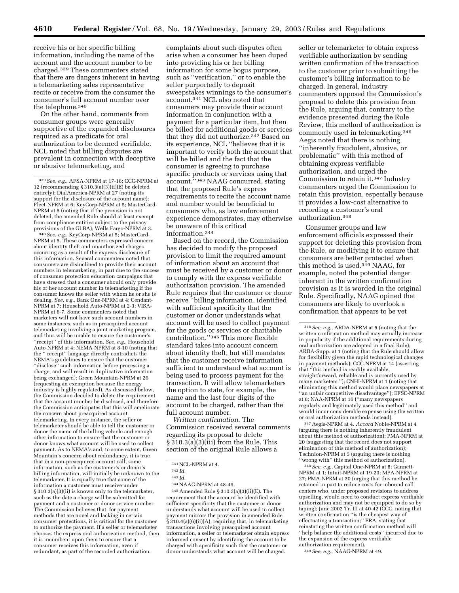receive his or her specific billing information, including the name of the account and the account number to be charged.339 These commenters stated that there are dangers inherent in having a telemarketing sales representative recite or receive from the consumer the consumer's full account number over the telephone.340

On the other hand, comments from consumer groups were generally supportive of the expanded disclosures required as a predicate for oral authorization to be deemed verifiable. NCL noted that billing disputes are prevalent in connection with deceptive or abusive telemarketing, and

340*See, e.g.*, KeyCorp-NPRM at 5; MasterCard-NPRM at 5. These commenters expressed concern about identity theft and unauthorized charges occurring as a result of the express disclosure of this information. Several commenters noted that consumers are disinclined to provide their account numbers in telemarketing, in part due to the success of consumer protection education campaigns that have stressed that a consumer should only provide his or her account number in telemarketing if the consumer knows the seller with whom he or she is dealing. *See, e.g.*, Bank One-NPRM at 4; Cendant-NPRM at 7; Household Auto-NPRM at 2-3; VISA-NPRM at 6-7. Some commenters noted that marketers will not have such account numbers in some instances, such as in preacquired account telemarketing involving a joint marketing program, and thus will be unable to ensure the customer's ''receipt'' of this information. *See, e.g.*, Household Auto-NPRM at 4; NEMA-NPRM at 8-10 (noting that the '' receipt'' language directly contradicts the NEMA's guidelines to ensure that the customer ''disclose'' such information before processing a charge, and will result in duplicative information being exchanged); Green Mountain-NPRM at 26 (requesting an exemption because the energy industry is highly regulated). As discussed below, the Commission decided to delete the requirement that the account number be disclosed, and therefore the Commission anticipates that this will ameliorate the concern about preacquired account telemarketing. In every instance, the seller or telemarketer should be able to tell the customer or donor the name of the billing vehicle and enough other information to ensure that the customer or donor knows what account will be used to collect payment. As to NEMA's and, to some extent, Green Mountain's concern about redundancy, it is true that in a non-preacquired account call, some information, such as the customer's or donor's billing information, will initially be unknown to the telemarketer. It is equally true that some of the information a customer must receive under § 310.3(a)(3)(ii) is known only to the telemarketer, such as the date a charge will be submitted for payment and a customer or donor service number. The Commission believes that, for payment methods that are novel and lacking in certain consumer protections, it is critical for the customer to authorize the payment. If a seller or telemarketer chooses the express oral authorization method, then it is incumbent upon them to ensure that a consumer receives this information, even if redundant, as part of the recorded authorization.

complaints about such disputes often arise when a consumer has been duped into providing his or her billing information for some bogus purpose, such as ''verification,'' or to enable the seller purportedly to deposit sweepstakes winnings to the consumer's account.341 NCL also noted that consumers may provide their account information in conjunction with a payment for a particular item, but then be billed for additional goods or services that they did not authorize.342 Based on its experience, NCL ''believes that it is important to verify both the account that will be billed and the fact that the consumer is agreeing to purchase specific products or services using that account.''343 NAAG concurred, stating that the proposed Rule's express requirements to recite the account name and number would be beneficial to consumers who, as law enforcement experience demonstrates, may otherwise be unaware of this critical information.344

Based on the record, the Commission has decided to modify the proposed provision to limit the required amount of information about an account that must be received by a customer or donor to comply with the express verifiable authorization provision. The amended Rule requires that the customer or donor receive ''billing information, identified with sufficient specificity that the customer or donor understands what account will be used to collect payment for the goods or services or charitable contribution.''345 This more flexible standard takes into account concern about identity theft, but still mandates that the customer receive information sufficient to understand what account is being used to process payment for the transaction. It will allow telemarketers the option to state, for example, the name and the last four digits of the account to be charged, rather than the full account number.

*Written confirmation.* The Commission received several comments regarding its proposal to delete § 310.3(a)(3)(iii) from the Rule. This section of the original Rule allows a

345Amended Rule § 310.3(a)(3)(ii)(E). The requirement that the account be identified with sufficient specificity that the customer or donor understands what account will be used to collect payment mirrors the provision in amended Rule § 310.4(a)(6)(ii)(A), requiring that, in telemarketing transactions involving preacquired account information, a seller or telemarketer obtain express informed consent by identifying the account to be charged with specificity such that the customer or donor understands what account will be charged.

seller or telemarketer to obtain express verifiable authorization by sending written confirmation of the transaction to the customer prior to submitting the customer's billing information to be charged. In general, industry commenters opposed the Commission's proposal to delete this provision from the Rule, arguing that, contrary to the evidence presented during the Rule Review, this method of authorization is commonly used in telemarketing.346 Aegis noted that there is nothing ''inherently fraudulent, abusive, or problematic'' with this method of obtaining express verifiable authorization, and urged the Commission to retain it.347 Industry commenters urged the Commission to retain this provision, especially because it provides a low-cost alternative to recording a customer's oral authorization.348

Consumer groups and law enforcement officials expressed their support for deleting this provision from the Rule, or modifying it to ensure that consumers are better protected when this method is used.349 NAAG, for example, noted the potential danger inherent in the written confirmation provision as it is worded in the original Rule. Specifically, NAAG opined that consumers are likely to overlook a confirmation that appears to be yet

347Aegis-NPRM at 4. *Accord* Noble-NPRM at 4 (arguing there is nothing inherently fraudulent about this method of authorization); PMA-NPRM at 20 (suggesting that the record does not support elimination of this method of authorization); Technion-NPRM at 5 (arguing there is nothing ''wrong with'' this method of authorization).

348*See, e.g.*, Capital One-NPRM at 8; Gannett-NPRM at 1; Intuit-NPRM at 19-20; MPA-NPRM at 27; PMA-NPRM at 20 (urging that this method be retained in part to reduce costs for inbound call centers who, under proposed revisions to address upselling, would need to conduct express verifiable authorization and may not be equipped to do so by taping); June 2002 Tr. III at 40-42 (CCC, noting that written confirmation "is the cheapest way of effectuating a transaction;'' ERA, stating that reinstating the written confirmation method will ''help balance the additional costs'' incurred due to the expansion of the express verifiable authorization requirement).

349*See, e.g.*, NAAG-NPRM at 49.

<sup>339</sup>*See, e.g.*, AFSA-NPRM at 17-18; CCC-NPRM at 12 (recommending § 310.3(a)(3)(ii)(E) be deleted entirely); DialAmerica-NPRM at 27 (noting its support for the disclosure of the account name); Fleet-NPRM at 6; KeyCorp-NPRM at 5; MasterCard-NPRM at 5 (noting that if the provision is not deleted, the amended Rule should at least exempt from compliance entities subject to the privacy provisions of the GLBA); Wells Fargo-NPRM at 3.

<sup>341</sup>NCL-NPRM at 4.

<sup>342</sup> *Id.*

<sup>343</sup> *Id.*

<sup>344</sup>NAAG-NPRM at 48-49.

<sup>346</sup>*See, e.g.*, ARDA-NPRM at 5 (noting that the written confirmation method may actually increase in popularity if the additional requirements during oral authorization are adopted in a final Rule); ARDA-Supp. at 1 (noting that the Rule should allow for flexibility given the rapid technological changes in payment methods); CCC-NPRM at 14 (asserting that ''this method is readily available, straightforward, reliable and is currently used by many marketers.''); CNHI-NPRM at 1 (noting that eliminating this method would place newspapers at ''an unfair competitive disadvantage''); EFSC-NPRM at 8; NAA-NPRM at 16 (''many newspapers regularly and legitimately used this method'' and would incur considerable expense using the written or oral authorization methods instead).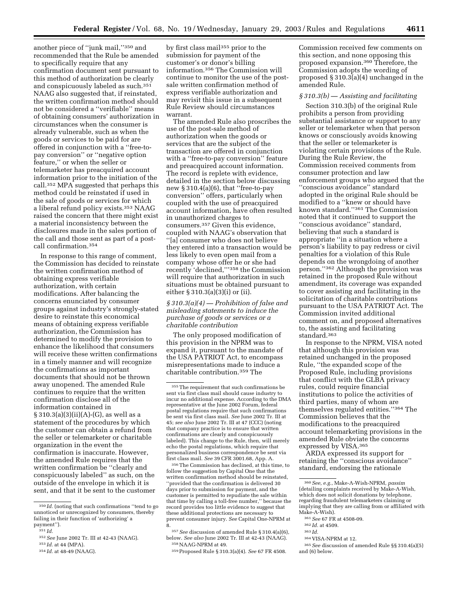another piece of ''junk mail,''350 and recommended that the Rule be amended to specifically require that any confirmation document sent pursuant to this method of authorization be clearly and conspicuously labeled as such.351 NAAG also suggested that, if reinstated, the written confirmation method should not be considered a ''verifiable'' means of obtaining consumers' authorization in circumstances when the consumer is already vulnerable, such as when the goods or services to be paid for are offered in conjunction with a ''free-topay conversion'' or ''negative option feature,'' or when the seller or telemarketer has preacquired account information prior to the initiation of the call.352 MPA suggested that perhaps this method could be reinstated if used in the sale of goods or services for which a liberal refund policy exists.353 NAAG raised the concern that there might exist a material inconsistency between the disclosures made in the sales portion of the call and those sent as part of a postcall confirmation.354

In response to this range of comment, the Commission has decided to reinstate the written confirmation method of obtaining express verifiable authorization, with certain modifications. After balancing the concerns enunciated by consumer groups against industry's strongly-stated desire to reinstate this economical means of obtaining express verifiable authorization, the Commission has determined to modify the provision to enhance the likelihood that consumers will receive these written confirmations in a timely manner and will recognize the confirmations as important documents that should not be thrown away unopened. The amended Rule continues to require that the written confirmation disclose all of the information contained in § 310.3(a)(3)(ii)(A)-(G), as well as a statement of the procedures by which the customer can obtain a refund from the seller or telemarketer or charitable organization in the event the confirmation is inaccurate. However, the amended Rule requires that the written confirmation be ''clearly and conspicuously labeled'' as such, on the outside of the envelope in which it is sent, and that it be sent to the customer

350 *Id.* (noting that such confirmations ''tend to go unnoticed or unrecognized by consumers, thereby failing in their function of 'authorizing' a payment'').

by first class mail<sup>355</sup> prior to the submission for payment of the customer's or donor's billing information.356 The Commission will continue to monitor the use of the postsale written confirmation method of express verifiable authorization and may revisit this issue in a subsequent Rule Review should circumstances warrant.

The amended Rule also proscribes the use of the post-sale method of authorization when the goods or services that are the subject of the transaction are offered in conjunction with a ''free-to-pay conversion'' feature and preacquired account information. The record is replete with evidence, detailed in the section below discussing new § 310.4(a)(6), that ''free-to-pay conversion'' offers, particularly when coupled with the use of preacquired account information, have often resulted in unauthorized charges to consumers.357 Given this evidence, coupled with NAAG's observation that ''[a] consumer who does not believe they entered into a transaction would be less likely to even open mail from a company whose offer he or she had recently 'declined,'''358 the Commission will require that authorization in such situations must be obtained pursuant to either § 310.3(a)(3)(i) or (ii).

# *§ 310.3(a)(4) — Prohibition of false and misleading statements to induce the purchase of goods or services or a charitable contribution*

The only proposed modification of this provision in the NPRM was to expand it, pursuant to the mandate of the USA PATRIOT Act, to encompass misrepresentations made to induce a charitable contribution.359 The

356The Commission has declined, at this time, to follow the suggestion by Capital One that the written confirmation method should be reinstated, ''provided that the confirmation is delivered 30 days prior to submission for payment, and the customer is permitted to repudiate the sale within that time by calling a toll-free number,'' because the record provides too little evidence to suggest that these additional protections are necessary to prevent consumer injury. *See* Capital One-NPRM at 8.

357*See* discussion of amended Rule § 310.4(a)(6), below. *See also* June 2002 Tr. III at 42-43 (NAAG). 358NAAG-NPRM at 49.

359Proposed Rule § 310.3(a)(4). *See* 67 FR 4508.

Commission received few comments on this section, and none opposing this proposed expansion.360 Therefore, the Commission adopts the wording of proposed § 310.3(a)(4) unchanged in the amended Rule.

#### *§ 310.3(b) — Assisting and facilitating*

Section 310.3(b) of the original Rule prohibits a person from providing substantial assistance or support to any seller or telemarketer when that person knows or consciously avoids knowing that the seller or telemarketer is violating certain provisions of the Rule. During the Rule Review, the Commission received comments from consumer protection and law enforcement groups who argued that the ''conscious avoidance'' standard adopted in the original Rule should be modified to a ''knew or should have known standard.''361 The Commission noted that it continued to support the ''conscious avoidance'' standard, believing that such a standard is appropriate ''in a situation where a person's liability to pay redress or civil penalties for a violation of this Rule depends on the wrongdoing of another person.''362 Although the provision was retained in the proposed Rule without amendment, its coverage was expanded to cover assisting and facilitating in the solicitation of charitable contributions pursuant to the USA PATRIOT Act. The Commission invited additional comment on, and proposed alternatives to, the assisting and facilitating standard.363

In response to the NPRM, VISA noted that although this provision was retained unchanged in the proposed Rule, ''the expanded scope of the Proposed Rule, including provisions that conflict with the GLBA privacy rules, could require financial institutions to police the activities of third parties, many of whom are themselves regulated entities.''364 The Commission believes that the modifications to the preacquired account telemarketing provisions in the amended Rule obviate the concerns expressed by VISA.365

ARDA expressed its support for retaining the ''conscious avoidance'' standard, endorsing the rationale

- 362 *Id.* at 4509.
	- 363 *Id.*
	- 364 VISA-NPRM at 12.

<sup>351</sup> *Id.*

<sup>352</sup>*See* June 2002 Tr. III at 42-43 (NAAG).

<sup>353</sup> *Id.* at 44 (MPA).

<sup>354</sup> *Id.* at 48-49 (NAAG).

<sup>355</sup>The requirement that such confirmations be sent via first class mail should cause industry to incur no additional expense. According to the DMA representative at the June 2002 Forum, federal postal regulations require that such confirmations be sent via first class mail. *See* June 2002 Tr. III at 45; *see also* June 2002 Tr. III at 47 (CCC) (noting that company practice is to ensure that written confirmations are clearly and conspicuously labeled). This change to the Rule, then, will merely echo the postal regulations, which require that personalized business correspondence be sent via first class mail. *See* 39 CFR 3001.68, App. A.

<sup>360</sup>*See, e.g.*, Make-A-Wish-NPRM, *passim* (detailing complaints received by Make-A-Wish, which does not solicit donations by telephone, regarding fraudulent telemarketers claiming or implying that they are calling from or affiliated with Make-A-Wish).

<sup>361</sup>*See* 67 FR at 4508-09.

<sup>365</sup>*See* discussion of amended Rule §§ 310.4(a)(5) and (6) below.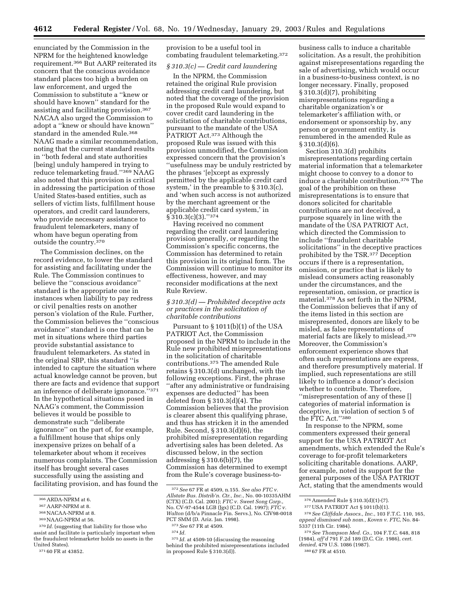enunciated by the Commission in the NPRM for the heightened knowledge requirement.366 But AARP reiterated its concern that the conscious avoidance standard places too high a burden on law enforcement, and urged the Commission to substitute a ''knew or should have known'' standard for the assisting and facilitating provision.367 NACAA also urged the Commission to adopt a ''knew or should have known'' standard in the amended Rule.<sup>368</sup> NAAG made a similar recommendation, noting that the current standard results in ''both federal and state authorities [being] unduly hampered in trying to reduce telemarketing fraud.''369 NAAG also noted that this provision is critical in addressing the participation of those United States-based entities, such as sellers of victim lists, fulfillment house operators, and credit card launderers, who provide necessary assistance to fraudulent telemarketers, many of whom have begun operating from outside the country.370

The Commission declines, on the record evidence, to lower the standard for assisting and facilitating under the Rule. The Commission continues to believe the ''conscious avoidance'' standard is the appropriate one in instances when liability to pay redress or civil penalties rests on another person's violation of the Rule. Further, the Commission believes the ''conscious avoidance'' standard is one that can be met in situations where third parties provide substantial assistance to fraudulent telemarketers. As stated in the original SBP, this standard ''is intended to capture the situation where actual knowledge cannot be proven, but there are facts and evidence that support an inference of deliberate ignorance.''371 In the hypothetical situations posed in NAAG's comment, the Commission believes it would be possible to demonstrate such ''deliberate ignorance'' on the part of, for example, a fulfillment house that ships only inexpensive prizes on behalf of a telemarketer about whom it receives numerous complaints. The Commission itself has brought several cases successfully using the assisting and facilitating provision, and has found the

 $^{369}\rm NAAG\mbox{-}NPRM$  at 56.

371 60 FR at 43852.

provision to be a useful tool in combating fraudulent telemarketing.372

# *§ 310.3(c) — Credit card laundering*

In the NPRM, the Commission retained the original Rule provision addressing credit card laundering, but noted that the coverage of the provision in the proposed Rule would expand to cover credit card laundering in the solicitation of charitable contributions, pursuant to the mandate of the USA PATRIOT Act.<sup>373</sup> Although the proposed Rule was issued with this provision unmodified, the Commission expressed concern that the provision's ''usefulness may be unduly restricted by the phrases '[e]xcept as expressly permitted by the applicable credit card system,' in the preamble to § 310.3(c), and 'when such access is not authorized by the merchant agreement or the applicable credit card system,' in  $\S 310.3(c)(3)$ ."374

Having received no comment regarding the credit card laundering provision generally, or regarding the Commission's specific concerns, the Commission has determined to retain this provision in its original form. The Commission will continue to monitor its effectiveness, however, and may reconsider modifications at the next Rule Review.

# *§ 310.3(d) — Prohibited deceptive acts or practices in the solicitation of charitable contributions*

Pursuant to § 1011(b)(1) of the USA PATRIOT Act, the Commission proposed in the NPRM to include in the Rule new prohibited misrepresentations in the solicitation of charitable contributions.375 The amended Rule retains § 310.3(d) unchanged, with the following exceptions. First, the phrase ''after any administrative or fundraising expenses are deducted'' has been deleted from § 310.3(d)(4). The Commission believes that the provision is clearer absent this qualifying phrase, and thus has stricken it in the amended Rule. Second, § 310.3(d)(6), the prohibited misrepresentation regarding advertising sales has been deleted. As discussed below, in the section addressing § 310.6(b)(7), the Commission has determined to exempt from the Rule's coverage business-to-

373*See* 67 FR at 4509.

business calls to induce a charitable solicitation. As a result, the prohibition against misrepresentations regarding the sale of advertising, which would occur in a business-to-business context, is no longer necessary. Finally, proposed § 310.3(d)(7), prohibiting misrepresentations regarding a charitable organization's or telemarketer's affiliation with, or endorsement or sponsorship by, any person or government entity, is renumbered in the amended Rule as § 310.3(d)(6).

Section 310.3(d) prohibits misrepresentations regarding certain material information that a telemarketer might choose to convey to a donor to induce a charitable contribution.376 The goal of the prohibition on these misrepresentations is to ensure that donors solicited for charitable contributions are not deceived, a purpose squarely in line with the mandate of the USA PATRIOT Act, which directed the Commission to include ''fraudulent charitable solicitations'' in the deceptive practices prohibited by the TSR.377 Deception occurs if there is a representation, omission, or practice that is likely to mislead consumers acting reasonably under the circumstances, and the representation, omission, or practice is material.378 As set forth in the NPRM, the Commission believes that if any of the items listed in this section are misrepresented, donors are likely to be misled, as false representations of material facts are likely to mislead.379 Moreover, the Commission's enforcement experience shows that often such representations are express, and therefore presumptively material. If implied, such representations are still likely to influence a donor's decision whether to contribute. Therefore, ''misrepresentation of any of these [] categories of material information is deceptive, in violation of section 5 of the FTC Act.''380

In response to the NPRM, some commenters expressed their general support for the USA PATRIOT Act amendments, which extended the Rule's coverage to for-profit telemarketers soliciting charitable donations. AARP, for example, noted its support for the general purposes of the USA PATRIOT Act, stating that the amendments would

379*See Thompson Med. Co.*, 104 F.T.C. 648, 818 (1984), *aff'd* 791 F.2d 189 (D.C. Cir. 1986), *cert.* 

<sup>366</sup>ARDA-NPRM at 6.

<sup>367</sup>AARP-NPRM at 8.

<sup>368</sup>NACAA-NPRM at 8.

<sup>370</sup> *Id.* (suggesting that liability for those who assist and facilitate is particularly important when the fraudulent telemarketer holds no assets in the United States).

<sup>372</sup>*See* 67 FR at 4509, n.155. *See also FTC v. Allstate Bus. Distrib'n. Ctr., Inc.*, No. 00-10335AHM (CTX) (C.D. Cal. 2001); *FTC v. Sweet Song Corp.*, No. CV-97-4544 LGB (Jgx) (C.D. Cal. 1997); *FTC v. Walton* (d/b/a Pinnacle Fin. Servs.), No. CIV98-0018 PCT SMM (D. Ariz. Jan. 1998).

<sup>374</sup> *Id.*

 $\,^{375}$   $Id.$  at 4509-10 (discussing the reasoning behind the prohibited misrepresentations included in proposed Rule § 310.3(d)).

<sup>376</sup>Amended Rule § 310.3(d)(1)-(7).

<sup>377</sup>USA PATRIOT Act § 1011(b)(1).

<sup>378</sup>*See Cliffdale Assocs., Inc.*, 103 F.T.C. 110, 165, *appeal dismissed sub nom., Koven v. FTC*, No. 84- 5337 (11th Cir. 1984).

*denied*, 479 U.S. 1086 (1987). 380 67 FR at 4510.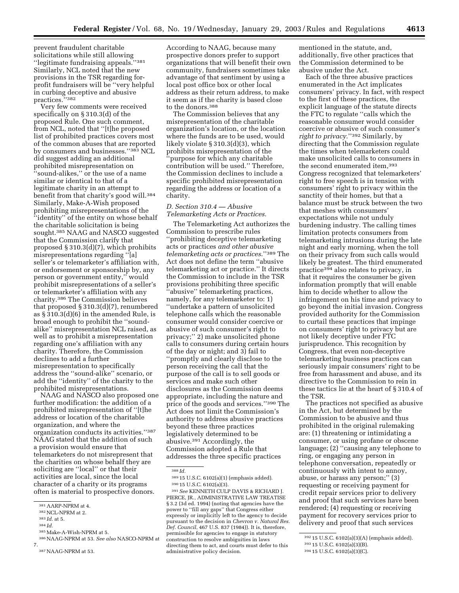prevent fraudulent charitable solicitations while still allowing ''legitimate fundraising appeals.''381 Similarly, NCL noted that the new provisions in the TSR regarding forprofit fundraisers will be ''very helpful in curbing deceptive and abusive practices.''382

Very few comments were received specifically on § 310.3(d) of the proposed Rule. One such comment, from NCL, noted that ''[t]he proposed list of prohibited practices covers most of the common abuses that are reported by consumers and businesses.''383 NCL did suggest adding an additional prohibited misrepresentation on 'sound-alikes," or the use of a name similar or identical to that of a legitimate charity in an attempt to benefit from that charity's good will.384 Similarly, Make-A-Wish proposed prohibiting misrepresentations of the ''identity'' of the entity on whose behalf the charitable solicitation is being sought.385 NAAG and NASCO suggested that the Commission clarify that proposed § 310.3(d)(7), which prohibits misrepresentations regarding ''[a] seller's or telemarketer's affiliation with, or endorsement or sponsorship by, any person or government entity,'' would prohibit misrepresentations of a seller's or telemarketer's affiliation with any charity.386 The Commission believes that proposed § 310.3(d)(7), renumbered as § 310.3(d)(6) in the amended Rule, is broad enough to prohibit the ''soundalike'' misrepresentation NCL raised, as well as to prohibit a misrepresentation regarding one's affiliation with any charity. Therefore, the Commission declines to add a further misrepresentation to specifically address the ''sound-alike'' scenario, or add the ''identity'' of the charity to the prohibited misrepresentations.

NAAG and NASCO also proposed one further modification: the addition of a prohibited misrepresentation of ''[t]he address or location of the charitable organization, and where the organization conducts its activities.''387 NAAG stated that the addition of such a provision would ensure that telemarketers do not misrepresent that the charities on whose behalf they are soliciting are ''local'' or that their activities are local, since the local character of a charity or its programs often is material to prospective donors.

384 *Id.*

According to NAAG, because many prospective donors prefer to support organizations that will benefit their own community, fundraisers sometimes take advantage of that sentiment by using a local post office box or other local address as their return address, to make it seem as if the charity is based close to the donors.388

The Commission believes that any misrepresentation of the charitable organization's location, or the location where the funds are to be used, would likely violate § 310.3(d)(3), which prohibits misrepresentation of the 'purpose for which any charitable contribution will be used.'' Therefore, the Commission declines to include a specific prohibited misrepresentation regarding the address or location of a charity.

# *D. Section 310.4 — Abusive Telemarketing Acts or Practices.*

The Telemarketing Act authorizes the Commission to prescribe rules ''prohibiting deceptive telemarketing acts or practices *and other abusive telemarketing acts or practices*.''389 The Act does not define the term ''abusive telemarketing act or practice.'' It directs the Commission to include in the TSR provisions prohibiting three specific 'abusive" telemarketing practices, namely, for any telemarketer to: 1) ''undertake a pattern of unsolicited telephone calls which the reasonable consumer would consider coercive or abusive of such consumer's right to privacy;'' 2) make unsolicited phone calls to consumers during certain hours of the day or night; and 3) fail to ''promptly and clearly disclose to the person receiving the call that the purpose of the call is to sell goods or services and make such other disclosures as the Commission deems appropriate, including the nature and price of the goods and services.''390 The Act does not limit the Commission's authority to address abusive practices beyond these three practices legislatively determined to be abusive.391 Accordingly, the Commission adopted a Rule that addresses the three specific practices

mentioned in the statute, and, additionally, five other practices that the Commission determined to be abusive under the Act.

Each of the three abusive practices enumerated in the Act implicates consumers' privacy. In fact, with respect to the first of these practices, the explicit language of the statute directs the FTC to regulate ''calls which the reasonable consumer would consider coercive or abusive of such consumer's *right to privacy*.''392 Similarly, by directing that the Commission regulate the times when telemarketers could make unsolicited calls to consumers in the second enumerated item,393 Congress recognized that telemarketers' right to free speech is in tension with consumers' right to privacy within the sanctity of their homes, but that a balance must be struck between the two that meshes with consumers' expectations while not unduly burdening industry. The calling times limitation protects consumers from telemarketing intrusions during the late night and early morning, when the toll on their privacy from such calls would likely be greatest. The third enumerated practice394 also relates to privacy, in that it requires the consumer be given information promptly that will enable him to decide whether to allow the infringement on his time and privacy to go beyond the initial invasion. Congress provided authority for the Commission to curtail these practices that impinge on consumers' right to privacy but are not likely deceptive under FTC jurisprudence. This recognition by Congress, that even non-deceptive telemarketing business practices can seriously impair consumers' right to be free from harassment and abuse, and its directive to the Commission to rein in these tactics lie at the heart of § 310.4 of the TSR.

The practices not specified as abusive in the Act, but determined by the Commission to be abusive and thus prohibited in the original rulemaking are: (1) threatening or intimidating a consumer, or using profane or obscene language; (2) ''causing any telephone to ring, or engaging any person in telephone conversation, repeatedly or continuously with intent to annoy, abuse, or harass any person;'' (3) requesting or receiving payment for credit repair services prior to delivery and proof that such services have been rendered; (4) requesting or receiving payment for recovery services prior to delivery and proof that such services

<sup>381</sup>AARP-NPRM at 4.

<sup>382</sup>NCL-NPRM at 2.

<sup>383</sup> *Id.* at 5.

<sup>385</sup>Make-A-Wish-NPRM at 5.

<sup>386</sup>NAAG-NPRM at 53. *See also* NASCO-NPRM at 7.

<sup>387</sup>NAAG-NPRM at 53.

<sup>388</sup> *Id.*

<sup>389</sup> 15 U.S.C. 6102(a)(1) (emphasis added).

<sup>390</sup> 15 U.S.C. 6102(a)(3).

<sup>391</sup>*See* KENNETH CULP DAVIS & RICHARD J. PIERCE, JR., ADMINISTRATIVE LAW TREATISE § 3.2 (3d ed. 1994) (noting that agencies have the power to ''fill any gaps'' that Congress either expressly or implicitly left to the agency to decide pursuant to the decision in *Chevron v. Natural Res. Def. Council*, 467 U.S. 837 (1984)). It is, therefore, permissible for agencies to engage in statutory construction to resolve ambiguities in laws directing them to act, and courts must defer to this administrative policy decision.

<sup>392</sup> 15 U.S.C. 6102(a)(3)(A) (emphasis added). 393 15 U.S.C. 6102(a)(3)(B).

<sup>394</sup> 15 U.S.C. 6102(a)(3)(C).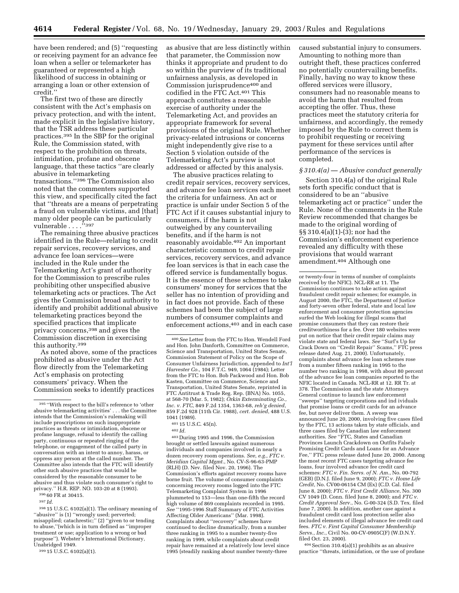have been rendered; and (5) ''requesting or receiving payment for an advance fee loan when a seller or telemarketer has guaranteed or represented a high likelihood of success in obtaining or arranging a loan or other extension of credit.''

The first two of these are directly consistent with the Act's emphasis on privacy protection, and with the intent, made explicit in the legislative history, that the TSR address these particular practices.395 In the SBP for the original Rule, the Commission stated, with respect to the prohibition on threats, intimidation, profane and obscene language, that these tactics ''are clearly abusive in telemarketing transactions.''396 The Commission also noted that the commenters supported this view, and specifically cited the fact that ''threats are a means of perpetrating a fraud on vulnerable victims, and [that] many older people can be particularly vulnerable  $\ldots$ <sup>5397</sup>

The remaining three abusive practices identified in the Rule—relating to credit repair services, recovery services, and advance fee loan services—were included in the Rule under the Telemarketing Act's grant of authority for the Commission to prescribe rules prohibiting other unspecified abusive telemarketing acts or practices. The Act gives the Commission broad authority to identify and prohibit additional abusive telemarketing practices beyond the specified practices that implicate privacy concerns,398 and gives the Commission discretion in exercising this authority.399

As noted above, some of the practices prohibited as abusive under the Act flow directly from the Telemarketing Act's emphasis on protecting consumers' privacy. When the Commission seeks to identify practices

398 15 U.S.C. 6102(a)(1). The ordinary meaning of ''abusive'' is (1) ''wrongly used; perverted; misapplied; catachrestic;'' (2) ''given to or tending to abuse,''(which is in turn defined as ''improper treatment or use; application to a wrong or bad purpose''). Webster's International Dictionary, Unabridged 1949.

as abusive that are less distinctly within that parameter, the Commission now thinks it appropriate and prudent to do so within the purview of its traditional unfairness analysis, as developed in Commission jurisprudence400 and codified in the FTC Act.<sup>401</sup> This approach constitutes a reasonable exercise of authority under the Telemarketing Act, and provides an appropriate framework for several provisions of the original Rule. Whether privacy-related intrusions or concerns might independently give rise to a Section 5 violation outside of the Telemarketing Act's purview is not addressed or affected by this analysis.

The abusive practices relating to credit repair services, recovery services, and advance fee loan services each meet the criteria for unfairness. An act or practice is unfair under Section 5 of the FTC Act if it causes substantial injury to consumers, if the harm is not outweighed by any countervailing benefits, and if the harm is not reasonably avoidable.402 An important characteristic common to credit repair services, recovery services, and advance fee loan services is that in each case the offered service is fundamentally bogus. It is the essence of these schemes to take consumers' money for services that the seller has no intention of providing and in fact does not provide. Each of these schemes had been the subject of large numbers of consumer complaints and enforcement actions,403 and in each case

401 15 U.S.C. 45(n).

402 *Id.*

403 During 1995 and 1996, the Commission brought or settled lawsuits against numerous individuals and companies involved in nearly a dozen recovery room operations. *See, e.g., FTC v. Meridian Capital Mgmt.*, No. CV-S-96-63-PMP (RLH) (D. Nev. filed Nov. 20, 1996). The Commission's efforts against recovery rooms have borne fruit. The volume of consumer complaints concerning recovery rooms logged into the FTC Telemarketing Complaint System in 1996 plummeted to 153—less than one-fifth the record high volume of 869 complaints recorded in 1995. *See* ''1995-1996 Staff Summary of FTC Activities Affecting Older Americans'' (Mar. 1998). Complaints about ''recovery'' schemes have continued to decline dramatically, from a number three ranking in 1995 to a number twenty-five ranking in 1999, while complaints about credit repair have remained at a relatively low level since 1995 (steadily ranking about number twenty-three

caused substantial injury to consumers. Amounting to nothing more than outright theft, these practices conferred no potentially countervailing benefits. Finally, having no way to know these offered services were illusory, consumers had no reasonable means to avoid the harm that resulted from accepting the offer. Thus, these practices meet the statutory criteria for unfairness, and accordingly, the remedy imposed by the Rule to correct them is to prohibit requesting or receiving payment for these services until after performance of the services is completed.

#### *§ 310.4(a) — Abusive conduct generally*

Section 310.4(a) of the original Rule sets forth specific conduct that is considered to be an ''abusive telemarketing act or practice'' under the Rule. None of the comments in the Rule Review recommended that changes be made to the original wording of §§ 310.4(a)(1)-(3); nor had the Commission's enforcement experience revealed any difficulty with these provisions that would warrant amendment.404 Although one

 $404$  Section 310.4(a)(1) prohibits as an abusive practice ''threats, intimidation, or the use of profane

<sup>395</sup> ''With respect to the bill's reference to 'other abusive telemarketing activities' . . . the Committee intends that the Commission's rulemaking will include proscriptions on such inappropriate practices as threats or intimidation, obscene or profane language, refusal to identify the calling party, continuous or repeated ringing of the telephone, or engagement of the called party in conversation with an intent to annoy, harass, or oppress any person at the called number. The Committee also intends that the FTC will identify other such abusive practices that would be considered by the reasonable consumer to be abusive and thus violate such consumer's right to privacy.'' H.R. REP. NO. 103-20 at 8 (1993).

<sup>396</sup> 60 FR at 30415.

<sup>397</sup> *Id.*

<sup>399</sup> 15 U.S.C. 6102(a)(1).

<sup>400</sup>*See* Letter from the FTC to Hon. Wendell Ford and Hon. John Danforth, Committee on Commerce, Science and Transportation, United States Senate, Commission Statement of Policy on the Scope of Consumer Unfairness Jurisdiction, appended to *Int'l Harvester Co.*, 104 F.T.C. 949, 1064 (1984); Letter from the FTC to Hon. Bob Packwood and Hon. Bob Kasten, Committee on Commerce, Science and Transportation, United States Senate, reprinted in FTC Antitrust & Trade Reg. Rep. (BNA) No. 1055, at 568-70 (Mar. 5, 1982); *Orkin Exterminating Co., Inc. v. FTC*, 849 F.2d 1354, 1363-68, *reh'g denied*, 859 F.2d 928 (11th Cir. 1988), *cert. denied*, 488 U.S. 1041 (1989).

or twenty-four in terms of number of complaints received by the NFIC). NCL-RR at 11. The Commission continues to take action against fraudulent credit repair schemes; for example, in August 2000, the FTC, the Department of Justice and forty-seven other federal, state and local law enforcement and consumer protection agencies surfed the Web looking for illegal scams that promise consumers that they can restore their creditworthiness for a fee. Over 180 websites were put on notice that their credit repair claims may violate state and federal laws. *See* ''Surf's Up for Crack Down on ''Credit Repair'' Scams,'' FTC press release dated Aug. 21, 2000). Unfortunately, complaints about advance fee loan schemes rose from a number fifteen ranking in 1995 to the number two ranking in 1998, with about 80 percent of the advance fee loan companies reported to the NFIC located in Canada. NCL-RR at 12. RR Tr. at 378. The Commission and the state Attorneys General continue to launch law enforcement ''sweeps'' targeting corporations and ind ividuals that promise loans or credit cards for an advance fee, but never deliver them. A sweep was announced June 20, 2000, involving five cases filed by the FTC, 13 actions taken by state officials, and three cases filed by Canadian law enforcement authorities. See "FTC, States and Canadian Provinces Launch Crackdown on Outfits Falsely Promising Credit Cards and Loans for an Advance Fee,'' FTC press release dated June 20, 2000. Among the most recent FTC cases targeting advance fee loans, four involved advance fee credit card schemes: *FTC v. Fin. Servs. of N. Am.*, No. 00-792 (GEB) (D.N.J. filed June 9, 2000); *FTC v. Home Life Credit*, No. CV00-06154 CM (Ex) (C.D. Cal. filed June 8, 2000); *FTC v. First Credit Alliance*, No. 300 CV 1049 (D. Conn. filed June 8, 2000); and *FTC v. Credit Approval Serv.*, No. G-00-324 (S.D. Tex. filed June 7, 2000). In addition, another case against a fraudulent credit card loss protection seller also included elements of illegal advance fee credit card fees. *FTC v. First Capital Consumer Membership Servs., Inc.*, Civil No. 00-CV-0905C(F) (W.D.N.Y. filed Oct. 23, 2000).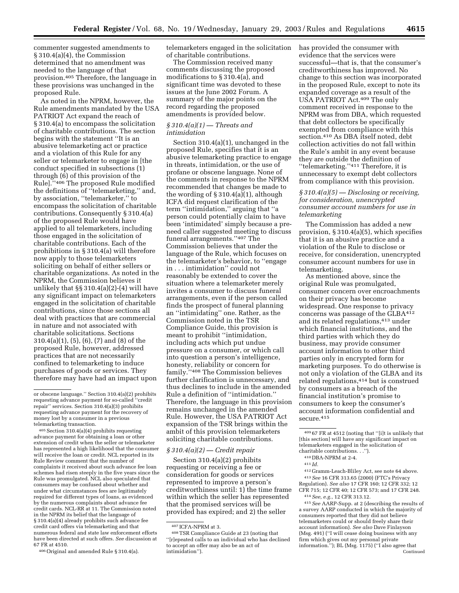commenter suggested amendments to § 310.4(a)(4), the Commission determined that no amendment was needed to the language of that provision.405 Therefore, the language in these provisions was unchanged in the proposed Rule.

As noted in the NPRM, however, the Rule amendments mandated by the USA PATRIOT Act expand the reach of § 310.4(a) to encompass the solicitation of charitable contributions. The section begins with the statement ''It is an abusive telemarketing act or practice and a violation of this Rule for any seller or telemarketer to engage in [the conduct specified in subsections (1) through (6) of this provision of the Rule].''406 The proposed Rule modified the definitions of ''telemarketing,'' and, by association, ''telemarketer,'' to encompass the solicitation of charitable contributions. Consequently § 310.4(a) of the proposed Rule would have applied to all telemarketers, including those engaged in the solicitation of charitable contributions. Each of the prohibitions in § 310.4(a) will therefore now apply to those telemarketers soliciting on behalf of either sellers or charitable organizations. As noted in the NPRM, the Commission believes it unlikely that  $\S$  310.4(a)(2)-(4) will have any significant impact on telemarketers engaged in the solicitation of charitable contributions, since those sections all deal with practices that are commercial in nature and not associated with charitable solicitations. Sections 310.4(a)(1), (5), (6), (7) and (8) of the proposed Rule, however, addressed practices that are not necessarily confined to telemarketing to induce purchases of goods or services. They therefore may have had an impact upon

405Section 310.4(a)(4) prohibits requesting advance payment for obtaining a loan or other extension of credit when the seller or telemarketer has represented a high likelihood that the consumer will receive the loan or credit. NCL reported in its Rule Review comment that the number of complaints it received about such advance fee loan schemes had risen steeply in the five years since the Rule was promulgated. NCL also speculated that consumers may be confused about whether and under what circumstances fees are legitimately required for different types of loans, as evidenced by the numerous complaints about advance fee credit cards. NCL-RR at 11. The Commission noted in the NPRM its belief that the language of § 310.4(a)(4) already prohibits such advance fee credit card offers via telemarketing and that numerous federal and state law enforcement efforts have been directed at such offers. *See* discussion at 67 FR at 4510.

406Original and amended Rule § 310.4(a).

telemarketers engaged in the solicitation of charitable contributions.

The Commission received many comments discussing the proposed modifications to § 310.4(a), and significant time was devoted to these issues at the June 2002 Forum. A summary of the major points on the record regarding the proposed amendments is provided below.

#### *§ 310.4(a)(1) — Threats and intimidation*

Section 310.4(a)(1), unchanged in the proposed Rule, specifies that it is an abusive telemarketing practice to engage in threats, intimidation, or the use of profane or obscene language. None of the comments in response to the NPRM recommended that changes be made to the wording of § 310.4(a)(1), although ICFA did request clarification of the term ''intimidation,'' arguing that ''a person could potentially claim to have been 'intimidated' simply because a preneed caller suggested meeting to discuss funeral arrangements.''407 The Commission believes that under the language of the Rule, which focuses on the telemarketer's behavior, to ''engage in . . . intimidation'' could not reasonably be extended to cover the situation where a telemarketer merely invites a consumer to discuss funeral arrangements, even if the person called finds the prospect of funeral planning an ''intimidating'' one. Rather, as the Commission noted in the TSR Compliance Guide, this provision is meant to prohibit ''intimidation, including acts which put undue pressure on a consumer, or which call into question a person's intelligence, honesty, reliability or concern for family.''408 The Commission believes further clarification is unnecessary, and thus declines to include in the amended Rule a definition of ''intimidation.'' Therefore, the language in this provision remains unchanged in the amended Rule. However, the USA PATRIOT Act expansion of the TSR brings within the ambit of this provision telemarketers soliciting charitable contributions.

## *§ 310.4(a)(2) — Credit repair*

Section 310.4(a)(2) prohibits requesting or receiving a fee or consideration for goods or services represented to improve a person's creditworthiness until: 1) the time frame within which the seller has represented that the promised services will be provided has expired; and 2) the seller

has provided the consumer with evidence that the services were successful—that is, that the consumer's creditworthiness has improved. No change to this section was incorporated in the proposed Rule, except to note its expanded coverage as a result of the USA PATRIOT Act.409 The only comment received in response to the NPRM was from DBA, which requested that debt collectors be specifically exempted from compliance with this section.410 As DBA itself noted, debt collection activities do not fall within the Rule's ambit in any event because they are outside the definition of ''telemarketing.''411 Therefore, it is unnecessary to exempt debt collectors from compliance with this provision.

## *§ 310.4(a)(5) — Disclosing or receiving, for consideration, unencrypted consumer account numbers for use in telemarketing*

The Commission has added a new provision, § 310.4(a)(5), which specifies that it is an abusive practice and a violation of the Rule to disclose or receive, for consideration, unencrypted consumer account numbers for use in telemarketing.

As mentioned above, since the original Rule was promulgated, consumer concern over encroachments on their privacy has become widespread. One response to privacy concerns was passage of the GLBA412 and its related regulations,413 under which financial institutions, and the third parties with which they do business, may provide consumer account information to other third parties only in encrypted form for marketing purposes. To do otherwise is not only a violation of the GLBA and its related regulations,414 but is construed by consumers as a breach of the financial institution's promise to consumers to keep the consumer's account information confidential and secure.<sup>415</sup>

412 Gramm-Leach-Bliley Act, see note 64 above. 413*See* 16 CFR 313.65 (2000) (FTC's Privacy Regulation). *See also* 17 CFR 160; 12 CFR 332; 12 CFR 715; 12 CFR 40; 12 CFR 573; and 17 CFR 248.

415*See* AARP-Supp. at 2 (describing the results of a survey AARP conducted in which the majority of consumers reported that they did not believe telemarketers could or should freely share their account information). *See also* Dave Finlayson (Msg. 491) (''I will cease doing business with any firm which gives out my personal private information.''); BL (Msg. 1175) (''I also agree that Continued

or obscene language.'' Section 310.4(a)(2) prohibits requesting advance payment for so-called ''credit repair'' services. Section 310.4(a)(3) prohibits requesting advance payment for the recovery of money lost by a consumer in a previous telemarketing transaction.

<sup>407</sup> ICFA-NPRM at 3.

<sup>408</sup>TSR Compliance Guide at 23 (noting that ''[r]epeated calls to an individual who has declined to accept an offer may also be an act of intimidation'').

<sup>409</sup> 67 FR at 4512 (noting that ''[i]t is unlikely that [this section] will have any significant impact on telemarketers engaged in the solicitation of charitable contributions. . .'').

<sup>410</sup> DBA-NPRM at 2-4.

<sup>411</sup> *Id.*

<sup>414</sup>*See, e.g.*, 12 CFR 313.12.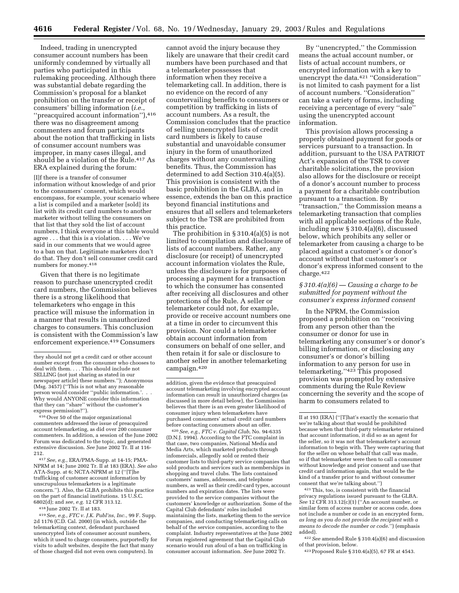Indeed, trading in unencrypted consumer account numbers has been uniformly condemned by virtually all parties who participated in this rulemaking proceeding. Although there was substantial debate regarding the Commission's proposal for a blanket prohibition on the transfer or receipt of consumers' billing information (*i.e.*, ''preacquired account information''),416 there was no disagreement among commenters and forum participants about the notion that trafficking in lists of consumer account numbers was improper, in many cases illegal, and should be a violation of the Rule.<sup>417</sup> As ERA explained during the forum:

[I]f there is a transfer of consumer information without knowledge of and prior to the consumers' consent, which would encompass, for example, your scenario where a list is compiled and a marketer [sold] its list with its credit card numbers to another marketer without telling the consumers on that list that they sold the list of account numbers, I think everyone at this table would agree . . . that this is a violation. . . . We've said in our comments that we would agree to a ban on that. Legitimate marketers don't do that. They don't sell consumer credit card numbers for money.418

Given that there is no legitimate reason to purchase unencrypted credit card numbers, the Commission believes there is a strong likelihood that telemarketers who engage in this practice will misuse the information in a manner that results in unauthorized charges to consumers. This conclusion is consistent with the Commission's law enforcement experience.419 Consumers

416Over 50 of the major organizational commenters addressed the issue of preacquired account telemarketing, as did over 200 consumer commenters. In addition, a session of the June 2002 Forum was dedicated to the topic, and generated extensive discussion. *See* June 2002 Tr. II at 116- 212.

417*See, e.g.*, ERA/PMA-Supp. at 14-15; PMA-NPRM at 14; June 2002 Tr. II at 183 (ERA). *See also* ATA-Supp. at 6; NCTA-NPRM at 12 (''[T]he trafficking of customer account information by unscrupulous telemarketers is a legitimate concern.''). Also, the GLBA prohibits this practice on the part of financial institutions. 15 U.S.C. 6802(d); and *see, e.g.* 12 CFR 313.12.

418 June 2002 Tr. II at 183.

419*See, e.g., FTC v. J.K. Publ'ns, Inc.*, 99 F. Supp. 2d 1176 (C.D. Cal. 2000) (in which, outside the telemarketing context, defendant purchased unencrypted lists of consumer account numbers, which it used to charge consumers, purportedly for visits to adult websites, despite the fact that many of those charged did not even own computers). In

cannot avoid the injury because they likely are unaware that their credit card numbers have been purchased and that a telemarketer possesses that information when they receive a telemarketing call. In addition, there is no evidence on the record of any countervailing benefits to consumers or competition by trafficking in lists of account numbers. As a result, the Commission concludes that the practice of selling unencrypted lists of credit card numbers is likely to cause substantial and unavoidable consumer injury in the form of unauthorized charges without any countervailing benefits. Thus, the Commission has determined to add Section 310.4(a)(5). This provision is consistent with the basic prohibition in the GLBA, and in essence, extends the ban on this practice beyond financial institutions and ensures that all sellers and telemarketers subject to the TSR are prohibited from this practice.

The prohibition in § 310.4(a)(5) is not limited to compilation and disclosure of lists of account numbers. Rather, any disclosure (or receipt) of unencrypted account information violates the Rule, unless the disclosure is for purposes of processing a payment for a transaction to which the consumer has consented after receiving all disclosures and other protections of the Rule. A seller or telemarketer could not, for example, provide or receive account numbers one at a time in order to circumvent this provision. Nor could a telemarketer obtain account information from consumers on behalf of one seller, and then retain it for sale or disclosure to another seller in another telemarketing campaign.420

420*See, e.g., FTC v. Capital Club*, No. 94-6335 (D.N.J. 1994). According to the FTC complaint in that case, two companies, National Media and Media Arts, which marketed products through infomercials, allegedly sold or rented their customer lists to third-party service companies that sold products and services such as memberships in shopping and travel clubs. The lists contained customers' names, addresses, and telephone numbers, as well as their credit-card types, account numbers and expiration dates. The lists were provided to the service companies without the customers' knowledge or authorization. Some of the Capital Club defendants' roles included maintaining the lists, marketing them to the service companies, and conducting telemarketing calls on behalf of the service companies, according to the complaint. Industry representatives at the June 2002 Forum registered agreement that the Capital Club scenario would run afoul of a ban on trafficking in consumer account information. *See* June 2002 Tr.

By ''unencrypted,'' the Commission means the actual account number, or lists of actual account numbers, or encrypted information with a key to unencrypt the data.421 ''Consideration'' is not limited to cash payment for a list of account numbers. ''Consideration'' can take a variety of forms, including receiving a percentage of every ''sale'' using the unencrypted account information.

This provision allows processing a properly obtained payment for goods or services pursuant to a transaction. In addition, pursuant to the USA PATRIOT Act's expansion of the TSR to cover charitable solicitations, the provision also allows for the disclosure or receipt of a donor's account number to process a payment for a charitable contribution pursuant to a transaction. By 'transaction," the Commission means a telemarketing transaction that complies with all applicable sections of the Rule, including new § 310.4(a)(6), discussed below, which prohibits any seller or telemarketer from causing a charge to be placed against a customer's or donor's account without that customer's or donor's express informed consent to the charge.422

## *§ 310.4(a)(6) — Causing a charge to be submitted for payment without the consumer's express informed consent*

In the NPRM, the Commission proposed a prohibition on ''receiving from any person other than the consumer or donor for use in telemarketing any consumer's or donor's billing information, or disclosing any consumer's or donor's billing information to any person for use in telemarketing.''423 This proposed provision was prompted by extensive comments during the Rule Review concerning the severity and the scope of harm to consumers related to

421This, too, is consistent with the financial privacy regulations issued pursuant to the GLBA. *See* 12 CFR 313.12(c)(1) (''An account number, or similar form of access number or access code, does not include a number or code in an encrypted form, *as long as you do not provide the recipient with a means to decode the number or code*.'') (emphasis added).

422*See* amended Rule § 310.4(a)(6) and discussion of that provision, below.

423Proposed Rule § 310.4(a)(5), 67 FR at 4543.

they should not get a credit card or other account number except from the consumer who chooses to deal with them. . . . This should include not SELLING (not just sharing as stated in our newspaper article) these numbers.''); Anonymous (Msg. 3457) (''This is not what any reasonable person would consider ''public information.'. . . Why would ANYONE consider this information that they can ''share'' without the customer's express permission?'').

addition, given the evidence that preacquired account telemarketing involving encrypted account information can result in unauthorized charges (as discussed in more detail below), the Commission believes that there is an even greater likelihood of consumer injury when telemarketers have purchased consumers' actual credit card numbers before contacting consumers about an offer.

II at 193 (ERA) (''[T]hat's exactly the scenario that we're talking about that would be prohibited because when that third-party telemarketer retained that account information, it did so as an agent for the seller, so it was not that telemarketer's account information to begin with. They were capturing that for the seller on whose behalf that call was made, so if that telemarketer were then to call a consumer without knowledge and prior consent and use that credit card information again, that would be the kind of a transfer prior to and without consumer consent that we're talking about.'')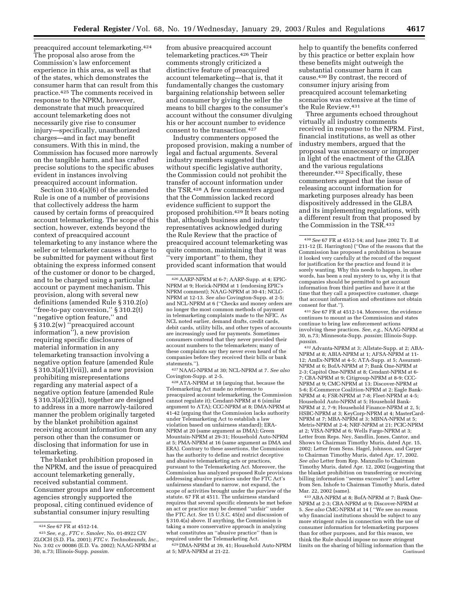preacquired account telemarketing.424 The proposal also arose from the Commission's law enforcement experience in this area, as well as that of the states, which demonstrates the consumer harm that can result from this practice.425 The comments received in response to the NPRM, however, demonstrate that much preacquired account telemarketing does not necessarily give rise to consumer injury—specifically, unauthorized charges—and in fact may benefit consumers. With this in mind, the Commission has focused more narrowly on the tangible harm, and has crafted precise solutions to the specific abuses evident in instances involving preacquired account information.

Section 310.4(a)(6) of the amended Rule is one of a number of provisions that collectively address the harm caused by certain forms of preacquired account telemarketing. The scope of this section, however, extends beyond the context of preacquired account telemarketing to any instance where the seller or telemarketer causes a charge to be submitted for payment without first obtaining the express informed consent of the customer or donor to be charged, and to be charged using a particular account or payment mechanism. This provision, along with several new definitions (amended Rule § 310.2(o) ''free-to-pay conversion,'' § 310.2(t) ''negative option feature,'' and § 310.2(w) ''preacquired account information''), a new provision requiring specific disclosures of material information in any telemarketing transaction involving a negative option feature (amended Rule  $\S 310.3(a)(1)(vii)$ , and a new provision prohibiting misrepresentations regarding any material aspect of a negative option feature (amended Rule § 310.3(a)(2)(ix)), together are designed to address in a more narrowly-tailored manner the problem originally targeted by the blanket prohibition against receiving account information from any person other than the consumer or disclosing that information for use in telemarketing.

The blanket prohibition proposed in the NPRM, and the issue of preacquired account telemarketing generally, received substantial comment. Consumer groups and law enforcement agencies strongly supported the proposal, citing continued evidence of substantial consumer injury resulting

from abusive preacquired account telemarketing practices.426 Their comments strongly criticized a distinctive feature of preacquired account telemarketing—that is, that it fundamentally changes the customary bargaining relationship between seller and consumer by giving the seller the means to bill charges to the consumer's account without the consumer divulging his or her account number to evidence consent to the transaction.427

Industry commenters opposed the proposed provision, making a number of legal and factual arguments. Several industry members suggested that without specific legislative authority, the Commission could not prohibit the transfer of account information under the TSR.428 A few commenters argued that the Commission lacked record evidence sufficient to support the proposed prohibition.429 It bears noting that, although business and industry representatives acknowledged during the Rule Review that the practice of preacquired account telemarketing was quite common, maintaining that it was ''very important'' to them, they provided scant information that would

427NAAG-NPRM at 30; NCL-NPRM at 7. *See also* Covington-Supp. at 2-5.

428ATA-NPRM at 18 (arguing that, because the Telemarketing Act made no reference to preacquired account telemarketing, the Commission cannot regulate it); Cendant-NPRM at 6 (similar argument to ATA); CCC-NPRM at 8; DMA-NPRM at 41-42 (arguing that the Commission lacks authority under Telemarketing Act to establish a law violation based on unfairness standard); ERA-NPRM at 20 (same argument as DMA); Green Mountain-NPRM at 29-31; Household Auto-NPRM at 5; PMA-NPRM at 16 (same argument as DMA and ERA). Contrary to these assertions, the Commission has the authority to define and restrict deceptive and abusive telemarketing acts or practices, pursuant to the Telemarketing Act. Moreover, the Commission has analyzed proposed Rule provisions addressing abusive practices under the FTC Act's unfairness standard to narrow, not expand, the scope of activities brought under the purview of the statute. 67 FR at 4511. The unfairness standard requires that several specific elements be met before an act or practice may be deemed ''unfair'' under the FTC Act. *See* 15 U.S.C. 45(n) and discussion of § 310.4(a) above. If anything, the Commission is taking a more conservative approach in analyzing what constitutes an ''abusive practice'' than is required under the Telemarketing Act.

429 DMA-NPRM at 39, 41; Household Auto-NPRM at 5; MPA-NPRM at 21-22.

help to quantify the benefits conferred by this practice or better explain how these benefits might outweigh the substantial consumer harm it can cause.430 By contrast, the record of consumer injury arising from preacquired account telemarketing scenarios was extensive at the time of the Rule Review.431

Three arguments echoed throughout virtually all industry comments received in response to the NPRM. First, financial institutions, as well as other industry members, argued that the proposal was unnecessary or improper in light of the enactment of the GLBA and the various regulations thereunder.432 Specifically, these commenters argued that the issue of releasing account information for marketing purposes already has been dispositively addressed in the GLBA and its implementing regulations, with a different result from that proposed by the Commission in the TSR.433

431*See* 67 FR at 4512-14. Moreover, the evidence continues to mount as the Commission and states continue to bring law enforcement actions involving these practices. *See, e.g.*, NAAG-NPRM at 30, n.73; Minnesota-Supp. *passim*; Illinois-Supp. *passim*.

432Advanta-NPRM at 3; Allstate-Supp. at 2; ABA-NPRM at 8; ABIA-NPRM at 1; AFSA-NPRM at 11- 12; AmEx-NPRM at 4-5; ATA-Supp. at 5; Assurant-NPRM at 6; BofA-NPRM at 7; Bank One-NPRM at 2-3; Capitol One-NPRM at 8; Cendant-NPRM at 6- 7; CBA-NPRM at 9; Citigroup-NPRM at 8-9; CCC-NPRM at 9; CMC-NPRM at 13; Discover-NPRM at 5-6; E-Commerce Coalition-NPRM at 2; Eagle Bank-NPRM at 4; FSR-NPRM at 7-8; Fleet-NPRM at 4-5; Household Auto-NPRM at 5; Household Bank-NPRM at 2, 7-9; Household Finance-NPRM at 2, 5; HSBC-NPRM at 3; KeyCorp-NPRM at 4; MasterCard-NPRM at 7; MBA-NPRM at 3; MBNA-NPRM at 5; Metris-NPRM at 2-4; NRF-NPRM at 21; PCIC-NPRM at 2; VISA-NPRM at 6; Wells Fargo-NPRM at 3; Letter from Reps. Ney, Sandlin, Jones, Cantor, and Shows to Chairman Timothy Muris, dated Apr. 15, 2002; Letter from Sens. Hagel, Johnson, and Carper to Chairman Timothy Muris, dated Apr. 17, 2002. *See also* Letter from Rep. Manzullo to Chairman Timothy Muris, dated Apr. 12, 2002 (suggesting that the blanket prohibition on transferring or receiving billing information ''seems excessive''); and Letter from Sen. Inhofe to Chairman Timothy Muris, dated Mar. 22, 2002 (same).

433ABA-NPRM at 8; BofA-NPRM at 7; Bank One-NPRM at 2-3; CBA-NPRM at 9; Discover-NPRM at 5. *See also* CMC-NPRM at 14 ( ''We see no reason why financial institutions should be subject to any more stringent rules in connection with the use of consumer information for telemarketing purposes than for other purposes, and for this reason, we think the Rule should impose no more stringent limits on the sharing of billing information than the Continued

<sup>424</sup>*See* 67 FR at 4512-14.

<sup>425</sup>*See, e.g., FTC v. Smolev*, No. 01-8922 CIV ZLOCH (S.D. Fla. 2001); *FTC v. Technobrands, Inc.*, No. 3:02 cv 00086 (E.D. Va. 2002); NAAG-NPRM at 30, n.73; Illinois-Supp. *passim*.

<sup>426</sup>AARP-NPRM at 6-7; AARP-Supp. at 4; EPIC-NPRM at 9; Horick-NPRM at 1 (endorsing EPIC's NPRM comment); NAAG-NPRM at 30-41; NCLC-NPRM at 12-13. *See also* Covington-Supp. at 2-5; and NCL-NPRM at 6 (''Checks and money orders are no longer the most common methods of payment in telemarketing complaints made to the NFIC. As NCL noted earlier, demand drafts, credit cards, debit cards, utility bills, and other types of accounts are increasingly used for payments. Sometimes consumers contend that they never provided their account numbers to the telemarketers; many of these complaints say they never even heard of the companies before they received their bills or bank statements.'').

<sup>430</sup>*See* 67 FR at 4512-14; and June 2002 Tr. II at 211-12 (E. Harrington) (''One of the reasons that the Commission has proposed a prohibition is because it looked very carefully at the record of the request for justification for the practice and found it is sorely wanting. Why this needs to happen, in other words, has been a real mystery to us, why it is that companies should be permitted to get account information from third parties and have it at the time that they call a prospective customer, charge that account information and oftentimes not obtain consent for that.'').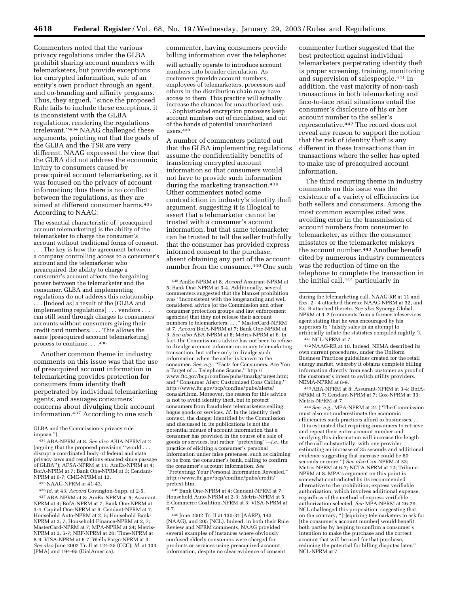Commenters noted that the various privacy regulations under the GLBA prohibit sharing account numbers with telemarketers, but provide exceptions for encrypted information, sale of an entity's own product through an agent, and co-branding and affinity programs. Thus, they argued, ''since the proposed Rule fails to include these exceptions, it is inconsistent with the GLBA regulations, rendering the regulations irrelevant.''434 NAAG challenged these arguments, pointing out that the goals of the GLBA and the TSR are very different. NAAG expressed the view that the GLBA did not address the economic injury to consumers caused by preacquired account telemarketing, as it was focused on the privacy of account information; thus there is no conflict between the regulations, as they are aimed at different consumer harms.435 According to NAAG:

The essential characteristic of [preacquired account telemarketing] is the ability of the telemarketer to charge the consumer's account without traditional forms of consent. . . . The key is how the agreement between a company controlling access to a consumer's account and the telemarketer who preacquired the ability to charge a consumer's account affects the bargaining power between the telemarketer and the consumer. GLBA and implementing regulations do not address this relationship. . . . [Indeed as] a result of the [GLBA and implementing regulations] . . . vendors . . . can still send through charges to consumers' accounts without consumers giving their credit card numbers. . . . This allows the same [preacquired account telemarketing] process to continue. . . .436

Another common theme in industry comments on this issue was that the use of preacquired account information in telemarketing provides protection for consumers from identity theft perpetrated by individual telemarketing agents, and assuages consumers' concerns about divulging their account information.437 According to one such

GLBA and the Commission's privacy rule impose.'').

434ABA-NPRM at 8. *See also* ABIA-NPRM at 2 (arguing that the proposed provision ''would . . . disrupt a coordinated body of federal and state privacy laws and regulations enacted since passage of GLBA''); AFSA-NPRM at 11; AmEx-NPRM at 4; BofA-NPRM at 7; Bank One-NPRM at 3; Cendant-NPRM at 6-7; CMC-NPRM at 13.

435NAAG-NPRM at 41-43.

436 *Id.* at 43. *Accord* Covington-Supp. at 2-5.

437ABA-NPRM at 8; AmEx-NPRM at 5; Assurant-NPRM at 4; BofA-NPRM at 7; Bank One-NPRM at 3-4; Capital One-NPRM at 9; Cendant-NPRM at 7; Household Auto-NPRM at 2, 5; Household Bank-NPRM at 2, 7; Household Finance-NPRM at 2, 7; MasterCard-NPRM at 7; MPA-NPRM at 24; Metris-NPRM at 2, 5-7; NRF-NPRM at 20; Time-NPRM at 8-9; VISA-NPRM at 6-7; Wells Fargo-NPRM at 3. *See also* June 2002 Tr. II at 124-25 (CCC); *Id.* at 133 (PMA) and 194-95 (DialAmerica).

commenter, having consumers provide billing information over the telephone:

will actually operate to introduce account numbers into broader circulation. As customers provide account numbers, employees of telemarketers, processors and others in the distribution chain may have access to them. This practice will actually increase the chances for unauthorized use. . . . Sophisticated encryption processes keep account numbers out of circulation, and out of the hands of potential unauthorized users.438

A number of commenters pointed out that the GLBA implementing regulations assume the confidentiality benefits of transferring encrypted account information so that consumers would not have to provide such information during the marketing transaction.<sup>439</sup> Other commenters noted some contradiction in industry's identity theft argument, suggesting it is illogical to assert that a telemarketer cannot be trusted with a consumer's account information, but that same telemarketer can be trusted to tell the seller truthfully that the consumer has provided express informed consent to the purchase, absent obtaining any part of the account number from the consumer.440 One such

439Bank One-NPRM at 4; Cendant-NPRM at 7; Household Auto-NPRM at 2-3; Metris-NPRM at 5; E-Commerce Coalition-NPRM at 3; VISA-NPRM at 6-7.

440 June 2002 Tr. II at 130-31 (AARP), 143 (NAAG), and 205 (NCL). Indeed, in both their Rule Review and NPRM comments, NAAG provided several examples of instances where obviously confused elderly consumers were charged for products or services using preacquired account information, despite no clear evidence of consent

commenter further suggested that the best protection against individual telemarketers perpetrating identity theft is proper screening, training, monitoring and supervision of salespeople.441 In addition, the vast majority of non-cash transactions in both telemarketing and face-to-face retail situations entail the consumer's disclosure of his or her account number to the seller's representative.442 The record does not reveal any reason to support the notion that the risk of identity theft is any different in these transactions than in transactions where the seller has opted to make use of preacquired account information.

The third recurring theme in industry comments on this issue was the existence of a variety of efficiencies for both sellers and consumers. Among the most common examples cited was avoiding error in the transmission of account numbers from consumer to telemarketer, as either the consumer misstates or the telemarketer miskeys the account number.443 Another benefit cited by numerous industry commenters was the reduction of time on the telephone to complete the transaction in the initial call,444 particularly in

442NAAG-RR at 10. Indeed, NEMA described its own current procedures, under the Uniform Business Practices guidelines created for the retail energy market, whereby it obtains complete billing information directly from each customer as proof of the customer's intent to switch utility providers. NEMA-NPRM at 8-9.

443ABA-NPRM at 8; Assurant-NPRM at 3-4; BofA-NPRM at 7; Cendant-NPRM at 7; Cox-NPRM at 33; Metris-NPRM at 7.

444*See, e.g.*, MPA-NPRM at 24 (''The Commission must also not underestimate the economic  $\operatorname{eff}$  such practices afford to businesses. . It is estimated that requiring consumers to retrieve and repeat their entire account number and verifying this information will increase the length of the call substantially, with one provider estimating an increase of 35 seconds and additional evidence suggesting that increase could be 60 seconds or more.'') *See also* Cox-NPRM at 33; Metris-NPRM at 6-7; NCTA-NPRM at 12; Tribune-NPRM at 8. MPA's argument on this point is somewhat contradicted by its recommended alternative to the prohibition, express verifiable authorization, which involves additional expense, regardless of the method of express verifiable authorization selected. *See* MPA-NPRM at 26-29. NCL challenged this proposition, suggesting that, on the contrary, ''[r]equiring telemarketers to ask for [the consumer's account number] would benefit both parties by helping to confirm a consumer's intention to make the purchase and the correct account that will be used for that purchase, reducing the potential for billing disputes later.'' NCL-NPRM at 7.

<sup>438</sup>AmEx-NPRM at 8. *Accord* Assurant-NPRM at 5; Bank One-NPRM at 3-4. Additionally, several commenters suggested that the blanket prohibition was ''inconsistent with the longstanding and well considered advice [of the Commission and other consumer protection groups and law enforcement agencies] that they not release their account numbers to telemarketers. . . .'' MasterCard-NPRM at 7. *Accord* BofA-NPRM at 7; Bank One-NPRM at 3. *See also* ABA-NPRM at 8; Metris-NPRM at 6. In fact, the Commission's advice has not been to refuse to divulge account information in any telemarketing transaction, but rather only to divulge such information when the seller is known to the consumer. *See, e.g.*, ''Facts for Consumers: Are You a Target of ... Telephone Scams,'' http:// www.ftc.gov/bcp/confine/pubs/tmarkg/target.htm; and ''Consumer Alert: Customized Cons Calling,'' http://www.ftc.gov/bcp/confine/pubs/alerts/ consalrt.htm. Moreover, the reason for this advice is not to avoid identity theft, but to protect consumers from fraudulent telemarketers selling bogus goods or services. *Id.* In the identity theft context, the danger identified by the Commission and discussed in its publications is not the potential misuse of account information that a consumer has provided in the course of a sale of goods or services, but rather ''pretexting''—*i.e.*, the practice of eliciting a consumer's personal information under false pretenses, such as claiming to be from the consumer's bank, calling to confirm the consumer's account information. *See* ''Pretexting: Your Personal Information Revealed,'' http://www.ftc.gov/bcp/confine/pubs/credit/ pretext.htm.

during the telemarketing call. NAAG-RR at 11 and Exs. 2 - 4 attached thereto; NAAG-NPRM at 32, and Ex. B attached thereto. *See also* Synergy Global-NPRM at 1-2 (comments from a former teleservices agent stating that he was encouraged by his superiors to ''falsify sales in an attempt to artificially inflate the statistics compiled nightly''). 441NCL-NPRM at 7.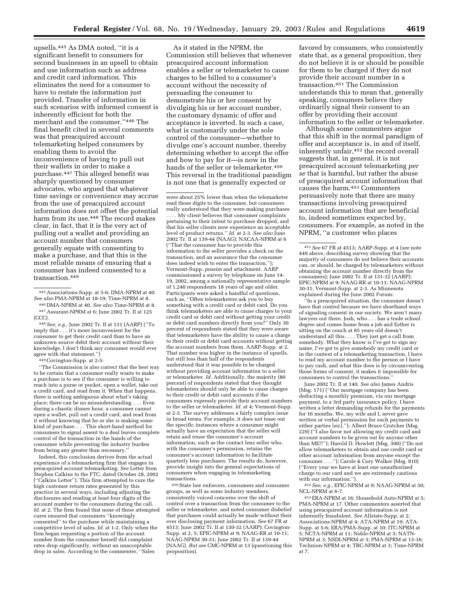upsells.445 As DMA noted, ''it is a significant benefit to consumers for second businesses in an upsell to obtain and use information such as address and credit card information. This eliminates the need for a consumer to have to restate the information just provided. Transfer of information in such scenarios with informed consent is inherently efficient for both the merchant and the consumer.''446 The final benefit cited in several comments was that preacquired account telemarketing helped consumers by enabling them to avoid the inconvenience of having to pull out their wallets in order to make a purchase.447 This alleged benefit was sharply questioned by consumer advocates, who argued that whatever time savings or convenience may accrue from the use of preacquired account information does not offset the potential harm from its use.448 The record makes clear, in fact, that it is the very act of pulling out a wallet and providing an account number that consumers generally equate with consenting to make a purchase, and that this is the most reliable means of ensuring that a consumer has indeed consented to a transaction.449

446 DMA-NPRM at 40. *See also* Time-NPRM at 8. 447Assurant-NPRM at 6; June 2002 Tr. II at 125 (CCC).

448*See, e.g.*, June 2002 Tr. II at 131 (AARP) (''To imply that . . . it's more inconvenient for the consumer to get their credit card than to have an unknown source debit their account without their knowledge, I don't think any consumer would ever agree with that statement.'')

449Covington-Supp. at 2-5:

''The Commission is also correct that the best way to be certain that a consumer really wants to make a purchase is to see if the consumer is willing to reach into a purse or pocket, open a wallet, take out a credit card, and read from it. When that happens, there is nothing ambiguous about what's taking place; there can be no misunderstanding. . . . Even during a chaotic dinner hour, a consumer cannot open a wallet, pull out a credit card, and read from it without knowing that he or she is making some kind of purchase. . . . This short-hand method for consumers to signal assent to a deal leaves complete control of the transaction in the hands of the consumer while preventing the industry burden from being any greater than necessary.''

Indeed, this conclusion derives from the actual experience of a telemarketing firm that engages in preacquired account telemarketing. *See* Letter from Stephen Calkins to the FTC, dated October 28, 2002 (''Calkins Letter''). This firm attempted to cure the high customer return rates generated by this practice in several ways, including adjusting the disclosures and reading at least four digits of the account number to the consumers during the call. *Id.* at 2. The firm found that none of these attempted cures ensured that consumers ''knowingly consented'' to the purchase while maintaining a competitive level of sales. *Id.* at 1-2. Only when the firm began requesting a portion of the account number from the consumer herself did complaint rates drop significantly, without an unacceptable drop in sales. According to the commenter, ''Sales

As it stated in the NPRM, the Commission still believes that whenever preacquired account information enables a seller or telemarketer to cause charges to be billed to a consumer's account without the necessity of persuading the consumer to demonstrate his or her consent by divulging his or her account number, the customary dynamic of offer and acceptance is inverted. In such a case, what is customarily under the sole control of the consumer—whether to divulge one's account number, thereby determining whether to accept the offer and how to pay for it—is now in the hands of the seller or telemarketer.450 This reversal in the traditional paradigm is not one that is generally expected or

were about 25% lower than when the telemarketer read those digits to the consumer, but consumers really understood that they were making purchases . . . . My client believes that consumer complaints pertaining to their intent to purchase dropped, and that his seller clients now experience an acceptable level of product returns.'' *Id.* at 2-3. *See also* June 2002 Tr. II at 139-44 (NAAG); NACAA-NPRM at 6 (''That the consumer has to provide this information to the seller provides a check on the transaction, and an assurance that the consumer does indeed wish to enter the transaction.''); Vermont-Supp. *passim* and attachment. AARP commissioned a survey by telephone on June 14- 19, 2002, among a nationally representative sample of 1,240 respondents 18 years of age and older. Participants were asked a handful of questions, such as, ''Often telemarketers ask you to buy something with a credit card or debit card. Do you think telemarketers are able to cause charges to your credit card or debit card without getting your credit or debit card numbers directly from you?'' Only 30 percent of respondents stated that they were aware that telemarketers have the ability to cause a charge to their credit or debit card accounts without getting the account numbers from them. AARP-Supp. at 2. That number was higher in the instance of upsells, but still less than half of the respondents understood that it was possible to be charged without providing account information to a seller or telemarketer. *Id.* Additionally, the majority (80 percent) of respondents stated that they thought telemarketers should only be able to cause charges to their credit or debit card accounts if the consumers expressly provide their account numbers to the seller or telemarketer. *Id.* at 4; Vermont-Supp. at 2-3. The survey addresses a fairly complex issue in broad terms. For example, it does not tease out the specific instances where a consumer might actually have an expectation that the seller will retain and reuse the consumer's account information, such as the contact lens seller who, with the consumer's permission, retains the consumer's account information to facilitate quarterly lens purchases. The results do, however, provide insight into the general expectations of consumers when engaging in telemarketing transactions.

450State law enforcers, consumers and consumer groups, as well as some industry members, consistently voiced concerns over the shift of control over a transaction from the consumer to the seller or telemarketer, and noted consumer disbelief that purchases could actually be made without their ever disclosing payment information. *See* 67 FR at 4513; June 2002 Tr. II at 130-32 (AARP); Covington-Supp. at 2, 5; EPIC-NPRM at 9; NAAG-RR at 10-11; NAAG-NPRM 30-31; June 2002 Tr. II at 139-44 (NAAG). *But see* CMC-NPRM at 13 (questioning this proposition).

favored by consumers, who consistently state that, as a general proposition, they do not believe it is or should be possible for them to be charged if they do not provide their account number in a transaction.451 The Commission understands this to mean that, generally speaking, consumers believe they ordinarily signal their consent to an offer by providing their account information to the seller or telemarketer.

Although some commenters argue that this shift in the normal paradigm of offer and acceptance is, in and of itself, inherently unfair,452 the record overall suggests that, in general, it is not preacquired account telemarketing *per se* that is harmful, but rather the abuse of preacquired account information that causes the harm.453 Commenters persuasively note that there are many transactions involving preacquired account information that are beneficial to, indeed sometimes expected by, consumers. For example, as noted in the NPRM, ''a customer who places

''In a preacquired situation, the consumer doesn't have that control because we have shorthand ways of signaling consent in our society. We aren't many lawyers out there. Josh, who . . . has a trade school degree and comes home from a job and Esther is sitting on the couch at 85 years old doesn't understand all this. . . . They just get a call from somebody. What they know is I've got to sign my name, I've got to give somebody my credit card or in the context of a telemarketing transaction, I have to read my account number to the person or I have to pay cash, and what this does is by circumventing those forms of consent, it makes it impossible for consumers to control the transactions.''

June 2002 Tr. II at 140. *See also* James Andris (Msg. 171) (''Our mortgage company has been deducting a monthly premium, via our mortgage payment, to a 3rd party insurance policy. I have written a letter demanding refunds for the payments for 16 months. We, my wife and I, never gave written or verbal permission for such payments to either parties [sic].''); Albert Bruce Crutcher (Msg. 229) (''I also favor not allowing my credit card and account numbers to be given out by anyone other than ME!!''); Harold D. Howlett (Msg. 300) (''Do not allow telemarketers to obtain and use credit card or other account information from anyone except the consumer. . . .''); Carole & Cory Walker (Msg. 810) (''Every year we have at least one unauthorized charge to our card and we are extremely cautious with our information.'').

452*See, e.g.*, EPIC-NPRM at 9; NAAG-NPRM at 30; NCL-NPRM at 6-7.

453ERA-NPRM at 16; Household Auto-NPRM at 5; PMA-NPRM at 17. Other commenters asserted that using preacquired account information is not inherently fraudulent. *See* Allstate-Supp. at 2; Associations-NPRM at 4; ATA-NPRM at 19; ATA-Supp. at 5-6; ERA/PMA-Supp. at 10; ITC-NPRM at 5; NCTA-NPRM at 11; Noble-NPRM at 3; NATN-NPRM at 3; NSDI-NPRM at 3; PMA-NPRM at 13-16; Technion-NPRM at 4; TRC-NPRM at 3; Time-NPRM at 7.

<sup>445</sup>Associations-Supp. at 5-6; DMA-NPRM at 40. *See also* PMA-NPRM at 18-19; Time-NPRM at 8.

<sup>451</sup>*See* 67 FR at 4513; AARP-Supp. at 4 (*see* note 449 above, describing survey showing that the majority of consumers do not believe their accounts can, or should, be charged by telemarketers without obtaining the account number directly from the consumers); June 2002 Tr. II at 131-32 (AARP); EPIC-NPRM at 9; NAAG-RR at 10-11; NAAG-NPRM 30-31; Vermont-Supp. at 2-3. As Minnesota explained during the June 2002 Forum: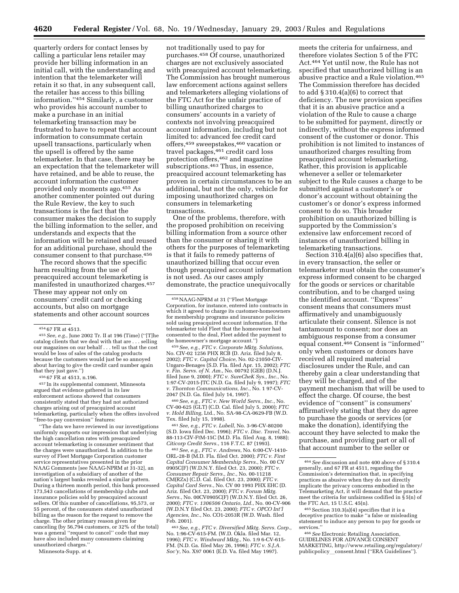quarterly orders for contact lenses by calling a particular lens retailer may provide her billing information in an initial call, with the understanding and intention that the telemarketer will retain it so that, in any subsequent call, the retailer has access to this billing information.''454 Similarly, a customer who provides his account number to make a purchase in an initial telemarketing transaction may be frustrated to have to repeat that account information to consummate certain upsell transactions, particularly when the upsell is offered by the same telemarketer. In that case, there may be an expectation that the telemarketer will have retained, and be able to reuse, the account information the customer provided only moments ago.455 As another commenter pointed out during the Rule Review, the key to such transactions is the fact that the consumer makes the decision to supply the billing information to the seller, and understands and expects that the information will be retained and reused for an additional purchase, should the consumer consent to that purchase.456

The record shows that the specific harm resulting from the use of preacquired account telemarketing is manifested in unauthorized charges.457 These may appear not only on consumers' credit card or checking accounts, but also on mortgage statements and other account sources

456 67 FR at 4513, n.196.

457 In its supplemental comment, Minnesota argued that evidence gathered in its law enforcement actions showed that consumers consistently stated that they had not authorized charges arising out of preacquired account telemarketing, particularly when the offers involved ''free-to-pay conversion'' features:

''The data we have reviewed in our investigations uniformly supports our impression that underlying the high cancellation rates with preacquired account telemarketing is consumer sentiment that the charges were unauthorized. In addition to the survey of Fleet Mortgage Corporation customer service representatives presented in the prior NAAG Comments [see NAAG-NPRM at 31-32], an investigation of a subsidiary of another of the nation's largest banks revealed a similar pattern. During a thirteen month period, this bank processed 173,543 cancellations of membership clubs and insurance policies sold by preacquired account sellers. Of this number of cancellations, 95,573, or 55 percent, of the consumers stated unauthorized billing as the reason for the request to remove the charge. The other primary reason given for canceling (by 56,794 customers, or 32% of the total) was a general ''request to cancel'' code that may have also included many consumers claiming unauthorized charges.

Minnesota-Supp. at 4.

not traditionally used to pay for purchases.458 Of course, unauthorized charges are not exclusively associated with preacquired account telemarketing. The Commission has brought numerous law enforcement actions against sellers and telemarketers alleging violations of the FTC Act for the unfair practice of billing unauthorized charges to consumers' accounts in a variety of contexts not involving preacquired account information, including but not limited to: advanced fee credit card offers,459 sweepstakes,460 vacation or travel packages,461 credit card loss protection offers,462 and magazine subscriptions.463 Thus, in essence, preacquired account telemarketing has proven in certain circumstances to be an additional, but not the only, vehicle for imposing unauthorized charges on consumers in telemarketing transactions.

One of the problems, therefore, with the proposed prohibition on receiving billing information from a source other than the consumer or sharing it with others for the purposes of telemarketing is that it fails to remedy patterns of unauthorized billing that occur even though preacquired account information is not used. As our cases amply demonstrate, the practice unequivocally

459*See, e.g., FTC v. Corporate Mktg. Solutions*, No. CIV-02 1256 PHX RCB (D. Ariz. filed July 8, 2002); *FTC v. Capital Choice*, No. 02-21050-CIV-Ungaro-Benages (S.D. Fla. filed Apr. 15, 2002); *FTC v. Fin. Servs. of N. Am.*, No. 00792 (GEB) (D.N.J. filed June 9, 2000); *FTC v. SureCheK Sys., Inc.*, No. 1:97-CV-2015-JTC (N.D. Ga. filed July 9, 1997); *FTC v. Thornton Communications, Inc.*, No. 1 97-CV-2047 (N.D. Ga. filed July 14, 1997).

460*See, e.g., FTC v. New World Servs., Inc.*, No. CV-00-625 (GLT) (C.D. Cal. filed July 5, 2000); *FTC v. Hold Billing*, Ltd., No. SA-98-CA-0629-FB (W.D. Tex. filed July 15, 1998).

461*See, e.g., FTC v. Lubell*, No. 3-96-CV-80200 (S.D. Iowa filed Dec. 1996); *FTC v. Disc. Travel*, No. 88-113-CIV-FtM-15C (M.D. Fla. filed Aug. 8, 1988); *Citicorp Credit Servs.*, 116 F.T.C. 87 (1993).

462*See, e.g., FTC v. Andrews*, No. 6:00-CV-1410- ORL-28-B (M.D. Fla. filed Oct. 2000); *FTC v. First Capital Consumer Membership Servs.*, No. 00 CV 0905C(F) (W.D.N.Y. filed Oct. 23, 2000); *FTC v. Consumer Repair Servs., Inc.*, No. 00-11218 CM(RZx) (C.D. Cal. filed Oct. 23, 2000); *FTC v. Capital Card Servs.*, No. CV 00 1993 PHX EHC (D. Ariz. filed Oct. 23, 2000); *FTC v. Forum Mktg. Servs.*, No. 00CV0905C(F) (W.D.N.Y. filed Oct. 26, 2000); *FTC v. 1306506 Ontario, Ltd.*, No. 00-CV-906 (W.D.N.Y filed Oct. 23, 2000); *FTC v. OPCO Int'l Agencies, Inc.*, No. CO1-2053R (W.D. Wash. filed Feb. 2001).

463*See, e.g., FTC v. Diversified Mktg. Servs. Corp.*, No. 1:96-CV-615-FM. (W.D. Okla. filed Mar. 12, 1996); *FTC v. Windward Mktg.*, No. 1:9 6-CV-615- FM. (N.D. Ga. filed May 26, 1996); *FTC v. S.J.A. Soc'y*, No. X97 0061 (E.D. Va. filed May 1997).

meets the criteria for unfairness, and therefore violates Section 5 of the FTC Act.464 Yet until now, the Rule has not specified that unauthorized billing is an abusive practice and a Rule violation.465 The Commission therefore has decided to add  $\S 310.4(a)(6)$  to correct that deficiency. The new provision specifies that it is an abusive practice and a violation of the Rule to cause a charge to be submitted for payment, directly or indirectly, without the express informed consent of the customer or donor. This prohibition is not limited to instances of unauthorized charges resulting from preacquired account telemarketing. Rather, this provision is applicable whenever a seller or telemarketer subject to the Rule causes a charge to be submitted against a customer's or donor's account without obtaining the customer's or donor's express informed consent to do so. This broader prohibition on unauthorized billing is supported by the Commission's extensive law enforcement record of instances of unauthorized billing in telemarketing transactions.

Section 310.4(a)(6) also specifies that, in every transaction, the seller or telemarketer must obtain the consumer's express informed consent to be charged for the goods or services or charitable contribution, and to be charged using the identified account. ''Express'' consent means that consumers must affirmatively and unambiguously articulate their consent. Silence is not tantamount to consent; nor does an ambiguous response from a consumer equal consent.<sup>466</sup> Consent is "informed" only when customers or donors have received all required material disclosures under the Rule, and can thereby gain a clear understanding that they will be charged, and of the payment mechanism that will be used to effect the charge. Of course, the best evidence of ''consent'' is consumers' affirmatively stating that they do agree to purchase the goods or services (or make the donation), identifying the account they have selected to make the purchase, and providing part or all of that account number to the seller or

<sup>454</sup> 67 FR at 4513.

<sup>455</sup>*See, e.g.*, June 2002 Tr. II at 196 (Time) (''[T]he catalog clients that we deal with that are . . . selling our magazines on our behalf . . . tell us that the cost would be loss of sales of the catalog products because the customers would just be so annoyed about having to give the credit card number again that they just gave.'')

<sup>458</sup>NAAG-NPRM at 31 (''Fleet Mortgage Corporation, for instance, entered into contracts in which it agreed to charge its customer-homeowners for membership programs and insurance policies sold using preacquired account information. If the telemarketer told Fleet that the homeowner had consented to the deal, Fleet added the payment to the homeowner's mortgage account.'')

<sup>464</sup>*See* discussion and note 400 above of § 310.4 generally, and 67 FR at 4511, regarding the Commission's determination that, in specifying practices as abusive when they do not directly implicate the privacy concerns embodied in the Telemarketing Act, it will demand that the practice meet the criteria for unfairness codified in  $\hat{\S}$  5(n) of the FTC Act, 15 U.S.C. 45(n).

<sup>465</sup>Section 310.3(a)(4) specifies that it is a deceptive practice to make ''a false or misleading statement to induce any person to pay for goods or services.''

<sup>466</sup>*See* Electronic Retailing Association, GUIDELINES FOR ADVANCE CONSENT MARKETING, http://www.retailing.org/regulatory/ publicpolicy\_consent.html ("ERA Guidelines").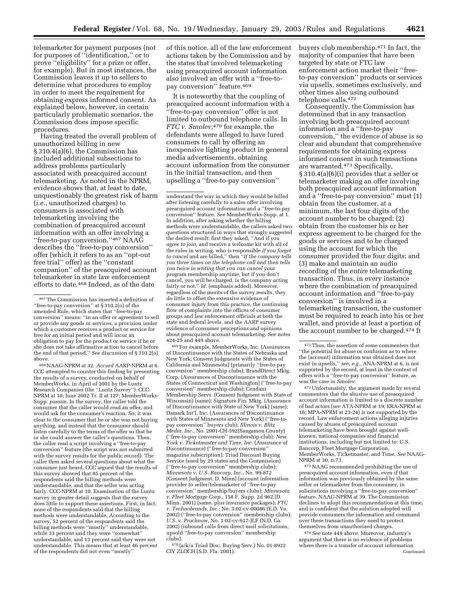telemarketer for payment purposes (not for purposes of ''identification,'' or to prove ''eligibility'' for a prize or offer, for example). But in most instances, the Commission leaves it up to sellers to determine what procedures to employ in order to meet the requirement for obtaining express informed consent. As explained below, however, in certain particularly problematic scenarios, the Commission does impose specific procedures.

Having treated the overall problem of unauthorized billing in new § 310.4(a)(6), the Commission has included additional subsections to address problems particularly associated with preacquired account telemarketing. As noted in the NPRM, evidence shows that, at least to date, unquestionably the greatest risk of harm (*i.e.*, unauthorized charges) to consumers is associated with telemarketing involving the combination of preacquired account information with an offer involving a ''free-to-pay conversion.''467 NAAG describes the ''free-to-pay conversion'' offer (which it refers to as an ''opt-out free trial'' offer) as the ''constant companion'' of the preacquired account telemarketer in state law enforcement efforts to date.468 Indeed, as of the date

468NAAG-NPRM at 32. *Accord* AARP-NPRM at 6. CCC attempted to counter this finding by presenting the results of a survey, conducted on behalf of MemberWorks, in April of 2001 by the Luntz Research Companies (the ''Luntz Survey''). CCC-NPRM at 10; June 2002 Tr. II at 127; MemberWorks-Supp. *passim*. In the survey, the caller told the consumer that the caller would read an offer, and would ask for the consumer's reaction. So, it was clear to the consumer that he or she was not buying anything, and instead that the consumer should listen carefully to the terms of the offer so that he or she could answer the caller's questions. Then, the caller read a script involving a ''free-to-pay conversion'' feature (the script was not submitted with the survey results for the public record). The caller then asked several questions about what the consumer just heard. CCC argued that the results of this survey showed that 85 percent of the respondents said the billing methods were understandable, and that the seller was acting fairly. CCC-NPRM at 10. Examination of the Luntz survey in greater detail suggests that the survey does little to support these assertions. First, in fact, none of the respondents said that the billing methods were understandable. According to the survey, 52 percent of the respondents said the billing methods were ''mostly'' understandable, while 33 percent said they were ''somewhat'' understandable, and 13 percent said they were not understandable. This means that at least 46 percent of the respondents did not even ''mostly''

of this notice, all of the law enforcement actions taken by the Commission and by the states that involved telemarketing using preacquired account information also involved an offer with a ''free-topay conversion'' feature.469

It is noteworthy that the coupling of preacquired account information with a ''free-to-pay conversion'' offer is not limited to outbound telephone calls. In *FTC v. Smolev*,470 for example, the defendants were alleged to have lured consumers to call by offering an inexpensive lighting product in general media advertisements, obtaining account information from the consumer in the initial transaction, and then upselling a ''free-to-pay conversion''

understand the way in which they would be billed after listening carefully to a sales offer involving preacquired account information and a ''free-to-pay conversion'' feature. *See* MemberWorks-Supp. at 1. In addition, after asking whether the billing methods were understandable, the callers asked two questions structured in ways that strongly suggested the desired result: first they asked, ''And if you *agree to join*, and receive a welcome kit with all of the rules in writing, who is responsible *if you forget to cancel* and are billed,'' then ''*If the company tells you three times on the telephone call and then tells you twice in writing that you can cancel* your program membership anytime, but if you don't cancel, you will be charged, is the company acting fairly or not." Id. (emphasis added). Moreover, regardless of the merits of the survey results, they do little to offset the extensive evidence of consumer injury from this practice, the continuing flow of complaints into the offices of consumer groups and law enforcement officials at both the state and federal levels, and the AARP survey evidence of consumer perceptions and opinions about preacquired account telemarketing. *See* notes 424-25 and 449 above.

469For example, MemberWorks, Inc. (Assurances of Discontinuance with the States of Nebraska and New York; Consent Judgments with the States of California and Minnesota) (primarily ''free-to-pay conversion'' membership clubs); BrandDirect Mktg. Corp. (Assurances of Discontinuance with the States of Connecticut and Washington) (''free-to-pay conversion'' membership clubs); Cendant Membership Servs. (Consent Judgment with State of Wisconsin) (same); Signature Fin. Mktg. (Assurance of Discontinuance with State of New York) (same); Damark Int'l, Inc. (Assurances of Discontinuance with States of Minnesota and New York) (''free-topay conversion'' buyers club); *Illinois v. Blitz Media, Inc.*, No. 2001-CH-592(Sangamon County) (''free-to-pay conversion'' membership club); *New York v. Ticketmaster and Time, Inc.* (Assurance of Discontinuance) (''free-to-pay conversion'' magazine subscription); Triad Discount Buying Service (sued by 29 states and the Commission) (''free-to-pay conversion'' membership clubs); *Minnesota v. U.S. Bancorp, Inc.*, No. 99-872 (Consent Judgment, D. Minn) (account information provider to seller/telemarketer of ''free-to-pay conversion'' membership/buyers clubs); *Minnesota v. Fleet Mortgage Corp.*, 158 F. Supp. 2d 962 (D. Minn. 2001) (same, plus insurance packages); *FTC v. Technobrands, Inc.*; No. 3:02-cv-00086 (E.D. Va. 2002) (''free-to-pay conversion'' membership clubs); *U.S. v. Prochnow*, No. 1:02-cv-917-JLF (N.D. Ga. 2002) (inbound calls from direct mail solicitations, upsold ''free-to-pay conversion'' membership clubs).

470 (a/k/a Triad Disc. Buying Serv.) No. 01-8922 CIV ZLOCH (S.D. Fla. 2001).

buyers club membership.471 In fact, the majority of companies that have been targeted by state or FTC law enforcement action market their ''freeto-pay conversion'' products or services via upsells, sometimes exclusively, and other times also using outbound telephone calls.472

Consequently, the Commission has determined that in any transaction involving both preacquired account information and a ''free-to-pay conversion,'' the evidence of abuse is so clear and abundant that comprehensive requirements for obtaining express informed consent in such transactions are warranted.473 Specifically, § 310.4(a)(6)(i) provides that a seller or telemarketer making an offer involving both preacquired account information and a ''free-to-pay conversion'' must (1) obtain from the customer, at a minimum, the last four digits of the account number to be charged; (2) obtain from the customer his or her express agreement to be charged for the goods or services and to be charged using the account for which the consumer provided the four digits; and (3) make and maintain an audio recording of the *entire* telemarketing transaction. Thus, in every instance where the combination of preacquired account information and ''free-to-pay conversion'' is involved in a telemarketing transaction, the customer must be required to reach into his or her wallet, and provide at least a portion of the account number to be charged.474 It

472Unfortunately, the argument made by several commenters that the abusive use of preacquired account information is limited to a discrete number of bad actors (*see* ATA-NPRM at 19; ERA-NPRM at 16; MPA-NPRM at 23-24) is not supported by the record. Law enforcement actions alleging injuries caused by abuses of preacquired account telemarketing have been brought against wellknown, national companies and financial institutions, including but not limited to: U.S. Bancorp, Fleet Mortgage Corporation, MemberWorks, Ticketmaster, and Time. *See* NAAG-NPRM at 30, n.73.

473NAAG recommended prohibiting the use of preacquired account information, even if that information was previously obtained by the same seller or telemarketer from the consumer, in solicitations involving a ''free-to-pay conversion'' feature. NAAG-NPRM at 39. The Commission declines to adopt this recommendation at this time, and is confident that the solution adopted will provide consumers the information and command over these transactions they need to protect themselves from unauthorized charges.

474*See* note 449 above. Moreover, industry's argument that there is no evidence of problems where there is a transfer of account information Continued

<sup>467</sup>The Commission has inserted a definition of ''free-to-pay conversion'' at § 310.2(o) of the amended Rule, which states that ''free-to-pay conversion'' means: ''in an offer or agreement to sell or provide any goods or services, a provision under which a customer receives a product or service for free for an initial period and will incur an obligation to pay for the product or service if he or she does not take affirmative action to cancel before the end of that period.'' *See* discussion of § 310.2(o) above.

 $\rm ^{471}$  Thus, the assertion of some commenters that ''the potential for abuse or confusion as to where the [account] information was obtained does not exist in upsells,'' *see, e.g.*, ANA-NPRM at 6, is not supported by the record, at least in the context of offers with a ''free-to-pay conversion'' feature, as was the case in *Smolev*.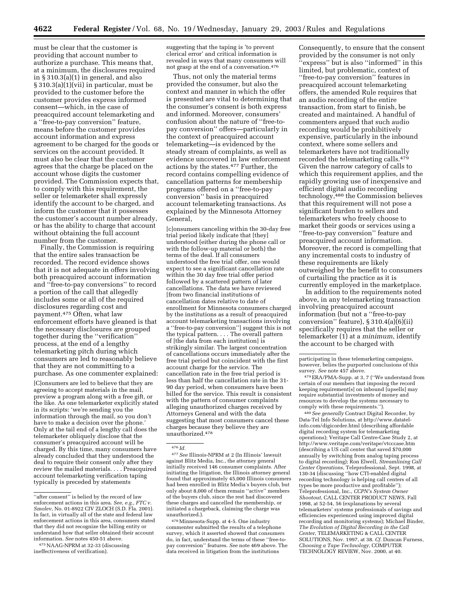must be clear that the customer is providing that account number to authorize a purchase. This means that, at a minimum, the disclosures required in § 310.3(a)(1) in general, and also § 310.3(a)(1)(vii) in particular, must be provided to the customer before the customer provides express informed consent—which, in the case of preacquired account telemarketing and a ''free-to-pay conversion'' feature, means before the customer provides account information and express agreement to be charged for the goods or services on the account provided. It must also be clear that the customer agrees that the charge be placed on the account whose digits the customer provided. The Commission expects that, to comply with this requirement, the seller or telemarketer shall expressly identify the account to be charged, and inform the customer that it possesses the customer's account number already, or has the ability to charge that account without obtaining the full account number from the customer.

Finally, the Commission is requiring that the entire sales transaction be recorded. The record evidence shows that it is not adequate in offers involving both preacquired account information and ''free-to-pay conversions'' to record a portion of the call that allegedly includes some or all of the required disclosures regarding cost and payment.475 Often, what law enforcement efforts have gleaned is that the necessary disclosures are grouped together during the ''verification'' process, at the end of a lengthy telemarketing pitch during which consumers are led to reasonably believe that they are not committing to a purchase. As one commenter explained:

[C]onsumers are led to believe that they are agreeing to accept materials in the mail, preview a program along with a free gift, or the like. As one telemarketer explicitly stated in its scripts: 'we're sending you the information through the mail, so you don't have to make a decision over the phone.' Only at the tail end of a lengthy call does the telemarketer obliquely disclose that the consumer's preacquired account will be charged. By this time, many consumers have already concluded that they understood the deal to require their consent only after they review the mailed materials. . . . Preacquired account telemarketing verification taping typically is preceded by statements

suggesting that the taping is 'to prevent clerical error' and critical information is revealed in ways that many consumers will not grasp at the end of a conversation.476

Thus, not only the material terms provided the consumer, but also the context and manner in which the offer is presented are vital to determining that the consumer's consent is both express and informed. Moreover, consumers' confusion about the nature of ''free-topay conversion'' offers—particularly in the context of preacquired account telemarketing—is evidenced by the steady stream of complaints, as well as evidence uncovered in law enforcement actions by the states.477 Further, the record contains compelling evidence of cancellation patterns for membership programs offered on a ''free-to-pay conversion'' basis in preacquired account telemarketing transactions. As explained by the Minnesota Attorney General,

[c]onsumers canceling within the 30-day free trial period likely indicate that [they] understood (either during the phone call or with the follow-up material or both) the terms of the deal. If all consumers understood the free trial offer, one would expect to see a significant cancellation rate within the 30 day free trial offer period followed by a scattered pattern of later cancellations. The data we have reviewed [from two financial institutions of cancellation dates relative to date of enrollment for Minnesota consumers charged by the institutions as a result of preacquired account telemarketing transactions involving a ''free-to-pay conversion''] suggest this is not the typical pattern. . . . The overall pattern of [the data from each institution] is strikingly similar. The largest concentration of cancellations occurs immediately after the free trial period but coincident with the first account charge for the service. The cancellation rate in the free trial period is less than half the cancellation rate in the 31- 90 day period, when consumers have been billed for the service. This result is consistent with the pattern of consumer complaints alleging unauthorized charges received by Attorneys General and with the data suggesting that most consumers cancel these charges because they believe they are unauthorized.478

Consequently, to ensure that the consent provided by the consumer is not only "express" but is also "informed" in this limited, but problematic, context of ''free-to-pay conversion'' features in preacquired account telemarketing offers, the amended Rule requires that an audio recording of the entire transaction, from start to finish, be created and maintained. A handful of commenters argued that such audio recording would be prohibitively expensive, particularly in the inbound context, where some sellers and telemarketers have not traditionally recorded the telemarketing calls.479 Given the narrow category of calls to which this requirement applies, and the rapidly growing use of inexpensive and efficient digital audio recording technology,480 the Commission believes that this requirement will not pose a significant burden to sellers and telemarketers who freely choose to market their goods or services using a ''free-to-pay conversion'' feature and preacquired account information. Moreover, the record is compelling that any incremental costs to industry of these requirements are likely outweighed by the benefit to consumers of curtailing the practice as it is currently employed in the marketplace.

In addition to the requirements noted above, in any telemarketing transaction involving preacquired account information (but not a ''free-to-pay conversion'' feature), § 310.4(a)(6)(ii) specifically requires that the seller or telemarketer (1) at a *minimum*, identify the account to be charged with

479ERA/PMA-Supp. at 3, 7 (''We understand from certain of our members that imposing the record keeping requirement[s] on inbound [upsells] may require substantial investments of money and resources to develop the systems necessary to comply with these requirements.'').

480*See generally* Contract Digital Recorder, by Data-Tel Info Solutions, at http://www.datatelinfo.com/digicorder.html (describing affordable digital recording system for telemarketing operations); Veritape Call Centre-Case Study 2, at http://www.veritape.com/veritape/vtcccase.htm (describing a US call center that saved \$70,000 annually by switching from analog taping process to digital recording); Ron Elwell, *Streamlining Call Center Operations*, Teleprofessional, Sept. 1998, at 130-34 (discussing ''how CTI-enabled digital recording technology is helping call centers of all types be more productive and profitable''); Teleprofessional, Inc., *CCPN's System Owner Shootout*, CALL CENTER PRODUCT NEWS, Fall 1998, at 52-54, 56 (explanations by several telemarketers' systems professionals of savings and efficiencies experienced using improved digital recording and monitoring systems); Michael Binder, *The Evolution of Digital Recording in the Call Center*, TELEMARKETING & CALL CENTER SOLUTIONS, Nov. 1997, at 38. *Cf.* Duncan Furness, *Choosing a Tape Technology*, COMPUTER TECHNOLOGY REVIEW, Nov. 2000, at 40.

<sup>&</sup>quot;after consent" is belied by the record of law enforcement actions in this area. *See, e.g., FTC v. Smolev*, No. 01-8922 CIV ZLOCH (S.D. Fla. 2001). In fact, in virtually all of the state and federal law enforcement actions in this area, consumers stated that they did not recognize the billing entity or understand how that seller obtained their account information. *See* notes 450-51 above.

<sup>475</sup>NAAG-NPRM at 32-33 (discussing ineffectiveness of verification).

<sup>476</sup> *Id.*

<sup>477</sup>*See* Illinois-NPRM at 2 (In Illinois' lawsuit against Blitz Media, Inc., the attorney general initially received 146 consumer complaints. After initiating the litigation, the Illinois attorney general found that approximately 45,000 Illinois consumers had been enrolled in Blitz Media's buyers club, but only about 8,000 of them remain ''active'' members of the buyers club, since the rest had discovered these charges and cancelled the membership, or initiated a chargeback, claiming the charge was unauthorized.).

<sup>478</sup>Minnesota-Supp. at 4-5. One industry commenter submitted the results of a telephone survey, which it asserted showed that consumers do, in fact, understand the terms of these ''free-topay conversion'' features. *See* note 469 above. The data received in litigation from the institutions

participating in these telemarketing campaigns, however, belies the purported conclusions of this survey. *See* note 457 above.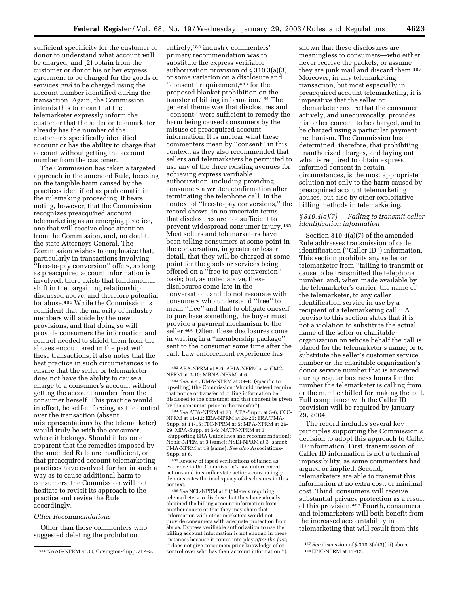sufficient specificity for the customer or donor to understand what account will be charged, and (2) obtain from the customer or donor his or her express agreement to be charged for the goods or services *and* to be charged using the account number identified during the transaction. Again, the Commission intends this to mean that the telemarketer expressly inform the customer that the seller or telemarketer already has the number of the customer's specifically identified account or has the ability to charge that account without getting the account number from the customer.

The Commission has taken a targeted approach in the amended Rule, focusing on the tangible harm caused by the practices identified as problematic in the rulemaking proceeding. It bears noting, however, that the Commission recognizes preacquired account telemarketing as an emerging practice, one that will receive close attention from the Commission, and, no doubt, the state Attorneys General. The Commission wishes to emphasize that, particularly in transactions involving ''free-to-pay conversion'' offers, so long as preacquired account information is involved, there exists that fundamental shift in the bargaining relationship discussed above, and therefore potential for abuse.481 While the Commission is confident that the majority of industry members will abide by the new provisions, and that doing so will provide consumers the information and control needed to shield them from the abuses encountered in the past with these transactions, it also notes that the best practice in such circumstances is to ensure that the seller or telemarketer does not have the ability to cause a charge to a consumer's account without getting the account number from the consumer herself. This practice would, in effect, be self-enforcing, as the control over the transaction (absent misrepresentations by the telemarketer) would truly be with the consumer, where it belongs. Should it become apparent that the remedies imposed by the amended Rule are insufficient, or that preacquired account telemarketing practices have evolved further in such a way as to cause additional harm to consumers, the Commission will not hesitate to revisit its approach to the practice and revise the Rule accordingly.

# *Other Recommendations*

Other than those commenters who suggested deleting the prohibition

entirely,482 industry commenters' primary recommendation was to substitute the express verifiable authorization provision of § 310.3(a)(3), or some variation on a disclosure and ''consent'' requirement,483 for the proposed blanket prohibition on the transfer of billing information.484 The general theme was that disclosures and ''consent'' were sufficient to remedy the harm being caused consumers by the misuse of preacquired account information. It is unclear what these commenters mean by ''consent'' in this context, as they also recommended that sellers and telemarketers be permitted to use any of the three existing avenues for achieving express verifiable authorization, including providing consumers a written confirmation after terminating the telephone call. In the context of ''free-to-pay conversions,'' the record shows, in no uncertain terms, that disclosures are not sufficient to prevent widespread consumer injury.485 Most sellers and telemarketers have been telling consumers at some point in the conversation, in greater or lesser detail, that they will be charged at some point for the goods or services being offered on a ''free-to-pay conversion'' basis; but, as noted above, these disclosures come late in the conversation, and do not resonate with consumers who understand ''free'' to mean ''free'' and that to obligate oneself to purchase something, the buyer must provide a payment mechanism to the seller.486 Often, these disclosures come in writing in a ''membership package'' sent to the consumer some time after the call. Law enforcement experience has

484*See* ATA-NPRM at 20; ATA-Supp. at 5-6; CCC-NPRM at 11-12; ERA-NPRM at 24-25; ERA/PMA-Supp. at 11-15; ITC-NPRM at 5; MPA-NPRM at 26- 29; MPA-Supp. at 5-6; NATN-NPRM at 3 (Supporting ERA Guidelines and recommendation); Noble-NPRM at 3 (same); NSDI-NPRM at 3 (same); PMA-NPRM at 19 (same). *See also* Associations-Supp. at 6.

485Review of taped verifications obtained as evidence in the Commission's law enforcement actions and in similar state actions convincingly demonstrates the inadequacy of disclosures in this context.

486*See* NCL-NPRM at 7 (''Merely requiring telemarketers to disclose that they have already obtained the billing account information from another source or that they may share that information with other marketers would not provide consumers with adequate protection from abuse. Express verifiable authorization to use the billing account information is not enough in these instances because it comes into play *after the fact*; it does not give consumers prior knowledge of or control over who has their account information.'').

shown that these disclosures are meaningless to consumers—who either never receive the packets, or assume they are junk mail and discard them.487 Moreover, in any telemarketing transaction, but most especially in preacquired account telemarketing, it is imperative that the seller or telemarketer ensure that the consumer actively, and unequivocally, provides his or her consent to be charged, and to be charged using a particular payment mechanism. The Commission has determined, therefore, that prohibiting unauthorized charges, and laying out what is required to obtain express informed consent in certain circumstances, is the most appropriate solution not only to the harm caused by preacquired account telemarketing abuses, but also by other exploitative billing methods in telemarketing.

# *§ 310.4(a)(7) — Failing to transmit caller identification information*

Section 310.4(a)(7) of the amended Rule addresses transmission of caller identification (''Caller ID'') information. This section prohibits any seller or telemarketer from ''failing to transmit or cause to be transmitted the telephone number, and, when made available by the telemarketer's carrier, the name of the telemarketer, to any caller identification service in use by a recipient of a telemarketing call.'' A proviso to this section states that it is not a violation to substitute the actual name of the seller or charitable organization on whose behalf the call is placed for the telemarketer's name, or to substitute the seller's customer service number or the charitable organization's donor service number that is answered during regular business hours for the number the telemarketer is calling from or the number billed for making the call. Full compliance with the Caller ID provision will be required by January 29, 2004.

The record includes several key principles supporting the Commission's decision to adopt this approach to Caller ID information. First, transmission of Caller ID information is not a technical impossibility, as some commenters had argued or implied. Second, telemarketers are able to transmit this information at no extra cost, or minimal cost. Third, consumers will receive substantial privacy protection as a result of this provision.488 Fourth, consumers and telemarketers will both benefit from the increased accountability in telemarketing that will result from this

487*See* discussion of § 310.3(a)(3)(iii) above. 488EPIC-NPRM at 11-12.

<sup>481</sup>NAAG-NPRM at 30; Covington-Supp. at 4-5.

<sup>482</sup>ABA-NPRM at 8-9; ABIA-NPRM at 4; CMC-NPRM at 9-10; MBNA-NPRM at 6.

<sup>483</sup>*See, e.g.*, DMA-NPRM at 39-40 (specific to upselling) (the Commission ''should instead require that notice of transfer of billing information be disclosed to the consumer and that consent be given by the consumer prior to the transfer'').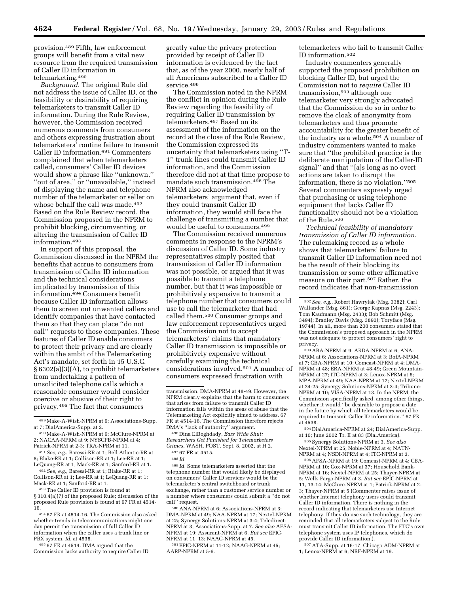provision.489 Fifth, law enforcement groups will benefit from a vital new resource from the required transmission of Caller ID information in telemarketing.490

*Background.* The original Rule did not address the issue of Caller ID, or the feasibility or desirability of requiring telemarketers to transmit Caller ID information. During the Rule Review, however, the Commission received numerous comments from consumers and others expressing frustration about telemarketers' routine failure to transmit Caller ID information.491 Commenters complained that when telemarketers called, consumers' Caller ID devices would show a phrase like ''unknown,'' "out of area," or "unavailable," instead of displaying the name and telephone number of the telemarketer or seller on whose behalf the call was made.492 Based on the Rule Review record, the Commission proposed in the NPRM to prohibit blocking, circumventing, or altering the transmission of Caller ID information.493

In support of this proposal, the Commission discussed in the NPRM the benefits that accrue to consumers from transmission of Caller ID information and the technical considerations implicated by transmission of this information.494 Consumers benefit because Caller ID information allows them to screen out unwanted callers and identify companies that have contacted them so that they can place ''do not call'' requests to those companies. These features of Caller ID enable consumers to protect their privacy and are clearly within the ambit of the Telemarketing Act's mandate, set forth in 15 U.S.C. § 6302(a)(3)(A), to prohibit telemarketers from undertaking a pattern of unsolicited telephone calls which a reasonable consumer would consider coercive or abusive of their right to privacy.495 The fact that consumers

493The Caller ID provision is found at § 310.4(a)(7) of the proposed Rule; discussion of the proposed Rule provision is found at 67 FR at 4514- 16.

494 67 FR at 4514-16. The Commission also asked whether trends in telecommunications might one day permit the transmission of full Caller ID information when the caller uses a trunk line or PBX system. *Id.* at 4538.

495 67 FR at 4514. DMA argued that the Commission lacks authority to require Caller ID greatly value the privacy protection provided by receipt of Caller ID information is evidenced by the fact that, as of the year 2000, nearly half of all Americans subscribed to a Caller ID service.<sup>496</sup>

The Commission noted in the NPRM the conflict in opinion during the Rule Review regarding the feasibility of requiring Caller ID transmission by telemarketers.497 Based on its assessment of the information on the record at the close of the Rule Review, the Commission expressed its uncertainty that telemarketers using ''T-1'' trunk lines could transmit Caller ID information, and the Commission therefore did not at that time propose to mandate such transmission.498 The NPRM also acknowledged telemarketers' argument that, even if they could transmit Caller ID information, they would still face the challenge of transmitting a number that would be useful to consumers.499

The Commission received numerous comments in response to the NPRM's discussion of Caller ID. Some industry representatives simply posited that transmission of Caller ID information was not possible, or argued that it was possible to transmit a telephone number, but that it was impossible or prohibitively expensive to transmit a telephone number that consumers could use to call the telemarketer that had called them.500 Consumer groups and law enforcement representatives urged the Commission not to accept telemarketers' claims that mandatory Caller ID transmission is impossible or prohibitively expensive without carefully examining the technical considerations involved.501 A number of consumers expressed frustration with

496 Dina ElBoghdady, *Ears Wide Shut: Researchers Get Punished for Telemarketers' Crimes*, WASH. POST, Sept. 8, 2002, at H 2. 497 67 FR at 4515.

499 *Id.* Some telemarketers asserted that the telephone number that would likely be displayed on consumers' Caller ID services would be the telemarketer's central switchboard or trunk exchange, rather than a customer service number or a number where consumers could submit a ''do not call'' request.

500ANA-NPRM at 6; Associations-NPRM at 3; DMA-NPRM at 49; NAA-NPRM at 17; Nextel-NPRM at 25; Synergy Solutions-NPRM at 3-4; Teledirect-NPRM at 3; Associations-Supp. at 7. *See also* AFSA-NPRM at 19; Assurant-NPRM at 6. *But see* EPIC-NPRM at 11, 13; NAAG-NPRM at 45.

501EPIC-NPRM at 11-12; NAAG-NPRM at 45; AARP-NPRM at 5-6.

telemarketers who fail to transmit Caller ID information.502

Industry commenters generally supported the proposed prohibition on blocking Caller ID, but urged the Commission not to *require* Caller ID transmission,503 although one telemarketer very strongly advocated that the Commission do so in order to remove the cloak of anonymity from telemarketers and thus promote accountability for the greater benefit of the industry as a whole.<sup>504</sup> A number of industry commenters wanted to make sure that ''the prohibited practice is the deliberate manipulation of the Caller-ID signal'' and that ''[a]s long as no overt actions are taken to disrupt the information, there is no violation.''505 Several commenters expressly urged that purchasing or using telephone equipment that lacks Caller ID functionality should not be a violation of the Rule.<sup>506</sup>

*Technical feasibility of mandatory transmission of Caller ID information.* The rulemaking record as a whole shows that telemarketers' failure to transmit Caller ID information need not be the result of their blocking its transmission or some other affirmative measure on their part.507 Rather, the record indicates that non-transmission

503ABA-NPRM at 9; ARDA-NPRM at 6; ANA-NPRM at 6; Associations-NPRM at 3; BofA-NPRM at 7; CBA-NPRM at 10; Comcast-NPRM at 4; DMA-NPRM at 48; ERA-NPRM at 48-49; Green Mountain-NPRM at 27; ITC-NPRM at 3; Lenox-NPRM at 6; MPA-NPRM at 49; NAA-NPRM at 17; Nextel-NPRM at 24-25; Synergy Solutions-NPRM at 3-4; Tribune-NPRM at 10; VISA-NPRM at 13. In the NPRM, the Commission specifically asked, among other things, whether it would ''be desirable to propose a date in the future by which all telemarketers would be required to transmit Caller ID information.'' 67 FR at 4538.

504 DialAmerica-NPRM at 24; DialAmerica-Supp. at 10; June 2002 Tr. II at 83 (DialAmerica).

505Synergy Solutions-NPRM at 3. *See also* Nextel-NPRM at 25; Noble-NPRM at 4; NATN-NPRM at 4; NSDI-NPRM at 4; ITC-NPRM at 3.

506AFSA-NPRM at 19; Comcast-NPRM at 4; CBA-NPRM at 10; Cox-NPRM at 37; Household Bank-NPRM at 16; Nextel-NPRM at 25; Thayer-NPRM at 5; Wells Fargo-NPRM at 3. *But see* EPIC-NPRM at 11, 13-14; McClure-NPRM at 1; Patrick-NPRM at 2- 3; Thayer-NPRM at 5 (Commenter raises issue of whether Internet telephony users could transmit Caller ID information. There is nothing in the record indicating that telemarketers use Internet telephony. If they do use such technology, they are reminded that all telemarketers subject to the Rule must transmit Caller ID information. The FTC's own telephone system uses IP telephones, which do provide Caller ID information.).

507ATA-Supp. at 16-17; Chicago ADM-NPRM at 1; Lenox-NPRM at 6; NRF-NPRM at 19.

<sup>489</sup>Make-A-Wish-NPRM at 6; Associations-Supp. at 7; DialAmerica-Supp. at 2.

<sup>490</sup>Make-A-Wish-NPRM at 6; McClure-NPRM at 2; NACAA-NPRM at 9; NYSCPB-NPRM at 4; Patrick-NPRM at 2-3; TRA-NPRM at 11.

<sup>491</sup>*See, e.g.*, Baressi-RR at 1; Bell Atlantic-RR at 8; Blake-RR at 1; Collison-RR at 1; Lee-RR at 1;

LeQuang-RR at 1; Mack-RR at 1; Sanford-RR at 1. 492*See, e.g.*, Baressi-RR at 1; Blake-RR at 1;

Collison-RR at 1; Lee-RR at 1; LeQuang-RR at 1; Mack-RR at 1; Sanford-RR at 1.

transmission. DMA-NPRM at 48-49. However, the NPRM clearly explains that the harm to consumers that arises from failure to transmit Caller ID information falls within the areas of abuse that the Telemarketing Act explicitly aimed to address. 67 FR at 4514-16. The Commission therefore rejects DMA's ''lack of authority'' argument.

<sup>498</sup> *Id.*

<sup>502</sup>*See, e.g.*, Robert Hawrylak (Msg. 3382); Carl Wallander (Msg. 861); George Kapnas (Msg. 2243); Tom Kaufmann (Msg. 2433); Bob Schmitt (Msg. 3494); Bradley Davis (Msg. 3890); Toryface (Msg. 19744). In all, more than 200 consumers stated that the Commission's proposed approach in the NPRM was not adequate to protect consumers' right to privacy.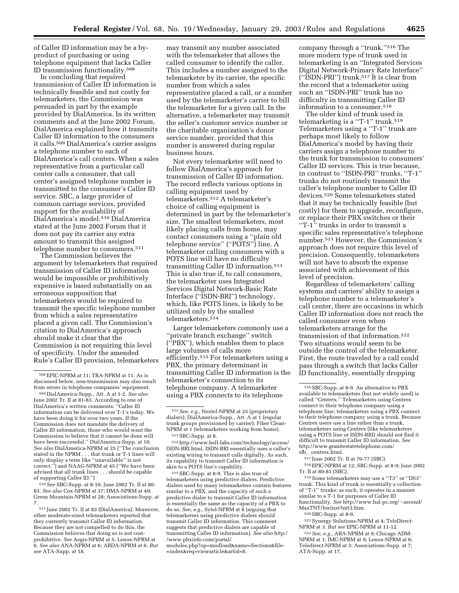of Caller ID information may be a byproduct of purchasing or using telephone equipment that lacks Caller ID transmission functionality.508

In concluding that required transmission of Caller ID information is technically feasible and not costly for telemarketers, the Commission was persuaded in part by the example provided by DialAmerica. In its written comments and at the June 2002 Forum, DialAmerica explained how it transmits Caller ID information to the consumers it calls.509 DialAmerica's carrier assigns a telephone number to each of DialAmerica's call centers. When a sales representative from a particular call center calls a consumer, that call center's assigned telephone number is transmitted to the consumer's Caller ID service. SBC, a large provider of common carriage services, provided support for the availability of DialAmerica's model.510 DialAmerica stated at the June 2002 Forum that it does not pay its carrier any extra amount to transmit this assigned telephone number to consumers.511

The Commission believes the argument by telemarketers that required transmission of Caller ID information would be impossible or prohibitively expensive is based substantially on an erroneous supposition that telemarketers would be required to transmit the specific telephone number from which a sales representative placed a given call. The Commission's citation to DialAmerica's approach should make it clear that the Commission is not requiring this level of specificity. Under the amended Rule's Caller ID provision, telemarketers

510*See* SBC-Supp. at 8-10; June 2002 Tr. II at 80- 83. *See also* Cox-NPRM at 37; DMA-NPRM at 49; Green Mountain-NPRM at 28; Associations-Supp. at 7.

may transmit any number associated with the telemarketer that allows the called consumer to identify the caller. This includes a number assigned to the telemarketer by its carrier, the specific number from which a sales representative placed a call, or a number used by the telemarketer's carrier to bill the telemarketer for a given call. In the alternative, a telemarketer may transmit the seller's customer service number or the charitable organization's donor service number, provided that this number is answered during regular business hours.

Not every telemarketer will need to follow DialAmerica's approach for transmission of Caller ID information. The record reflects various options in calling equipment used by telemarketers.512 A telemarketer's choice of calling equipment is determined in part by the telemarketer's size. The smallest telemarketers, most likely placing calls from home, may contact consumers using a ''plain old telephone service'' (''POTS'') line. A telemarketer calling consumers with a POTS line will have no difficulty transmitting Caller ID information.513 This is also true if, to call consumers, the telemarketer uses Integrated Services Digital Network-Basic Rate Interface (''ISDN-BRI'') technology, which, like POTS lines, is likely to be utilized only by the smallest telemarketers.514

Larger telemarketers commonly use a ''private branch exchange'' switch (''PBX''), which enables them to place large volumes of calls more efficiently.515 For telemarketers using a PBX, the primary determinant in transmitting Caller ID information is the telemarketer's connection to its telephone company. A telemarketer using a PBX connects to its telephone

514http://www.bell-labs.com/technology/access/ ISDN-BRI.html. ISDN-BRI essentially uses a caller's existing wiring to transmit calls digitally. As such, its capability to transmit Caller ID information is akin to a POTS line's capability.

515SBC-Supp. at 8-9. This is also true of telemarketers using predictive dialers. Predictive dialers used by many telemarketers contain features similar to a PBX, and the capacity of such a predictive dialer to transmit Caller ID information is essentially the same as the capacity of a PBX to do so. See, e.g., Sytel-NPRM at 8 (arguing that telemarketers using predictive dialers should transmit Caller ID information. This comment suggests that predictive dialers are capable of transmitting Caller ID information). *See also* http:/ /www.pbxinfo.com/portal/

modules.php?op=modload&name=Sections&file- =index&req=viewarticle&artid=8.

company through a ''trunk.''516 The more modern type of trunk used in telemarketing is an ''Integrated Services Digital Network-Primary Rate Interface'' (''ISDN-PRI'') trunk.517 It is clear from the record that a telemarketer using such an ''ISDN-PRI'' trunk has no difficulty in transmitting Caller ID information to a consumer.518

The older kind of trunk used in telemarketing is a "T-1" trunk.<sup>519</sup> Telemarketers using a ''T-1'' trunk are perhaps most likely to follow DialAmerica's model by having their carriers assign a telephone number to the trunk for transmission to consumers' Caller ID services. This is true because, in contrast to ''ISDN-PRI'' trunks, ''T-1'' trunks do not routinely transmit the caller's telephone number to Caller ID devices.520 Some telemarketers stated that it may be technically feasible (but costly) for them to upgrade, reconfigure, or replace their PBX switches or their "T-1" trunks in order to transmit a specific sales representative's telephone number.521 However, the Commission's approach does not require this level of precision. Consequently, telemarketers will not have to absorb the expense associated with achievement of this level of precision.

Regardless of telemarketers' calling systems and carriers' ability to assign a telephone number to a telemarketer's call center, there are occasions in which Caller ID information does not reach the called consumer even when telemarketers arrange for the transmission of that information.522 Two situations would seem to be outside the control of the telemarketer. First, the route traveled by a call could pass through a switch that lacks Caller ID functionality, essentially dropping

519Some telemarketers may use a ''T3'' or ''DS3'' trunk. This kind of trunk is essentially a collection of ''T-1'' trunks; as such, it operates in a manner similar to a T-1 for purposes of Caller ID functionality. *See* http://www.hal-pc.org/~ascend/ MaxTNT/hwinst/tntt3.htm.

521Synergy Solutions-NPRM at 4; TeleDirect-NPRM at 3. *But see* EPIC-NPRM at 11-12.

522*See, e.g.*, ABA-NPRM at 9; Chicago ADM-NPRM at 1; IMC-NPRM at 9; Lenox-NPRM at 6;

Teledirect-NPRM at 3; Associations-Supp. at 7; ATA-Supp. at 17.

<sup>508</sup>EPIC-NPRM at 11; TRA-NPRM at 11. As is discussed below, non-transmission may also result from errors in telephone companies' equipment.

<sup>509</sup> DialAmerica-Supp., Att. A at 1-2. *See also* June 2002 Tr. II at 81-83. According to one of DialAmerica's written comments: ''Caller ID information can be delivered over T-1's today. We have been doing it for over two years. If the Commission does not mandate the delivery of Caller ID information, those who would want the Commission to believe that it cannot be done will have been successful.'' DialAmerica-Supp. at 10. *See also* DialAmerica-NPRM at 25 (''The conclusion stated in the NPRM . . . that trunk or T-1 lines will only display a term like ''unavailable'' is not correct.'') and NAAG-NPRM at 45 (''We have been advised that all trunk lines . . . should be capable of supporting Caller ID.'')

<sup>511</sup> June 2002 Tr. II at 83 (DialAmerica). Moreover, other moderate-sized telemarketers reported that they currently transmit Caller ID information. Because they are not compelled to do this, the Commission believes that doing so is not costprohibitive. *See* Aegis-NPRM at 5; Lenox-NPRM at 6. *See also* ANA-NPRM at 6; ARDA-NPRM at 6. *But see* ATA-Supp. at 18.

<sup>512</sup>*See, e.g.*, Nextel-NPRM at 25 (proprietary dialers); DialAmerica-Supp., Att. A at 1 (regular trunk groups provisioned by carrier); Fiber Clean-NPRM at 1 (telemarketers working from home). 513SBC-Supp. at 8.

<sup>516</sup>SBC-Supp. at 8-9. An alternative to PBX available to telemarketers (but not widely used) is called ''Centrex.'' Telemarketers using Centrex connect to their telephone company using a telephone line; telemarketers using a PBX connect to their telephone company using a trunk. Because Centrex users use a line rather than a trunk, telemarketers using Centrex (like telemarketers using a POTS line or ISDN-BRI) should not find it difficult to transmit Caller ID information. *See* http://www.granitestatetelephone.com/ sfb centrex.html.

<sup>517</sup> June 2002 Tr. II at 76-77 (SBC). 518EPIC-NPRM at 12; SBC-Supp. at 8-9; June 2002

Tr. II at 80-81 (SBC).

<sup>520</sup>SBC-Supp. at 8-9.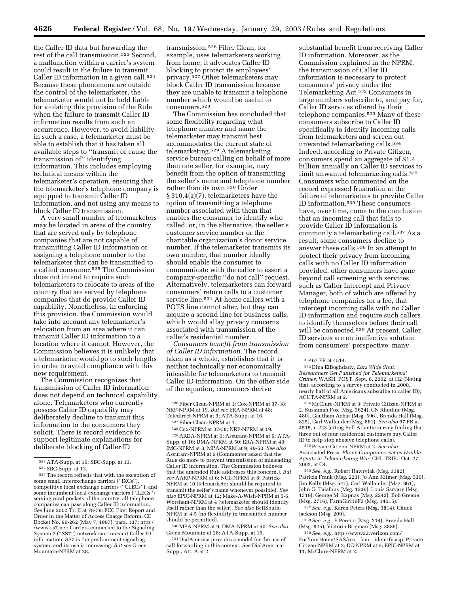the Caller ID data but forwarding the rest of the call transmission.<sup>523</sup> Second, a malfunction within a carrier's system could result in the failure to transmit Caller ID information in a given call.524 Because these phenomena are outside the control of the telemarketer, the telemarketer would not be held liable for violating this provision of the Rule when the failure to transmit Caller ID information results from such an occurrence. However, to avoid liability in such a case, a telemarketer must be able to establish that it has taken all available steps to ''transmit or cause the transmission of'' identifying information. This includes employing technical means within the telemarketer's operation, ensuring that the telemarketer's telephone company is equipped to transmit Caller ID information, and not using any means to block Caller ID transmission.

A very small number of telemarketers may be located in areas of the country that are served only by telephone companies that are not capable of transmitting Caller ID information or assigning a telephone number to the telemarketer that can be transmitted to a called consumer.525 The Commission does not intend to require such telemarketers to relocate to areas of the country that are served by telephone companies that do provide Caller ID capability. Nonetheless, in enforcing this provision, the Commission would take into account any telemarketer's relocation from an area where it can transmit Caller ID information to a location where it cannot. However, the Commission believes it is unlikely that a telemarketer would go to such lengths in order to avoid compliance with this new requirement.

The Commission recognizes that transmission of Caller ID information does not depend on technical capability alone. Telemarketers who currently possess Caller ID capability may deliberately decline to transmit this information to the consumers they solicit. There is record evidence to support legitimate explanations for deliberate blocking of Caller ID

transmission.526 Fiber Clean, for example, uses telemarketers working from home; it advocates Caller ID blocking to protect its employees' privacy.527 Other telemarketers may block Caller ID transmission because they are unable to transmit a telephone number which would be useful to consumers.528

The Commission has concluded that some flexibility regarding what telephone number and name the telemarketer may transmit best accommodates the current state of telemarketing.529 A telemarketing service bureau calling on behalf of more than one seller, for example, may benefit from the option of transmitting the seller's name and telephone number rather than its own.530 Under § 310.4(a)(7), telemarketers have the option of transmitting a telephone number associated with them that enables the consumer to identify who called, or, in the alternative, the seller's customer service number or the charitable organization's donor service number. If the telemarketer transmits its own number, that number ideally should enable the consumer to communicate with the caller to assert a company-specific ''do not call'' request. Alternatively, telemarketers can forward consumers' return calls to a customer service line.531 At-home callers with a POTS line cannot alter, but they can acquire a second line for business calls, which would allay privacy concerns associated with transmission of the caller's residential number.

*Consumers benefit from transmission of Caller ID information.* The record, taken as a whole, establishes that it is neither technically nor economically infeasible for telemarketers to transmit Caller ID information. On the other side of the equation, consumers derive

528Cox-NPRM at 37-38; NRF-NPRM at 19.

529ARDA-NPRM at 6; Assurant-NPRM at 6; ATA-Supp. at 16; DMA-NPRM at 50; ERA-NPRM at 49; IMC-NPRM at 8; MPA-NPRM at 9, 49-50. *See also* Assurant-NPRM at 6 (Commenter asked that the Rule do more to prevent transmission of misleading Caller ID information. The Commission believes that the amended Rule addresses this concern.). *But see* AARP-NPRM at 6; NCL-NPRM at 8; Patrick-NPRM at 10 (telemarketer should be required to transmit the seller's name whenever possible). *See also* EPIC-NPRM at 12; Make-A-Wish-NPRM at 5-6; Worsham-NPRM at 4 (telemarketer should identify itself rather than the seller). *See also* BellSouth-NPRM at 4-5 (no flexibility in transmitted number should be permitted).

530MPA-NPRM at 9; DMA-NPRM at 50. *See also* Green Mountain at 28; ATA-Supp. at 16.

531 DialAmerica provides a model for the use of call forwarding in this context. *See* DialAmerica-Supp., Att. A at 2.

535Private Citizen-NPRM at 2. *See also* Associated Press, *Phone Companies Act as Double Agents in Telemarketing War*, CHI. TRIB., Oct. 27, 2002, at C4.

536*See, e.g.*, Robert Hawrylak (Msg. 3382), Patricia Frank (Msg. 223), Jo Ann Kilmer (Msg. 530), Jim Kelly (Msg. 541), Carl Wallander (Msg. 861), John G. Talafous (Msg. 1236), Louis Sarvary (Msg. 1319), George M. Kapnas (Msg. 2243), Bob Greene (Msg. 2716), FarmGirl16F3 (Msg. 14015).

537*See, e.g.*, Karen Peters (Msg. 3814), Chuck Jackson (Msg. 209).

538*See, e.g.*, E Pereira (Msg. 214), Brenda Hall (Msg. 825), Victoria Brigman (Msg. 3889). 539*See, e.g.*, http://www22.verizon.com/

ForYourHome/SAS/res\_fam\_identify.asp; Private Citizen-NPRM at 2; DC-NPRM at 5; EPIC-NPRM at 11; McClure-NPRM at 2.

<sup>523</sup>ATA-Supp. at 16; SBC-Supp. at 13. 524SBC-Supp. at 13.

<sup>525</sup>The record reflects that with the exception of some small interexchange carriers (''IXCs''), competitive local exchange carriers (''CLECs''), and some incumbent local exchange carriers (''ILECs'') serving rural pockets of the country, all telephone companies can pass along Caller ID information. *See* June 2002 Tr. II at 78-79; FCC First Report and Order in the Matter of Access Charge Reform, CC Docket No. 96-262 (May 7, 1997), para. 137; http:/ /www.ss7.net: Carriers connected to the Signaling System 7 (''SS7'') network can transmit Caller ID information. SS7 is the predominant signaling system, and its use is increasing. *But see* Green Mountain-NPRM at 28.

<sup>526</sup>Fiber Clean-NPRM at 1; Cox-NPRM at 37-38; NRF-NPRM at 19. *But see* ERA-NPRM at 48; Teledirect-NPRM at 3; ATA-Supp. at 16.

<sup>527</sup>Fiber Clean-NPRM at 1.

substantial benefit from receiving Caller ID information. Moreover, as the Commission explained in the NPRM, the transmission of Caller ID information is necessary to protect consumers' privacy under the Telemarketing Act.532 Consumers in large numbers subscribe to, and pay for, Caller ID services offered by their telephone companies.533 Many of these consumers subscribe to Caller ID specifically to identify incoming calls from telemarketers and screen out unwanted telemarketing calls.534 Indeed, according to Private Citizen, consumers spend an aggregate of \$1.4 billion annually on Caller ID services to limit unwanted telemarketing calls.<sup>535</sup> Consumers who commented on the record expressed frustration at the failure of telemarketers to provide Caller ID information.536 These consumers have, over time, come to the conclusion that an incoming call that fails to provide Caller ID information is commonly a telemarketing call.537 As a result, some consumers decline to answer these calls.538 In an attempt to protect their privacy from incoming calls with no Caller ID information provided, other consumers have gone beyond call screening with services such as Caller Intercept and Privacy Manager, both of which are offered by telephone companies for a fee, that intercept incoming calls with no Caller ID information and require such callers to identify themselves before their call will be connected.539 At present, Caller ID services are an ineffective solution from consumers' perspective: many

<sup>532</sup> 67 FR at 4514.

<sup>533</sup> Dina ElBoghdady, *Ears Wide Shut: Researchers Get Punished for Telemarketers' Crimes*, WASH. POST, Sept. 8, 2002, at H2 (Noting that, according to a survey conducted in 2000, nearly half of all Americans subscribe to caller ID); ACUTA-NPRM at 2.

<sup>534</sup>McClure-NPRM at 3; Private Citizen-NPRM at 2, Susannah Fox (Msg. 3624), CN Rhodine (Msg. 480), Gautham Achar (Msg. 596), Brenda Hall (Msg. 825), Carl Wallander (Msg. 861). *See also* 67 FR at 4515, n.223 (citing Bell Atlantic survey finding that three out of four residential customers buy Caller ID to help stop abusive telephone calls).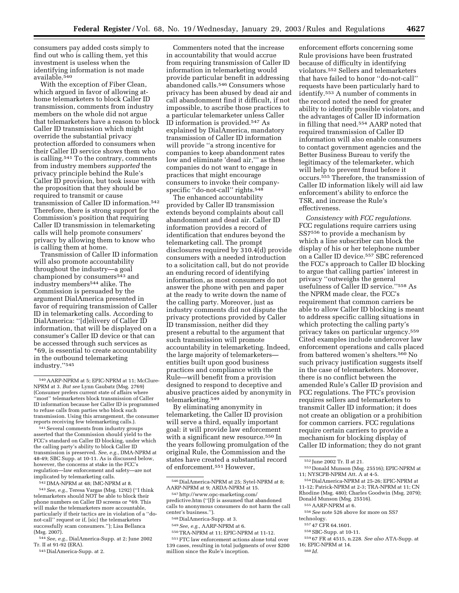consumers pay added costs simply to find out who is calling them, yet this investment is useless when the identifying information is not made available.540

With the exception of Fiber Clean, which argued in favor of allowing athome telemarketers to block Caller ID transmission, comments from industry members on the whole did not argue that telemarketers have a reason to block Caller ID transmission which might override the substantial privacy protection afforded to consumers when their Caller ID service shows them who is calling.541 To the contrary, comments from industry members *supported* the privacy principle behind the Rule's Caller ID provision, but took issue with the proposition that they should be required to transmit or cause transmission of Caller ID information.542 Therefore, there is strong support for the Commission's position that requiring Caller ID transmission in telemarketing calls will help promote consumers' privacy by allowing them to know who is calling them at home.

Transmission of Caller ID information will also promote accountability throughout the industry—a goal championed by consumers<sup>543</sup> and industry members<sup>544</sup> alike. The Commission is persuaded by the argument DialAmerica presented in favor of requiring transmission of Caller ID in telemarketing calls. According to DialAmerica: ''[d]elivery of Caller ID information, that will be displayed on a consumer's Caller ID device or that can be accessed through such services as \*69, is essential to create accountability in the outbound telemarketing industry.''545

541Several comments from industry groups asserted that the Commission should yield to the FCC's standard on Caller ID blocking, under which the calling party's ability to block Caller ID transmission is preserved. *See, e.g.*, DMA-NPRM at 48-49; SBC Supp. at 10-11. As is discussed below, however, the concerns at stake in the FCC's regulation—law enforcement and safety—are not implicated by telemarketing calls.

542 DMA-NPRM at 48; IMC-NPRM at 8.

543*See, e.g.*, Teresa Vargas (Msg. 1292) (''I think telemarketers should NOT be able to block their phone numbers on Caller ID screens or \*69. This will make the telemarketers more accountable, particularly if their tactics are in violation of a ''donot-call'' request or if, [sic] the telemarketers successfully scam consumers.''); Lisa Bellanca (Msg. 2007).

544*See, e.g.*, DialAmerica-Supp. at 2; June 2002 Tr. II at 91-92 (ERA).

545 DialAmerica-Supp. at 2.

Commenters noted that the increase in accountability that would accrue from requiring transmission of Caller ID information in telemarketing would provide particular benefit in addressing abandoned calls.546 Consumers whose privacy has been abused by dead air and call abandonment find it difficult, if not impossible, to ascribe those practices to a particular telemarketer unless Caller ID information is provided.547 As explained by DialAmerica, mandatory transmission of Caller ID information will provide ''a strong incentive for companies to keep abandonment rates low and eliminate 'dead air,''' as these companies do not want to engage in practices that might encourage consumers to invoke their companyspecific "do-not-call" rights.<sup>548</sup>

The enhanced accountability provided by Caller ID transmission extends beyond complaints about call abandonment and dead air. Caller ID information provides a record of identification that endures beyond the telemarketing call. The prompt disclosures required by 310.4(d) provide consumers with a needed introduction to a solicitation call, but do not provide an enduring record of identifying information, as most consumers do not answer the phone with pen and paper at the ready to write down the name of the calling party. Moreover, just as industry comments did not dispute the privacy protections provided by Caller ID transmission, neither did they present a rebuttal to the argument that such transmission will promote accountability in telemarketing. Indeed, the large majority of telemarketers entities built upon good business practices and compliance with the Rule—will benefit from a provision designed to respond to deceptive and abusive practices aided by anonymity in telemarketing.549

By eliminating anonymity in telemarketing, the Caller ID provision will serve a third, equally important goal: it will provide law enforcement with a significant new resource.<sup>550</sup> In the years following promulgation of the original Rule, the Commission and the states have created a substantial record of enforcement.551 However,

550TRA-NPRM at 11; EPIC-NPRM at 11-12.

enforcement efforts concerning some Rule provisions have been frustrated because of difficulty in identifying violators.552 Sellers and telemarketers that have failed to honor ''do-not-call'' requests have been particularly hard to identify.553 A number of comments in the record noted the need for greater ability to identify possible violators, and the advantages of Caller ID information in filling that need.554 AARP noted that required transmission of Caller ID information will also enable consumers to contact government agencies and the Better Business Bureau to verify the legitimacy of the telemarketer, which will help to prevent fraud before it occurs.555 Therefore, the transmission of Caller ID information likely will aid law enforcement's ability to enforce the TSR, and increase the Rule's effectiveness.

*Consistency with FCC regulations.* FCC regulations require carriers using SS7556 to provide a mechanism by which a line subscriber can block the display of his or her telephone number on a Caller ID device.557 SBC referenced the FCC's approach to Caller ID blocking to argue that calling parties' interest in privacy ''outweighs the general usefulness of Caller ID service.''558 As the NPRM made clear, the FCC's requirement that common carriers be able to allow Caller ID blocking is meant to address specific calling situations in which protecting the calling party's privacy takes on particular urgency.559 Cited examples include undercover law enforcement operations and calls placed from battered women's shelters.560 No such privacy justification suggests itself in the case of telemarketers. Moreover, there is no conflict between the amended Rule's Caller ID provision and FCC regulations. The FTC's provision requires sellers and telemarketers to transmit Caller ID information; it does not create an obligation or a prohibition for common carriers. FCC regulations require certain carriers to provide a mechanism for blocking display of Caller ID information; they do not grant

- 553 Donald Munson (Msg. 25516); EPIC-NPRM at 11; NYSCPB-NPRM Att. A at 4-5.
- 554 DialAmerica-NPRM at 25-26; EPIC-NPRM at 11-12; Patrick-NPRM at 2-3; TRA-NPRM at 11; CN Rhodine (Msg. 480); Charles Goodwin (Msg. 2079); Donald Munson (Msg. 25516).
	- 555AARP-NPRM at 6.
	- 556*See* note 526 above for more on SS7
- technology.
- 557 47 CFR 64.1601.
- 558SBC-Supp. at 10-11.
- 559 67 FR at 4515, n.228. *See also* ATA-Supp. at 16; EPIC-NPRM at 14.
- 560 *Id.*

<sup>540</sup>AARP-NPRM at 5; EPIC-NPRM at 11; McClure-NPRM at 3. *But see* Lynn Gaubatz (Msg. 2769) (Consumer prefers current state of affairs where ''most'' telemarketers block transmission of Caller ID information because her Caller ID is programmed to refuse calls from parties who block such transmission. Using this arrangement, the consumer reports receiving few telemarketing calls.).

<sup>546</sup> DialAmerica-NPRM at 25; Sytel-NPRM at 8; AARP-NPRM at 9; ARDA-NPRM at 15.

<sup>547</sup>http://www.opc-marketing.com/ predictive.htm (''[I]t is assumed that abandoned calls to anonymous consumers do not harm the call center's business.'').

<sup>548</sup> DialAmerica-Supp. at 3.

<sup>549</sup>*See, e.g.*, AARP-NPRM at 6.

<sup>551</sup>FTC law enforcement actions alone total over 139 cases, resulting in total judgments of over \$200 million since the Rule's inception.

<sup>552</sup> June 2002 Tr. II at 21.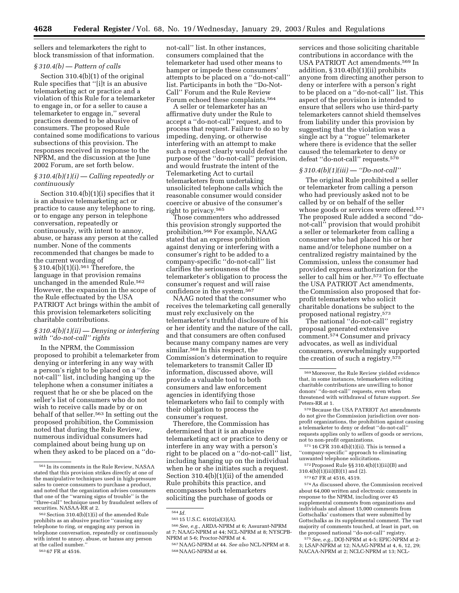sellers and telemarketers the right to block transmission of that information.

## *§ 310.4(b) — Pattern of calls*

Section 310.4(b)(1) of the original Rule specifies that ''[i]t is an abusive telemarketing act or practice and a violation of this Rule for a telemarketer to engage in, or for a seller to cause a telemarketer to engage in,'' several practices deemed to be abusive of consumers. The proposed Rule contained some modifications to various subsections of this provision. The responses received in response to the NPRM, and the discussion at the June 2002 Forum, are set forth below.

# *§ 310.4(b)(1)(i) — Calling repeatedly or continuously*

Section 310.4(b)(1)(i) specifies that it is an abusive telemarketing act or practice to cause any telephone to ring, or to engage any person in telephone conversation, repeatedly or continuously, with intent to annoy, abuse, or harass any person at the called number. None of the comments recommended that changes be made to the current wording of § 310.4(b)(1)(i).<sup>561</sup> Therefore, the language in that provision remains unchanged in the amended Rule.562 However, the expansion in the scope of the Rule effectuated by the USA PATRIOT Act brings within the ambit of this provision telemarketers soliciting charitable contributions.

# *§ 310.4(b)(1)(ii) — Denying or interfering with ''do-not-call'' rights*

In the NPRM, the Commission proposed to prohibit a telemarketer from denying or interfering in any way with a person's right to be placed on a ''donot-call'' list, including hanging up the telephone when a consumer initiates a request that he or she be placed on the seller's list of consumers who do not wish to receive calls made by or on behalf of that seller.563 In setting out the proposed prohibition, the Commission noted that during the Rule Review, numerous individual consumers had complained about being hung up on when they asked to be placed on a ''donot-call'' list. In other instances, consumers complained that the telemarketer had used other means to hamper or impede these consumers' attempts to be placed on a ''do-not-call'' list. Participants in both the ''Do-Not-Call'' Forum and the Rule Review Forum echoed these complaints.564

A seller or telemarketer has an affirmative duty under the Rule to accept a ''do-not-call'' request, and to process that request. Failure to do so by impeding, denying, or otherwise interfering with an attempt to make such a request clearly would defeat the purpose of the ''do-not-call'' provision, and would frustrate the intent of the Telemarketing Act to curtail telemarketers from undertaking unsolicited telephone calls which the reasonable consumer would consider coercive or abusive of the consumer's right to privacy.565

Those commenters who addressed this provision strongly supported the prohibition.566 For example, NAAG stated that an express prohibition against denying or interfering with a consumer's right to be added to a company-specific ''do-not-call'' list clarifies the seriousness of the telemarketer's obligation to process the consumer's request and will raise confidence in the system.567

NAAG noted that the consumer who receives the telemarketing call generally must rely exclusively on the telemarketer's truthful disclosure of his or her identity and the nature of the call, and that consumers are often confused because many company names are very similar.568 In this respect, the Commission's determination to require telemarketers to transmit Caller ID information, discussed above, will provide a valuable tool to both consumers and law enforcement agencies in identifying those telemarketers who fail to comply with their obligation to process the consumer's request.

Therefore, the Commission has determined that it is an abusive telemarketing act or practice to deny or interfere in any way with a person's right to be placed on a ''do-not-call'' list, including hanging up on the individual when he or she initiates such a request. Section 310.4(b)(1)(ii) of the amended Rule prohibits this practice, and encompasses both telemarketers soliciting the purchase of goods or

services and those soliciting charitable contributions in accordance with the USA PATRIOT Act amendments.569 In addition, § 310.4(b)(1)(ii) prohibits anyone from directing another person to deny or interfere with a person's right to be placed on a ''do-not-call'' list. This aspect of the provision is intended to ensure that sellers who use third-party telemarketers cannot shield themselves from liability under this provision by suggesting that the violation was a single act by a ''rogue'' telemarketer where there is evidence that the seller caused the telemarketer to deny or defeat ''do-not-call'' requests.570

## *§ 310.4(b)(1)(iii) — ''Do-not-call''*

The original Rule prohibited a seller or telemarketer from calling a person who had previously asked not to be called by or on behalf of the seller whose goods or services were offered.571 The proposed Rule added a second ''donot-call'' provision that would prohibit a seller or telemarketer from calling a consumer who had placed his or her name and/or telephone number on a centralized registry maintained by the Commission, unless the consumer had provided express authorization for the seller to call him or her.<sup>572</sup> To effectuate the USA PATRIOT Act amendments, the Commission also proposed that forprofit telemarketers who solicit charitable donations be subject to the proposed national registry.573

The national ''do-not-call'' registry proposal generated extensive comment.574 Consumer and privacy advocates, as well as individual consumers, overwhelmingly supported the creation of such a registry.575

570Because the USA PATRIOT Act amendments do not give the Commission jurisdiction over nonprofit organizations, the prohibition against causing a telemarketer to deny or defeat ''do-not-call'' requests applies only to sellers of goods or services, not to non-profit organizations.

571 16 CFR 310.4(b)(1)(ii). This is termed a ''company-specific'' approach to eliminating unwanted telephone solicitations.

 $^{572}\mathrm{Proposed}$  Rule §§ 310.4(b)(1)(iii)(B) and 310.4(b)(1)(iii)(B)(1) and (2).

573 67 FR at 4516, 4519.

574As discussed above, the Commission received about 64,000 written and electronic comments in response to the NPRM, including over 45 supplemental comments from organizations and individuals and almost 15,000 comments from Gottschalks' customers that were submitted by Gottschalks as its supplemental comment. The vast majority of comments touched, at least in part, on the proposed national ''do-not-call'' registry.

575*See, e.g.*, DOJ-NPRM at 4-5; EPIC-NPRM at 2- 3; LSAP-NPRM at 12; NAAG-NPRM at 4, 6, 12, 29; NACAA-NPRM at 2; NCLC-NPRM at 13; NCL-

<sup>561</sup> In its comments in the Rule Review, NASAA stated that this provision strikes directly at one of the manipulative techniques used in high-pressure sales to coerce consumers to purchase a product, and noted that the organization advises consumers that one of the ''warning signs of trouble'' is the ''three-call'' technique used by fraudulent sellers of securities. NASAA-RR at 2.

<sup>562</sup>Section 310.4(b)(1)(i) of the amended Rule prohibits as an abusive practice ''causing any telephone to ring, or engaging any person in telephone conversation, repeatedly or continuously with intent to annoy, abuse, or harass any person at the called number.

<sup>563</sup> 67 FR at 4516.

<sup>564</sup> *Id.*

<sup>565</sup> 15 U.S.C. 6102(a)(3)(A).

<sup>566</sup>*See, e.g.*, ARDA-NPRM at 6; Assurant-NPRM at 7; NAAG-NPRM at 44; NCL-NPRM at 8; NYSCPB-NPRM at 5-6; Proctor-NPRM at 4.

<sup>567</sup>NAAG-NPRM at 44. *See also* NCL-NPRM at 8. 568NAAG-NPRM at 44.

<sup>569</sup>Moreover, the Rule Review yielded evidence that, in some instances, telemarketers soliciting charitable contributions are unwilling to honor donors' ''do-not-call'' requests, even when threatened with withdrawal of future support. *See* Peters-RR at 1.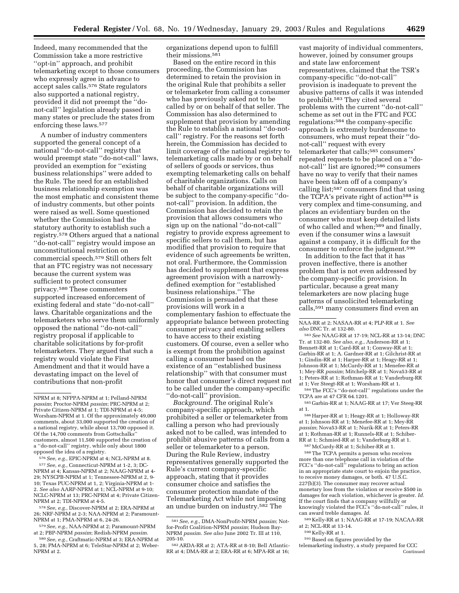Indeed, many recommended that the Commission take a more restrictive ''opt-in'' approach, and prohibit telemarketing except to those consumers who expressly agree in advance to accept sales calls.576 State regulators also supported a national registry, provided it did not preempt the ''donot-call'' legislation already passed in many states or preclude the states from enforcing these laws.577

A number of industry commenters supported the general concept of a national ''do-not-call'' registry that would preempt state ''do-not-call'' laws, provided an exemption for ''existing business relationships'' were added to the Rule. The need for an established business relationship exemption was the most emphatic and consistent theme of industry comments, but other points were raised as well. Some questioned whether the Commission had the statutory authority to establish such a registry.578 Others argued that a national ''do-not-call'' registry would impose an unconstitutional restriction on commercial speech.579 Still others felt that an FTC registry was not necessary because the current system was sufficient to protect consumer privacy.580 These commenters supported increased enforcement of existing federal and state ''do-not-call'' laws. Charitable organizations and the telemarketers who serve them uniformly opposed the national ''do-not-call'' registry proposal if applicable to charitable solicitations by for-profit telemarketers. They argued that such a registry would violate the First Amendment and that it would have a devastating impact on the level of contributions that non-profit

576*See, e.g.*, EPIC-NPRM at 4; NCL-NPRM at 8.

organizations depend upon to fulfill their missions.581

Based on the entire record in this proceeding, the Commission has determined to retain the provision in the original Rule that prohibits a seller or telemarketer from calling a consumer who has previously asked not to be called by or on behalf of that seller. The Commission has also determined to supplement that provision by amending the Rule to establish a national ''do-notcall'' registry. For the reasons set forth herein, the Commission has decided to limit coverage of the national registry to telemarketing calls made by or on behalf of sellers of goods or services, thus exempting telemarketing calls on behalf of charitable organizations. Calls on behalf of charitable organizations will be subject to the company-specific ''donot-call'' provision. In addition, the Commission has decided to retain the provision that allows consumers who sign up on the national ''do-not-call'' registry to provide express agreement to specific sellers to call them, but has modified that provision to require that evidence of such agreements be written, not oral. Furthermore, the Commission has decided to supplement that express agreement provision with a narrowlydefined exemption for ''established business relationships.'' The Commission is persuaded that these provisions will work in a complementary fashion to effectuate the appropriate balance between protecting consumer privacy and enabling sellers to have access to their existing customers. Of course, even a seller who is exempt from the prohibition against calling a consumer based on the existence of an ''established business relationship'' with that consumer must honor that consumer's direct request not to be called under the company-specific ''do-not-call'' provision.

*Background.* The original Rule's company-specific approach, which prohibited a seller or telemarketer from calling a person who had previously asked not to be called, was intended to prohibit abusive patterns of calls from a seller or telemarketer to a person. During the Rule Review, industry representatives generally supported the Rule's current company-specific approach, stating that it provides consumer choice and satisfies the consumer protection mandate of the Telemarketing Act while not imposing an undue burden on industry.582 The

vast majority of individual commenters, however, joined by consumer groups and state law enforcement representatives, claimed that the TSR's company-specific ''do-not-call'' provision is inadequate to prevent the abusive patterns of calls it was intended to prohibit.583 They cited several problems with the current ''do-not-call'' scheme as set out in the FTC and FCC regulations:584 the company-specific approach is extremely burdensome to consumers, who must repeat their ''donot-call'' request with every telemarketer that calls;585 consumers' repeated requests to be placed on a ''donot-call'' list are ignored;586 consumers have no way to verify that their names have been taken off of a company's calling list;587 consumers find that using the TCPA's private right of action588 is very complex and time-consuming, and places an evidentiary burden on the consumer who must keep detailed lists of who called and when;589 and finally, even if the consumer wins a lawsuit against a company, it is difficult for the consumer to enforce the judgment.590

In addition to the fact that it has proven ineffective, there is another problem that is not even addressed by the company-specific provision. In particular, because a great many telemarketers are now placing huge patterns of unsolicited telemarketing calls,591 many consumers find even an

583*See* NAAG-RR at 17-19; NCL-RR at 13-14; DNC Tr. at 132-80. *See also, e.g.*, Anderson-RR at 1; Bennett-RR at 1; Card-RR at 1; Conway-RR at 1; Garbin-RR at 1; A. Gardner-RR at 1; Gilchrist-RR at 1; Gindin-RR at 1; Harper-RR at 1; Heagy-RR at 1; Johnson-RR at 1; McCurdy-RR at 1; Menefee-RR at 1; Mey-RR *passim*; Mitchelp-RR at 1; Nova53-RR at 1; Peters-RR at 1; Rothman-RR at 1; Vanderburg-RR at 1; Ver Steegt-RR at 1; Worsham-RR at 1.

584The FCC's ''do-not-call'' regulations under the TCPA are at 47 CFR 64.1201.

585 Garbin-RR at 1; NAAG-RR at 17; Ver Steeg-RR at 1.

586Harper-RR at 1; Heagy-RR at 1; Holloway-RR at 1; Johnson-RR at 1; Menefee-RR at 1; Mey-RR *passim*; Nova53-RR at 1; Nurik-RR at 1; Peters-RR at 1; Rothman-RR at 1; Runnels-RR at 1; Schiber-RR at 1; Schmied-RR at 1; Vanderburg-RR at 1.

587McCurdy-RR at 1; Schiber-RR at 1.

588The TCPA permits a person who receives more than one telephone call in violation of the FCC's ''do-not-call'' regulations to bring an action in an appropriate state court to enjoin the practice, to receive money damages, or both. 47 U.S.C. 227(b)(3). The consumer may recover actual monetary loss from the violation or receive \$500 in damages for each violation, whichever is greater. *Id.* If the court finds that a company willfully or knowingly violated the FCC's ''do-not-call'' rules, it can award treble damages. *Id.*

NPRM at 8; NFPPA-NPRM at 1; Pelland-NPRM *passim*; Proctor-NPRM *passim*; PRC-NPRM at 2; Private Citizen-NPRM at 1; TDI-NPRM at 4-5; Worsham-NPRM at 1. Of the approximately 49,000 comments, about 33,000 supported the creation of a national registry, while about 13,700 opposed it. Of the 14,700 comments from Gottschalks'' customers, almost 11,500 supported the creation of a ''do-not-call'' registry, while only about 1800 opposed the idea of a registry.

<sup>577</sup>*See, e.g.*, Connecticut-NPRM at 1-2, 3; DC-NPRM at 4; Kansas-NPRM at 2; NAAG-NPRM at 4- 29; NYSCPB-NPRM at 1; Tennessee-NPRM at 2, 9- 10; Texas PUC-NPRM at 1, 2; Virginia-NPRM at 1- 2. *See also* AARP-NPRM at 1; NCL-NPRM at 9-10; NCLC-NPRM at 13; PRC-NPRM at 4; Private Citizen-NPRM at 2; TDI-NPRM at 4-5.

<sup>578</sup>*See, e.g.*, Discover-NPRM at 2; ERA-NPRM at 26; NRF-NPRM at 2-3; NAA-NPRM at 2; Paramount-NPRM at 1; PMA-NPRM at 6, 24-26.

<sup>579</sup>*See, e.g.*, NAA-NPRM at 2; Paramount-NPRM at 2; PBP-NPRM *passim*; Redish-NPRM *passim*.

<sup>580</sup>*See, e.g.*, Craftmatic-NPRM at 3; ERA-NPRM at 5, 28; PMA-NPRM at 6; TeleStar-NPRM at 2; Weber-

NPRM at 2.

<sup>581</sup>*See, e.g.*, DMA-NonProfit-NPRM *passim*; Notfor-Profit Coalition-NPRM *passim*; Hudson Bay-NPRM *passim*. *See also* June 2002 Tr. III at 110, 205-10.

<sup>582</sup>ARDA-RR at 2; ATA-RR at 8-10; Bell Atlantic-RR at 4; DMA-RR at 2; ERA-RR at 6; MPA-RR at 16;

NAA-RR at 2; NASAA-RR at 4; PLP-RR at 1. *See also* DNC Tr. at 132-80.

<sup>589</sup> Kelly-RR at 1; NAAG-RR at 17-19; NACAA-RR at 2; NCL-RR at 13-14.

<sup>590</sup> Kelly-RR at 1.

<sup>591</sup>Based on figures provided by the

telemarketing industry, a study prepared for CCC Continued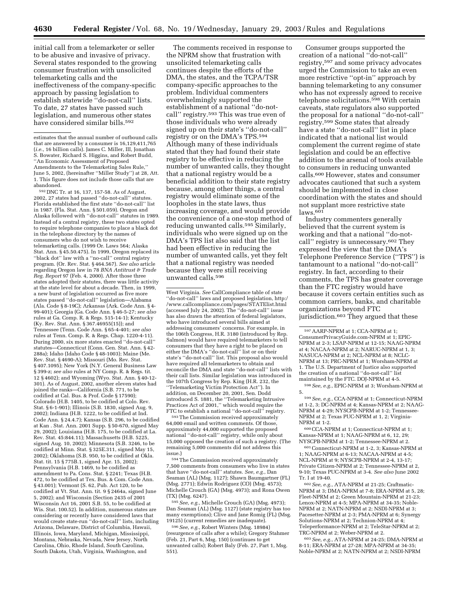592 DNC Tr. at 16, 137, 157-58. As of August, 2002, 27 states had passed ''do-not-call'' statutes. Florida established the first state ''do-not-call'' list in 1987. (Fla. Stat. Ann. § 501.059). Oregon and Alaska followed with ''do-not-call'' statutes in 1989. Instead of a central registry, these two states opted to require telephone companies to place a black dot in the telephone directory by the names of consumers who do not wish to receive telemarketing calls. (1999 Or. Laws 564; Alaska Stat. Ann. § 45.50.475). In 1999, Oregon replaced its ''black dot'' law with a ''no-call'' central registry program. (Or. Rev. Stat. § 464.567). *See also* article regarding Oregon law in 78 *BNA Antitrust & Trade Reg. Report* 97 (Feb. 4, 2000). After those three states adopted their statutes, there was little activity at the state level for about a decade. Then, in 1999, a new burst of legislation occurred as five more states passed ''do-not-call'' legislation—Alabama (Ala. Code § 8-19C); Arkansas (Ark. Code Ann. § 4- 99-401); Georgia (Ga. Code Ann. § 46-5-27; *see also* rules at Ga. Comp. R. & Regs. 515-14-1); Kentucky (Ky. Rev. Stat. Ann. § 367.46955(15)); and Tennessee (Tenn. Code Ann. § 65-4-401; *see also* rules at Tenn. Comp. R. & Regs. Chap. 1220-4-11). During 2000, six more states enacted ''do-not-call'' statutes—Connecticut (Conn. Gen. Stat. Ann. § 42- 288a); Idaho (Idaho Code § 48-1003); Maine (Me. Rev. Stat. § 4690-A); Missouri (Mo. Rev. Stat. § 407.1095); New York (N.Y. General Business Law § 399-z; *see also* rules at NY Comp. R. & Regs. tit. 12 § 4602); and Wyoming (Wyo. Stat. Ann. § 40-12- 301). As of August, 2002, another eleven states had joined the ranks—California (S.B. 771, to be codified at Cal. Bus. & Prof. Code § 17590); Colorado (H.B. 1405, to be codified at Colo. Rev. Stat. § 6-1-901); Illinois (S.B. 1830, signed Aug. 9, 2002); Indiana (H.B. 1222, to be codified at Ind. Code Ann. § 24.4.7); Kansas (S.B. 296, to be codified at Kan . Stat. Ann. 2001 Supp. § 50-670, signed May 29, 2002); Louisiana (H.B. 175, to be codified at La. Rev. Stat. 45:844.11); Massachusetts (H.B. 5225, signed Aug. 10, 2002); Minnesota (S.B. 3246, to be codified at Minn. Stat. § 325E.311, signed May 15, 2002); Oklahoma (S.B. 950, to be codified at Okla. Stat. tit. 15 § 775B.1, signed Apr. 15, 2002); Pennsylvania (H.B. 1469, to be codified as amendment to Pa. Cons. Stat. § 2241; Texas (H.B. 472, to be codified at Tex. Bus. & Com. Code Ann. § 43.001); Vermont (S. 62, Pub. Act 120, to be codified at Vt. Stat. Ann. tit. 9 § 2464a, signed June 5, 2002); and Wisconsin (Section 2435 of 2001 Wisconsin Act 16, 2001 S.B. 55, to be codified at Wis. Stat. 100.52). In addition, numerous states are considering or recently have considered laws that would create state-run ''do-not-call'' lists, including Arizona, Delaware, District of Columbia, Hawaii, Illinois, Iowa, Maryland, Michigan, Mississippi, Montana, Nebraska, Nevada, New Jersey, North Carolina, Ohio, Rhode Island, South Carolina, South Dakota, Utah, Virginia, Washington, and

The comments received in response to the NPRM show that frustration with unsolicited telemarketing calls continues despite the efforts of the DMA, the states, and the TCPA/TSR company-specific approaches to the problem. Individual commenters overwhelmingly supported the establishment of a national ''do-notcall'' registry.593 This was true even of those individuals who were already signed up on their state's ''do-not-call'' registry or on the DMA's TPS.594 Although many of these individuals stated that they had found their state registry to be effective in reducing the number of unwanted calls, they thought that a national registry would be a beneficial addition to their state registry because, among other things, a central registry would eliminate some of the loopholes in the state laws, thus increasing coverage, and would provide the convenience of a one-stop method of reducing unwanted calls.595 Similarly, individuals who were signed up on the DMA's TPS list also said that the list had been effective in reducing the number of unwanted calls, yet they felt that a national registry was needed because they were still receiving unwanted calls.596

593The Commission received approximately 64,000 email and written comments. Of those, approximately 44,000 supported the proposed national ''do-not-call'' registry, while only about 15,000 opposed the creation of such a registry. (The remaining 5,000 comments did not address this issue.)

594The Commission received approximately 7,500 comments from consumers who live in states that have ''do-not-call'' statutes. *See, e.g.*, Dan Seaman (AL) (Msg. 1127); Shawn Baumgartner (FL) (Msg. 2771); Edwin Rodriguez (CO) (Msg. 4573); Michelle Crouch (GA) (Msg. 4973); and Rona Owen (TX) (Msg. 6247).

595*See, e.g.*, Michelle Crouch (GA) (Msg. 4973); Dan Seaman (AL) (Msg. 1127) (state registry has too many exemptions); Clive and Jane Romig (FL) (Msg. 19125) (current remedies are inadequate).

596*See, e.g.*, Robert Winters (Msg. 18984) (resurgence of calls after a while); Gregory Stahmer (Feb. 21, Part 6, Msg. 150) (continues to get unwanted calls); Robert Baly (Feb. 27, Part 1, Msg. 551).

Consumer groups supported the creation of a national ''do-not-call'' registry,597 and some privacy advocates urged the Commission to take an even more restrictive ''opt-in'' approach by banning telemarketing to any consumer who has not expressly agreed to receive telephone solicitations.598 With certain caveats, state regulators also supported the proposal for a national ''do-not-call'' registry.599 Some states that already have a state ''do-not-call'' list in place indicated that a national list would complement the current regime of state legislation and could be an effective addition to the arsenal of tools available to consumers in reducing unwanted calls.600 However, states and consumer advocates cautioned that such a system should be implemented in close coordination with the states and should not supplant more restrictive state  $laws.601$ 

Industry commenters generally believed that the current system is working and that a national ''do-notcall'' registry is unnecessary.602 They expressed the view that the DMA's Telephone Preference Service (''TPS'') is tantamount to a national ''do-not-call'' registry. In fact, according to their comments, the TPS has greater coverage than the FTC registry would have because it covers certain entities such as common carriers, banks, and charitable organizations beyond FTC jurisdiction.<sup>603</sup> They argued that these

600CCA-NPRM at 1; Connecticut-NPRM at 1; Kansas-NPRM at 1; NAAG-NPRM at 6, 12, 29; NYSCPB-NPRM at 1-2; Tennessee-NPRM at 2.

601Connecticut-NPRM at 1-2, 3; Kansas-NPRM at 1; NAAG-NPRM at 6-13; NACAA-NPRM at 4-5; NCL-NPRM at 9; NYSCPB-NPRM at 2-4, 13-17; Private Citizen-NPRM at 2; Tennessee-NPRM at 2, 9-10; Texas PUC-NPRM at 3-4. *See also* June 2002 Tr. I at 19-40.

602*See, e.g.*, ATA-NPRM at 21-25; Craftmatic-NPRM at 3; DMA-NPRM at 7-8; ERA-NPRM at 5, 28; Fleet-NPRM at 2; Green Mountain-NPRM at 21-23; Lenox-NPRM at 4-5; MPA-NPRM at 34-35; Noble-NPRM at 2; NATN-NPRM at 2; NSDI-NPRM at 3; Pacesetter-NPRM at 2-3; PMA-NPRM at 6; Synergy Solutions-NPRM at 2; Technion-NPRM at 4; Teleperformance-NPRM at 2; TeleStar-NPRM at 2; TRC-NPRM at 2; Weber-NPRM at 2.

603*See, e.g.*, ATA-NPRM at 24-25; DMA-NPRM at 8-11; ERA-NPRM at 27-28; MPA-NPRM at 34-35; Noble-NPRM at 2; NATN-NPRM at 2; NSDI-NPRM

initial call from a telemarketer or seller to be abusive and invasive of privacy. Several states responded to the growing consumer frustration with unsolicited telemarketing calls and the ineffectiveness of the company-specific approach by passing legislation to establish statewide ''do-not-call'' lists. To date, 27 states have passed such legislation, and numerous other states have considered similar bills.592

estimates that the annual number of outbound calls that are answered by a consumer is 16,129,411,765 (*i.e.*, 16 billion calls). James C. Miller, III, Jonathan S. Bowater, Richard S. Higgins, and Robert Budd, ''An Economic Assessment of Proposed Amendments to the Telemarketing Sales Rule,'' June 5, 2002, (hereinafter ''Miller Study'') at 28, Att. 1. This figure does not include those calls that are abandoned.

West Virginia. *See* CallCompliance table of state ''do-not-call'' laws and proposed legislation, http:/ /www.callcompliance.com/pages/STATElist.html (accessed July 24, 2002). The ''do-not-call'' issue has also drawn the attention of federal legislators, who have introduced several bills aimed at addressing consumers' concerns. For example, in the 106th Congress, H.R. 3180 (introduced by Rep. Salmon) would have required telemarketers to tell consumers that they have a right to be placed on either the DMA's ''do-not-call'' list or on their state's ''do-not-call'' list. This proposal also would have required all telemarketers to obtain and reconcile the DMA and state ''do-not-call'' lists with their call lists. Similar legislation was introduced in the 107th Congress by Rep. King (H.R. 232, the ''Telemarketing Victim Protection Act''). In addition, on December 20, 2001, Sen. Dodd introduced S. 1881, the ''Telemarketing Intrusive Practices Act of 2001,'' which would require the FTC to establish a national ''do-not-call'' registry.

<sup>597</sup>AARP-NPRM at 1; CCA-NPRM at 1; ConsumerPrivacyGuide.com-NPRM at 1; EPIC-NPRM at 2-3; LSAP-NPRM at 12-15; NAAG-NPRM at 4; NACAA-NPRM at 2; NARUC-NPRM at 1, 3; NASUCA-NPRM at 2; NCL-NPRM at 8; NCLC-NPRM at 13; PRC-NPRM at 1; Worsham-NPRM at 1. The U.S. Department of Justice also supported the creation of a national ''do-not-call'' list maintained by the FTC. DOJ-NPRM at 4-5.

<sup>598</sup>*See, e.g.*, EPIC-NPRM at 3; Worsham-NPRM at 5.

<sup>599</sup>*See, e.g.*, CCA-NPRM at 1; Connecticut-NPRM at 1-2, 3; DC-NPRM at 4; Kansas-NPRM at 2; NAAG-NPRM at 4-29; NYSCPB-NPRM at 1-2; Tennessee NPRM at 2; Texas PUC-NPRM at 1, 2; Virginia-NPRM at 1-2.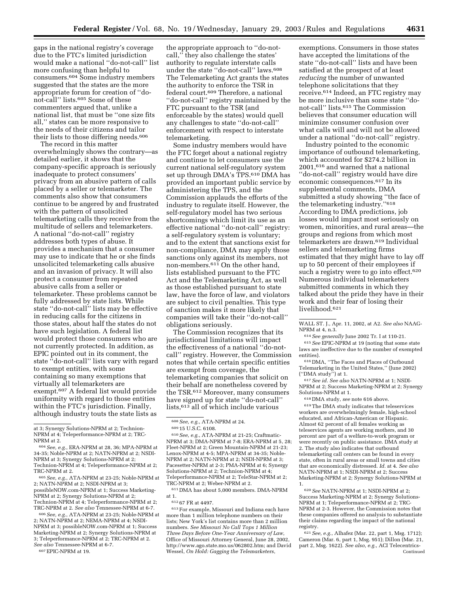gaps in the national registry's coverage due to the FTC's limited jurisdiction would make a national ''do-not-call'' list more confusing than helpful to consumers.604 Some industry members suggested that the states are the more appropriate forum for creation of ''donot-call'' lists.605 Some of these commenters argued that, unlike a national list, that must be ''one size fits all,'' states can be more responsive to the needs of their citizens and tailor their lists to those differing needs.<sup>606</sup>

The record in this matter overwhelmingly shows the contrary—as detailed earlier, it shows that the company-specific approach is seriously inadequate to protect consumers' privacy from an abusive pattern of calls placed by a seller or telemarketer. The comments also show that consumers continue to be angered by and frustrated with the pattern of unsolicited telemarketing calls they receive from the multitude of sellers and telemarketers. A national ''do-not-call'' registry addresses both types of abuse. It provides a mechanism that a consumer may use to indicate that he or she finds unsolicited telemarketing calls abusive and an invasion of privacy. It will also protect a consumer from repeated abusive calls from a seller or telemarketer. These problems cannot be fully addressed by state lists. While state ''do-not-call'' lists may be effective in reducing calls for the citizens in those states, about half the states do not have such legislation. A federal list would protect those consumers who are not currently protected. In addition, as EPIC pointed out in its comment, the state ''do-not-call'' lists vary with regard to exempt entities, with some containing so many exemptions that virtually all telemarketers are exempt.607 A federal list would provide uniformity with regard to those entities within the FTC's jurisdiction. Finally, although industry touts the state lists as

605*See, e.g.*, ATA-NPRM at 23-25; Noble-NPRM at 2; NATN-NPRM at 2; NSDI-NPRM at 3; possibleNOW.com-NPRM at 1; Success Marketing-NPRM at 2; Synergy Solutions-NPRM at 2; Technion-NPRM at 4; Teleperformance-NPRM at 2; TRC-NPRM at 2. *See also* Tennessee-NPRM at 6-7.

606*See, e.g.*, ATA-NPRM at 23-25; Noble-NPRM at 2; NATN-NPRM at 2; NEMA-NPRM at 4; NSDI-NPRM at 3; possibleNOW.com-NPRM at 1; Success Marketing-NPRM at 2; Synergy Solutions-NPRM at 3; Teleperformance-NPRM at 2; TRC-NPRM at 2. *See also* Tennessee-NPRM at 6-7.

607EPIC-NPRM at 19.

the appropriate approach to ''do-notcall,'' they also challenge the states' authority to regulate interstate calls under the state ''do-not-call'' laws.608 The Telemarketing Act grants the states the authority to enforce the TSR in federal court.609 Therefore, a national ''do-not-call'' registry maintained by the FTC pursuant to the TSR (and enforceable by the states) would quell any challenges to state ''do-not-call'' enforcement with respect to interstate telemarketing.

Some industry members would have the FTC forget about a national registry and continue to let consumers use the current national self-regulatory system set up through DMA's TPS.610 DMA has provided an important public service by administering the TPS, and the Commission applauds the efforts of the industry to regulate itself. However, the self-regulatory model has two serious shortcomings which limit its use as an effective national ''do-not-call'' registry: a self-regulatory system is voluntary; and to the extent that sanctions exist for non-compliance, DMA may apply those sanctions only against its members, not non-members.<sup>611</sup> On the other hand, lists established pursuant to the FTC Act and the Telemarketing Act, as well as those established pursuant to state law, have the force of law, and violators are subject to civil penalties. This type of sanction makes it more likely that companies will take their ''do-not-call'' obligations seriously.

The Commission recognizes that its jurisdictional limitations will impact the effectiveness of a national ''do-notcall'' registry. However, the Commission notes that while certain specific entities are exempt from coverage, the telemarketing companies that solicit on their behalf are nonetheless covered by the TSR.612 Moreover, many consumers have signed up for state ''do-not-call'' lists,613 all of which include various

610*See, e.g.*, ATA-NPRM at 21-25; Craftmatic-NPRM at 3; DMA-NPRM at 7-8; ERA-NPRM at 5, 28; Fleet-NPRM at 2; Green Mountain-NPRM at 21-23; Lenox-NPRM at 4-5; MPA-NPRM at 34-35; Noble-NPRM at 2; NATN-NPRM at 2; NSDI-NPRM at 3; Pacesetter-NPRM at 2-3; PMA-NPRM at 6; Synergy Solutions-NPRM at 2; Technion-NPRM at 4; Teleperformance-NPRM at 2; TeleStar-NPRM at 2; TRC-NPRM at 2; Weber-NPRM at 2.

611 DMA has about 5,000 members. DMA-NPRM at 1.

613For example, Missouri and Indiana each have more than 1 million telephone numbers on their lists; New York's list contains more than 2 million numbers. *See Missouri No Call Tops 1 Million Three Days Before One-Year Anniversary of Law*, Office of Missouri Attorney General, June 28, 2002, http://www.ago.state.mo.us/062802.htm; and David Wessel, *On Hold: Gagging the Telemarketers*,

exemptions. Consumers in those states have accepted the limitations of the state ''do-not-call'' lists and have been satisfied at the prospect of at least *reducing* the number of unwanted telephone solicitations that they receive.614 Indeed, an FTC registry may be more inclusive than some state ''donot-call'' lists.615 The Commission believes that consumer education will minimize consumer confusion over what calls will and will not be allowed under a national ''do-not-call'' registry.

Industry pointed to the economic importance of outbound telemarketing, which accounted for \$274.2 billion in 2001,616 and warned that a national ''do-not-call'' registry would have dire economic consequences.617 In its supplemental comments, DMA submitted a study showing ''the face of the telemarketing industry.''618 According to DMA predictions, job losses would impact most seriously on women, minorities, and rural areas—the groups and regions from which most telemarketers are drawn.619 Individual sellers and telemarketing firms estimated that they might have to lay off up to 50 percent of their employees if such a registry were to go into effect.<sup>620</sup> Numerous individual telemarketers submitted comments in which they talked about the pride they have in their work and their fear of losing their livelihood.621

WALL ST. J., Apr. 11, 2002, at A2. *See also* NAAG-NPRM at 4, n.3.

614*See generally* June 2002 Tr. I at 110-21. 615*See* EPIC-NPRM at 19 (noting that some state laws are ineffective due to the number of exempted entities).

616 DMA, ''The Faces and Places of Outbound Telemarketing in the United States,'' (June 2002) (''DMA study'') at 1.

617*See id. See also* NATN-NPRM at 1; NSDI-NPRM at 2; Success Marketing-NPRM at 2; Synergy Solutions-NPRM at 1.

618 DMA study, *see* note 616 above.

 $^{619}\mathrm{The\,DMA}$  study indicates that teleservices workers are overwhelmingly female, high-school educated, and African-American or Hispanic. Almost 62 percent of all females working as teleservices agents are working mothers, and 30 percent are part of a welfare-to-work program or were recently on public assistance. DMA study at 2. The study also indicates that outbound telemarketing call centers can be found in every state, often in rural areas or small towns and cities that are economically distressed. *Id.* at 4. *See also* NATN-NPRM at 1; NSDI-NPRM at 2; Success Marketing-NPRM at 2; Synergy Solutions-NPRM at 1.

621*See, e.g.*, Alhafez (Mar. 22, part 1, Msg. 1712); Cameron (Mar. 6, part 1, Msg. 951); Dillon (Mar. 21, part 2, Msg. 1622). *See also, e.g.*, ACI Telecentrics-Continued

at 3; Synergy Solutions-NPRM at 2; Technion-NPRM at 4; Teleperformance-NPRM at 2; TRC-NPRM at 2.

<sup>604</sup>*See, e.g.*, ERA-NPRM at 28, 36; MPA-NPRM at 34-35; Noble-NPRM at 2; NATN-NPRM at 2; NSDI-NPRM at 3; Synergy Solutions-NPRM at 2; Technion-NPRM at 4; Teleperformance-NPRM at 2; TRC-NPRM at 2.

<sup>608</sup>*See, e.g.*, ATA-NPRM at 24.

<sup>609</sup> 15 U.S.C. 6108.

 $\rm ^{612}67$  FR at 4497.

<sup>620</sup>*See* NATN-NPRM at 1; NSDI-NPRM at 2; Success Marketing-NPRM at 2; Synergy Solutions-NPRM at 1; Teleperformance-NPRM at 2; TRC-NPRM at 2-3. However, the Commission notes that these companies offered no analysis to substantiate their claims regarding the impact of the national registry.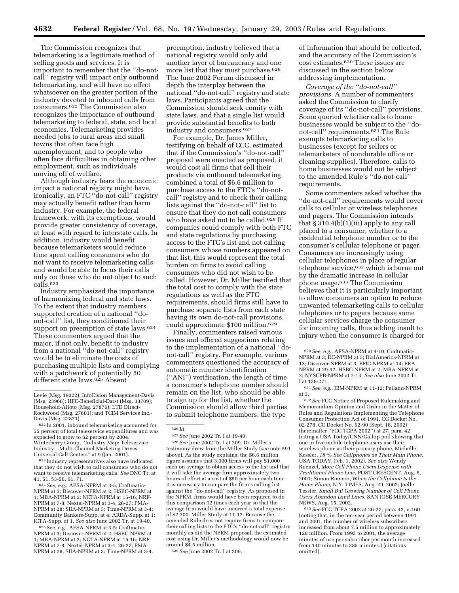The Commission recognizes that telemarketing is a legitimate method of selling goods and services. It is important to remember that the ''do-notcall'' registry will impact only outbound telemarketing, and will have no effect whatsoever on the greater portion of the industry devoted to inbound calls from consumers.622 The Commission also recognizes the importance of outbound telemarketing to federal, state, and local economies. Telemarketing provides needed jobs to rural areas and small towns that often face high unemployment, and to people who often face difficulties in obtaining other employment, such as individuals moving off of welfare.

Although industry fears the economic impact a national registry might have, ironically, an FTC ''do-not-call'' registry may actually benefit rather than harm industry. For example, the federal framework, with its exemptions, would provide greater consistency of coverage, at least with regard to interstate calls. In addition, industry would benefit because telemarketers would reduce time spent calling consumers who do not want to receive telemarketing calls and would be able to focus their calls only on those who do not object to such calls.623

Industry emphasized the importance of harmonizing federal and state laws. To the extent that industry members supported creation of a national ''donot-call'' list, they conditioned their support on preemption of state laws.624 These commenters argued that the major, if not only, benefit to industry from a national ''do-not-call'' registry would be to eliminate the costs of purchasing multiple lists and complying with a patchwork of potentially 50 different state laws.<sup>625</sup> Absent

623 Industry representatives also have indicated that they do not wish to call consumers who do not want to receive telemarketing calls. *See* DNC Tr. at 41, 51, 53-56, 61, 71.

624*See, e.g.*, AFSA-NPRM at 3-5; Craftmatic-NPRM at 3; Discover-NPRM at 2; HSBC-NPRM at 1; MBA-NPRM at 2; NCTA-NPRM at 15-16; NRF-NPRM at 7-8; Nextel-NPRM at 3-4, 26-27; PMA-NPRM at 28; SIIA-NPRM at 3; Time-NPRM at 3-4; Community Bankers-Supp. at 4; ARDA-Supp. at 1; ICTA-Supp. at 1. *See also* June 2002 Tr. at 19-40.

625See, e.g., AFSA-NPRM at 3-5; Craftmatic-NPRM at 3; Discover-NPRM at 2; HSBC-NPRM at 1; MBA-NPRM at 2; NCTA-NPRM at 15-16; NRF-NPRM at 7-8; Nextel-NPRM at 3-4, 26-27; PMA-NPRM at 28; SIIA-NPRM at 3; Time-NPRM at 3-4.

preemption, industry believed that a national registry would only add another layer of bureaucracy and one more list that they must purchase.<sup>626</sup> The June 2002 Forum discussed in depth the interplay between the national ''do-not-call'' registry and state laws. Participants agreed that the Commission should seek comity with state laws, and that a single list would provide substantial benefits to both industry and consumers.627

For example, Dr. James Miller, testifying on behalf of CCC, estimated that if the Commission's ''do-not-call'' proposal were enacted as proposed, it would cost all firms that sell their products via outbound telemarketing combined a total of \$6.6 million to purchase access to the FTC's ''do-notcall'' registry and to check their calling lists against the ''do-not-call'' list to ensure that they do not call consumers who have asked not to be called.628 If companies could comply with both FTC and state regulations by purchasing access to the FTC's list and not calling consumers whose numbers appeared on that list, this would represent the total burden on firms to avoid calling consumers who did not wish to be called. However, Dr. Miller testified that the total cost to comply with the state regulations as well as the FTC requirements, should firms still have to purchase separate lists from each state having its own do-not-call provisions, could approximate \$100 million.629

Finally, commenters raised various issues and offered suggestions relating to the implementation of a national ''donot-call'' registry. For example, various commenters questioned the accuracy of automatic number identification (''ANI'') verification, the length of time a consumer's telephone number should remain on the list, who should be able to sign up for the list, whether the Commission should allow third parties to submit telephone numbers, the type

628*See* June 2002 Tr. I at 209. Dr. Miller's testimony drew from the Miller Study (*see* note 591 above). As the study explains, the \$6.6 million figure assumes that 3,000 firms will pay \$1,000 each on average to obtain access to the list and that it will take the average firm approximately two hours of effort at a cost of \$50 per hour each time it is necessary to compare the firm's calling list against the ''do-not-call'' registry. As proposed in the NPRM, firms would have been required to do this comparison 12 times each year so that the average firm would have incurred a total expense of \$2,200. Miller Study at 11-12. Because the amended Rule does not require firms to compare their calling lists to the FTC's ''do-not-call'' registry monthly as did the NPRM proposal, the estimated cost using Dr. Miller's methodology would now be around \$4.5 million.

629*See* June 2002 Tr. I at 209.

of information that should be collected, and the accuracy of the Commission's cost estimates.630 These issues are discussed in the section below addressing implementation.

*Coverage of the ''do-not-call'' provisions.* A number of commenters asked the Commission to clarify coverage of its ''do-not-call'' provisions. Some queried whether calls to home businesses would be subject to the ''donot-call'' requirements.631 The Rule exempts telemarketing calls to businesses (except for sellers or telemarketers of nondurable office or cleaning supplies). Therefore, calls to home businesses would not be subject to the amended Rule's ''do-not-call'' requirements.

Some commenters asked whether the ''do-not-call'' requirements would cover calls to cellular or wireless telephones and pagers. The Commission intends that  $\S 310.4(b)(1)(iii)$  apply to any call placed to a consumer, whether to a residential telephone number or to the consumer's cellular telephone or pager. Consumers are increasingly using cellular telephones in place of regular telephone service,632 which is borne out by the dramatic increase in cellular phone usage.633 The Commission believes that it is particularly important to allow consumers an option to reduce unwanted telemarketing calls to cellular telephones or to pagers because some cellular services charge the consumer for incoming calls, thus adding insult to injury when the consumer is charged for

632*See* FCC Notice of Proposed Rulemaking and Memorandum Opinion and Order in the Matter of Rules and Regulations Implementing the Telephone Consumer Protection Act of 1991, CG Docket No. 02-278, CC Docket No. 92-90 (Sept. 18, 2002) (hereinafter ''FCC TCPA 2002'') at 27, para. 42 (citing a USA Today/CNN/Gallop poll showing that one in five mobile telephone users use their wireless phone as their primary phone, Michelle Kessler, *18 % See Cellphones as Their Main Phone*, USA TODAY, Feb. 1, 2002). *See also* Wendy Ruenzel, *More Cell Phone Users Dispense with Traditional Phone Line*, POST CRESCENT, Aug. 6, 2001; Simon Romero, W*hen the Cellphone Is the Home Phone*, N.Y. TIMES, Aug. 29, 2002; Joelle Tessler, *Small But Growing Number of Cell Phone Users Abandon Land Lines*, SAN JOSE MERCURY NEWS, Aug. 15, 2002.

633*See* FCC TCPA 2002 at 26-27, para. 42, n.160 (noting that, in the ten-year period between 1991 and 2001, the number of wireless subscribers increased from about 7.5 million to approximately 128 million. From 1993 to 2001, the average minutes of use per subscriber per month increased from 140 minutes to 385 minutes.) (citations omitted).

Levie (Msg. 19322); InfoCision Management-Davis (Msg. 23968); HFC-Beneficial-Darst (Msg. 33709); Household-Alioto (Msg. 27876); LTD Direct-Rockwood (Msg. 27601); and TCIM Services Inc.- Davis (Msg. 22871).

<sup>622</sup> In 2001, inbound telemarketing accounted for 55 percent of total teleservice expenditures and was expected to grow to 62 percent by 2004. Winterberry Group, ''Industry Map: Teleservice Industry—Multi-Channel Marketing Drives Universal Call Centers" at 9 (Jan. 2001).

<sup>626</sup> *Id.*

<sup>627</sup>*See* June 2002 Tr. I at 19-40.

<sup>630</sup>*See, e.g.*, AFSA-NPRM at 4-10; Craftmatic-NPRM at 3; DC-NPRM at 5; DialAmerica-NPRM at 13; Discover-NPRM at 3; EPIC-NPRM at 14; ERA-NPRM at 29-32; HSBC-NPRM at 2; MBA-NPRM at 2; NYSCPB-NPRM at 7-13. *See also* June 2002 Tr. I at 138-271.

<sup>631</sup>*See, e.g.*, IBM-NPRM at 11-12; Pelland-NPRM at 3.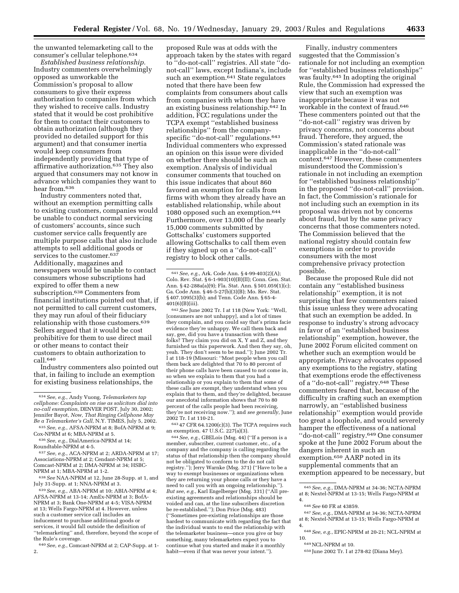the unwanted telemarketing call to the consumer's cellular telephone.634

*Established business relationship.* Industry commenters overwhelmingly opposed as unworkable the Commission's proposal to allow consumers to give their express authorization to companies from which they wished to receive calls. Industry stated that it would be cost prohibitive for them to contact their customers to obtain authorization (although they provided no detailed support for this argument) and that consumer inertia would keep consumers from independently providing that type of affirmative authorization.635 They also argued that consumers may not know in advance which companies they want to hear from.636

Industry commenters noted that, without an exemption permitting calls to existing customers, companies would be unable to conduct normal servicing of customers' accounts, since such customer service calls frequently are multiple purpose calls that also include attempts to sell additional goods or services to the customer.<sup>637</sup> Additionally, magazines and newspapers would be unable to contact consumers whose subscriptions had expired to offer them a new subscription.638 Commenters from financial institutions pointed out that, if not permitted to call current customers, they may run afoul of their fiduciary relationship with those customers.639 Sellers argued that it would be cost prohibitive for them to use direct mail or other means to contact their customers to obtain authorization to call.640

Industry commenters also pointed out that, in failing to include an exemption for existing business relationships, the

639*See, e.g.*, ABA-NPRM at 10; ABIA-NPRM at 4; AFSA-NPRM at 13-14; AmEx-NPRM at 3; BofA-NPRM at 3; Bank One-NPRM at 4-5; VISA-NPRM at 13; Wells Fargo-NPRM at 4. However, unless such a customer service call includes an inducement to purchase additional goods or services, it would fall outside the definition of ''telemarketing'' and, therefore, beyond the scope of the Rule's coverage.

640*See, e.g.*, Comcast-NPRM at 2; CAP-Supp. at 1- 2.

proposed Rule was at odds with the approach taken by the states with regard to ''do-not-call'' registries. All state ''donot-call'' laws, except Indiana's, include such an exemption.<sup>641</sup> State regulators noted that there have been few complaints from consumers about calls from companies with whom they have an existing business relationship.642 In addition, FCC regulations under the TCPA exempt ''established business relationships'' from the companyspecific "do-not-call" regulations.<sup>643</sup> Individual commenters who expressed an opinion on this issue were divided on whether there should be such an exemption. Analysis of individual consumer comments that touched on this issue indicates that about 860 favored an exemption for calls from firms with whom they already have an established relationship, while about 1080 opposed such an exemption.644 Furthermore, over 13,000 of the nearly 15,000 comments submitted by Gottschalks' customers supported allowing Gottschalks to call them even if they signed up on a ''do-not-call'' registry to block other calls.

642*See* June 2002 Tr. I at 118 (New York: ''Well, [consumers are not unhappy], and a lot of times they complain, and you could say that's prima facie evidence they're unhappy. We call them back and say, gee, did you have a transaction with these folks? They claim you did on X, Y and Z, and they furnished us this paperwork. And then they say, oh, yeah. They don't seem to be mad.''); June 2002 Tr. I at 118-19 (Missouri: "Most people when you call them back are delighted that 70 to 80 percent of their phone calls have been caused to not come in, so when we explain to them that you had a relationship or you explain to them that some of these calls are exempt, they understand when you explain that to them, and they're delighted, because our anecdotal information shows that 70 to 80 percent of the calls people had been receiving, they're not receiving now.''); and *see generally*, June 2002 Tr. I at 110-21.

 $^{643}\,47$  CFR 64.1200(c)(3). The TCPA requires such an exemption. 47 U.S.C. 227(a)(3).

644*See, e.g.*, GBELois (Msg. 44) (''If a person is a member, subscriber, current customer, etc., of a company and the company is calling regarding the status of that relationship then the company should not be obligated to conform to the do not call registry.''); Jerry Warnke (Msg. 371) (''Have to be a way to exempt businesses or organizations when they are returning your phone calls or they have a need to call you with an ongoing relationship.''). *But see, e.g.*, Karl Engelberger (Msg. 331) (''All preexisting agreements and relationships should be voided and can, at the line subscribers discretion be re-established.''); Don Price (Msg. 483) (''Sometimes pre-existing relationships are those hardest to communicate with regarding the fact that the individual wants to end the relationship with the telemarketer business—once you give or buy something, many telemarketers expect you to continue what you started and make it a monthly habit—even if that was never your intent.'').

Finally, industry commenters suggested that the Commission's rationale for not including an exemption for ''established business relationships'' was faulty.645 In adopting the original Rule, the Commission had expressed the view that such an exemption was inappropriate because it was not workable in the context of fraud.646 These commenters pointed out that the ''do-not-call'' registry was driven by privacy concerns, not concerns about fraud. Therefore, they argued, the Commission's stated rationale was inapplicable in the ''do-not-call'' context.647 However, these commenters misunderstood the Commission's rationale in not including an exemption for ''established business relationship'' in the proposed ''do-not-call'' provision. In fact, the Commission's rationale for not including such an exemption in its proposal was driven not by concerns about fraud, but by the same privacy concerns that those commenters noted. The Commission believed that the national registry should contain few exemptions in order to provide consumers with the most comprehensive privacy protection possible.

Because the proposed Rule did not contain any ''established business relationship'' exemption, it is not surprising that few commenters raised this issue unless they were advocating that such an exemption be added. In response to industry's strong advocacy in favor of an ''established business relationship'' exemption, however, the June 2002 Forum elicited comment on whether such an exemption would be appropriate. Privacy advocates opposed any exemptions to the registry, stating that exemptions erode the effectiveness of a ''do-not-call'' registry.648 These commenters feared that, because of the difficulty in crafting such an exemption narrowly, an ''established business relationship'' exemption would provide too great a loophole, and would severely hamper the effectiveness of a national ''do-not-call'' registry.649 One consumer spoke at the June 2002 Forum about the dangers inherent in such an exemption.650 AARP noted in its supplemental comments that an exemption appeared to be necessary, but

649NCL-NPRM at 10.

<sup>634</sup>*See, e.g.*, Andy Vuong, *Telemarketers tap cellphone: Complaints on rise as solicitors dial into no-call exemption*, DENVER POST, July 30, 2002; Jennifer Bayot, *Now, That Ringing Cellphone May Be a Telemarketer's Call*, N.Y. TIMES, July 5, 2002.

<sup>635</sup>*See, e.g.*, AFSA-NPRM at 8; BofA-NPRM at 9; Cox-NPRM at 6; MBA-NPRM at 5.

<sup>636</sup>*See, e.g.*, DialAmerica-NPRM at 14; Roundtable-NPRM at 4-5.

<sup>637</sup>*See, e.g.*, ACA-NPRM at 2; ARDA-NPRM at 17; Associations-NPRM at 2; Cendant-NPRM at 5; Comcast-NPRM at 2; DMA-NPRM at 34; HSBC-NPRM at 1; MBA-NPRM at 1-2.

<sup>638</sup>*See* NAA-NPRM at 12, June 28-Supp. at 1, and July 31-Supp. at 1; NNA-NPRM at 3.

<sup>641</sup>*See, e.g.*, Ark. Code Ann. § 4-99-403(2)(A); Colo. Rev. Stat. § 6-1-903(10)(B)(II); Conn. Gen. Stat. Ann. § 42-288a(a)(9); Fla. Stat. Ann. § 501.059(1)(c); Ga. Code Ann. § 46-5-27(b)(3)(B); Mo. Rev. Stat. § 407.1095(3)(b); and Tenn. Code Ann. § 65-4- 401(6)(B)(iii).

<sup>645</sup>*See, e.g.*, DMA-NPRM at 34-36; NCTA-NPRM at 8; Nextel-NPRM at 13-15; Wells Fargo-NPRM at 4.

<sup>646</sup>*See* 60 FR at 43859.

<sup>647</sup>*See, e.g.*, DMA-NPRM at 34-36; NCTA-NPRM at 8; Nextel-NPRM at 13-15; Wells Fargo-NPRM at 4.

<sup>648</sup>*See, e.g.*, EPIC-NPRM at 20-21; NCL-NPRM at 10.

<sup>650</sup> June 2002 Tr. I at 278-82 (Diana Mey).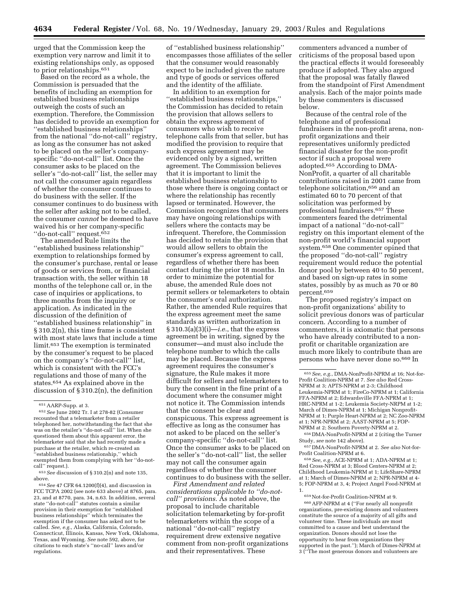urged that the Commission keep the exemption very narrow and limit it to existing relationships only, as opposed to prior relationships.651

Based on the record as a whole, the Commission is persuaded that the benefits of including an exemption for established business relationships outweigh the costs of such an exemption. Therefore, the Commission has decided to provide an exemption for ''established business relationships'' from the national ''do-not-call'' registry, as long as the consumer has not asked to be placed on the seller's companyspecific ''do-not-call'' list. Once the consumer asks to be placed on the seller's ''do-not-call'' list, the seller may not call the consumer again regardless of whether the consumer continues to do business with the seller. If the consumer continues to do business with the seller after asking not to be called, the consumer *cannot* be deemed to have waived his or her company-specific ''do-not-call'' request.652

The amended Rule limits the ''established business relationship'' exemption to relationships formed by the consumer's purchase, rental or lease of goods or services from, or financial transaction with, the seller within 18 months of the telephone call or, in the case of inquiries or applications, to three months from the inquiry or application. As indicated in the discussion of the definition of ''established business relationship'' in § 310.2(n), this time frame is consistent with most state laws that include a time limit.653 The exemption is terminated by the consumer's request to be placed on the company's ''do-not-call'' list, which is consistent with the FCC's regulations and those of many of the states.654 As explained above in the discussion of § 310.2(n), the definition

653*See* discussion of § 310.2(n) and note 135, above.

654*See* 47 CFR 64.1200(f)(4), and discussion in FCC TCPA 2002 (see note 633 above) at 8765, para. 23, and at 8770, para. 34, n.63. In addition, several state ''do-not-call'' statutes contain a similar provision in their exemption for ''established business relationships'' which terminates the exemption if the consumer has asked not to be called. *See, e.g.*, Alaska, California, Colorado, Connecticut, Illinois, Kansas, New York, Oklahoma, Texas, and Wyoming. *See* note 592, above, for citations to each state's ''no-call'' laws and/or regulations.

of ''established business relationship'' encompasses those affiliates of the seller that the consumer would reasonably expect to be included given the nature and type of goods or services offered and the identity of the affiliate.

In addition to an exemption for ''established business relationships,'' the Commission has decided to retain the provision that allows sellers to obtain the express agreement of consumers who wish to receive telephone calls from that seller, but has modified the provision to require that such express agreement may be evidenced only by a signed, written agreement. The Commission believes that it is important to limit the established business relationship to those where there is ongoing contact or where the relationship has recently lapsed or terminated. However, the Commission recognizes that consumers may have ongoing relationships with sellers where the contacts may be infrequent. Therefore, the Commission has decided to retain the provision that would allow sellers to obtain the consumer's express agreement to call, regardless of whether there has been contact during the prior 18 months. In order to minimize the potential for abuse, the amended Rule does not permit sellers or telemarketers to obtain the consumer's oral authorization. Rather, the amended Rule requires that the express agreement meet the same standards as written authorization in § 310.3(a)(3)(i)—*i.e.*, that the express agreement be in writing, signed by the consumer—and must also include the telephone number to which the calls may be placed. Because the express agreement requires the consumer's signature, the Rule makes it more difficult for sellers and telemarketers to bury the consent in the fine print of a document where the consumer might not notice it. The Commission intends that the consent be clear and conspicuous. This express agreement is effective as long as the consumer has not asked to be placed on the seller's company-specific ''do-not-call'' list. Once the consumer asks to be placed on the seller's ''do-not-call'' list, the seller may not call the consumer again regardless of whether the consumer continues to do business with the seller.

*First Amendment and related considerations applicable to ''do-notcall'' provisions.* As noted above, the proposal to include charitable solicitation telemarketing by for-profit telemarketers within the scope of a national ''do-not-call'' registry requirement drew extensive negative comment from non-profit organizations and their representatives. These

commenters advanced a number of criticisms of the proposal based upon the practical effects it would foreseeably produce if adopted. They also argued that the proposal was fatally flawed from the standpoint of First Amendment analysis. Each of the major points made by these commenters is discussed below.

Because of the central role of the telephone and of professional fundraisers in the non-profit arena, nonprofit organizations and their representatives uniformly predicted financial disaster for the non-profit sector if such a proposal were adopted.655 According to DMA-NonProfit, a quarter of all charitable contributions raised in 2001 came from telephone solicitation,656 and an estimated 60 to 70 percent of that solicitation was performed by professional fundraisers.657 These commenters feared the detrimental impact of a national ''do-not-call'' registry on this important element of the non-profit world's financial support system.658 One commenter opined that the proposed ''do-not-call'' registry requirement would reduce the potential donor pool by between 40 to 50 percent, and based on sign-up rates in some states, possibly by as much as 70 or 80 percent.659

The proposed registry's impact on non-profit organizations' ability to solicit previous donors was of particular concern. According to a number of commenters, it is axiomatic that persons who have already contributed to a nonprofit or charitable organization are much more likely to contribute than are persons who have never done so.660 In

656 DMA-NonProfit-NPRM at 2 (citing the Turner Study, *see* note 142 above).

657 DMA-NonProfit-NPRM at 2. *See also* Not-for-Profit Coalition-NPRM at 6.

658*See, e.g.*, ACE-NPRM at 1; ADA-NPRM at 1; Red Cross-NPRM at 3; Blood Centers-NPRM at 2; Childhood Leukemia-NPRM at 1; LifeShare-NPRM at 1; March of Dimes-NPRM at 2; NPR-NPRM at 4- 5; FOP-NPRM at 3, 4; Project Angel Food-NPRM at 1.

659Not-for-Profit Coalition-NPRM at 9.

<sup>651</sup>AARP-Supp. at 3.

<sup>652</sup>*See* June 2002 Tr. I at 278-82 (Consumer recounted that a telemarketer from a retailer telephoned her, notwithstanding the fact that she was on the retailer's ''do-not-call'' list. When she questioned them about this apparent error, the telemarketer said that she had recently made a purchase at the retailer, which re-created an 'established business relationship," which exempted them from complying with her ''do-notcall'' request.).

<sup>655</sup>*See, e.g.*, DMA-NonProfit-NPRM at 16; Not-for-Profit Coalition-NPRM at 7. *See also* Red Cross-NPRM at 3; APTS-NPRM at 2-3; Childhood Leukemia-NPRM at 1; FireCo-NPRM at 1; California FFA-NPRM at 2; Edwardsville FFA-NPRM at 1; HRC-NPRM at 1-2; Leukemia Society-NRPM at 1-2; March of Dimes-NPRM at 1; Michigan Nonprofit-NPRM at 1; Purple Heart-NPRM at 2; NC Zoo-NPRM at 1; NPR-NPRM at 2; AAST-NPRM at 5; FOP-NPRM at 2; Southern Poverty-NPRM at 2.

<sup>660</sup>AFP-NPRM at 4 (''For nearly all nonprofit organizations, pre-existing donors and volunteers constitute the source of a majority of all gifts and volunteer time. These individuals are most committed to a cause and best understand the organization. Donors should not lose the opportunity to hear from organizations they supported in the past.''); March of Dimes-NPRM at 3 (''The most generous donors and volunteers are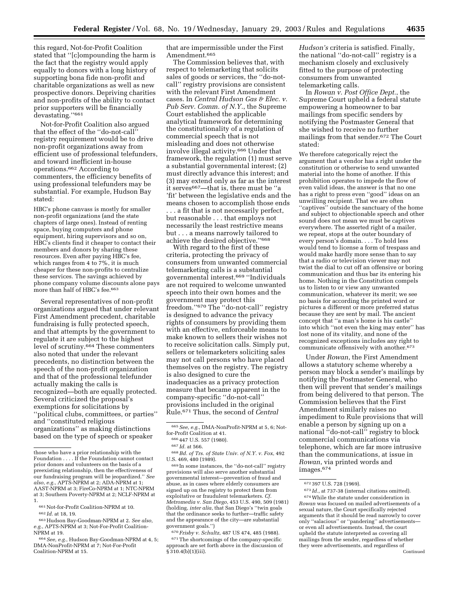this regard, Not-for-Profit Coalition stated that ''[c]ompounding the harm is the fact that the registry would apply equally to donors with a long history of supporting bona fide non-profit and charitable organizations as well as new prospective donors. Depriving charities and non-profits of the ability to contact prior supporters will be financially devastating."<sup>661</sup>

Not-for-Profit Coalition also argued that the effect of the ''do-not-call'' registry requirement would be to drive non-profit organizations away from efficient use of professional telefunders, and toward inefficient in-house operations.662 According to commenters, the efficiency benefits of using professional telefunders may be substantial. For example, Hudson Bay stated:

HBC's phone canvass is mostly for smaller non-profit organizations (and the state chapters of large ones). Instead of renting space, buying computers and phone equipment, hiring supervisors and so on, HBC's clients find it cheaper to contact their members and donors by sharing these resources. Even after paying HBC's fee, which ranges from 4 to  $7\%$ , it is much cheaper for these non-profits to centralize these services. The savings achieved by phone company volume discounts alone pays more than half of HBC's fee.663

Several representatives of non-profit organizations argued that under relevant First Amendment precedent, charitable fundraising is fully protected speech, and that attempts by the government to regulate it are subject to the highest level of scrutiny.664 These commenters also noted that under the relevant precedents, no distinction between the speech of the non-profit organization and that of the professional telefunder actually making the calls is recognized—both are equally protected. Several criticized the proposal's exemptions for solicitations by ''political clubs, committees, or parties'' and ''constituted religious organizations'' as making distinctions based on the type of speech or speaker

that are impermissible under the First Amendment.665

The Commission believes that, with respect to telemarketing that solicits sales of goods or services, the ''do-notcall'' registry provisions are consistent with the relevant First Amendment cases. In *Central Hudson Gas & Elec. v. Pub Serv. Comm. of N.Y.*, the Supreme Court established the applicable analytical framework for determining the constitutionality of a regulation of commercial speech that is not misleading and does not otherwise involve illegal activity.666 Under that framework, the regulation (1) must serve a substantial governmental interest; (2) must directly advance this interest; and (3) may extend only as far as the interest it serves667—that is, there must be ''a 'fit' between the legislative ends and the means chosen to accomplish those ends . . . a fit that is not necessarily perfect, but reasonable . . . that employs not necessarily the least restrictive means but . . . a means narrowly tailored to achieve the desired objective.''668

With regard to the first of these criteria, protecting the privacy of consumers from unwanted commercial telemarketing calls is a substantial governmental interest.669 ''Individuals are not required to welcome unwanted speech into their own homes and the government may protect this freedom.''670 The ''do-not-call'' registry is designed to advance the privacy rights of consumers by providing them with an effective, enforceable means to make known to sellers their wishes not to receive solicitation calls. Simply put, sellers or telemarketers soliciting sales may not call persons who have placed themselves on the registry. The registry is also designed to cure the inadequacies as a privacy protection measure that became apparent in the company-specific ''do-not-call'' provisions included in the original Rule.671 Thus, the second of *Central* 

669 In some instances, the ''do-not-call'' registry provisions will also serve another substantial governmental interest—prevention of fraud and abuse, as in cases where elderly consumers are signed up on the registry to protect them from exploitative or fraudulent telemarketers. *Cf. Metromedia v. San Diego*, 453 U.S. 490, 509 (1981) (holding, *inter alia*, that San Diego's ''twin goals that the ordinance seeks to further—traffic safety and the appearance of the city—are substantial government goals.'')

670*Frisby v. Schultz*, 487 US 474, 485 (1988). <sup>671</sup>The shortcomings of the company-specific approach are set forth above in the discussion of  $\hat{\S}$ 310.4(b)(1)(iii).

*Hudson's* criteria is satisfied. Finally, the national ''do-not-call'' registry is a mechanism closely and exclusively fitted to the purpose of protecting consumers from unwanted telemarketing calls.

In *Rowan v. Post Office Dept.*, the Supreme Court upheld a federal statute empowering a homeowner to bar mailings from specific senders by notifying the Postmaster General that she wished to receive no further mailings from that sender.672 The Court stated:

We therefore categorically reject the argument that a vendor has a right under the constitution or otherwise to send unwanted material into the home of another. If this prohibition operates to impede the flow of even valid ideas, the answer is that no one has a right to press even ''good'' ideas on an unwilling recipient. That we are often ''captives'' outside the sanctuary of the home and subject to objectionable speech and other sound does not mean we must be captives everywhere. The asserted right of a mailer, we repeat, stops at the outer boundary of every person's domain. . . . To hold less would tend to license a form of trespass and would make hardly more sense than to say that a radio or television viewer may not twist the dial to cut off an offensive or boring communication and thus bar its entering his home. Nothing in the Constitution compels us to listen to or view any unwanted communication, whatever its merit; we see no basis for according the printed word or pictures a different or more preferred status because they are sent by mail. The ancient concept that ''a man's home is his castle'' into which ''not even the king may enter'' has lost none of its vitality, and none of the recognized exceptions includes any right to communicate offensively with another.<sup>673</sup>

Under *Rowan*, the First Amendment allows a statutory scheme whereby a person may block a sender's mailings by notifying the Postmaster General, who then will prevent that sender's mailings from being delivered to that person. The Commission believes that the First Amendment similarly raises no impediment to Rule provisions that will enable a person by signing up on a national ''do-not-call'' registry to block commercial communications via telephone, which are far more intrusive than the communications, at issue in *Rowan*, via printed words and images.674

those who have a prior relationship with the Foundation . . . . If the Foundation cannot contact prior donors and volunteers on the basis of a preexisting relationship, then the effectiveness of our fundraising program will be jeopardized.'' *See also, e.g.*, APTS-NPRM at 2; ADA-NPRM at 1; AAST-NPRM at 3; FireCo-NPRM at 1; NTC-NPRM at 3; Southern Poverty-NPRM at 2; NCLF-NPRM at 1.

 $^{661}\rm{Not}\mbox{-}for\mbox{-}Problem$  Coalition-NPRM at 10.

<sup>662</sup> *Id.* at 18, 19.

<sup>663</sup>Hudson Bay-Goodman-NPRM at 2. *See also, e.g.*, APTS-NPRM at 3; Not-For-Profit Coalition-NPRM at 19.

<sup>664</sup>*See, e.g.*, Hudson Bay-Goodman-NPRM at 4, 5; DMA-NonProfit-NPRM at 7; Not-For-Profit Coalition-NPRM at 15.

<sup>665</sup>*See, e.g.*, DMA-NonProfit-NPRM at 5, 6; Notfor-Profit Coalition at 41.

<sup>666</sup> 447 U.S. 557 (1980).

<sup>667</sup> *Id.* at 566.

<sup>668</sup>*Bd. of Trs. of State Univ. of N.Y. v. Fox*, 492 U.S. 469, 480 (1989).

<sup>672</sup> 397 U.S. 728 (1969).

<sup>673</sup> *Id.*, at 737-38 (internal citations omitted). 674While the statute under consideration in *Rowan* was focused on mailed advertisements of a sexual nature, the Court specifically rejected arguments that it should be read narrowly to cover only ''salacious'' or ''pandering'' advertisements or even all advertisements. Instead, the court upheld the statute interpreted as covering all mailings from the sender, regardless of whether they were advertisements, and regardless of Continued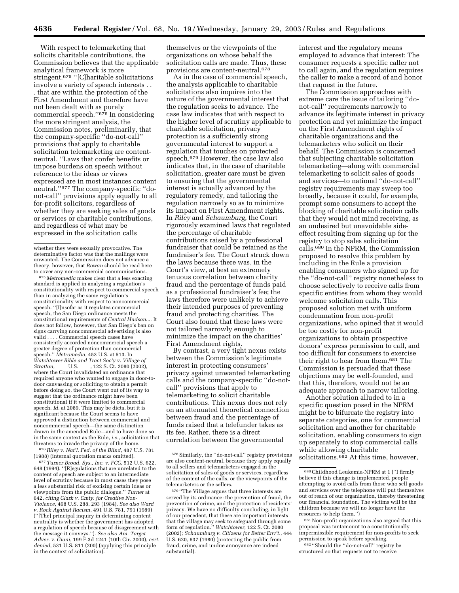With respect to telemarketing that solicits charitable contributions, the Commission believes that the applicable analytical framework is more stringent.675 ''[C]haritable solicitations involve a variety of speech interests . . . that are within the protection of the First Amendment and therefore have not been dealt with as purely commercial speech.''676 In considering the more stringent analysis, the Commission notes, preliminarily, that the company-specific ''do-not-call'' provisions that apply to charitable solicitation telemarketing are contentneutral. ''Laws that confer benefits or impose burdens on speech without reference to the ideas or views expressed are in most instances content neutral.''677 The company-specific ''donot-call'' provisions apply equally to all for-profit solicitors, regardless of whether they are seeking sales of goods or services or charitable contributions, and regardless of what may be expressed in the solicitation calls

675*Metromedia* makes clear that a less exacting standard is applied in analyzing a regulation's constitutionality with respect to commercial speech than in analyzing the same regulation's constitutionality with respect to noncommercial speech. ''[I]nsofar as it regulates commercial speech, the San Diego ordinance meets the constitutional requirements of *Central Hudson*.... It does not follow, however, that San Diego's ban on signs carrying noncommercial advertising is also valid . . . . Commercial speech cases have consistently accorded noncommercial speech a greater degree of protection than commercial speech.'' *Metromedia*, 453 U.S. at 513. In *Watchtower Bible and Tract Soc'y v. Village of Stratton, \_\_\_\_ U.S. \_\_\_\_, 122 S. Ct. 2080 (2002),*<br>where the Court invalidated an ordinance that required anyone who wanted to engage in door-todoor canvassing or soliciting to obtain a permit before doing so, the Court went out of its way to suggest that the ordinance might have been constitutional if it were limited to commercial speech. *Id.* at 2089. This may be dicta, but it is significant because the Court seems to have approved a distinction between commercial and noncommercial speech—the same distinction drawn in the amended Rule—and to have done so in the same context as the Rule, *i.e.*, solicitation that threatens to invade the privacy of the home.

676*Riley v. Nat'l. Fed. of the Blind*, 487 U.S. 781 (1988) (internal quotation marks omitted).

677*Turner Broad. Sys., Inc. v. FCC*, 512 U.S. 622, 648 (1994). ''[R]egulations that are unrelated to the content of speech are subject to an intermediate level of scrutiny because in most cases they pose a less substantial risk of excising certain ideas or viewpoints from the public dialogue.'' *Turner* at 642, *citing Clark v. Cmty. for Creative Non-Violence*, 468 U.S. 288, 293 (1984). *See also Ward v. Rock Against Racism*, 491 U.S. 781, 791 (1989) (''[The] principal inquiry in determining content neutrality is whether the government has adopted a regulation of speech because of disagreement with the message it conveys.''). *See also Am. Target Adver. v. Giani*, 199 F.3d 1241 (10th Cir. 2000), *cert. denied*, 531 U.S. 811 (200) (applying this principle in the context of solicitation).

themselves or the viewpoints of the organizations on whose behalf the solicitation calls are made. Thus, these provisions are content-neutral.678

As in the case of commercial speech, the analysis applicable to charitable solicitations also inquires into the nature of the governmental interest that the regulation seeks to advance. The case law indicates that with respect to the higher level of scrutiny applicable to charitable solicitation, privacy protection is a sufficiently strong governmental interest to support a regulation that touches on protected speech.679 However, the case law also indicates that, in the case of charitable solicitation, greater care must be given to ensuring that the governmental interest is actually advanced by the regulatory remedy, and tailoring the regulation narrowly so as to minimize its impact on First Amendment rights. In *Riley* and *Schaumburg*, the Court rigorously examined laws that regulated the percentage of charitable contributions raised by a professional fundraiser that could be retained as the fundraiser's fee. The Court struck down the laws because there was, in the Court's view, at best an extremely tenuous correlation between charity fraud and the percentage of funds paid as a professional fundraiser's fee; the laws therefore were unlikely to achieve their intended purposes of preventing fraud and protecting charities. The Court also found that these laws were not tailored narrowly enough to minimize the impact on the charities' First Amendment rights.

By contrast, a very tight nexus exists between the Commission's legitimate interest in protecting consumers' privacy against unwanted telemarketing calls and the company-specific ''do-notcall'' provisions that apply to telemarketing to solicit charitable contributions. This nexus does not rely on an attenuated theoretical connection between fraud and the percentage of funds raised that a telefunder takes as its fee. Rather, there is a direct correlation between the governmental

interest and the regulatory means employed to advance that interest: The consumer requests a specific caller not to call again, and the regulation requires the caller to make a record of and honor that request in the future.

The Commission approaches with extreme care the issue of tailoring ''donot-call'' requirements narrowly to advance its legitimate interest in privacy protection and yet minimize the impact on the First Amendment rights of charitable organizations and the telemarketers who solicit on their behalf. The Commission is concerned that subjecting charitable solicitation telemarketing—along with commercial telemarketing to solicit sales of goods and services—to national ''do-not-call'' registry requirements may sweep too broadly, because it could, for example, prompt some consumers to accept the blocking of charitable solicitation calls that they would not mind receiving, as an undesired but unavoidable sideeffect resulting from signing up for the registry to stop sales solicitation calls.680 In the NPRM, the Commission proposed to resolve this problem by including in the Rule a provision enabling consumers who signed up for the ''do-not-call'' registry nonetheless to choose selectively to receive calls from specific entities from whom they would welcome solicitation calls. This proposed solution met with uniform condemnation from non-profit organizations, who opined that it would be too costly for non-profit organizations to obtain prospective donors' express permission to call, and too difficult for consumers to exercise their right to hear from them.681 The Commission is persuaded that these objections may be well-founded, and that this, therefore, would not be an adequate approach to narrow tailoring.

Another solution alluded to in a specific question posed in the NPRM might be to bifurcate the registry into separate categories, one for commercial solicitation and another for charitable solicitation, enabling consumers to sign up separately to stop commercial calls while allowing charitable

681Non-profit organizations also argued that this proposal was tantamount to a constitutionally impermissible requirement for non-profits to seek permission to speak before speaking. 682 ''Should the ''do-not-call'' registry be

structured so that requests not to receive

whether they were sexually provocative. The determinative factor was that the mailings were unwanted. The Commission does not advance a theory, however, that *Rowan* should be read here to cover any non-commercial communications.

<sup>678</sup>Similarly, the ''do-not-call'' registry provisions are also content-neutral, because they apply equally to all sellers and telemarketers engaged in the solicitation of sales of goods or services, regardless of the content of the calls, or the viewpoints of the telemarketers or the sellers.

<sup>679</sup> ''The Village argues that three interests are served by its ordinance: the prevention of fraud, the prevention of crime, and the protection of residents' privacy. We have no difficulty concluding, in light of our precedent, that these are important interests that the village may seek to safeguard through some form of regulation.'' *Watchtower*, 122 S. Ct. 2080 (2002); *Schaumburg v. Citizens for Better Env't.*, 444 U.S. 620, 637 (1980) (protecting the public from fraud, crime, and undue annoyance are indeed substantial).

solicitations.<sup>682</sup> At this time, however,

<sup>680</sup>Childhood Leukemia-NPRM at 1 (''I firmly believe if this change is implemented, people attempting to avoid calls from those who sell goods and services over the telephone will put themselves out of reach of our organization, thereby threatening our financial foundation. The victims will be the children because we will no longer have the resources to help them.'')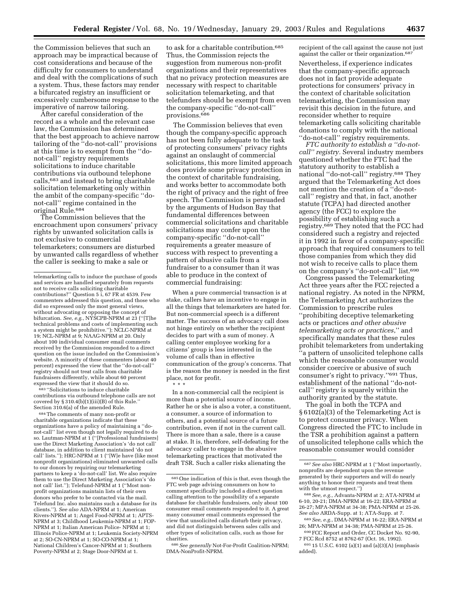the Commission believes that such an approach may be impractical because of cost considerations and because of the difficulty for consumers to understand and deal with the complications of such a system. Thus, these factors may render a bifurcated registry an insufficient or excessively cumbersome response to the imperative of narrow tailoring.

After careful consideration of the record as a whole and the relevant case law, the Commission has determined that the best approach to achieve narrow tailoring of the ''do-not-call'' provisions at this time is to exempt from the ''donot-call'' registry requirements solicitations to induce charitable contributions via outbound telephone calls,683 and instead to bring charitable solicitation telemarketing only within the ambit of the company-specific ''donot-call'' regime contained in the original Rule.684

The Commission believes that the encroachment upon consumers' privacy rights by unwanted solicitation calls is not exclusive to commercial telemarketers; consumers are disturbed by unwanted calls regardless of whether the caller is seeking to make a sale or

.<br><sup>683</sup> ''Solicitations to induce charitable contributions via outbound telephone calls are not covered by § 310.4(b)(1)(iii)(B) of this Rule.'' Section 310.6(a) of the amended Rule.

684The comments of many non-profit or charitable organizations indicate that these organizations have a policy of maintaining a ''donot-call'' list even though not legally required to do so. Lautman-NPRM at 1 (''[Professional fundraisers] use the Direct Marketing Association's 'do not call' database, in addition to client maintained 'do not call' lists.''); HRC-NPRM at 1 (''[W]e have (like most nonprofit organizations) eliminated unwanted calls to our donors by requiring our telemarketing partners to keep a 'do-not-call' list. We also require them to use the Direct Marketing Association's 'do not call' list.''); Telefund-NPRM at 1 (''Most nonprofit organizations maintain lists of their own donors who prefer to be contacted via the mail. Telefund Inc. also maintains such a database for its clients.''). *See also* ADA-NPRM at 1; American Rivers-NPRM at 1; Angel Food-NPRM at 1; APTS-NPRM at 3; Childhood Leukemia-NPRM at 1; FOP-NPRM at 1; Italian American Police- NPRM at 1; Illinois Police-NPRM at 1; Leukemia Society-NPRM at 2; SO-CN-NPRM at 1; SO-CO-NPRM at 1; National Children's Cancer-NPRM at 1; Southern Poverty-NPRM at 2; Stage Door-NPRM at 1.

to ask for a charitable contribution.<sup>685</sup> Thus, the Commission rejects the suggestion from numerous non-profit organizations and their representatives that no privacy protection measures are necessary with respect to charitable solicitation telemarketing, and that telefunders should be exempt from even the company-specific ''do-not-call'' provisions.686

The Commission believes that even though the company-specific approach has not been fully adequate to the task of protecting consumers' privacy rights against an onslaught of commercial solicitations, this more limited approach does provide some privacy protection in the context of charitable fundraising, and works better to accommodate both the right of privacy and the right of free speech. The Commission is persuaded by the arguments of Hudson Bay that fundamental differences between commercial solicitations and charitable solicitations may confer upon the company-specific ''do-not-call'' requirements a greater measure of success with respect to preventing a pattern of abusive calls from a fundraiser to a consumer than it was able to produce in the context of commercial fundraising:

When a pure commercial transaction is at stake, callers have an incentive to engage in all the things that telemarketers are hated for. But non-commercial speech is a different matter. The success of an advocacy call does not hinge entirely on whether the recipient decides to part with a sum of money. A calling center employee working for a citizens' group is less interested in the volume of calls than in effective communication of the group's concerns. That is the reason the money is needed in the first place, not for profit. \* \* \*

In a non-commercial call the recipient is more than a potential source of income. Rather he or she is also a voter, a constituent, a consumer, a source of information to others, and a potential source of a future contribution, even if not in the current call. There is more than a sale, there is a cause at stake. It is, therefore, self-defeating for the advocacy caller to engage in the abusive telemarketing practices that motivated the draft TSR. Such a caller risks alienating the

recipient of the call against the cause not just against the caller or their organization.687 Nevertheless, if experience indicates that the company-specific approach does not in fact provide adequate protections for consumers' privacy in the context of charitable solicitation telemarketing, the Commission may revisit this decision in the future, and reconsider whether to require telemarketing calls soliciting charitable donations to comply with the national ''do-not-call'' registry requirements.

*FTC authority to establish a ''do-notcall'' registry.* Several industry members questioned whether the FTC had the statutory authority to establish a national ''do-not-call'' registry.688 They argued that the Telemarketing Act does not mention the creation of a ''do-notcall'' registry and that, in fact, another statute (TCPA) had directed another agency (the FCC) to explore the possibility of establishing such a registry.689 They noted that the FCC had considered such a registry and rejected it in 1992 in favor of a company-specific approach that required consumers to tell those companies from which they did not wish to receive calls to place them on the company's ''do-not-call'' list.690

Congress passed the Telemarketing Act three years after the FCC rejected a national registry. As noted in the NPRM, the Telemarketing Act authorizes the Commission to prescribe rules ''prohibiting deceptive telemarketing acts or practices *and other abusive telemarketing acts or practices*,'' and specifically mandates that these rules prohibit telemarketers from undertaking ''a pattern of unsolicited telephone calls which the reasonable consumer would consider coercive or abusive of such consumer's right to privacy.''691 Thus, establishment of the national ''do-notcall'' registry is squarely within the authority granted by the statute.

The goal in both the TCPA and § 6102(a)(3) of the Telemarketing Act is to protect consumer privacy. When Congress directed the FTC to include in the TSR a prohibition against a pattern of unsolicited telephone calls which the reasonable consumer would consider

688*See, e.g.*, Advanta-NPRM at 2; ATA-NPRM at 6-10, 20-21; DMA-NPRM at 16-22; ERA-NPRM at 26-27; MPA-NPRM at 34-38; PMA-NPRM at 25-26. *See also* ARDA-Supp. at 1; ATA-Supp. at 7.

690FCC Report and Order, CC Docket No. 92-90, 7 FCC Rcd 8752 at 8762-67 (Oct. 16, 1992).

691 15 U.S.C. 6102 (a)(1) and (a)(3)(A) (emphasis added).

telemarketing calls to induce the purchase of goods and services are handled separately from requests not to receive calls soliciting charitable contributions?'' Question 5 i, 67 FR at 4539. Few commenters addressed this question, and those who did so expressed only the most general views, without advocating or opposing the concept of bifurcation. *See, e.g*., NYSCPB-NPRM at 23 (''[T]he technical problems and costs of implementing such a system might be prohibitive.''); NCLC-NPRM at 19; NCL-NPRM at 9; NAAG-NPRM at 20. Only about 100 individual consumer email comments received by the Commission responded to a direct question on the issue included on the Commission's website. A minority of these commenters (about 40 percent) expressed the view that the ''do-not-call'' registry should not treat calls from charitable fundraisers differently, while about 60 percent expressed the view that it should do so.

<sup>685</sup>One indication of this is that, even though the FTC web page advising consumers on how to comment specifically included a direct question calling attention to the possibility of a separate database for charitable fundraisers, only about 100 consumer email comments responded to it. A great many consumer email comments expressed the view that unsolicited calls disturb their privacy, and did not distinguish between sales calls and other types of solicitation calls, such as those for charities.

<sup>686</sup>*See generally* Not-For-Profit Coalition-NPRM; DMA-NonProfit-NPRM.

<sup>687</sup>*See also* HRC-NPRM at 1 (''Most importantly, nonprofits are dependent upon the revenue generated by their supporters and will do nearly anything to honor their requests and treat them with the utmost respect.'')

<sup>689</sup>*See, e.g.*, DMA-NPRM at 16-22; ERA-NPRM at 26; MPA-NPRM at 34-38; PMA-NPRM at 25-26.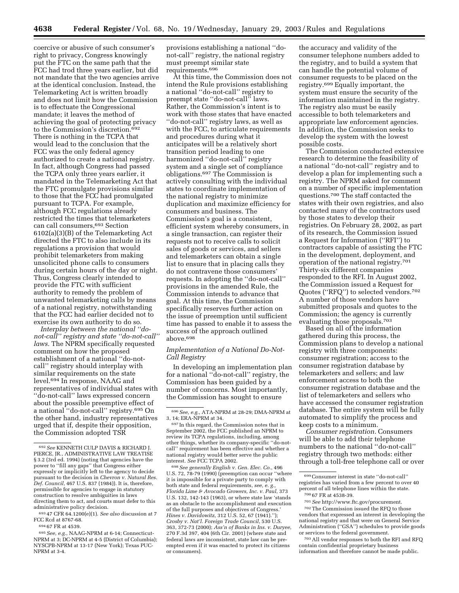coercive or abusive of such consumer's right to privacy, Congress knowingly put the FTC on the same path that the FCC had trod three years earlier, but did not mandate that the two agencies arrive at the identical conclusion. Instead, the Telemarketing Act is written broadly and does not limit how the Commission is to effectuate the Congressional mandate; it leaves the method of achieving the goal of protecting privacy to the Commission's discretion.692 There is nothing in the TCPA that would lead to the conclusion that the FCC was the only federal agency authorized to create a national registry. In fact, although Congress had passed the TCPA only three years earlier, it mandated in the Telemarketing Act that the FTC promulgate provisions similar to those that the FCC had promulgated pursuant to TCPA. For example, although FCC regulations already restricted the times that telemarketers can call consumers,693 Section 6102(a)(3)(B) of the Telemarketing Act directed the FTC to also include in its regulations a provision that would prohibit telemarketers from making unsolicited phone calls to consumers during certain hours of the day or night. Thus, Congress clearly intended to provide the FTC with sufficient authority to remedy the problem of unwanted telemarketing calls by means of a national registry, notwithstanding that the FCC had earlier decided not to exercise its own authority to do so.

*Interplay between the national ''donot-call'' registry and state ''do-not-call'' laws.* The NPRM specifically requested comment on how the proposed establishment of a national ''do-notcall'' registry should interplay with similar requirements on the state level.694 In response, NAAG and representatives of individual states with ''do-not-call'' laws expressed concern about the possible preemptive effect of a national ''do-not-call'' registry.695 On the other hand, industry representatives urged that if, despite their opposition, the Commission adopted TSR

694 67 FR at 4539.

provisions establishing a national ''donot-call'' registry, the national registry must preempt similar state requirements.696

At this time, the Commission does not intend the Rule provisions establishing a national ''do-not-call'' registry to preempt state "do-not-call" laws. Rather, the Commission's intent is to work with those states that have enacted ''do-not-call'' registry laws, as well as with the FCC, to articulate requirements and procedures during what it anticipates will be a relatively short transition period leading to one harmonized ''do-not-call'' registry system and a single set of compliance obligations.697 The Commission is actively consulting with the individual states to coordinate implementation of the national registry to minimize duplication and maximize efficiency for consumers and business. The Commission's goal is a consistent, efficient system whereby consumers, in a single transaction, can register their requests not to receive calls to solicit sales of goods or services, and sellers and telemarketers can obtain a single list to ensure that in placing calls they do not contravene those consumers' requests. In adopting the ''do-not-call'' provisions in the amended Rule, the Commission intends to advance that goal. At this time, the Commission specifically reserves further action on the issue of preemption until sufficient time has passed to enable it to assess the success of the approach outlined above.698

## *Implementation of a National Do-Not-Call Registry*

In developing an implementation plan for a national ''do-not-call'' registry, the Commission has been guided by a number of concerns. Most importantly, the Commission has sought to ensure

698*See generally English v. Gen. Elec. Co.*, 496 U.S. 72, 78-79 (1990) (preemption can occur ''where it is impossible for a private party to comply with both state and federal requirements, *see, e. g., Florida Lime & Avocado Growers, Inc. v. Paul*, 373 U.S. 132, 142-143 (1963), or where state law 'stands as an obstacle to the accomplishment and execution of the full purposes and objectives of Congress.' *Hines v. Davidowitz*, 312 U.S. 52, 67 (1941).''); *Crosby v. Nat'l. Foreign Trade Council*, 530 U.S. 363, 372-73 (2000); *Ass'n of Banks in Ins. v. Duryee*, 270 F.3d 397, 404 (6th Cir. 2001) (where state and federal laws are inconsistent, state law can be preempted even if it was enacted to protect its citizens or consumers).

the accuracy and validity of the consumer telephone numbers added to the registry, and to build a system that can handle the potential volume of consumer requests to be placed on the registry.699 Equally important, the system must ensure the security of the information maintained in the registry. The registry also must be easily accessible to both telemarketers and appropriate law enforcement agencies. In addition, the Commission seeks to develop the system with the lowest possible costs.

The Commission conducted extensive research to determine the feasibility of a national ''do-not-call'' registry and to develop a plan for implementing such a registry. The NPRM asked for comment on a number of specific implementation questions.700 The staff contacted the states with their own registries, and also contacted many of the contractors used by those states to develop their registries. On February 28, 2002, as part of its research, the Commission issued a Request for Information (''RFI'') to contractors capable of assisting the FTC in the development, deployment, and operation of the national registry.701 Thirty-six different companies responded to the RFI. In August 2002, the Commission issued a Request for Quotes (''RFQ'') to selected vendors.702 A number of those vendors have submitted proposals and quotes to the Commission; the agency is currently evaluating those proposals.703

Based on all of the information gathered during this process, the Commission plans to develop a national registry with three components: consumer registration; access to the consumer registration database by telemarketers and sellers; and law enforcement access to both the consumer registration database and the list of telemarketers and sellers who have accessed the consumer registration database. The entire system will be fully automated to simplify the process and keep costs to a minimum.

*Consumer registration.* Consumers will be able to add their telephone numbers to the national ''do-not-call'' registry through two methods: either through a toll-free telephone call or over

702The Commission issued the RFQ to those vendors that expressed an interest in developing the national registry and that were on General Service Administration (''GSA'') schedules to provide goods or services to the federal government.

703All vendor responses to both the RFI and RFQ contain confidential proprietary business information and therefore cannot be made public.

<sup>692</sup>*See* KENNETH CULP DAVIS & RICHARD J. PIERCE, JR., ADMINISTRATIVE LAW TREATISE § 3.2 (3rd ed. 1994) (noting that agencies have the power to ''fill any gaps'' that Congress either expressly or implicitly left to the agency to decide pursuant to the decision in *Chevron v. Natural Res. Def. Council*, 467 U.S. 837 (1984)). It is, therefore, permissible for agencies to engage in statutory construction to resolve ambiguities in laws directing them to act, and courts must defer to this administrative policy decision.

<sup>693</sup> 47 CFR 64.1200(e)(1). *See also* discussion at 7 FCC Rcd at 8767-68.

<sup>695</sup>*See, e.g.*, NAAG-NPRM at 6-14; Connecticut-NPRM at 3; DC-NPRM at 4-5 (District of Columbia); NYSCPB-NPRM at 13-17 (New York); Texas PUC-NPRM at 3-4.

<sup>696</sup>*See, e.g.*, ATA-NPRM at 28-29; DMA-NPRM at 3, 14; ERA-NPRM at 34.

<sup>697</sup> In this regard, the Commission notes that in September 2002, the FCC published an NPRM to review its TCPA regulations, including, among other things, whether its company-specific ''do-notcall'' requirement has been effective and whether a national registry would better serve the public interest. See FCC TCPA 2002.

<sup>699</sup>Consumer interest in state ''do-not-call'' registries has varied from a few percent to over 40 percent of all telephone lines within the state. 700 67 FR at 4538-39.

<sup>701</sup>*See* http://www.ftc.gov/procurement.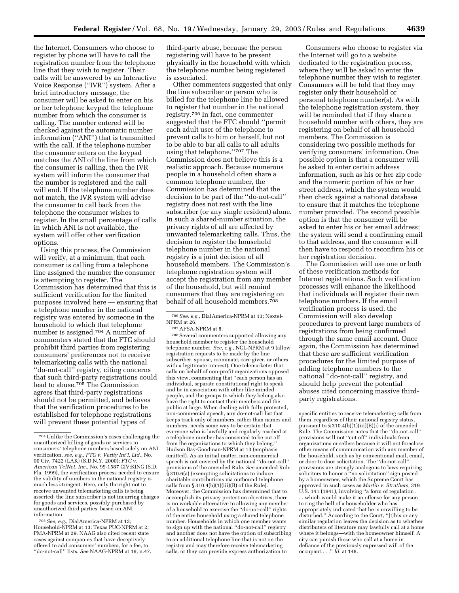the Internet. Consumers who choose to register by phone will have to call the registration number from the telephone line that they wish to register. Their calls will be answered by an Interactive Voice Response (''IVR'') system. After a brief introductory message, the consumer will be asked to enter on his or her telephone keypad the telephone number from which the consumer is calling. The number entered will be checked against the automatic number information (''ANI'') that is transmitted with the call. If the telephone number the consumer enters on the keypad matches the ANI of the line from which the consumer is calling, then the IVR system will inform the consumer that the number is registered and the call will end. If the telephone number does not match, the IVR system will advise the consumer to call back from the telephone the consumer wishes to register. In the small percentage of calls in which ANI is not available, the system will offer other verification options.

Using this process, the Commission will verify, at a minimum, that each consumer is calling from a telephone line assigned the number the consumer is attempting to register. The Commission has determined that this is sufficient verification for the limited purposes involved here — ensuring that a telephone number in the national registry was entered by someone in the household to which that telephone number is assigned.704 A number of commenters stated that the FTC should prohibit third parties from registering consumers' preferences not to receive telemarketing calls with the national ''do-not-call'' registry, citing concerns that such third-party registrations could lead to abuse.705 The Commission agrees that third-party registrations should not be permitted, and believes that the verification procedures to be established for telephone registrations will prevent these potential types of

third-party abuse, because the person registering will have to be present physically in the household with which the telephone number being registered is associated.

Other commenters suggested that only the line subscriber or person who is billed for the telephone line be allowed to register that number in the national registry.706 In fact, one commenter suggested that the FTC should ''permit each adult user of the telephone to prevent calls to him or herself, but not to be able to bar all calls to all adults using that telephone.''707 The Commission does not believe this is a realistic approach. Because numerous people in a household often share a common telephone number, the Commission has determined that the decision to be part of the ''do-not-call'' registry does not rest with the line subscriber (or any single resident) alone. In such a shared-number situation, the privacy rights of all are affected by unwanted telemarketing calls. Thus, the decision to register the household telephone number in the national registry is a joint decision of all household members. The Commission's telephone registration system will accept the registration from any member of the household, but will remind consumers that they are registering on behalf of all household members.708

708Several commenters supported allowing any household member to register the household telephone number. *See, e.g.*, NCL-NPRM at 9 (allow registration requests to be made by the line subscriber, spouse, roommate, care giver, or others with a legitimate interest). One telemarketer that calls on behalf of non-profit organizations opposed this view, commenting that ''each person has an individual, separate constitutional right to speak and be in association with other like-minded people, and the groups to which they belong also have the right to contact their members and the public at large. When dealing with fully protected, non-commercial speech, any do-not-call list that keeps track only of numbers, rather than names and numbers, needs some way to be certain that everyone who is lawfully and regularly reached at a telephone number has consented to be cut off from the organizations to which they belong. Hudson Bay-Goodman-NPRM at 13 (emphasis omitted). As an initial matter, non-commercial speech is not covered by the national ''do-not-call'' provisions of the amended Rule. *See* amended Rule § 310.6(a) (exempting solicitations to induce charitable contributions via outbound telephone calls from § 310.4(b)(1)(iii)(B) of the Rule). Moreover, the Commission has determined that to accomplish its privacy protection objectives, there is no workable alternative to allowing any member of a household to exercise the ''do-not-call'' rights of the entire household using a shared telephone number. Households in which one member wants to sign up with the national ''do-not-call'' registry and another does not have the option of subscribing to an additional telephone line that is not on the registry and may therefore receive telemarketing calls, or they can provide express authorization to

Consumers who choose to register via the Internet will go to a website dedicated to the registration process, where they will be asked to enter the telephone number they wish to register. Consumers will be told that they may register only their household or personal telephone number(s). As with the telephone registration system, they will be reminded that if they share a household number with others, they are registering on behalf of all household members. The Commission is considering two possible methods for verifying consumers' information. One possible option is that a consumer will be asked to enter certain address information, such as his or her zip code and the numeric portion of his or her street address, which the system would then check against a national database to ensure that it matches the telephone number provided. The second possible option is that the consumer will be asked to enter his or her email address; the system will send a confirming email to that address, and the consumer will then have to respond to reconfirm his or her registration decision.

The Commission will use one or both of these verification methods for Internet registrations. Such verification processes will enhance the likelihood that individuals will register their own telephone numbers. If the email verification process is used, the Commission will also develop procedures to prevent large numbers of registrations from being confirmed through the same email account. Once again, the Commission has determined that these are sufficient verification procedures for the limited purpose of adding telephone numbers to the national ''do-not-call'' registry, and should help prevent the potential abuses cited concerning massive thirdparty registrations.

to ring the bell of a householder who has appropriately indicated that he is unwilling to be disturbed.'' According to the Court, ''[t]his or any similar regulation leaves the decision as to whether distributers of literature may lawfully call at a home where it belongs—with the homeowner himself. A city can punish those who call at a home in defiance of the previously expressed will of the occupant.. . .'' *Id.* at 148.

<sup>704</sup>Unlike the Commission's cases challenging the unauthorized billing of goods or services to consumers' telephone numbers based solely on ANI verification, *see, e.g., FTC v. Verity Int'l, Ltd.*, No. 00 Civ. 7422 (LAK) (S.D.N.Y. 2000); *FTC v. American TelNet, Inc.*, No. 99-1587 CIV:KING (S.D. Fla. 1999), the verification process needed to ensure the validity of numbers in the national registry is much less stringent. Here, only the right not to receive unwanted telemarketing calls is being asserted; the line subscriber is not incurring charges for goods and services, possibly purchased by unauthorized third parties, based on ANI information.

<sup>705</sup>*See, e.g.*, DialAmerica-NPRM at 13; Household-NPRM at 13; Texas PUC-NPRM at 2; PMA-NPRM at 29. NAAG also cited recent state cases against companies that have deceptively offered to add consumers' numbers, for a fee, to ''do-not-call'' lists. *See* NAAG-NPRM at 19, n.47.

<sup>706</sup>*See, e.g.*, DialAmerica-NPRM at 13; Nextel-NPRM at 26.

<sup>707</sup>AFSA-NPRM at 8.

specific entities to receive telemarketing calls from them, regardless of their national registry status, pursuant to  $\S 310.4(b)(1)(iii)(B)(i)$  of the amended Rule. The Commission notes that the ''do-not-call'' provisions will not ''cut off'' individuals from organizations or sellers because it will not foreclose other means of communication with any member of the household, such as by conventional mail, email, or door to door solicitation. The ''do-not-call'' provisions are strongly analogous to laws requiring solicitors to honor a ''no solicitation'' sign posted by a homeowner, which the Supreme Court has approved in such cases as *Martin v. Struthers*, 319 U.S. 141 (1941), involving ''a form of regulation . . . which would make it an offense for any person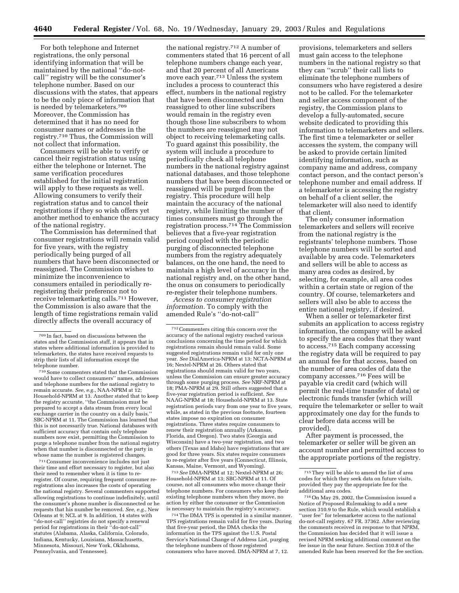For both telephone and Internet registrations, the only personal identifying information that will be maintained by the national ''do-notcall'' registry will be the consumer's telephone number. Based on our discussions with the states, that appears to be the only piece of information that is needed by telemarketers.709 Moreover, the Commission has determined that it has no need for consumer names or addresses in the registry.710 Thus, the Commission will not collect that information.

Consumers will be able to verify or cancel their registration status using either the telephone or Internet. The same verification procedures established for the initial registration will apply to these requests as well. Allowing consumers to verify their registration status and to cancel their registrations if they so wish offers yet another method to enhance the accuracy of the national registry.

The Commission has determined that consumer registrations will remain valid for five years, with the registry periodically being purged of all numbers that have been disconnected or reassigned. The Commission wishes to minimize the inconvenience to consumers entailed in periodically reregistering their preference not to receive telemarketing calls.711 However, the Commission is also aware that the length of time registrations remain valid directly affects the overall accuracy of

710Some commenters stated that the Commission would have to collect consumers'' names, addresses and telephone numbers for the national registry to remain accurate. *See, e.g.*, NAA-NPRM at 12; Household-NPRM at 13. Another stated that to keep the registry accurate, ''the Commission must be prepared to accept a data stream from every local exchange carrier in the country on a daily basis.'' SBC-NPRM at 11. The Commission has learned that this is not necessarily true. National databases with sufficient accuracy that contain only telephone numbers now exist, permitting the Commission to purge a telephone number from the national registry when that number is disconnected or the party in whose name the number is registered changes.

711Consumer inconvenience includes not just their time and effort necessary to register, but also their need to remember when it is time to reregister. Of course, requiring frequent consumer reregistrations also increases the costs of operating the national registry. Several commenters supported allowing registrations to continue indefinitely, until the consumer's phone number is disconnected or he requests that his number be removed. *See, e.g.*, New Orleans at 9; NCL at 9. In addition, 14 states with ''do-not-call'' registries do not specify a renewal period for registrations in their ''do-not-call'' statutes (Alabama, Alaska, California, Colorado, Indiana, Kentucky, Louisiana, Massachusetts, Minnesota, Missouri, New York, Oklahoma, Pennsylvania, and Tennessee).

the national registry.712 A number of commenters stated that 16 percent of all telephone numbers change each year, and that 20 percent of all Americans move each year.713 Unless the system includes a process to counteract this effect, numbers in the national registry that have been disconnected and then reassigned to other line subscribers would remain in the registry even though those line subscribers to whom the numbers are reassigned may not object to receiving telemarketing calls. To guard against this possibility, the system will include a procedure to periodically check all telephone numbers in the national registry against national databases, and those telephone numbers that have been disconnected or reassigned will be purged from the registry. This procedure will help maintain the accuracy of the national registry, while limiting the number of times consumers must go through the registration process.714 The Commission believes that a five-year registration period coupled with the periodic purging of disconnected telephone numbers from the registry adequately balances, on the one hand, the need to maintain a high level of accuracy in the national registry and, on the other hand, the onus on consumers to periodically re-register their telephone numbers.

*Access to consumer registration information.* To comply with the amended Rule's ''do-not-call''

712Commenters citing this concern over the accuracy of the national registry reached various conclusions concerning the time period for which registrations remain should remain valid. Some suggested registrations remain valid for only one year. *See* DialAmerica-NPRM at 13; NCTA-NPRM at 16; Nextel-NPRM at 26. Others stated that registrations should remain valid for two years, unless the Commission can ensure greater accuracy through some purging process. *See* NRF-NPRM at 18; PMA-NPRM at 29. Still others suggested that a five-year registration period is sufficient. *See* NAAG-NPRM at 18; Household-NPRM at 13. State registration periods vary from one year to five years, while, as stated in the previous footnote, fourteen states impose no expiration on consumer registrations. Three states require consumers to renew their registration annually (Arkansas, Florida, and Oregon). Two states (Georgia and Wisconsin) have a two-year registration, and two others (Texas and Idaho) have registrations that are good for three years. Six states require consumers to re-register after five years (Connecticut, Illinois, Kansas, Maine, Vermont, and Wyoming).

713*See* DMA-NPRM at 12; Nextel-NPRM at 26; Household-NPRM at 13; SBC-NPRM at 11. Of course, not all consumers who move change their telephone numbers. For consumers who keep their existing telephone numbers when they move, no action by either the consumer or the Commission is necessary to maintain the registry's accuracy.

714The DMA TPS is operated in a similar manner. TPS registrations remain valid for five years. During that five-year period, the DMA checks the information in the TPS against the U.S. Postal Service's National Change of Address List, purging the telephone numbers of those registered consumers who have moved. DMA-NPRM at 7, 12.

provisions, telemarketers and sellers must gain access to the telephone numbers in the national registry so that they can ''scrub'' their call lists to eliminate the telephone numbers of consumers who have registered a desire not to be called. For the telemarketer and seller access component of the registry, the Commission plans to develop a fully-automated, secure website dedicated to providing this information to telemarketers and sellers. The first time a telemarketer or seller accesses the system, the company will be asked to provide certain limited identifying information, such as company name and address, company contact person, and the contact person's telephone number and email address. If a telemarketer is accessing the registry on behalf of a client seller, the telemarketer will also need to identify that client.

The only consumer information telemarketers and sellers will receive from the national registry is the registrants' telephone numbers. Those telephone numbers will be sorted and available by area code. Telemarketers and sellers will be able to access as many area codes as desired, by selecting, for example, all area codes within a certain state or region of the country. Of course, telemarketers and sellers will also be able to access the entire national registry, if desired.

When a seller or telemarketer first submits an application to access registry information, the company will be asked to specify the area codes that they want to access.715 Each company accessing the registry data will be required to pay an annual fee for that access, based on the number of area codes of data the company accesses.716 Fees will be payable via credit card (which will permit the real-time transfer of data) or electronic funds transfer (which will require the telemarketer or seller to wait approximately one day for the funds to clear before data access will be provided).

After payment is processed, the telemarketer or seller will be given an account number and permitted access to the appropriate portions of the registry.

<sup>709</sup> In fact, based on discussions between the states and the Commission staff, it appears that in states where additional information is provided to telemarketers, the states have received requests to strip their lists of all information except the telephone number.

<sup>715</sup>They will be able to amend the list of area codes for which they seek data on future visits, provided they pay the appropriate fee for the additional area codes.

<sup>716</sup>On May 29, 2002, the Commission issued a Notice of Proposed Rulemaking to add a new section 310.9 to the Rule, which would establish a ''user fee'' for telemarketer access to the national do-not-call registry. 67 FR. 37362. After reviewing the comments received in response to that NPRM, the Commission has decided that it will issue a revised NPRM seeking additional comment on the fee issue in the near future. Section 310.8 of the amended Rule has been reserved for the fee section.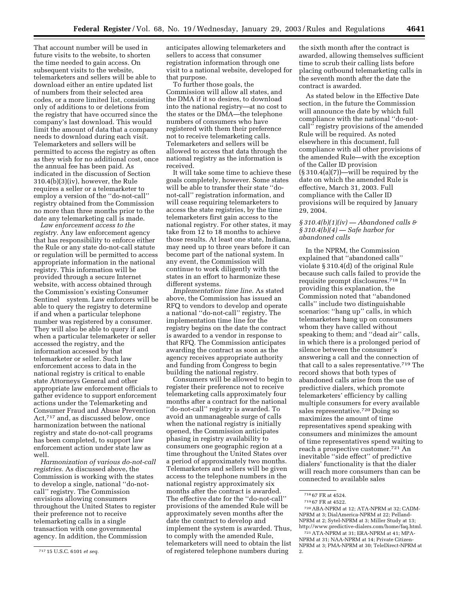That account number will be used in future visits to the website, to shorten the time needed to gain access. On subsequent visits to the website, telemarketers and sellers will be able to download either an entire updated list of numbers from their selected area codes, or a more limited list, consisting only of additions to or deletions from the registry that have occurred since the company's last download. This would limit the amount of data that a company needs to download during each visit. Telemarketers and sellers will be permitted to access the registry as often as they wish for no additional cost, once the annual fee has been paid. As indicated in the discussion of Section 310.4(b)(3)(iv), however, the Rule requires a seller or a telemarketer to employ a version of the ''do-not-call'' registry obtained from the Commission no more than three months prior to the date any telemarketing call is made.

*Law enforcement access to the registry.* Any law enforcement agency that has responsibility to enforce either the Rule or any state do-not-call statute or regulation will be permitted to access appropriate information in the national registry. This information will be provided through a secure Internet website, with access obtained through the Commission's existing Consumer Sentinel<sup>®</sup> system. Law enforcers will be able to query the registry to determine if and when a particular telephone number was registered by a consumer. They will also be able to query if and when a particular telemarketer or seller accessed the registry, and the information accessed by that telemarketer or seller. Such law enforcement access to data in the national registry is critical to enable state Attorneys General and other appropriate law enforcement officials to gather evidence to support enforcement actions under the Telemarketing and Consumer Fraud and Abuse Prevention Act,717 and, as discussed below, once harmonization between the national registry and state do-not-call programs has been completed, to support law enforcement action under state law as well.

*Harmonization of various do-not-call registries.* As discussed above, the Commission is working with the states to develop a single, national ''do-notcall'' registry. The Commission envisions allowing consumers throughout the United States to register their preference not to receive telemarketing calls in a single transaction with one governmental agency. In addition, the Commission

anticipates allowing telemarketers and sellers to access that consumer registration information through one visit to a national website, developed for that purpose.

To further those goals, the Commission will allow all states, and the DMA if it so desires, to download into the national registry—at no cost to the states or the DMA—the telephone numbers of consumers who have registered with them their preference not to receive telemarketing calls. Telemarketers and sellers will be allowed to access that data through the national registry as the information is received.

It will take some time to achieve these goals completely, however. Some states will be able to transfer their state ''donot-call'' registration information, and will cease requiring telemarketers to access the state registries, by the time telemarketers first gain access to the national registry. For other states, it may take from 12 to 18 months to achieve those results. At least one state, Indiana, may need up to three years before it can become part of the national system. In any event, the Commission will continue to work diligently with the states in an effort to harmonize these different systems.

*Implementation time line*. As stated above, the Commission has issued an RFQ to vendors to develop and operate a national ''do-not-call'' registry. The implementation time line for the registry begins on the date the contract is awarded to a vendor in response to that RFQ. The Commission anticipates awarding the contract as soon as the agency receives appropriate authority and funding from Congress to begin building the national registry.

Consumers will be allowed to begin to register their preference not to receive telemarketing calls approximately four months after a contract for the national ''do-not-call'' registry is awarded. To avoid an unmanageable surge of calls when the national registry is initially opened, the Commission anticipates phasing in registry availability to consumers one geographic region at a time throughout the United States over a period of approximately two months. Telemarketers and sellers will be given access to the telephone numbers in the national registry approximately six months after the contract is awarded. The effective date for the ''do-not-call'' provisions of the amended Rule will be approximately seven months after the date the contract to develop and implement the system is awarded. Thus, to comply with the amended Rule, telemarketers will need to obtain the list of registered telephone numbers during

the sixth month after the contract is awarded, allowing themselves sufficient time to scrub their calling lists before placing outbound telemarketing calls in the seventh month after the date the contract is awarded.

As stated below in the Effective Date section, in the future the Commission will announce the date by which full compliance with the national ''do-notcall'' registry provisions of the amended Rule will be required. As noted elsewhere in this document, full compliance with all other provisions of the amended Rule—with the exception of the Caller ID provision  $(\S 310.4(a)(7))$ —will be required by the date on which the amended Rule is effective, March 31, 2003. Full compliance with the Caller ID provisions will be required by January 29, 2004.

## *§ 310.4(b)(1)(iv) — Abandoned calls & § 310.4(b)(4) — Safe harbor for abandoned calls*

In the NPRM, the Commission explained that ''abandoned calls'' violate § 310.4(d) of the original Rule because such calls failed to provide the requisite prompt disclosures.718 In providing this explanation, the Commission noted that ''abandoned calls'' include two distinguishable scenarios: ''hang up'' calls, in which telemarketers hang up on consumers whom they have called without speaking to them; and "dead air" calls, in which there is a prolonged period of silence between the consumer's answering a call and the connection of that call to a sales representative.719 The record shows that both types of abandoned calls arise from the use of predictive dialers, which promote telemarketers' efficiency by calling multiple consumers for every available sales representative.720 Doing so maximizes the amount of time representatives spend speaking with consumers and minimizes the amount of time representatives spend waiting to reach a prospective customer.721 An inevitable ''side effect'' of predictive dialers' functionality is that the dialer will reach more consumers than can be connected to available sales

<sup>717</sup> 15 U.S.C. 6101 *et seq.*

<sup>718</sup> 67 FR at 4524.

<sup>719</sup> 67 FR at 4522.

<sup>720</sup>ABA-NPRM at 12; ATA-NPRM at 32; CADM-NPRM at 3; DialAmerica-NPRM at 22; Pelland-NPRM at 2; Sytel-NPRM at 3; Miller Study at 13; http://www.predictive-dialers.com/home/faq.html.

<sup>721</sup>ATA-NPRM at 31; ERA-NPRM at 41; MPA-NPRM at 31; NAA-NPRM at 14; Private Citizen-NPRM at 3; PMA-NPRM at 30; TeleDirect-NPRM at 2.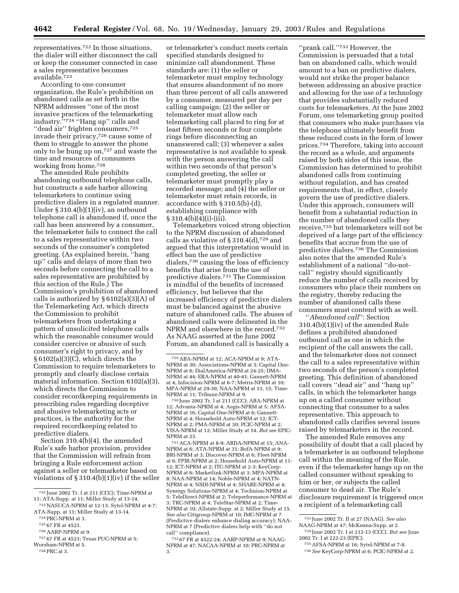representatives.722 In those situations, the dialer will either disconnect the call or keep the consumer connected in case a sales representative becomes available.723

According to one consumer organization, the Rule's prohibition on abandoned calls as set forth in the NPRM addresses ''one of the most invasive practices of the telemarketing industry.''724 ''Hang up'' calls and "dead air" frighten consumers,<sup>725</sup> invade their privacy,726 cause some of them to struggle to answer the phone only to be hung up on,727 and waste the time and resources of consumers working from home.728

The amended Rule prohibits abandoning outbound telephone calls, but constructs a safe harbor allowing telemarketers to continue using predictive dialers in a regulated manner. Under § 310.4(b)(1)(iv), an outbound telephone call is abandoned if, once the call has been answered by a consumer, the telemarketer fails to connect the call to a sales representative within two seconds of the consumer's completed greeting. (As explained herein, ''hang up'' calls and delays of more than two seconds before connecting the call to a sales representative are prohibited by this section of the Rule.) The Commission's prohibition of abandoned calls is authorized by  $§ 6102(a)(3)(A)$  of the Telemarketing Act, which directs the Commission to prohibit telemarketers from undertaking a pattern of unsolicited telephone calls which the reasonable consumer would consider coercive or abusive of such consumer's right to privacy, and by § 6102(a)(3)(C), which directs the Commission to require telemarketers to promptly and clearly disclose certain material information. Section 6102(a)(3), which directs the Commission to consider recordkeeping requirements in prescribing rules regarding deceptive and abusive telemarketing acts or practices, is the authority for the required recordkeeping related to predictive dialers.

Section 310.4(b)(4), the amended Rule's safe harbor provision, provides that the Commission will refrain from bringing a Rule enforcement action against a seller or telemarketer based on violations of  $\S 310.4(b)(1)(iv)$  if the seller

or telemarketer's conduct meets certain specified standards designed to minimize call abandonment. These standards are: (1) the seller or telemarketer must employ technology that ensures abandonment of no more than three percent of all calls answered by a consumer, measured per day per calling campaign; (2) the seller or telemarketer must allow each telemarketing call placed to ring for at least fifteen seconds or four complete rings before disconnecting an unanswered call; (3) whenever a sales representative is not available to speak with the person answering the call within two seconds of that person's completed greeting, the seller or telemarketer must promptly play a recorded message; and (4) the seller or telemarketer must retain records, in accordance with § 310.5(b)-(d), establishing compliance with  $§ 310.4(b)(4)(i)$ -(iii).

Telemarketers voiced strong objection to the NPRM discussion of abandoned calls as violative of  $\S 310.4(d)$ , 729 and argued that this interpretation would in effect ban the use of predictive dialers,730 causing the loss of efficiency benefits that arise from the use of predictive dialers.731 The Commission is mindful of the benefits of increased efficiency, but believes that the increased efficiency of predictive dialers must be balanced against the abusive nature of abandoned calls. The abuses of abandoned calls were delineated in the NPRM and elsewhere in the record.732 As NAAG asserted at the June 2002 Forum, an abandoned call is basically a

730 June 2002 Tr. I at 211 (CCC); ABA-NPRM at 12; Advanta-NPRM at 4; Aegis-NPRM at 5; AFSA-NPRM at 16; Capital One-NPRM at 6; Gannett-NPRM at 4; Household Auto-NPRM at 12; ICT-NPRM at 2; PMA-NPRM at 30; PCIC-NPRM at 2; VISA-NPRM at 12; Miller Study at 14. *But see* EPIC-NPRM at 23.

731ACA-NPRM at 8-9; ARDA-NPRM at 15; ANA-NPRM at 6; ATA-NPRM at 31; BofA-NPRM at 9; BRI-NPRM at 3; Discover-NPRM at 6; Fleet-NPRM at 6; FPIR-NPRM at 2; Household Auto-NPRM at 11- 12; ICT-NPRM at 2; ITC-NPRM at 2-3; KeyCorp-NPRM at 6; Marketlink-NPRM at 3; MPA-NPRM at 8; NAA-NPRM at 14; Noble-NPRM at 4; NATN-NPRM at 4; NSDI-NPRM at 4; SHARE-NPRM at 4; Synergy Solutions-NPRM at 4; Technion-NPRM at 5; TeleDirect-NPRM at 2; Teleperformance-NPRM at 3; TRC-NPRM at 4; TeleStar-NPRM at 2; Time-NPRM at 10; Allstate-Supp. at 2; Miller Study at 15. *See also* Citigroup-NPRM at 10; IMC-NPRM at 7 (Predictive dialers enhance dialing accuracy); NAA-NPRM at 7 (Predictive dialers help with ''do not call'' compliance).

732 67 FR at 4522-24; AARP-NPRM at 9; NAAG-NPRM at 47; NACAA-NPRM at 10; PRC-NPRM at 3.

''prank call.''733 However, the Commission is persuaded that a total ban on abandoned calls, which would amount to a ban on predictive dialers, would not strike the proper balance between addressing an abusive practice and allowing for the use of a technology that provides substantially reduced costs for telemarketers. At the June 2002 Forum, one telemarketing group posited that consumers who make purchases via the telephone ultimately benefit from these reduced costs in the form of lower prices.734 Therefore, taking into account the record as a whole, and arguments raised by both sides of this issue, the Commission has determined to prohibit abandoned calls from continuing without regulation, and has created requirements that, in effect, closely govern the use of predictive dialers. Under this approach, consumers will benefit from a substantial reduction in the number of abandoned calls they receive,735 but telemarketers will not be deprived of a large part of the efficiency benefits that accrue from the use of predictive dialers.736 The Commission also notes that the amended Rule's establishment of a national ''do-notcall'' registry should significantly reduce the number of calls received by consumers who place their numbers on the registry, thereby reducing the number of abandoned calls these consumers must contend with as well.

''*Abandoned call*'': Section 310.4(b)(1)(iv) of the amended Rule defines a prohibited abandoned outbound call as one in which the recipient of the call answers the call, and the telemarketer does not connect the call to a sales representative within two seconds of the person's completed greeting. This definition of abandoned call covers ''dead air'' and ''hang up'' calls, in which the telemarketer hangs up on a called consumer without connecting that consumer to a sales representative. This approach to abandoned calls clarifies several issues raised by telemarketers in the record.

The amended Rule removes any possibility of doubt that a call placed by a telemarketer is an outbound telephone call within the meaning of the Rule, even if the telemarketer hangs up on the called consumer without speaking to him or her, or subjects the called consumer to dead air. The Rule's disclosure requirement is triggered once a recipient of a telemarketing call

 $^{722}$  June 2002 Tr. I at 211 (CCC); Time-NPRM at 11; ATA-Supp. at 11; Miller Study at 13-14. 723NASUCA-NPRM at 12-13; Sytel-NPRM at 4-7;

ATA-Supp. at 11; Miller Study at 13-14. 724PRC-NPRM at 3.

<sup>725</sup> 67 FR at 4523.

<sup>726</sup>AARP-NPRM at 9.

 $^{727}\,$  67 FR at 4523; Texas PUC-NPRM at 5; Worsham-NPRM at 5.

<sup>728</sup>PRC at 3.

<sup>729</sup>ABA-NPRM at 12; ACA-NPRM at 9; ATA-NPRM at 30; Associations-NPRM at 3; Capital One-NPRM at 6; DialAmerica-NPRM at 24-25; DMA-NPRM at 44; ERA-NPRM at 40-41; Gannett-NPRM at 4; Infocision-NPRM at 6-7; Metris-NPRM at 10; MPA-NPRM at 29-30; NAA-NPRM at 13, 15; Time-NPRM at 11; Tribune-NPRM at 9.

<sup>733</sup> June 2002 Tr. II at 27 (NAAG). *See also* NAAG-NPRM at 47; McKenna-Supp. at 2. 734 June 2002 Tr. I at 212-13 (CCC). *But see* June

<sup>2002</sup> Tr. I at 222-23 (EPIC).

<sup>735</sup>AFSA-NPRM at 16; Sytel-NPRM at 7-8. 736*See* KeyCorp-NPRM at 6; PCIC-NPRM at 2.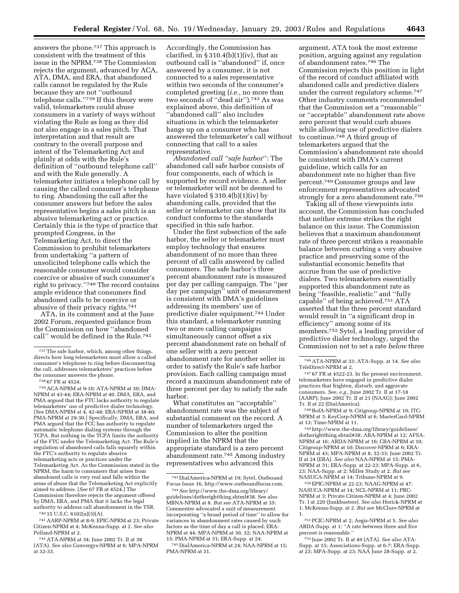answers the phone.737 This approach is consistent with the treatment of this issue in the NPRM.738 The Commission rejects the argument, advanced by ACA, ATA, DMA, and ERA, that abandoned calls cannot be regulated by the Rule because they are not ''outbound telephone calls.''739 If this theory were valid, telemarketers could abuse consumers in a variety of ways without violating the Rule as long as they did not also engage in a sales pitch. That interpretation and that result are contrary to the overall purpose and intent of the Telemarketing Act and plainly at odds with the Rule's definition of ''outbound telephone call'' and with the Rule generally. A telemarketer initiates a telephone call by causing the called consumer's telephone to ring. Abandoning the call after the consumer answers but before the sales representative begins a sales pitch is an abusive telemarketing act or practice. Certainly this is the type of practice that prompted Congress, in the Telemarketing Act, to direct the Commission to prohibit telemarketers from undertaking ''a pattern of unsolicited telephone calls which the reasonable consumer would consider coercive or abusive of such consumer's right to privacy.''740 The record contains ample evidence that consumers find abandoned calls to be coercive or abusive of their privacy rights.741

ATA, in its comment and at the June 2002 Forum, requested guidance from the Commission on how ''abandoned call'' would be defined in the Rule.742

739ACA-NPRM at 9-10; ATA-NPRM at 30; DMA-NPRM at 43-44; ERA-NPRM at 40. DMA, ERA, and PMA argued that the FTC lacks authority to regulate telemarketers' use of predictive dialer technology. [*See DMA-NPRM at 4*, 42-48; ERA-NPRM at 38-40; PMA-NPRM at 29-30.] Specifically, DMA, ERA, and PMA argued that the FCC has authority to regulate automatic telephone dialing systems through the TCPA. But nothing in the TCPA limits the authority of the FTC under the Telemarketing Act. The Rule's regulation of abandoned calls falls squarely within the FTC's authority to regulate abusive telemarketing acts or practices under the Telemarketing Act. As the Commission stated in the NPRM, the harm to consumers that arises from abandoned calls is very real and falls within the areas of abuse that the Telemarketing Act explicitly aimed to address. [*See* 67 FR at 4524.] The Commission therefore rejects the argument offered by DMA, ERA, and PMA that it lacks the legal authority to address call abandonment in the TSR.

740 15 U.S.C. 6102(a)(3)(A).

741AARP-NPRM at 8-9; EPIC-NPRM at 23; Private Citizen-NPRM at 4; McKenna-Supp. at 2. *See also* Pelland-NPRM at 2.

742ATA-NPRM at 34; June 2002 Tr. II at 38 (ATA). *See also* Convergys-NPRM at 6; MPA-NPRM at 32-33.

*Abandoned call ''safe harbor*'': The abandoned call safe harbor consists of four components, each of which is supported by record evidence. A seller or telemarketer will not be deemed to have violated  $\S 310.4(b)(1)(iv)$  by abandoning calls, provided that the seller or telemarketer can show that its conduct conforms to the standards specified in this safe harbor.

Under the first subsection of the safe harbor, the seller or telemarketer must employ technology that ensures abandonment of no more than three percent of all calls answered by called consumers. The safe harbor's three percent abandonment rate is measured per day per calling campaign. The ''per day per campaign'' unit of measurement is consistent with DMA's guidelines addressing its members' use of predictive dialer equipment.744 Under this standard, a telemarketer running two or more calling campaigns simultaneously cannot offset a six percent abandonment rate on behalf of one seller with a zero percent abandonment rate for another seller in order to satisfy the Rule's safe harbor provision. Each calling campaign must record a maximum abandonment rate of three percent per day to satisfy the safe harbor.

What constitutes an ''acceptable'' abandonment rate was the subject of substantial comment on the record. A number of telemarketers urged the Commission to alter the position implied in the NPRM that the appropriate standard is a zero percent abandonment rate.745 Among industry representatives who advanced this

argument, ATA took the most extreme position, arguing against any regulation of abandonment rates.746 The Commission rejects this position in light of the record of conduct affiliated with abandoned calls and predictive dialers under the current regulatory scheme.747 Other industry comments recommended that the Commission set a ''reasonable'' or ''acceptable'' abandonment rate above zero percent that would curb abuses while allowing use of predictive dialers to continue.748 A third group of telemarketers argued that the Commission's abandonment rate should be consistent with DMA's current guideline, which calls for an abandonment rate no higher than five percent.749 Consumer groups and law enforcement representatives advocated strongly for a zero abandonment rate.750

Taking all of these viewpoints into account, the Commission has concluded that neither extreme strikes the right balance on this issue. The Commission believes that a maximum abandonment rate of three percent strikes a reasonable balance between curbing a very abusive practice and preserving some of the substantial economic benefits that accrue from the use of predictive dialers. Two telemarketers essentially supported this abandonment rate as being ''feasible, realistic'' and ''fully capable'' of being achieved.751 ATA asserted that the three percent standard would result in ''a significant drop in efficiency'' among some of its members.752 Sytel, a leading provider of predictive dialer technology, urged the Commission not to set a rate *below* three

748BofA-NPRM at 9; Citigroup-NPRM at 10; ITC-NPRM at 3; KeyCorp-NPRM at 6; MasterCard-NPRM at 13; Time-NPRM at 11.

749http://www.the-dma.org/library/guidelines/ dotherightthing.shtml#38; ABA-NPRM at 12; AFSA-NPRM at 16; ARDA-NPRM at 16; CBA-NPRM at 10; Citigroup-NPRM at 10; Discover-NPRM at 6; ERA-NPRM at 43; MPA-NPRM at 8, 32-33; June 2002 Tr. II at 24 (ERA). *See also* NAA-NPRM at 15; PMA-NPRM at 31; ERA-Supp. at 22-23; MPA-Supp. at 6, 23; NAA-Supp. at 2; Miller Study at 2. *But see* NASUCA-NPRM at 14; Tribune-NPRM at 9.

750EPIC-NPRM at 22-23; NAAG-NPRM at 47; NASUCA-NPRM at 14; NCL-NPRM at 11; PRC-NPRM at 3; Private Citizen-NPRM at 4; June 2002 Tr. I at 220 (Junkbusters). *See also* Horick-NPRM at 1; McKenna-Supp. at 2. *But see* McClure-NPRM at 1.

751PCIC-NPRM at 2; Aegis-NPRM at 5. *See also* ARDA-Supp. at 1: ''A rate between three and five percent is reasonable.''

752 June 2002 Tr. II at 49 (ATA). *See also* ATA-Supp. at 15; Associations-Supp. at 6-7; ERA-Supp. at 23; MPA-Supp. at 23; NAA June 28-Supp. at 2.

<sup>737</sup>The safe harbor, which, among other things, directs how long telemarketers must allow a called consumer's telephone to ring before disconnecting the call, addresses telemarketers' practices before the consumer answers the phone.

<sup>738</sup> 67 FR at 4524.

Accordingly, the Commission has clarified, in  $\S 310.4(b)(1)(iv)$ , that an outbound call is ''abandoned'' if, once answered by a consumer, it is not connected to a sales representative within two seconds of the consumer's completed greeting (*i.e.*, no more than two seconds of ''dead air'').743 As was explained above, this definition of ''abandoned call'' also includes situations in which the telemarketer hangs up on a consumer who has answered the telemarketer's call without connecting that call to a sales representative.

<sup>743</sup> DialAmerica-NPRM at 19; Sytel, Outbound Focus Issue 16, http://www.outboundfocus.com.

<sup>744</sup>*See* http://www.the-dma.org/library/ guidelines/dotherightthing.shtml#38. See also MBNA-NPRM at 8. *But see* ATA-NPRM at 35: Commenter advocated a unit of measurement incorporating ''a broad period of time'' to allow for variances in abandonment rates caused by such factors as the time of day a call is placed; ERA-NPRM at 44; MPA-NPRM at 30, 32; NAA-NPRM at 15; PMA-NPRM at 31; ERA-Supp. at 24.

<sup>745</sup> DialAmerica-NPRM at 24; NAA-NPRM at 15; PMA-NPRM at 31.

<sup>746</sup>ATA-NPRM at 33; ATA-Supp. at 14. *See also* TeleDirect-NPRM at 2.

<sup>747</sup> 67 FR at 4522-23. In the present environment, telemarketers have engaged in predictive dialer practices that frighten, disturb, and aggravate consumers. *See, e.g.*, June 2002 Tr. II at 17-18 (AARP); June 2002 Tr. II at 21 (NAAG); June 2002 Tr. II at 22 (DialAmerica).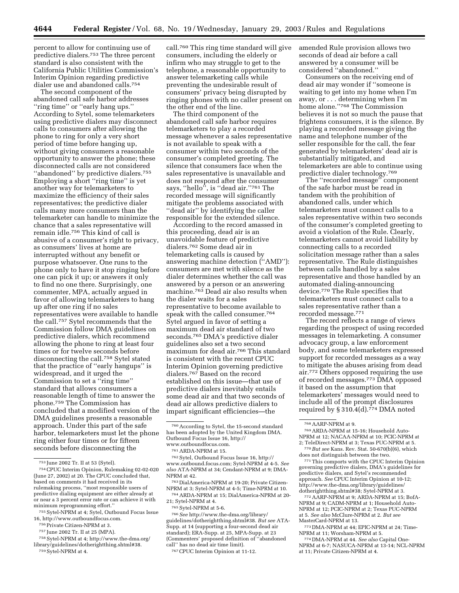percent to allow for continuing use of predictive dialers.753 The three percent standard is also consistent with the California Public Utilities Commission's Interim Opinion regarding predictive dialer use and abandoned calls.754

The second component of the abandoned call safe harbor addresses ''ring time'' or ''early hang ups.'' According to Sytel, some telemarketers using predictive dialers may disconnect calls to consumers after allowing the phone to ring for only a very short period of time before hanging up, without giving consumers a reasonable opportunity to answer the phone; these disconnected calls are not considered ''abandoned'' by predictive dialers.755 Employing a short ''ring time'' is yet another way for telemarketers to maximize the efficiency of their sales representatives; the predictive dialer calls many more consumers than the telemarketer can handle to minimize the chance that a sales representative will remain idle.756 This kind of call is abusive of a consumer's right to privacy, as consumers' lives at home are interrupted without any benefit or purpose whatsoever. One runs to the phone only to have it stop ringing before one can pick it up; or answers it only to find no one there. Surprisingly, one commenter, MPA, actually argued in favor of allowing telemarketers to hang up after one ring if no sales representatives were available to handle the call.757 Sytel recommends that the Commission follow DMA guidelines on predictive dialers, which recommend allowing the phone to ring at least four times or for twelve seconds before disconnecting the call.758 Sytel stated that the practice of ''early hangups'' is widespread, and it urged the Commission to set a ''ring time'' standard that allows consumers a reasonable length of time to answer the phone.759 The Commission has concluded that a modified version of the DMA guidelines presents a reasonable approach. Under this part of the safe harbor, telemarketers must let the phone ring either four times or for fifteen seconds before disconnecting the

758Sytel-NPRM at 4; http://www.the-dma.org/ library/guidelines/dotherightthing.shtml#38.

call.760 This ring time standard will give consumers, including the elderly or infirm who may struggle to get to the telephone, a reasonable opportunity to answer telemarketing calls while preventing the undesirable result of consumers' privacy being disrupted by ringing phones with no caller present on the other end of the line.

The third component of the abandoned call safe harbor requires telemarketers to play a recorded message whenever a sales representative is not available to speak with a consumer within two seconds of the consumer's completed greeting. The silence that consumers face when the sales representative is unavailable and does not respond after the consumer says, "hello", is "dead air."761 The recorded message will significantly mitigate the problems associated with ''dead air'' by identifying the caller responsible for the extended silence.

According to the record amassed in this proceeding, dead air is an unavoidable feature of predictive dialers.762 Some dead air in telemarketing calls is caused by answering machine detection (''AMD''): consumers are met with silence as the dialer determines whether the call was answered by a person or an answering machine.763 Dead air also results when the dialer waits for a sales representative to become available to speak with the called consumer.764 Sytel argued in favor of setting a maximum dead air standard of two seconds.765 DMA's predictive dialer guidelines also set a two second maximum for dead air.766 This standard is consistent with the recent CPUC Interim Opinion governing predictive dialers.767 Based on the record established on this issue—that use of predictive dialers inevitably entails some dead air and that two seconds of dead air allows predictive dialers to impart significant efficiencies—the

764ARDA-NPRM at 15; DialAmerica-NPRM at 20- 21; Sytel-NPRM at 4.

766*See* http://www.the-dma.org/library/ guidelines/dotherightthing.shtml#38. *But see* ATA-Supp. at 14 (supporting a four-second dead air standard); ERA-Supp. at 25, MPA-Supp. at 23 (Commenters' proposed definition of ''abandoned call'' has no dead air time limit).

767CPUC Interim Opinion at 11-12.

amended Rule provision allows two seconds of dead air before a call answered by a consumer will be considered ''abandoned.''

Consumers on the receiving end of dead air may wonder if ''someone is waiting to get into my home when I'm away, or . . . determining when I'm home alone.''768 The Commission believes it is not so much the pause that frightens consumers, it is the silence. By playing a recorded message giving the name and telephone number of the seller responsible for the call, the fear generated by telemarketers' dead air is substantially mitigated, and telemarketers are able to continue using predictive dialer technology.769

The ''recorded message'' component of the safe harbor must be read in tandem with the prohibition of abandoned calls, under which telemarketers must connect calls to a sales representative within two seconds of the consumer's completed greeting to avoid a violation of the Rule. Clearly, telemarketers cannot avoid liability by connecting calls to a recorded solicitation message rather than a sales representative. The Rule distinguishes between calls handled by a sales representative and those handled by an automated dialing-announcing device.770 The Rule specifies that telemarketers must connect calls to a sales representative rather than a recorded message.771

The record reflects a range of views regarding the prospect of using recorded messages in telemarketing. A consumer advocacy group, a law enforcement body, and some telemarketers expressed support for recorded messages as a way to mitigate the abuses arising from dead air.772 Others opposed requiring the use of recorded messages.773 DMA opposed it based on the assumption that telemarketers' messages would need to include all of the prompt disclosures required by § 310.4(d). $774$  DMA noted

769ARDA-NPRM at 15-16; Household Auto-NPRM at 12; NACAA-NPRM at 10; PCIC-NPRM at 2; TeleDirect-NPRM at 3; Texas PUC-NPRM at 5.

770*But see* Kans. Rev. Stat. 50-670(b)(6), which does not distinguish between the two.

771This comports with the CPUC Interim Opinion governing predictive dialers, DMA's guidelines for predictive dialers, and Sytel's recommended approach. *See* CPUC Interim Opinion at 10-12; http://www.the-dma.org/library/guidelines/ dotherightthing.shtml#38; Sytel-NPRM at 3.

772AARP-NPRM at 9; ARDA-NPRM at 15; BofA-NPRM at 9; CADM-NPRM at 1; Household Auto-NPRM at 12; PCIC-NPRM at 2; Texas PUC-NPRM at 5. *See also* McClure-NPRM at 2. *But see* MasterCard-NPRM at 13.

773 DMA-NPRM at 44; EPIC-NPRM at 24; Time-NPRM at 11; Worsham-NPRM at 5.

774 DMA-NPRM at 44. *See also* Capital One-NPRM at 6-7; NASUCA-NPRM at 13-14; NCL-NPRM at 11; Private Citizen-NPRM at 4.

<sup>753</sup> June 2002 Tr. II at 53 (Sytel).

<sup>754</sup>CPUC Interim Opinion, Rulemaking 02-02-020 (June 27, 2002) at 20. The CPUC concluded that, based on comments it had received in its rulemaking process, ''most responsible users of predictive dialing equipment are either already at or near a 3 percent error rate or can achieve it with minimum reprogramming effort.''

<sup>755</sup>Sytel-NPRM at 4; Sytel, Outbound Focus Issue 16, http://www.outboundfocus.com.

<sup>756</sup>Private Citizen-NPRM at 3.

<sup>757</sup> June 2002 Tr. II at 25 (MPA).

<sup>759</sup>Sytel-NPRM at 4.

<sup>760</sup>According to Sytel, the 15-second standard has been adopted by the United Kingdom DMA. Outbound Focus Issue 16, http:// www.outboundfocus.com.

<sup>761</sup>ARDA-NPRM at 15.

<sup>762</sup>Sytel, Outbound Focus Issue 16, http:// www.outbound.focus.com; Sytel-NPRM at 4-5. *See also* ATA-NPRM at 34; Cendant-NPRM at 9; DMA-NPRM at 42.

<sup>763</sup> DialAmerica-NPRM at 19-20; Private Citizen-NPRM at 3; Sytel-NPRM at 4-5; Time-NPRM at 10.

<sup>765</sup>Sytel-NPRM at 5-6.

<sup>768</sup>AARP-NPRM at 9.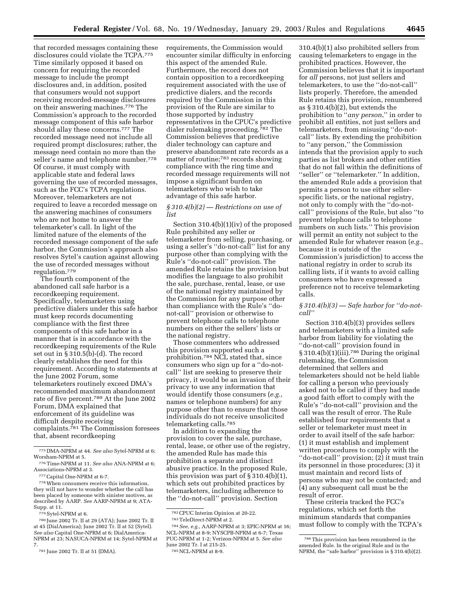that recorded messages containing these disclosures could violate the TCPA.775 Time similarly opposed it based on concern for requiring the recorded message to include the prompt disclosures and, in addition, posited that consumers would not support receiving recorded-message disclosures on their answering machines.776 The Commission's approach to the recorded message component of this safe harbor should allay these concerns.777 The recorded message need not include all required prompt disclosures; rather, the message need contain no more than the seller's name and telephone number.<sup>778</sup> Of course, it must comply with applicable state and federal laws governing the use of recorded messages, such as the FCC's TCPA regulations. Moreover, telemarketers are not required to leave a recorded message on the answering machines of consumers who are not home to answer the telemarketer's call. In light of the limited nature of the elements of the recorded message component of the safe harbor, the Commission's approach also resolves Sytel's caution against allowing the use of recorded messages without regulation.779

The fourth component of the abandoned call safe harbor is a recordkeeping requirement. Specifically, telemarketers using predictive dialers under this safe harbor must keep records documenting compliance with the first three components of this safe harbor in a manner that is in accordance with the recordkeeping requirements of the Rule set out in § 310.5(b)-(d). The record clearly establishes the need for this requirement. According to statements at the June 2002 Forum, some telemarketers routinely exceed DMA's recommended maximum abandonment rate of five percent.780 At the June 2002 Forum, DMA explained that enforcement of its guideline was difficult despite receiving complaints.781 The Commission foresees that, absent recordkeeping

778When consumers receive this information, they will not have to wonder whether the call has been placed by someone with sinister motives, as described by AARP. *See* AARP-NPRM at 9; ATA-Supp. at 11.

<sup>9</sup> Sytel-NPRM at 6.

780 June 2002 Tr. II at 29 (ATA); June 2002 Tr. II at 45 (DialAmerica); June 2002 Tr. II at 52 (Sytel). *See also* Capital One-NPRM at 6; DialAmerica-NPRM at 23; NASUCA-NPRM at 14; Sytel-NPRM at 7.

requirements, the Commission would encounter similar difficulty in enforcing this aspect of the amended Rule. Furthermore, the record does not contain opposition to a recordkeeping requirement associated with the use of predictive dialers, and the records required by the Commission in this provision of the Rule are similar to those supported by industry representatives in the CPUC's predictive dialer rulemaking proceeding.<sup>782</sup> The Commission believes that predictive dialer technology can capture and preserve abandonment rate records as a matter of routine;783 records showing compliance with the ring time and recorded message requirements will not impose a significant burden on telemarketers who wish to take advantage of this safe harbor.

### *§ 310.4(b)(2) — Restrictions on use of list*

Section 310.4(b)(1)(iv) of the proposed Rule prohibited any seller or telemarketer from selling, purchasing, or using a seller's ''do-not-call'' list for any purpose other than complying with the Rule's ''do-not-call'' provision. The amended Rule retains the provision but modifies the language to also prohibit the sale, purchase, rental, lease, or use of the national registry maintained by the Commission for any purpose other than compliance with the Rule's ''donot-call'' provision or otherwise to prevent telephone calls to telephone numbers on either the sellers' lists or the national registry.

Those commenters who addressed this provision supported such a prohibition.784 NCL stated that, since consumers who sign up for a ''do-notcall'' list are seeking to preserve their privacy, it would be an invasion of their privacy to use any information that would identify those consumers (*e.g.*, names or telephone numbers) for any purpose other than to ensure that those individuals do not receive unsolicited telemarketing calls.785

In addition to expanding the provision to cover the sale, purchase, rental, lease, or other use of the registry, the amended Rule has made this prohibition a separate and distinct abusive practice. In the proposed Rule, this provision was part of  $\S 310.4(b)(1)$ , which sets out prohibited practices by telemarketers, including adherence to the ''do-not-call'' provision. Section

784*See, e.g.*, AARP-NPRM at 3; EPIC-NPRM at 16; NCL-NPRM at 8-9; NYSCPB-NPRM at 6-7; Texas PUC-NPRM at 1-2; Verizon-NPRM at 5. *See also* June 2002 Tr. I at 215-25.

310.4(b)(1) also prohibited sellers from causing telemarketers to engage in the prohibited practices. However, the Commission believes that it is important for *all* persons, not just sellers and telemarketers, to use the ''do-not-call'' lists properly. Therefore, the amended Rule retains this provision, renumbered as § 310.4(b)(2), but extends the prohibition to ''*any person*,'' in order to prohibit all entities, not just sellers and telemarketers, from misusing ''do-notcall'' lists. By extending the prohibition to ''any person,'' the Commission intends that the provision apply to such parties as list brokers and other entities that do not fall within the definitions of ''seller'' or ''telemarketer.'' In addition, the amended Rule adds a provision that permits a person to use either sellerspecific lists, or the national registry, not only to comply with the ''do-notcall'' provisions of the Rule, but also ''to prevent telephone calls to telephone numbers on such lists.'' This provision will permit an entity not subject to the amended Rule for whatever reason (*e.g.*, because it is outside of the Commission's jurisdiction) to access the national registry in order to scrub its calling lists, if it wants to avoid calling consumers who have expressed a preference not to receive telemarketing calls.

## *§ 310.4(b)(3) — Safe harbor for ''do-notcall''*

Section 310.4(b)(3) provides sellers and telemarketers with a limited safe harbor from liability for violating the ''do-not-call'' provision found in § 310.4(b)(1)(iii).786 During the original rulemaking, the Commission determined that sellers and telemarketers should not be held liable for calling a person who previously asked not to be called if they had made a good faith effort to comply with the Rule's ''do-not-call'' provision and the call was the result of error. The Rule established four requirements that a seller or telemarketer must meet in order to avail itself of the safe harbor: (1) it must establish and implement written procedures to comply with the ''do-not-call'' provision; (2) it must train its personnel in those procedures; (3) it must maintain and record lists of persons who may not be contacted; and (4) any subsequent call must be the result of error.

These criteria tracked the FCC's regulations, which set forth the minimum standards that companies must follow to comply with the TCPA's

<sup>775</sup> DMA-NPRM at 44. *See also* Sytel-NPRM at 6; Worsham-NPRM at 5.

<sup>776</sup>Time-NPRM at 11. *See also* ANA-NPRM at 6; Associations-NPRM at 3.

<sup>777</sup>Capital One-NPRM at 6-7.

<sup>781</sup> June 2002 Tr. II at 51 (DMA).

<sup>782</sup>CPUC Interim Opinion at 20-22.

<sup>783</sup>TeleDirect-NPRM at 2.

<sup>785</sup>NCL-NPRM at 8-9.

<sup>786</sup>This provision has been renumbered in the amended Rule. In the original Rule and in the NPRM, the ''safe harbor'' provision is § 310.4(b)(2).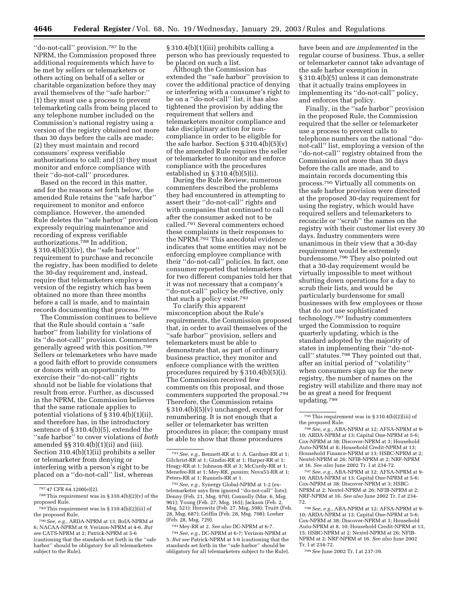''do-not-call'' provision.787 In the NPRM, the Commission proposed three additional requirements which have to be met by sellers or telemarketers or others acting on behalf of a seller or charitable organization before they may avail themselves of the ''safe harbor:'' (1) they must use a process to prevent telemarketing calls from being placed to any telephone number included on the Commission's national registry using a version of the registry obtained not more than 30 days before the calls are made; (2) they must maintain and record consumers' express verifiable authorizations to call; and (3) they must monitor and enforce compliance with their ''do-not-call'' procedures.

Based on the record in this matter, and for the reasons set forth below, the amended Rule retains the ''safe harbor'' requirement to monitor and enforce compliance. However, the amended Rule deletes the ''safe harbor'' provision expressly requiring maintenance and recording of express verifiable authorizations.<sup>788</sup> In addition, § 310.4(b)(3)(iv), the ''safe harbor'' requirement to purchase and reconcile the registry, has been modified to delete the 30-day requirement and, instead, require that telemarketers employ a version of the registry which has been obtained no more than three months before a call is made, and to maintain records documenting that process.789

The Commission continues to believe that the Rule should contain a ''safe harbor'' from liability for violations of its ''do-not-call'' provision. Commenters generally agreed with this position.790 Sellers or telemarketers who have made a good faith effort to provide consumers or donors with an opportunity to exercise their ''do-not-call'' rights should not be liable for violations that result from error. Further, as discussed in the NPRM, the Commission believes that the same rationale applies to potential violations of § 310.4(b)(1)(ii), and therefore has, in the introductory sentence of § 310.4(b)(5), extended the ''safe harbor'' to cover violations of *both* amended §§ 310.4(b)(1)(ii) and (iii). Section 310.4(b)(1)(ii) prohibits a seller or telemarketer from denying or interfering with a person's right to be placed on a ''do-not-call'' list, whereas

§ 310.4(b)(1)(iii) prohibits calling a person who has previously requested to be placed on such a list.

Although the Commission has extended the ''safe harbor'' provision to cover the additional practice of denying or interfering with a consumer's right to be on a ''do-not-call'' list, it has also tightened the provision by adding the requirement that sellers and telemarketers monitor compliance and take disciplinary action for noncompliance in order to be eligible for the safe harbor. Section  $\S 310.4(b)(5)(v)$ of the amended Rule requires the seller or telemarketer to monitor and enforce compliance with the procedures established in § 310.4(b)(5)(i).

During the Rule Review, numerous commenters described the problems they had encountered in attempting to assert their ''do-not-call'' rights and with companies that continued to call after the consumer asked not to be called.791 Several commenters echoed these complaints in their responses to the NPRM.792 This anecdotal evidence indicates that some entities may not be enforcing employee compliance with their ''do-not-call'' policies. In fact, one consumer reported that telemarketers for two different companies told her that it was not necessary that a company's ''do-not-call'' policy be effective, only that such a policy exist.793

To clarify this apparent misconception about the Rule's requirements, the Commission proposed that, in order to avail themselves of the ''safe harbor'' provision, sellers and telemarketers must be able to demonstrate that, as part of ordinary business practice, they monitor and enforce compliance with the written procedures required by § 310.4(b)(5)(i). The Commission received few comments on this proposal, and those commenters supported the proposal.794 Therefore, the Commission retains § 310.4(b)(5)(v) unchanged, except for renumbering. It is not enough that a seller or telemarketer has written procedures in place; the company must be able to show that those procedures

794*See, e.g.*, DC-NPRM at 6-7; Verizon-NPRM at 5. *But see* Patrick-NPRM at 5-6 (cautioning that the standards set forth in the ''safe harbor'' should be obligatory for all telemarketers subject to the Rule). have been and *are implemented* in the regular course of business. Thus, a seller or telemarketer cannot take advantage of the safe harbor exemption in § 310.4(b)(5) unless it can demonstrate that it actually trains employees in implementing its ''do-not-call'' policy, and enforces that policy.

Finally, in the ''safe harbor'' provision in the proposed Rule, the Commission required that the seller or telemarketer use a process to prevent calls to telephone numbers on the national ''donot-call'' list, employing a version of the ''do-not-call'' registry obtained from the Commission not more than 30 days before the calls are made, and to maintain records documenting this process.795 Virtually all comments on the safe harbor provision were directed at the proposed 30-day requirement for using the registry, which would have required sellers and telemarketers to reconcile or ''scrub'' the names on the registry with their customer list every 30 days. Industry commenters were unanimous in their view that a 30-day requirement would be extremely burdensome.796 They also pointed out that a 30-day requirement would be virtually impossible to meet without shutting down operations for a day to scrub their lists, and would be particularly burdensome for small businesses with few employees or those that do not use sophisticated technology.797 Industry commenters urged the Commission to require quarterly updating, which is the standard adopted by the majority of states in implementing their ''do-notcall'' statutes.798 They pointed out that, after an initial period of ''volatility'' when consumers sign up for the new registry, the number of names on the registry will stabilize and there may not be as great a need for frequent updating.799

797*See, e.g.*, ABA-NPRM at 12; AFSA-NPRM at 9- 10; ARDA-NPRM at 13; Capital One-NPRM at 5-6; Cox-NPRM at 38; Discover-NPRM at 3; HSBC-NPRM at 2; Nextel-NPRM at 26; NFIB-NPRM at 2; NRF-NPRM at 16. *See also* June 2002 Tr. I at 234- 72.

799*See* June 2002 Tr. I at 237-39.

<sup>787</sup> 47 CFR 64.1200(e)(2).

<sup>&</sup>lt;sup>788</sup>This requirement was in  $\S 310.4(b)(2)(v)$  of the proposed Rule.

<sup>&</sup>lt;sup>789</sup>This requirement was in  $\S 310.4(b)(2)(iii)$  of the proposed Rule.

<sup>790</sup>*See, e.g.*, ARDA-NPRM at 13; BofA-NPRM at 6; NACAA-NPRM at 9; Verizon-NPRM at 4-6. *But see* CATS-NPRM at 2; Patrick-NPRM at 5-6 (cautioning that the standards set forth in the ''safe harbor'' should be obligatory for all telemarketers subject to the Rule).

<sup>791</sup>*See, e.g.*, Bennett-RR at 1; A. Gardner-RR at 1; Gilchrist-RR at 1; Gindin-RR at 1; Harper-RR at 1; Heagy-RR at 1; Johnson-RR at 3; McCurdy-RR at 1; Menefee-RR at 1; Mey-RR, *passim*; Nova53-RR at 1; Peters-RR at 1; Runnels-RR at 1.

<sup>792</sup>*See, e.g.*, Synergy Global-NPRM at 1-2 (extelemarketer says firm ignored ''do-not-call'' lists); Denny (Feb. 21, Msg. 970); Connolly (Mar. 6, Msg.<br>961); Young (Feb. 27, Msg. 165); Jackson (Feb. 2,<br>Msg. 521); Horowitz (Feb. 27, Msg. 598); Truitt (Feb. 28, Msg. 687); Griffin (Feb. 28, Msg. 708); Loeher (Feb. 28, Msg. 729).

<sup>793</sup>Mey-RR at 2. *See also* DC-NPRM at 6-7.

<sup>795</sup>This requirement was in § 310.4(b)(2)(iii) of the proposed Rule.

<sup>796</sup>*See, e.g.*, ABA-NPRM at 12; AFSA-NPRM at 9- 10; ARDA-NPRM at 13; Capital One-NPRM at 5-6; Cox-NPRM at 38; Discover-NPRM at 3; Household Auto-NPRM at 8; Household Credit-NPRM at 13; Household Finance-NPRM at 13; HSBC-NPRM at 2; Nextel-NPRM at 26; NFIB-NPRM at 2; NRF-NPRM at 16. *See also* June 2002 Tr. I at 234-72.

<sup>798</sup>*See, e.g.*, ABA-NPRM at 12; AFSA-NPRM at 9- 10; ARDA-NPRM at 13; Capital One-NPRM at 5-6; Cox-NPRM at 38; Discover-NPRM at 3; Household Auto-NPRM at 8, 10; Household Credit-NPRM at 13, 15; HSBC-NPRM at 2; Nextel-NPRM at 26; NFIB-NPRM at 2; NRF-NPRM at 16. *See also* June 2002 Tr. I at 234-72.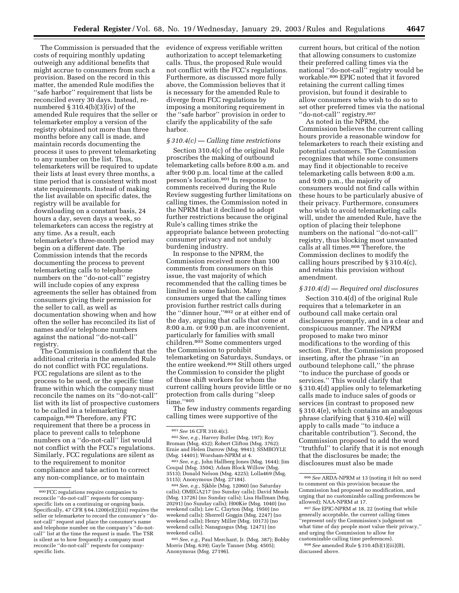The Commission is persuaded that the costs of requiring monthly updating outweigh any additional benefits that might accrue to consumers from such a provision. Based on the record in this matter, the amended Rule modifies the ''safe harbor'' requirement that lists be reconciled every 30 days. Instead, renumbered § 310.4(b)(3)(iv) of the amended Rule requires that the seller or telemarketer employ a version of the registry obtained not more than three months before any call is made, and maintain records documenting the process it uses to prevent telemarketing to any number on the list. Thus, telemarketers will be required to update their lists at least every three months, a time period that is consistent with most state requirements. Instead of making the list available on specific dates, the registry will be available for downloading on a constant basis, 24 hours a day, seven days a week, so telemarketers can access the registry at any time. As a result, each telemarketer's three-month period may begin on a different date. The Commission intends that the records documenting the process to prevent telemarketing calls to telephone numbers on the ''do-not-call'' registry will include copies of any express agreements the seller has obtained from consumers giving their permission for the seller to call, as well as documentation showing when and how often the seller has reconciled its list of names and/or telephone numbers against the national ''do-not-call'' registry.

The Commission is confident that the additional criteria in the amended Rule do not conflict with FCC regulations. FCC regulations are silent as to the process to be used, or the specific time frame within which the company must reconcile the names on its ''do-not-call'' list with its list of prospective customers to be called in a telemarketing campaign.<sup>800</sup> Therefore, any FTC requirement that there be a process in place to prevent calls to telephone numbers on a ''do-not-call'' list would not conflict with the FCC's regulations. Similarly, FCC regulations are silent as to the requirement to monitor compliance and take action to correct any non-compliance, or to maintain

evidence of express verifiable written authorization to accept telemarketing calls. Thus, the proposed Rule would not conflict with the FCC's regulations. Furthermore, as discussed more fully above, the Commission believes that it is necessary for the amended Rule to diverge from FCC regulations by imposing a monitoring requirement in the ''safe harbor'' provision in order to clarify the applicability of the safe harbor.

#### *§ 310.4(c) — Calling time restrictions*

Section 310.4(c) of the original Rule proscribes the making of outbound telemarketing calls before 8:00 a.m. and after 9:00 p.m. local time at the called person's location.801 In response to comments received during the Rule Review suggesting further limitations on calling times, the Commission noted in the NPRM that it declined to adopt further restrictions because the original Rule's calling times strike the appropriate balance between protecting consumer privacy and not unduly burdening industry.

In response to the NPRM, the Commission received more than 100 comments from consumers on this issue, the vast majority of which recommended that the calling times be limited in some fashion. Many consumers urged that the calling times provision further restrict calls during the ''dinner hour,''802 or at either end of the day, arguing that calls that come at 8:00 a.m. or 9:00 p.m. are inconvenient, particularly for families with small children.803 Some commenters urged the Commission to prohibit telemarketing on Saturdays, Sundays, or the entire weekend.804 Still others urged the Commission to consider the plight of those shift workers for whom the current calling hours provide little or no protection from calls during ''sleep time."805

The few industry comments regarding calling times were supportive of the

805*See, e.g.*, Paul Merchant, Jr. (Msg. 387); Bobby Morris (Msg. 639); Gayle Tanner (Msg. 4505); Anonymous (Msg. 27196).

current hours, but critical of the notion that allowing consumers to customize their preferred calling times via the national ''do-not-call'' registry would be workable.806 EPIC noted that it favored retaining the current calling times provision, but found it desirable to allow consumers who wish to do so to set other preferred times via the national ''do-not-call'' registry.807

As noted in the NPRM, the Commission believes the current calling hours provide a reasonable window for telemarketers to reach their existing and potential customers. The Commission recognizes that while some consumers may find it objectionable to receive telemarketing calls between 8:00 a.m. and 9:00 p.m., the majority of consumers would not find calls within these hours to be particularly abusive of their privacy. Furthermore, consumers who wish to avoid telemarketing calls will, under the amended Rule, have the option of placing their telephone numbers on the national ''do-not-call'' registry, thus blocking most unwanted calls at all times.808 Therefore, the Commission declines to modify the calling hours prescribed by § 310.4(c), and retains this provision without amendment.

#### *§ 310.4(d) — Required oral disclosures*

Section 310.4(d) of the original Rule requires that a telemarketer in an outbound call make certain oral disclosures promptly, and in a clear and conspicuous manner. The NPRM proposed to make two minor modifications to the wording of this section. First, the Commission proposed inserting, after the phrase ''in an outbound telephone call,'' the phrase ''to induce the purchase of goods or services.'' This would clarify that § 310.4(d) applies only to telemarketing calls made to induce sales of goods or services (in contrast to proposed new § 310.4(e), which contains an analogous phrase clarifying that § 310.4(e) will apply to calls made ''to induce a charitable contribution''). Second, the Commission proposed to add the word ''truthful'' to clarify that it is not enough that the disclosures be made; the disclosures must also be made

<sup>800</sup>FCC regulations require companies to reconcile ''do-not-call'' requests for companyspecific lists on a continuing or ongoing basis. Specifically, 47 CFR §  $64.1200(e)(2)(iii)$  requires the seller or telemarketer to record the consumer's ''donot-call'' request and place the consumer's name and telephone number on the company's ''do-notcall'' list at the time the request is made. The TSR is silent as to how frequently a company must reconcile ''do-not-call'' requests for companyspecific lists.

<sup>801</sup>*See* 16 CFR 310.4(c).

<sup>802</sup>*See, e.g.*, Harvey Butler (Msg. 197); Roy Broman (Msg. 452); Robert Clifton (Msg. 3762); Ernie and Helen Darrow (Msg. 9941); SSMBOYLE (Msg. 14401); Worsham-NPRM at 4.

<sup>803</sup>*See, e.g.*, John Hallberg Jones (Msg. 1644); Jim Coupal (Msg. 3504); Adam Block Willow (Msg. 3513); Donald Nelson (Msg. 4225); Lolla469 (Msg. 5115); Anonymous (Msg. 27184).

<sup>804</sup>*See, e.g.*, Sjkble (Msg. 12060) (no Saturday calls); OMEGA217 (no Sunday calls); David Meads (Msg. 13726) (no Sunday calls); Lisa Hallman (Msg. 20291) (no Sunday calls); H00Kie (Msg. 1040) (no weekend calls); Lee C. Clayton (Msg. 1950) (no weekend calls); Sherrell Goggin (Msg. 2247) (no weekend calls); Henry Miller (Msg. 10173) (no weekend calls); Nanagusgus (Msg. 12471) (no weekend calls).

<sup>806</sup>*See* ARDA-NPRM at 13 (noting it felt no need to comment on this provision because the Commission had proposed no modification, and urging that no customizable calling preferences be allowed); NAA-NPRM at 17.

<sup>807</sup>*See* EPIC-NPRM at 18, 22 (noting that while generally acceptable, the current calling times ''represent only the Commission's judgment on what time of day people most value their privacy,'' and urging the Commission to allow for customizable calling time preferences).

<sup>808</sup>*See* amended Rule § 310.4(b)(1)(iii)(B), discussed above.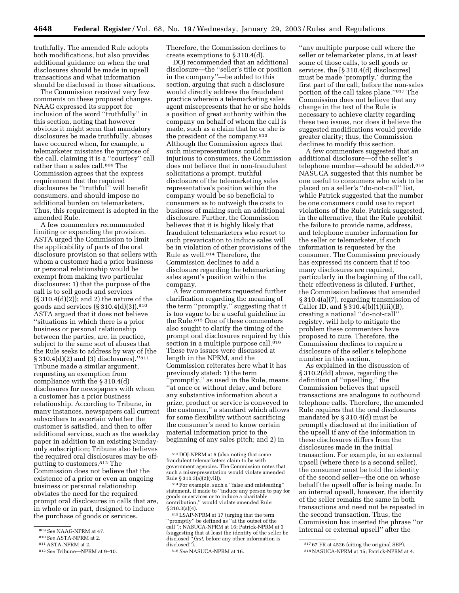truthfully. The amended Rule adopts both modifications, but also provides additional guidance on when the oral disclosures should be made in upsell transactions and what information should be disclosed in those situations.

The Commission received very few comments on these proposed changes. NAAG expressed its support for inclusion of the word ''truthfully'' in this section, noting that however obvious it might seem that mandatory disclosures be made truthfully, abuses have occurred when, for example, a telemarketer misstates the purpose of the call, claiming it is a ''courtesy'' call rather than a sales call.<sup>809</sup> The Commission agrees that the express requirement that the required disclosures be ''truthful'' will benefit consumers, and should impose no additional burden on telemarketers. Thus, this requirement is adopted in the amended Rule.

A few commenters recommended limiting or expanding the provision. ASTA urged the Commission to limit the applicability of parts of the oral disclosure provision so that sellers with whom a customer had a prior business or personal relationship would be exempt from making two particular disclosures: 1) that the purpose of the call is to sell goods and services  $(\S 310.4(d)(2))$ ; and 2) the nature of the goods and services  $(\S 310.4(d)(3))$ .<sup>810</sup> ASTA argued that it does not believe ''situations in which there is a prior business or personal relationship between the parties, are, in practice, subject to the same sort of abuses that the Rule seeks to address by way of [the § 310.4(d)(2) and (3) disclosures]."811 Tribune made a similar argument, requesting an exemption from compliance with the § 310.4(d) disclosures for newspapers with whom a customer has a prior business relationship. According to Tribune, in many instances, newspapers call current subscribers to ascertain whether the customer is satisfied, and then to offer additional services, such as the weekday paper in addition to an existing Sundayonly subscription; Tribune also believes the required oral disclosures may be offputting to customers.812 The Commission does not believe that the existence of a prior or even an ongoing business or personal relationship obviates the need for the required prompt oral disclosures in calls that are, in whole or in part, designed to induce the purchase of goods or services.

Therefore, the Commission declines to create exemptions to § 310.4(d).

DOJ recommended that an additional disclosure—the ''seller's title or position in the company''—be added to this section, arguing that such a disclosure would directly address the fraudulent practice wherein a telemarketing sales agent misrepresents that he or she holds a position of great authority within the company on behalf of whom the call is made, such as a claim that he or she is the president of the company.813 Although the Commission agrees that such misrepresentations could be injurious to consumers, the Commission does not believe that in non-fraudulent solicitations a prompt, truthful disclosure of the telemarketing sales representative's position within the company would be so beneficial to consumers as to outweigh the costs to business of making such an additional disclosure. Further, the Commission believes that it is highly likely that fraudulent telemarketers who resort to such prevarication to induce sales will be in violation of other provisions of the Rule as well.814 Therefore, the Commission declines to add a disclosure regarding the telemarketing sales agent's position within the company.

A few commenters requested further clarification regarding the meaning of the term ''promptly,'' suggesting that it is too vague to be a useful guideline in the Rule.<sup>815</sup> One of these commenters also sought to clarify the timing of the prompt oral disclosures required by this section in a multiple purpose call.<sup>816</sup> These two issues were discussed at length in the NPRM, and the Commission reiterates here what it has previously stated: 1) the term 'promptly," as used in the Rule, means ''at once or without delay, and before any substantive information about a prize, product or service is conveyed to the customer,'' a standard which allows for some flexibility without sacrificing the consumer's need to know certain material information prior to the beginning of any sales pitch; and 2) in

''any multiple purpose call where the seller or telemarketer plans, in at least some of those calls, to sell goods or services, the [§ 310.4(d) disclosures] must be made 'promptly,' during the first part of the call, before the non-sales portion of the call takes place.''817 The Commission does not believe that any change in the text of the Rule is necessary to achieve clarity regarding these two issues, nor does it believe the suggested modifications would provide greater clarity; thus, the Commission declines to modify this section.

A few commenters suggested that an additional disclosure—of the seller's telephone number—should be added.818 NASUCA suggested that this number be one useful to consumers who wish to be placed on a seller's ''do-not-call'' list, while Patrick suggested that the number be one consumers could use to report violations of the Rule. Patrick suggested, in the alternative, that the Rule prohibit the failure to provide name, address, and telephone number information for the seller or telemarketer, if such information is requested by the consumer. The Commission previously has expressed its concern that if too many disclosures are required, particularly in the beginning of the call, their effectiveness is diluted. Further, the Commission believes that amended § 310.4(a)(7), regarding transmission of Caller ID, and  $\S 310.4(b)(1)(iii)(B)$ , creating a national ''do-not-call'' registry, will help to mitigate the problem these commenters have proposed to cure. Therefore, the Commission declines to require a disclosure of the seller's telephone number in this section.

As explained in the discussion of § 310.2(dd) above, regarding the definition of ''upselling,'' the Commission believes that upsell transactions are analogous to outbound telephone calls. Therefore, the amended Rule requires that the oral disclosures mandated by § 310.4(d) must be promptly disclosed at the initiation of the upsell if any of the information in these disclosures differs from the disclosures made in the initial transaction. For example, in an external upsell (where there is a second seller), the consumer must be told the identity of the second seller—the one on whose behalf the upsell offer is being made. In an internal upsell, however, the identity of the seller remains the same in both transactions and need not be repeated in the second transaction. Thus, the Commission has inserted the phrase ''or internal or external upsell'' after the

<sup>809</sup>*See* NAAG-NPRM at 47.

<sup>810</sup>*See* ASTA-NPRM at 2.

<sup>811</sup>ASTA-NPRM at 2.

<sup>812</sup>*See* Tribune—NPRM at 9–10.

<sup>813</sup> DOJ-NPRM at 5 (also noting that some fraudulent telemarketers claim to be with government agencies. The Commission notes that such a misrepresentation would violate amended Rule § 310.3(a)(2)(vii)).

<sup>814</sup>For example, such a ''false and misleading'' statement, if made to ''induce any person to pay for goods or services or to induce a charitable contribution,'' would violate amended Rule § 310.3(a)(4).

<sup>815</sup>LSAP-NPRM at 17 (urging that the term ''promptly'' be defined as ''at the outset of the call''); NASUCA-NPRM at 16; Patrick-NPRM at 3 (suggesting that at least the identity of the seller be disclosed ''*first*, before any other information is disclosed'').

<sup>816</sup>*See* NASUCA-NPRM at 16.

<sup>817</sup> 67 FR at 4526 (citing the original SBP). 818NASUCA-NPRM at 15; Patrick-NPRM at 4.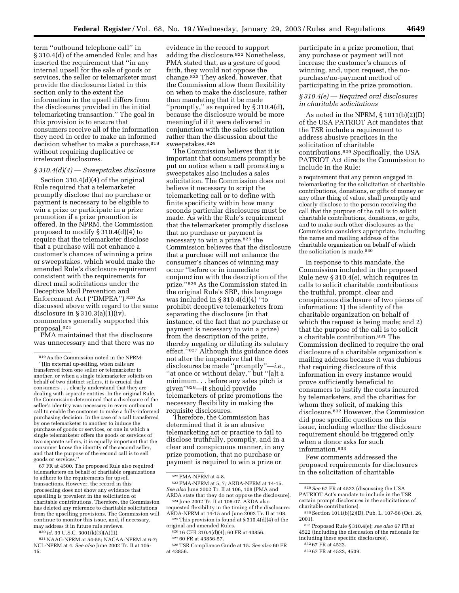term ''outbound telephone call'' in § 310.4(d) of the amended Rule; and has inserted the requirement that ''in any internal upsell for the sale of goods or services, the seller or telemarketer must provide the disclosures listed in this section only to the extent the information in the upsell differs from the disclosures provided in the initial telemarketing transaction.'' The goal in this provision is to ensure that consumers receive all of the information they need in order to make an informed decision whether to make a purchase, 819 without requiring duplicative or irrelevant disclosures.

#### *§ 310.4(d)(4) — Sweepstakes disclosure*

Section 310.4(d)(4) of the original Rule required that a telemarketer promptly disclose that no purchase or payment is necessary to be eligible to win a prize or participate in a prize promotion if a prize promotion is offered. In the NPRM, the Commission proposed to modify § 310.4(d)(4) to require that the telemarketer disclose that a purchase will not enhance a customer's chances of winning a prize or sweepstakes, which would make the amended Rule's disclosure requirement consistent with the requirements for direct mail solicitations under the Deceptive Mail Prevention and Enforcement Act (''DMPEA'').820 As discussed above with regard to the same disclosure in § 310.3(a)(1)(iv), commenters generally supported this proposal.821

PMA maintained that the disclosure was unnecessary and that there was no

67 FR at 4500. The proposed Rule also required telemarketers on behalf of charitable organizations to adhere to the requirements for upsell transactions. However, the record in this proceeding does not show any evidence that upselling is prevalent in the solicitation of charitable contributions. Therefore, the Commission has deleted any reference to charitable solicitations from the upselling provisions. The Commission will continue to monitor this issue, and, if necessary, may address it in future rule reviews.

820 *Id.* 39 U.S.C. 3001(k)(3)(A)(II).

821NAAG-NPRM at 54-55; NACAA-NPRM at 6-7; NCL-NPRM at 4. *See also* June 2002 Tr. II at 105- 15.

evidence in the record to support adding the disclosure.822 Nonetheless, PMA stated that, as a gesture of good faith, they would not oppose the change.<sup>823</sup> They asked, however, that the Commission allow them flexibility on when to make the disclosure, rather than mandating that it be made ''promptly,'' as required by § 310.4(d), because the disclosure would be more meaningful if it were delivered in conjunction with the sales solicitation rather than the discussion about the sweepstakes.824

The Commission believes that it is important that consumers promptly be put on notice when a call promoting a sweepstakes also includes a sales solicitation. The Commission does not believe it necessary to script the telemarketing call or to define with finite specificity within how many seconds particular disclosures must be made. As with the Rule's requirement that the telemarketer promptly disclose that no purchase or payment is necessary to win a prize, 825 the Commission believes that the disclosure that a purchase will not enhance the consumer's chances of winning may occur ''before or in immediate conjunction with the description of the prize.''826 As the Commission stated in the original Rule's SBP, this language was included in  $\S 310.4(d)(4)$  "to prohibit deceptive telemarketers from separating the disclosure (in that instance, of the fact that no purchase or payment is necessary to win a prize) from the description of the prize, thereby negating or diluting its salutary effect.''827 Although this guidance does not alter the imperative that the disclosures be made ''promptly''—*i.e.*, ''at once or without delay,'' but ''[a]t a minimum. . . before any sales pitch is given''828—it should provide telemarketers of prize promotions the necessary flexibility in making the requisite disclosures.

Therefore, the Commission has determined that it is an abusive telemarketing act or practice to fail to disclose truthfully, promptly, and in a clear and conspicuous manner, in any prize promotion, that no purchase or payment is required to win a prize or

 $826$  16 CFR 310.4(d)(4); 60 FR at 43856.

827 60 FR at 43856-57.

participate in a prize promotion, that any purchase or payment will not increase the customer's chances of winning, and, upon request, the nopurchase/no-payment method of participating in the prize promotion.

#### *§ 310.4(e) — Required oral disclosures in charitable solicitations*

As noted in the NPRM, § 1011(b)(2)(D) of the USA PATRIOT Act mandates that the TSR include a requirement to address abusive practices in the solicitation of charitable contributions.829 Specifically, the USA PATRIOT Act directs the Commission to include in the Rule:

a requirement that any person engaged in telemarketing for the solicitation of charitable contributions, donations, or gifts of money or any other thing of value, shall promptly and clearly disclose to the person receiving the call that the purpose of the call is to solicit charitable contributions, donations, or gifts, and to make such other disclosures as the Commission considers appropriate, including the name and mailing address of the charitable organization on behalf of which the solicitation is made.830

In response to this mandate, the Commission included in the proposed Rule new § 310.4(e), which requires in calls to solicit charitable contributions the truthful, prompt, clear and conspicuous disclosure of two pieces of information: 1) the identity of the charitable organization on behalf of which the request is being made; and 2) that the purpose of the call is to solicit a charitable contribution.831 The Commission declined to require the oral disclosure of a charitable organization's mailing address because it was dubious that requiring disclosure of this information in every instance would prove sufficiently beneficial to consumers to justify the costs incurred by telemarketers, and the charities for whom they solicit, of making this disclosure.832 However, the Commission did pose specific questions on this issue, including whether the disclosure requirement should be triggered only when a donor asks for such information.833

Few comments addressed the proposed requirements for disclosures in the solicitation of charitable

<sup>819</sup>As the Commission noted in the NPRM: ''[I]n external up-selling, when calls are transferred from one seller or telemarketer to another, or when a single telemarketer solicits on behalf of two distinct sellers, it is crucial that consumers . . . clearly understand that they are dealing with separate entities. In the original Rule, the Commission determined that a disclosure of the seller's identity was necessary in every outbound call to enable the customer to make a fully-informed purchasing decision. In the case of a call transferred by one telemarketer to another to induce the purchase of goods or services, or one in which a single telemarketer offers the goods or services of two separate sellers, it is equally important that the consumer know the identity of the second seller, and that the purpose of the second call is to sell goods or services.

<sup>822</sup>PMA-NPRM at 4-8.

<sup>823</sup>PMA-NPRM at 5, 7; ARDA-NPRM at 14-15. *See also* June 2002 Tr. II at 106, 108 (PMA and ARDA state that they do not oppose the disclosure).

<sup>824</sup> June 2002 Tr. II at 106-07. ARDA also requested flexibility in the timing of the disclosure. ARDA-NPRM at 14-15 and June 2002 Tr. II at 108.

<sup>825</sup>This provision is found at § 310.4(d)(4) of the original and amended Rules.

<sup>828</sup>TSR Compliance Guide at 15. *See also* 60 FR at 43856.

<sup>829</sup>*See* 67 FR at 4522 (discussing the USA PATRIOT Act's mandate to include in the TSR certain prompt disclosures in the solicitations of charitable contributions).

<sup>830</sup>Section 1011(b)(2)(D), Pub. L. 107-56 (Oct. 26, 2001).

<sup>831</sup>Proposed Rule § 310.4(e); *see also* 67 FR at 4522 (including the discussion of the rationale for including these specific disclosures).

<sup>832</sup> 67 FR at 4522.

<sup>833</sup> 67 FR at 4522, 4539.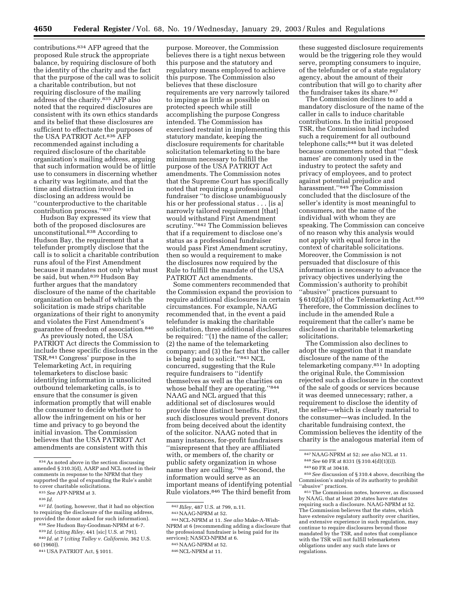contributions.834 AFP agreed that the proposed Rule struck the appropriate balance, by requiring disclosure of both the identity of the charity and the fact that the purpose of the call was to solicit a charitable contribution, but not requiring disclosure of the mailing address of the charity.835 AFP also noted that the required disclosures are consistent with its own ethics standards and its belief that these disclosures are sufficient to effectuate the purposes of the USA PATRIOT Act.836 AFP recommended against including a required disclosure of the charitable organization's mailing address, arguing that such information would be of little use to consumers in discerning whether a charity was legitimate, and that the time and distraction involved in disclosing an address would be ''counterproductive to the charitable contribution process.''837

Hudson Bay expressed its view that both of the proposed disclosures are unconstitutional.838 According to Hudson Bay, the requirement that a telefunder promptly disclose that the call is to solicit a charitable contribution runs afoul of the First Amendment because it mandates not only what must be said, but when.839 Hudson Bay further argues that the mandatory disclosure of the name of the charitable organization on behalf of which the solicitation is made strips charitable organizations of their right to anonymity and violates the First Amendment's guarantee of freedom of association.840

As previously noted, the USA PATRIOT Act directs the Commission to include these specific disclosures in the TSR.841 Congress' purpose in the Telemarketing Act, in requiring telemarketers to disclose basic identifying information in unsolicited outbound telemarketing calls, is to ensure that the consumer is given information promptly that will enable the consumer to decide whether to allow the infringement on his or her time and privacy to go beyond the initial invasion. The Commission believes that the USA PATRIOT Act amendments are consistent with this

838*See* Hudson Bay-Goodman-NPRM at 6-7. 839 *Id.* (*citing Riley*, 441 [sic] U.S. at 791).

purpose. Moreover, the Commission believes there is a tight nexus between this purpose and the statutory and regulatory means employed to achieve this purpose. The Commission also believes that these disclosure requirements are very narrowly tailored to impinge as little as possible on protected speech while still accomplishing the purpose Congress intended. The Commission has exercised restraint in implementing this statutory mandate, keeping the disclosure requirements for charitable solicitation telemarketing to the bare minimum necessary to fulfill the purpose of the USA PATRIOT Act amendments. The Commission notes that the Supreme Court has specifically noted that requiring a professional fundraiser ''to disclose unambiguously his or her professional status . . . [is a] narrowly tailored requirement [that] would withstand First Amendment scrutiny.''842 The Commission believes that if a requirement to disclose one's status as a professional fundraiser would pass First Amendment scrutiny, then so would a requirement to make the disclosures now required by the Rule to fulfill the mandate of the USA PATRIOT Act amendments.

Some commenters recommended that the Commission expand the provision to require additional disclosures in certain circumstances. For example, NAAG recommended that, in the event a paid telefunder is making the charitable solicitation, three additional disclosures be required: ''(1) the name of the caller; (2) the name of the telemarketing company; and (3) the fact that the caller is being paid to solicit.''843 NCL concurred, suggesting that the Rule require fundraisers to ''identify themselves as well as the charities on whose behalf they are operating.''844 NAAG and NCL argued that this additional set of disclosures would provide three distinct benefits. First, such disclosures would prevent donors from being deceived about the identity of the solicitor. NAAG noted that in many instances, for-profit fundraisers ''misrepresent that they are affiliated with, or members of, the charity or public safety organization in whose name they are calling.''845 Second, the information would serve as an important means of identifying potential Rule violators.846 The third benefit from

842*Riley*, 487 U.S. at 799, n.11.

844NCL-NPRM at 11. *See also* Make-A-Wish-NPRM at 6 (recommending adding a disclosure that the professional fundraiser is being paid for its services); NASCO-NPRM at 6.

these suggested disclosure requirements would be the triggering role they would serve, prompting consumers to inquire, of the telefunder or of a state regulatory agency, about the amount of their contribution that will go to charity after the fundraiser takes its share.847

The Commission declines to add a mandatory disclosure of the name of the caller in calls to induce charitable contributions. In the initial proposed TSR, the Commission had included such a requirement for all outbound telephone calls;848 but it was deleted because commenters noted that '''desk names' are commonly used in the industry to protect the safety and privacy of employees, and to protect against potential prejudice and harassment.''849 The Commission concluded that the disclosure of the seller's identity is most meaningful to consumers, not the name of the individual with whom they are speaking. The Commission can conceive of no reason why this analysis would not apply with equal force in the context of charitable solicitations. Moreover, the Commission is not persuaded that disclosure of this information is necessary to advance the privacy objectives underlying the Commission's authority to prohibit ''abusive'' practices pursuant to § 6102(a)(3) of the Telemarketing Act.<sup>850</sup> Therefore, the Commission declines to include in the amended Rule a requirement that the caller's name be disclosed in charitable telemarketing solicitations.

The Commission also declines to adopt the suggestion that it mandate disclosure of the name of the telemarketing company.851 In adopting the original Rule, the Commission rejected such a disclosure in the context of the sale of goods or services because it was deemed unnecessary; rather, a requirement to disclose the identity of the seller—which is clearly material to the consumer—was included. In the charitable fundraising context, the Commission believes the identity of the charity is the analogous material item of

<sup>834</sup>As noted above in the section discussing amended § 310.3(d), AARP and NCL noted in their comments in response to the NPRM that they supported the goal of expanding the Rule's ambit to cover charitable solicitations.

<sup>835</sup>*See* AFP-NPRM at 3.

<sup>836</sup> *Id.*

<sup>837</sup> *Id.* (noting, however, that it had no objection to requiring the disclosure of the mailing address, provided the donor asked for such information).

<sup>840</sup> *Id.* at 7 (*citing Talley v. California*, 362 U.S. 60 (1960)).

<sup>841</sup>USA PATRIOT Act, § 1011.

<sup>843</sup>NAAG-NPRM at 52.

<sup>845</sup>NAAG-NPRM at 52.

<sup>846</sup> NCL-NPRM at 11.

<sup>847</sup>NAAG-NPRM at 52; *see also* NCL at 11. 848*See* 60 FR at 8331 (§ 310.4(d)(1)(i)).

<sup>849</sup> 60 FR at 30418.

<sup>850</sup>*See* discussion of § 310.4 above, describing the Commission's analysis of its authority to prohibit ''abusive'' practices.

<sup>851</sup>The Commission notes, however, as discussed by NAAG, that at least 20 states have statutes requiring such a disclosure. NAAG-NPRM at 52. The Commission believes that the states, which have extensive regulatory authority over charities, and extensive experience in such regulation, may continue to require disclosures beyond those mandated by the TSR, and notes that compliance with the TSR will not fulfill telemarketers obligations under any such state laws or regulations.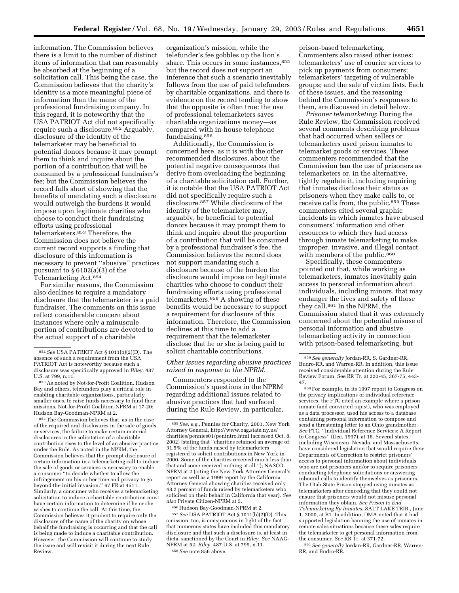information. The Commission believes there is a limit to the number of distinct items of information that can reasonably be absorbed at the beginning of a solicitation call. This being the case, the Commission believes that the charity's identity is a more meaningful piece of information than the name of the professional fundraising company. In this regard, it is noteworthy that the USA PATRIOT Act did not specifically require such a disclosure.<sup>852</sup> Arguably, disclosure of the identity of the telemarketer may be beneficial to potential donors because it may prompt them to think and inquire about the portion of a contribution that will be consumed by a professional fundraiser's fee; but the Commission believes the record falls short of showing that the benefits of mandating such a disclosure would outweigh the burdens it would impose upon legitimate charities who choose to conduct their fundraising efforts using professional telemarketers.853 Therefore, the Commission does not believe the current record supports a finding that disclosure of this information is necessary to prevent ''abusive'' practices pursuant to  $\S$  6102(a)(3) of the Telemarketing Act.854

For similar reasons, the Commission also declines to require a mandatory disclosure that the telemarketer is a paid fundraiser. The comments on this issue reflect considerable concern about instances where only a minuscule portion of contributions are devoted to the actual support of a charitable

853As noted by Not-for-Profit Coalition, Hudson Bay and others, telefunders play a critical role in enabling charitable organizations, particularly smaller ones, to raise funds necessary to fund their missions. Not-for-Profit Coalition-NPRM at 17-20; Hudson Bay-Goodman-NPRM at 2.

854The Commission believes that, as in the case of the required oral disclosures in the sale of goods or services, the failure to make certain material disclosures in the solicitation of a charitable contribution rises to the level of an abusive practice under the Rule. As noted in the NPRM, the Commission believes that the prompt disclosure of certain information in a telemarketing call to induce the sale of goods or services is necessary to enable a consumer ''to decide whether to allow the infringement on his or her time and privacy to go beyond the initial invasion.'' 67 FR at 4511. Similarly, a consumer who receives a telemarketing solicitation to induce a charitable contribution must have certain information to determine if he or she wishes to continue the call. At this time, the Commission believes it prudent to require only the disclosure of the name of the charity on whose behalf the fundraising is occurring and that the call is being made to induce a charitable contribution. However, the Commission will continue to study the issue and will revisit it during the next Rule Review.

organization's mission, while the telefunder's fee gobbles up the lion's share. This occurs in some instances, 855 but the record does not support an inference that such a scenario inevitably follows from the use of paid telefunders by charitable organizations, and there is evidence on the record tending to show that the opposite is often true: the use of professional telemarketers saves charitable organizations money—as compared with in-house telephone fundraising.856

Additionally, the Commission is concerned here, as it is with the other recommended disclosures, about the potential negative consequences that derive from overloading the beginning of a charitable solicitation call. Further, it is notable that the USA PATRIOT Act did not specifically require such a disclosure.857 While disclosure of the identity of the telemarketer may, arguably, be beneficial to potential donors because it may prompt them to think and inquire about the proportion of a contribution that will be consumed by a professional fundraiser's fee, the Commission believes the record does not support mandating such a disclosure because of the burden the disclosure would impose on legitimate charities who choose to conduct their fundraising efforts using professional telemarketers.858 A showing of these benefits would be necessary to support a requirement for disclosure of this information. Therefore, the Commission declines at this time to add a requirement that the telemarketer disclose that he or she is being paid to solicit charitable contributions.

*Other issues regarding abusive practices raised in response to the NPRM.*

Commenters responded to the Commission's questions in the NPRM regarding additional issues related to abusive practices that had surfaced during the Rule Review, in particular,

856Hudson Bay-Goodman-NPRM at 2. 857*See* USA PATRIOT Act § 1011(b)(2)(D). This omission, too, is conspicuous in light of the fact that numerous states have included this mandatory disclosure and that such a disclosure is, at least in dicta, sanctioned by the Court in *Riley*. *See* NAAG-NPRM at 52; *Riley*, 487 U.S. at 799, n.11. 858*See* note 856 above.

prison-based telemarketing. Commenters also raised other issues: telemarketers' use of courier services to pick up payments from consumers; telemarketers' targeting of vulnerable groups; and the sale of victim lists. Each of these issues, and the reasoning behind the Commission's responses to them, are discussed in detail below.

*Prisoner telemarketing*: During the Rule Review, the Commission received several comments describing problems that had occurred when sellers or telemarketers used prison inmates to telemarket goods or services. These commenters recommended that the Commission ban the use of prisoners as telemarketers or, in the alternative, tightly regulate it, including requiring that inmates disclose their status as prisoners when they make calls to, or receive calls from, the public.859 These commenters cited several graphic incidents in which inmates have abused consumers' information and other resources to which they had access through inmate telemarketing to make improper, invasive, and illegal contact with members of the public.<sup>860</sup>

Specifically, these commenters pointed out that, while working as telemarketers, inmates inevitably gain access to personal information about individuals, including minors, that may endanger the lives and safety of those they call.861 In the NPRM, the Commission stated that it was extremely concerned about the potential misuse of personal information and abusive telemarketing activity in connection with prison-based telemarketing, but

860For example, in its 1997 report to Congress on the privacy implications of individual reference services, the FTC cited an example where a prison inmate (and convicted rapist), who was employed as a data processor, used his access to a database containing personal information to compose and send a threatening letter to an Ohio grandmother. *See* FTC, ''Individual Reference Services: A Report to Congress'' (Dec. 1997), at 16. Several states, including Wisconsin, Nevada, and Massachusetts, have considered legislation that would require their Departments of Correction to restrict prisoners' access to personal information about individuals who are not prisoners and/or to require prisoners conducting telephone solicitations or answering inbound calls to identify themselves as prisoners. The Utah State Prison stopped using inmates as telemarketers after conceding that they could not ensure that prisoners would not misuse personal information they obtain. *See Prison to End Telemarketing By Inmates*, SALT LAKE TRIB., June 1, 2000, at B1. In addition, DMA noted that it had supported legislation banning the use of inmates in remote sales situations because these sales require the telemarketer to get personal information from the consumer. *See* RR Tr. at 371-72.

861*See generally* Jordan-RR, Gardner-RR, Warren-RR, and Budro-RR.

<sup>852</sup>*See* USA PATRIOT Act § 1011(b)(2)(D). The absence of such a requirement from the USA PATRIOT Act is noteworthy because such a disclosure was specifically approved in *Riley*. 487 U.S. at 799, n.11.

<sup>855</sup>*See, e.g.*, Pennies for Charity, 2001, New York Attorney General, http://www.oag.state.ny.us/ charities/pennies01/penintro.html (accessed Oct. 8, 2002) (stating that ''charities retained an average of 31.5% of the funds raised by telemarketers registered to solicit contributions in New York in 2000. Some of the charities received much less than that and some received nothing at all.''); NASCO-NPRM at 2 (citing the New York Attorney General's report as well as a 1999 report by the California Attorney General showing charities received only 48.2 percent of funds raised by telemarketers who solicited on their behalf in California that year). *See also* Private Citizen-NPRM at 5.

<sup>859</sup>*See generally* Jordan-RR, S. Gardner-RR, Budro-RR, and Warren-RR. In addition, this issue received considerable attention during the Rule Review Forum. See RR Tr. at 220-45, 367-75, 443- 47.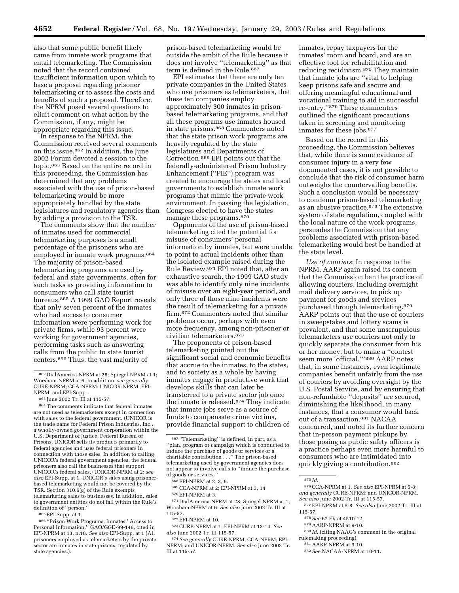also that some public benefit likely came from inmate work programs that entail telemarketing. The Commission noted that the record contained insufficient information upon which to base a proposal regarding prisoner telemarketing or to assess the costs and benefits of such a proposal. Therefore, the NPRM posed several questions to elicit comment on what action by the Commission, if any, might be appropriate regarding this issue.

In response to the NPRM, the Commission received several comments on this issue.862 In addition, the June 2002 Forum devoted a session to the topic.863 Based on the entire record in this proceeding, the Commission has determined that any problems associated with the use of prison-based telemarketing would be more appropriately handled by the state legislatures and regulatory agencies than by adding a provision to the TSR.

The comments show that the number of inmates used for commercial telemarketing purposes is a small percentage of the prisoners who are employed in inmate work programs.<sup>864</sup> The majority of prison-based telemarketing programs are used by federal and state governments, often for such tasks as providing information to consumers who call state tourist bureaus.865 A 1999 GAO Report reveals that only seven percent of the inmates who had access to consumer information were performing work for private firms, while 93 percent were working for government agencies, performing tasks such as answering calls from the public to state tourist centers.866 Thus, the vast majority of

865EPI-Supp. at 1.

866 ''Prison Work Programs, Inmates'' Access to Personal Information,'' GAO/GGD-99-146, cited in EPI-NPRM at 13, n.18. *See also* EPI-Supp. at 1 (All prisoners employed as telemarketers by the private sector are inmates in state prisons, regulated by state agencies.).

prison-based telemarketing would be outside the ambit of the Rule because it does not involve ''telemarketing'' as that term is defined in the Rule.<sup>867</sup>

EPI estimates that there are only ten private companies in the United States who use prisoners as telemarketers, that these ten companies employ approximately 300 inmates in prisonbased telemarketing programs, and that all these programs use inmates housed in state prisons.868 Commenters noted that the state prison work programs are heavily regulated by the state legislatures and Departments of Correction.869 EPI points out that the federally-administered Prison Industry Enhancement (''PIE'') program was created to encourage the states and local governments to establish inmate work programs that mimic the private work environment. In passing the legislation, Congress elected to have the states manage these programs.870

Opponents of the use of prison-based telemarketing cited the potential for misuse of consumers' personal information by inmates, but were unable to point to actual incidents other than the isolated example raised during the Rule Review.871 EPI noted that, after an exhaustive search, the 1999 GAO study was able to identify only nine incidents of misuse over an eight-year period, and only three of those nine incidents were the result of telemarketing for a private firm.872 Commenters noted that similar problems occur, perhaps with even more frequency, among non-prisoner or civilian telemarketers.873

The proponents of prison-based telemarketing pointed out the significant social and economic benefits that accrue to the inmates, to the states, and to society as a whole by having inmates engage in productive work that develops skills that can later be transferred to a private sector job once the inmate is released.874 They indicate that inmate jobs serve as a source of funds to compensate crime victims, provide financial support to children of

inmates, repay taxpayers for the inmates' room and board, and are an effective tool for rehabilitation and reducing recidivism.875 They maintain that inmate jobs are ''vital to helping keep prisons safe and secure and offering meaningful educational and vocational training to aid in successful re-entry.''876 These commenters outlined the significant precautions taken in screening and monitoring inmates for these jobs.<sup>877</sup>

Based on the record in this proceeding, the Commission believes that, while there is some evidence of consumer injury in a very few documented cases, it is not possible to conclude that the risk of consumer harm outweighs the countervailing benefits. Such a conclusion would be necessary to condemn prison-based telemarketing as an abusive practice.878 The extensive system of state regulation, coupled with the local nature of the work programs, persuades the Commission that any problems associated with prison-based telemarketing would best be handled at the state level.

*Use of couriers*: In response to the NPRM, AARP again raised its concern that the Commission ban the practice of allowing couriers, including overnight mail delivery services, to pick up payment for goods and services purchased through telemarketing.879 AARP points out that the use of couriers in sweepstakes and lottery scams is prevalent, and that some unscrupulous telemarketers use couriers not only to quickly separate the consumer from his or her money, but to make a ''contest seem more 'official.'''880 AARP notes that, in some instances, even legitimate companies benefit unfairly from the use of couriers by avoiding oversight by the U.S. Postal Service, and by ensuring that non-refundable ''deposits'' are secured, diminishing the likelihood, in many instances, that a consumer would back out of a transaction.881 NACAA concurred, and noted its further concern that in-person payment pickups by those posing as public safety officers is a practice perhaps even more harmful to consumers who are intimidated into quickly giving a contribution.882

880 *Id.* (citing NAAG's comment in the original rulemaking proceeding).

882*See* NACAA-NPRM at 10-11.

<sup>862</sup> DialAmerica-NPRM at 28; Spiegel-NPRM at 1; Worsham-NPRM at 6. In addition, *see generally* CURE-NPRM; CCA-NPRM; UNICOR-NPRM; EPI-NPRM; and EPI-Supp.

<sup>863</sup> June 2002 Tr. III at 115-57.

 $^{\rm 864}$  The comments indicate that federal inmates are not used as telemarketers except in connection with sales to the federal government. (UNICOR is the trade name for Federal Prison Industries, Inc. a wholly-owned government corporation within the U.S. Department of Justice, Federal Bureau of Prisons. UNICOR sells its products primarily to federal agencies and uses federal prisoners in connection with those sales. In addition to calling UNICOR's federal government agencies, the federal prisoners also call the businesses that support UNICOR's federal sales.) UNICOR-NPRM at 2; *see also* EPI-Supp. at 1. UNICOR's sales using prisonerbased telemarketing would not be covered by the TSR. Section 310.6(g) of the Rule exempts telemarketing sales to businesses. In addition, sales to government entities do not fall within the Rule's definition of ''person.''

<sup>867</sup> ''Telemarketing'' is defined, in part, as a ''plan, program or campaign which is conducted to induce the purchase of goods or services or a charitable contribution . . .'' The prison-based telemarketing used by government agencies does not appear to involve calls to ''induce the purchase of goods or services.''

<sup>868</sup>EPI-NPRM at 2, 3, 9.

<sup>869</sup>CCA-NPRM at 2; EPI-NPRM at 3, 14

<sup>870</sup>EPI-NPRM at 3.

<sup>871</sup> DialAmerica-NPRM at 28; Spiegel-NPRM at 1; Worsham-NPRM at 6. *See also* June 2002 Tr. III at 115-57.

<sup>872</sup>EPI-NPRM at 10.

<sup>873</sup>CURE-NPRM at 1; EPI-NPRM at 13-14. *See also* June 2002 Tr. III 115-57.

<sup>874</sup>*See generally* CURE-NPRM; CCA-NPRM; EPI-NPRM; and UNICOR-NPRM. *See also* June 2002 Tr. III at 115-57.

<sup>875</sup> *Id.*

<sup>876</sup>CCA-NPRM at 1. *See also* EPI-NPRM at 5-8; *and generally* CURE-NPRM; and UNICOR-NPRM. *See also* June 2002 Tr. III at 115-57.

<sup>877</sup>EPI-NPRM at 5-8. *See also* June 2002 Tr. III at 115-57.

<sup>878</sup>*See* 67 FR at 4510-12.

<sup>879</sup>AARP-NPRM at 9-10.

<sup>881</sup>AARP-NPRM at 9-10.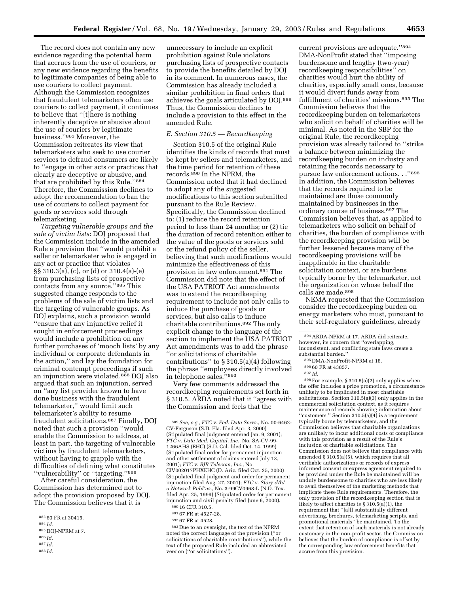The record does not contain any new evidence regarding the potential harm that accrues from the use of couriers, or any new evidence regarding the benefits to legitimate companies of being able to use couriers to collect payment. Although the Commission recognizes that fraudulent telemarketers often use couriers to collect payment, it continues to believe that ''[t]here is nothing inherently deceptive or abusive about the use of couriers by legitimate business.''883 Moreover, the Commission reiterates its view that telemarketers who seek to use courier services to defraud consumers are likely to ''engage in other acts or practices that clearly are deceptive or abusive, and that are prohibited by this Rule.''884 Therefore, the Commission declines to adopt the recommendation to ban the use of couriers to collect payment for goods or services sold through

telemarketing. *Targeting vulnerable groups and the sale of victim lists*: DOJ proposed that the Commission include in the amended Rule a provision that ''would prohibit a seller or telemarketer who is engaged in any act or practice that violates §§ 310.3(a), (c), or (d) or 310.4(a)-(e) from purchasing lists of prospective contacts from any source.''885 This suggested change responds to the problems of the sale of victim lists and the targeting of vulnerable groups. As DOJ explains, such a provision would ''ensure that any injunctive relief it sought in enforcement proceedings would include a prohibition on any further purchases of 'mooch lists' by any individual or corporate defendants in the action,'' and lay the foundation for criminal contempt proceedings if such an injunction were violated.886 DOJ also argued that such an injunction, served on ''any list provider known to have done business with the fraudulent telemarketer,'' would limit such telemarketer's ability to resume fraudulent solicitations.887 Finally, DOJ noted that such a provision ''would enable the Commission to address, at least in part, the targeting of vulnerable victims by fraudulent telemarketers, without having to grapple with the difficulties of defining what constitutes ''vulnerability'' or ''targeting.''888

After careful consideration, the Commission has determined not to adopt the provision proposed by DOJ. The Commission believes that it is

887 *Id.* 888 *Id.*

#### *E. Section 310.5 — Recordkeeping*

Section 310.5 of the original Rule identifies the kinds of records that must be kept by sellers and telemarketers, and the time period for retention of these records.890 In the NPRM, the Commission noted that it had declined to adopt any of the suggested modifications to this section submitted pursuant to the Rule Review. Specifically, the Commission declined to: (1) reduce the record retention period to less than 24 months; or (2) tie the duration of record retention either to the value of the goods or services sold or the refund policy of the seller, believing that such modifications would minimize the effectiveness of this provision in law enforcement.891 The Commission did note that the effect of the USA PATRIOT Act amendments was to extend the recordkeeping requirement to include not only calls to induce the purchase of goods or services, but also calls to induce charitable contributions.892 The only explicit change to the language of the section to implement the USA PATRIOT Act amendments was to add the phrase ''or solicitations of charitable contributions'' to § 310.5(a)(4) following the phrase ''employees directly involved in telephone sales.''893

Very few comments addressed the recordkeeping requirements set forth in § 310.5. ARDA noted that it ''agrees with the Commission and feels that the

893 Due to an oversight, the text of the NPRM noted the correct language of the provision (''or solicitations of charitable contributions''), while the text of the proposed Rule included an abbreviated version (''or solicitations'').

current provisions are adequate.''894 DMA-NonProfit stated that ''imposing burdensome and lengthy (two-year) recordkeeping responsibilities'' on charities would hurt the ability of charities, especially small ones, because it would divert funds away from fulfillment of charities' missions.895 The Commission believes that the recordkeeping burden on telemarketers who solicit on behalf of charities will be minimal. As noted in the SBP for the original Rule, the recordkeeping provision was already tailored to ''strike a balance between minimizing the recordkeeping burden on industry and retaining the records necessary to pursue law enforcement actions. . .''896 In addition, the Commission believes that the records required to be maintained are those commonly maintained by businesses in the ordinary course of business.897 The Commission believes that, as applied to telemarketers who solicit on behalf of charities, the burden of compliance with the recordkeeping provision will be further lessened because many of the recordkeeping provisions will be inapplicable in the charitable solicitation context, or are burdens typically borne by the telemarketer, not the organization on whose behalf the calls are made.898

NEMA requested that the Commission consider the recordkeeping burden on energy marketers who must, pursuant to their self-regulatory guidelines, already

 $^{898}\rm{For\ example,$   $\S\,310.5(a)(2)$  only applies when the offer includes a prize promotion, a circumstance unlikely to be implicated in most charitable solicitations. Section 310.5(a)(3) only applies in the commercial solicitation context, as it requires maintenance of records showing information about ''customers.'' Section 310.5(a)(4) is a requirement typically borne by telemarketers, and the Commission believes that charitable organizations are unlikely to incur additional costs of compliance with this provision as a result of the Rule's inclusion of charitable solicitations. The Commission does not believe that compliance with amended § 310.5(a)(5), which requires that all verifiable authorizations or records of express informed consent or express agreement required to be provided under the Rule be maintained will be unduly burdensome to charities who are less likely to avail themselves of the marketing methods that implicate these Rule requirements. Therefore, the only provision of the recordkeeping section that is likely to affect charities is § 310.5(a)(1), the requirement that ''[a]ll substantially different advertising, brochures, telemarketing scripts, and promotional materials'' be maintained. To the extent that retention of such materials is not already customary in the non-profit sector, the Commission believes that the burden of compliance is offset by the corresponding law enforcement benefits that accrue from this provision.

<sup>883</sup> 60 FR at 30415.

<sup>884</sup> *Id.*

<sup>885</sup> DOJ-NPRM at 7.

<sup>886</sup> *Id.*

unnecessary to include an explicit prohibition against Rule violators purchasing lists of prospective contacts to provide the benefits detailed by DOJ in its comment. In numerous cases, the Commission has already included a similar prohibition in final orders that achieves the goals articulated by DOJ.889 Thus, the Commission declines to include a provision to this effect in the amended Rule.

<sup>889</sup>*See, e.g., FTC v. Fed. Data Servs.*, No. 00-6462- CV-Ferguson (S.D. Fla. filed Apr. 3, 2000) (Stipulated final judgment entered Jan. 9, 2001); *FTC v. Data Med. Capital, Inc.*, No. SA-CV-99- 1266AHS (EHC) (S.D. Cal. filed Oct. 14, 1999) (Stipulated final order for permanent injunction and other settlement of claims entered July 13, 2001); *FTC v. RJB Telecom, Inc.*, No. CIV002017PHXEHC (D. Ariz. filed Oct. 25, 2000) (Stipulated final judgment and order for permanent injunction filed Aug. 27, 2001); *FTC v. Story d/b/ a Network Publ'ns.*, No. 3-99CV0968-L (N.D. Tex. filed Apr. 25, 1999) (Stipulated order for permanent injunction and civil penalty filed June 6, 2000). 890 16 CFR 310.5.

<sup>891</sup> 67 FR at 4527-28.

<sup>892</sup> 67 FR at 4528.

<sup>894</sup>ARDA-NPRM at 17. ARDA did reiterate, however, its concern that ''overlapping, inconsistent, and conflicting state laws create a substantial burden.''

<sup>895</sup> DMA-NonProfit-NPRM at 16.

<sup>896</sup> 60 FR at 43857.

<sup>897</sup> *Id.*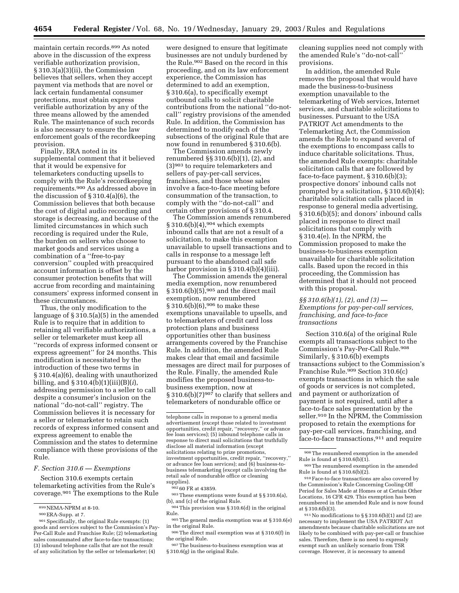maintain certain records.899 As noted above in the discussion of the express verifiable authorization provision, § 310.3(a)(3)(ii), the Commission believes that sellers, when they accept payment via methods that are novel or lack certain fundamental consumer protections, must obtain express verifiable authorization by any of the three means allowed by the amended Rule. The maintenance of such records is also necessary to ensure the law enforcement goals of the recordkeeping provision.

Finally, ERA noted in its supplemental comment that it believed that it would be expensive for telemarketers conducting upsells to comply with the Rule's recordkeeping requirements.900 As addressed above in the discussion of § 310.4(a)(6), the Commission believes that both because the cost of digital audio recording and storage is decreasing, and because of the limited circumstances in which such recording is required under the Rule, the burden on sellers who choose to market goods and services using a combination of a ''free-to-pay conversion'' coupled with preacquired account information is offset by the consumer protection benefits that will accrue from recording and maintaining consumers' express informed consent in these circumstances.

Thus, the only modification to the language of § 310.5(a)(5) in the amended Rule is to require that in addition to retaining all verifiable authorizations, a seller or telemarketer must keep all ''records of express informed consent or express agreement'' for 24 months. This modification is necessitated by the introduction of these two terms in § 310.4(a)(6), dealing with unauthorized billing, and § 310.4(b)(1)(iii)(B)(*i*), addressing permission to a seller to call despite a consumer's inclusion on the national ''do-not-call'' registry. The Commission believes it is necessary for a seller or telemarketer to retain such records of express informed consent and express agreement to enable the Commission and the states to determine compliance with these provisions of the Rule.

#### *F. Section 310.6 — Exemptions*

Section 310.6 exempts certain telemarketing activities from the Rule's coverage.901 The exemptions to the Rule

were designed to ensure that legitimate businesses are not unduly burdened by the Rule.902 Based on the record in this proceeding, and on its law enforcement experience, the Commission has determined to add an exemption, § 310.6(a), to specifically exempt outbound calls to solicit charitable contributions from the national ''do-notcall'' registry provisions of the amended Rule. In addition, the Commission has determined to modify each of the subsections of the original Rule that are now found in renumbered § 310.6(b).

The Commission amends newly renumbered §§ 310.6(b)(1), (2), and (3)903 to require telemarketers and sellers of pay-per-call services, franchises, and those whose sales involve a face-to-face meeting before consummation of the transaction, to comply with the ''do-not-call'' and certain other provisions of § 310.4.

The Commission amends renumbered  $\S 310.6(b)(4)$ ,  $904$  which exempts inbound calls that are not a result of a solicitation, to make this exemption unavailable to upsell transactions and to calls in response to a message left pursuant to the abandoned call safe harbor provision in § 310.4(b)(4)(iii).

The Commission amends the general media exemption, now renumbered  $§ 310.6(b)(5),<sup>905</sup>$  and the direct mail exemption, now renumbered § 310.6(b)(6),<sup>906</sup> to make these exemptions unavailable to upsells, and to telemarketers of credit card loss protection plans and business opportunities other than business arrangements covered by the Franchise Rule. In addition, the amended Rule makes clear that email and facsimile messages are direct mail for purposes of the Rule. Finally, the amended Rule modifies the proposed business-tobusiness exemption, now at § 310.6(b)(7)<sup>907</sup> to clarify that sellers and telemarketers of nondurable office or

cleaning supplies need not comply with the amended Rule's ''do-not-call'' provisions.

In addition, the amended Rule removes the proposal that would have made the business-to-business exemption unavailable to the telemarketing of Web services, Internet services, and charitable solicitations to businesses. Pursuant to the USA PATRIOT Act amendments to the Telemarketing Act, the Commission amends the Rule to expand several of the exemptions to encompass calls to induce charitable solicitations. Thus, the amended Rule exempts: charitable solicitation calls that are followed by face-to-face payment,  $\S 310.6(b)(3)$ ; prospective donors' inbound calls not prompted by a solicitation, § 310.6(b)(4); charitable solicitation calls placed in response to general media advertising, § 310.6(b)(5); and donors' inbound calls placed in response to direct mail solicitations that comply with § 310.4(e). In the NPRM, the Commission proposed to make the business-to-business exemption unavailable for charitable solicitation calls. Based upon the record in this proceeding, the Commission has determined that it should not proceed with this proposal.

*§§ 310.6(b)(1), (2), and (3) — Exemptions for pay-per-call services, franchising, and face-to-face transactions*

Section 310.6(a) of the original Rule exempts all transactions subject to the Commission's Pay-Per-Call Rule.908 Similarly, § 310.6(b) exempts transactions subject to the Commission's Franchise Rule.909 Section 310.6(c) exempts transactions in which the sale of goods or services is not completed, and payment or authorization of payment is not required, until after a face-to-face sales presentation by the seller.910 In the NPRM, the Commission proposed to retain the exemptions for pay-per-call services, franchising, and face-to-face transactions,<sup>911</sup> and require

<sup>899</sup>NEMA-NPRM at 8-10.

<sup>900</sup>ERA-Supp. at 7.

<sup>901</sup>Specifically, the original Rule exempts: (1) goods and services subject to the Commission's Pay-Per-Call Rule and Franchise Rule; (2) telemarketing sales consummated after face-to-face transactions; (3) inbound telephone calls that are not the result of any solicitation by the seller or telemarketer; (4)

telephone calls in response to a general media advertisement (except those related to investment opportunities, credit repair, ''recovery,'' or advance fee loan services); (5) inbound telephone calls in response to direct mail solicitations that truthfully disclose all material information (except solicitations relating to prize promotions, investment opportunities, credit repair, ''recovery,'' or advance fee loan services); and (6) business-tobusiness telemarketing (except calls involving the retail sale of nondurable office or cleaning supplies).

<sup>902</sup> 60 FR at 43859.

<sup>903</sup>These exemptions were found at § § 310.6(a), (b), and (c) of the original Rule.

<sup>904</sup>This provision was § 310.6(d) in the original Rule.

<sup>905</sup>The general media exemption was at § 310.6(e) in the original Rule.

<sup>906</sup>The direct mail exemption was at § 310.6(f) in the original Rule.

<sup>907</sup>The business-to-business exemption was at § 310.6(g) in the original Rule.

<sup>908</sup>The renumbered exemption in the amended Rule is found at § 310.6(b)(1).

<sup>909</sup>The renumbered exemption in the amended Rule is found at  $\S 310.6(b)(2)$ .

<sup>910</sup>Face-to-face transactions are also covered by the Commission's Rule Concerning Cooling-Off Period for Sales Made at Homes or at Certain Other Locations, 16 CFR 429. This exemption has been renumbered in the amended Rule and is now found at § 310.6(b)(3).

<sup>911</sup>No modifications to § § 310.6(b)(1) and (2) are necessary to implement the USA PATRIOT Act amendments because charitable solicitations are not likely to be combined with pay-per-call or franchise sales. Therefore, there is no need to expressly exempt such an unlikely scenario from TSR coverage. However, it is necessary to amend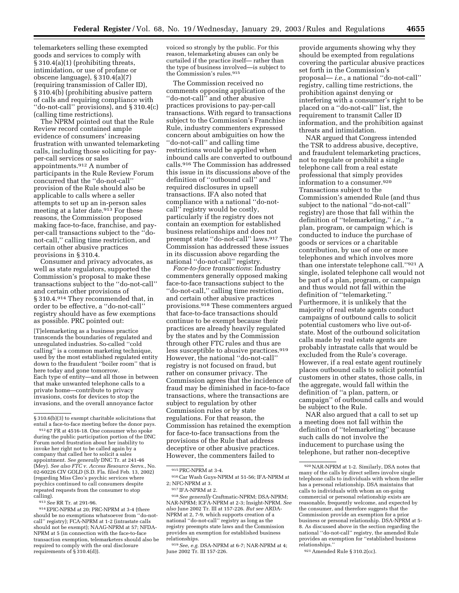telemarketers selling these exempted goods and services to comply with § 310.4(a)(1) (prohibiting threats, intimidation, or use of profane or obscene language), § 310.4(a)(7) (requiring transmission of Caller ID), § 310.4(b) (prohibiting abusive pattern of calls and requiring compliance with ''do-not-call'' provisions), and § 310.4(c) (calling time restrictions).

The NPRM pointed out that the Rule Review record contained ample evidence of consumers' increasing frustration with unwanted telemarketing calls, including those soliciting for payper-call services or sales appointments.912 A number of participants in the Rule Review Forum concurred that the ''do-not-call'' provision of the Rule should also be applicable to calls where a seller attempts to set up an in-person sales meeting at a later date.<sup>913</sup> For these reasons, the Commission proposed making face-to-face, franchise, and payper-call transactions subject to the ''donot-call,'' calling time restriction, and certain other abusive practices provisions in § 310.4.

Consumer and privacy advocates, as well as state regulators, supported the Commission's proposal to make these transactions subject to the ''do-not-call'' and certain other provisions of § 310.4.914 They recommended that, in order to be effective, a ''do-not-call'' registry should have as few exemptions as possible. PRC pointed out:

[T]elemarketing as a business practice transcends the boundaries of regulated and unregulated industries. So-called ''cold calling'' is a common marketing technique, used by the most established regulated entity down to the fraudulent ''boiler room'' that is here today and gone tomorrow. Each type of entity—and all those in between that make unwanted telephone calls to a private home—contribute to privacy invasions, costs for devices to stop the invasions, and the overall annoyance factor

voiced so strongly by the public. For this reason, telemarketing abuses can only be curtailed if the practice itself— rather than the type of business involved—is subject to the Commission's rules.915

The Commission received no comments opposing application of the ''do-not-call'' and other abusive practices provisions to pay-per-call transactions. With regard to transactions subject to the Commission's Franchise Rule, industry commenters expressed concern about ambiguities on how the ''do-not-call'' and calling time restrictions would be applied when inbound calls are converted to outbound calls.916 The Commission has addressed this issue in its discussions above of the definition of ''outbound call'' and required disclosures in upsell transactions. IFA also noted that compliance with a national ''do-notcall'' registry would be costly, particularly if the registry does not contain an exemption for established business relationships and does not preempt state ''do-not-call'' laws.917 The Commission has addressed these issues in its discussion above regarding the national "do-not-call" registry.

*Face-to-face transactions*: Industry commenters generally opposed making face-to-face transactions subject to the ''do-not-call,'' calling time restriction, and certain other abusive practices provisions.918 These commenters argued that face-to-face transactions should continue to be exempt because their practices are already heavily regulated by the states and by the Commission through other FTC rules and thus are less susceptible to abusive practices.<sup>919</sup> However, the national ''do-not-call'' registry is not focused on fraud, but rather on consumer privacy. The Commission agrees that the incidence of fraud may be diminished in face-to-face transactions, where the transactions are subject to regulation by other Commission rules or by state regulations. For that reason, the Commission has retained the exemption for face-to-face transactions from the provisions of the Rule that address deceptive or other abusive practices. However, the commenters failed to

918*See generally* Craftmatic-NPRM; DSA-NPRM; NAR-NPRM; ICFA-NPRM at 2-3; Insight-NPRM. *See also* June 2002 Tr. III at 157-226. *But see* ARDA-NPRM at 2, 7-9, which supports creation of a national ''do-not-call'' registry as long as the registry preempts state laws and the Commission provides an exemption for established business relationships.

919*See, e.g.* DSA-NPRM at 6-7; NAR-NPRM at 4; June 2002 Tr. III 157-226.

provide arguments showing why they should be exempted from regulations covering the particular abusive practices set forth in the Commission's proposal— *i.e.*, a national ''do-not-call'' registry, calling time restrictions, the prohibition against denying or interfering with a consumer's right to be placed on a ''do-not-call'' list, the requirement to transmit Caller ID information, and the prohibition against threats and intimidation.

NAR argued that Congress intended the TSR to address abusive, deceptive, and fraudulent telemarketing practices, not to regulate or prohibit a single telephone call from a real estate professional that simply provides information to a consumer.920 Transactions subject to the Commission's amended Rule (and thus subject to the national ''do-not-call'' registry) are those that fall within the definition of ''telemarketing,'' *i.e.*, ''a plan, program, or campaign which is conducted to induce the purchase of goods or services or a charitable contribution, by use of one or more telephones and which involves more than one interstate telephone call.''921 A single, isolated telephone call would not be part of a plan, program, or campaign and thus would not fall within the definition of ''telemarketing.'' Furthermore, it is unlikely that the majority of real estate agents conduct campaigns of outbound calls to solicit potential customers who live out-ofstate. Most of the outbound solicitation calls made by real estate agents are probably intrastate calls that would be excluded from the Rule's coverage. However, if a real estate agent routinely places outbound calls to solicit potential customers in other states, those calls, in the aggregate, would fall within the definition of ''a plan, pattern, or campaign'' of outbound calls and would be subject to the Rule.

NAR also argued that a call to set up a meeting does not fall within the definition of ''telemarketing'' because such calls do not involve the inducement to purchase using the telephone, but rather non-deceptive

921Amended Rule § 310.2(cc).

<sup>§</sup> 310.6(b)(3) to exempt charitable solicitations that entail a face-to-face meeting before the donor pays.

<sup>912</sup> 67 FR at 4516-18. One consumer who spoke during the public participation portion of the DNC Forum noted frustration about her inability to invoke her right not to be called again by a company that called her to solicit a sales appointment. *See generally* DNC Tr. at 241-46 (Mey). *See also FTC v. Access Resource Servs.*, No. 02-60226 CIV GOLD (S.D. Fla. filed Feb. 13, 2002) (regarding Miss Cleo's psychic services where psychics continued to call consumers despite repeated requests from the consumer to stop calling).

<sup>913</sup>*See* RR Tr. at 291-96.

<sup>914</sup>EPIC-NPRM at 20; PRC-NPRM at 3-4 (there should be no exemptions whatsoever from ''do-notcall'' registry); FCA-NPRM at 1-2 (intrastate calls should not be exempt); NAAG-NPRM at 57; NFDA-NPRM at 5 (in connection with the face-to-face transaction exemption, telemarketers should also be required to comply with the oral disclosure requirements of § 310.4(d)).

<sup>915</sup>PRC-NPRM at 3-4.

<sup>916</sup>Car Wash Guys-NPRM at 51-56; IFA-NPRM at 2; NFC-NPRM at 3.

<sup>917</sup> IFA-NPRM at 2.

<sup>920</sup>NAR-NPRM at 1-2. Similarly, DSA notes that many of the calls by direct sellers involve single telephone calls to individuals with whom the seller has a personal relationship. DSA maintains that calls to individuals with whom an on-going commercial or personal relationship exists are reasonable, frequently welcome, and expected by the consumer, and therefore suggests that the Commission provide an exemption for a prior business or personal relationship. DSA-NPRM at 5- 8. As discussed above in the section regarding the national ''do-not-call'' registry, the amended Rule provides an exemption for ''established business relationships.''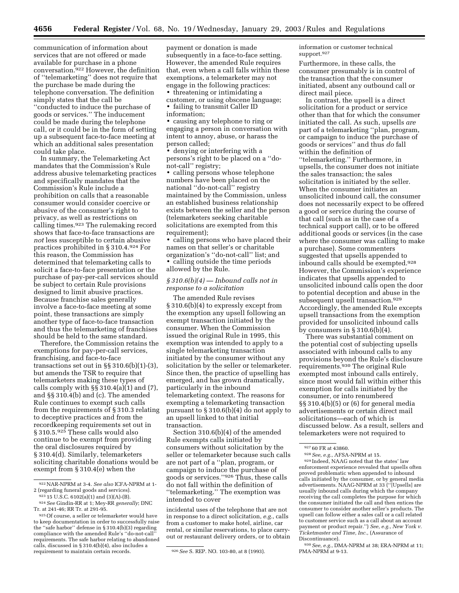communication of information about services that are not offered or made available for purchase in a phone conversation.922 However, the definition of ''telemarketing'' does not require that the purchase be made during the telephone conversation. The definition simply states that the call be ''conducted to induce the purchase of goods or services.'' The inducement could be made during the telephone call, or it could be in the form of setting up a subsequent face-to-face meeting at which an additional sales presentation could take place.

In summary, the Telemarketing Act mandates that the Commission's Rule address abusive telemarketing practices and specifically mandates that the Commission's Rule include a prohibition on calls that a reasonable consumer would consider coercive or abusive of the consumer's right to privacy, as well as restrictions on calling times.923 The rulemaking record shows that face-to-face transactions are *not* less susceptible to certain abusive practices prohibited in § 310.4.924 For this reason, the Commission has determined that telemarketing calls to solicit a face-to-face presentation or the purchase of pay-per-call services should be subject to certain Rule provisions designed to limit abusive practices. Because franchise sales generally involve a face-to-face meeting at some point, these transactions are simply another type of face-to-face transaction and thus the telemarketing of franchises should be held to the same standard.

Therefore, the Commission retains the exemptions for pay-per-call services, franchising, and face-to-face transactions set out in  $\S$ § 310.6(b)(1)-(3), but amends the TSR to require that telemarketers making these types of calls comply with  $\S$  310.4(a)(1) and (7), and §§ 310.4(b) and (c). The amended Rule continues to exempt such calls from the requirements of § 310.3 relating to deceptive practices and from the recordkeeping requirements set out in § 310.5.925 These calls would also continue to be exempt from providing the oral disclosures required by § 310.4(d). Similarly, telemarketers soliciting charitable donations would be exempt from § 310.4(e) when the

payment or donation is made subsequently in a face-to-face setting. However, the amended Rule requires that, even when a call falls within these exemptions, a telemarketer may not engage in the following practices:

• threatening or intimidating a

customer, or using obscene language; • failing to transmit Caller ID information;

• causing any telephone to ring or engaging a person in conversation with intent to annoy, abuse, or harass the person called;

• denying or interfering with a persons's right to be placed on a ''donot-call'' registry;

• calling persons whose telephone numbers have been placed on the national ''do-not-call'' registry maintained by the Commission, unless an established business relationship exists between the seller and the person (telemarketers seeking charitable solicitations are exempted from this requirement);

• calling persons who have placed their names on that seller's or charitable organization's ''do-not-call'' list; and • calling outside the time periods allowed by the Rule.

# *§ 310.6(b)(4) — Inbound calls not in response to a solicitation*

The amended Rule revises § 310.6(b)(4) to expressly except from the exemption any upsell following an exempt transaction initiated by the consumer. When the Commission issued the original Rule in 1995, this exemption was intended to apply to a single telemarketing transaction initiated by the consumer without any solicitation by the seller or telemarketer. Since then, the practice of upselling has emerged, and has grown dramatically, particularly in the inbound telemarketing context. The reasons for exempting a telemarketing transaction pursuant to § 310.6(b)(4) do not apply to an upsell linked to that initial transaction.

Section 310.6(b)(4) of the amended Rule exempts calls initiated by consumers without solicitation by the seller or telemarketer because such calls are not part of a ''plan, program, or campaign to induce the purchase of goods or services.''926 Thus, these calls do not fall within the definition of ''telemarketing.'' The exemption was intended to cover

incidental uses of the telephone that are not in response to a direct solicitation, *e.g.*, calls from a customer to make hotel, airline, car rental, or similar reservations, to place carryout or restaurant delivery orders, or to obtain

information or customer technical support.927

Furthermore, in these calls, the consumer presumably is in control of the transaction that the consumer initiated, absent any outbound call or direct mail piece.

In contrast, the upsell is a direct solicitation for a product or service other than that for which the consumer initiated the call. As such, upsells *are* part of a telemarketing ''plan, program, or campaign to induce the purchase of goods or services'' and thus *do* fall within the definition of ''telemarketing.'' Furthermore, in upsells, the consumer does not initiate the sales transaction; the sales solicitation is initiated by the seller. When the consumer initiates an unsolicited inbound call, the consumer does not necessarily expect to be offered a good or service during the course of that call (such as in the case of a technical support call), or to be offered additional goods or services (in the case where the consumer was calling to make a purchase). Some commenters suggested that upsells appended to inbound calls should be exempted.928 However, the Commission's experience indicates that upsells appended to unsolicited inbound calls open the door to potential deception and abuse in the subsequent upsell transaction.<sup>929</sup> Accordingly, the amended Rule excepts upsell transactions from the exemption provided for unsolicited inbound calls by consumers in § 310.6(b)(4).

There was substantial comment on the potential cost of subjecting upsells associated with inbound calls to any provisions beyond the Rule's disclosure requirements.930 The original Rule exempted most inbound calls entirely, since most would fall within either this exemption for calls initiated by the consumer, or into renumbered §§ 310.4(b)(5) or (6) for general media advertisements or certain direct mail solicitations—each of which is discussed below. As a result, sellers and telemarketers were not required to

929 Indeed, NAAG noted that the states' law enforcement experience revealed that upsells often proved problematic when appended to inbound calls initiated by the consumer, or by general media advertisements. NAAG-NPRM at 33 (''[Upsells] are usually inbound calls during which the company receiving the call completes the purpose for which the consumer initiated the call and then entices the consumer to consider another seller's products. The upsell can follow either a sales call or a call related to customer service such as a call about an account payment or product repair.'') *See, e.g.*, *New York v. Ticketmaster and Time, Inc.*, (Assurance of Discontinuance).

930*See, e.g.*, DMA-NPRM at 38; ERA-NPRM at 11; PMA-NPRM at 9-13.

<sup>922</sup>NAR-NPRM at 3-4. *See also* ICFA-NPRM at 1- 2 (regarding funeral goods and services).

<sup>923</sup> 15 U.S.C. 6102(a)(1) and (3)(A)-(B).

<sup>924</sup>*See* Gindin-RR at 1; Mey-RR *generally*; DNC Tr. at 241-46; RR Tr. at 291-95.

<sup>925</sup>Of course, a seller or telemarketer would have to keep documentation in order to successfully raise the ''safe harbor'' defense in § 310.4(b)(3) regarding compliance with the amended Rule's ''do-not-call'' requirements. The safe harbor relating to abandoned calls, discussed in § 310.4(b)(4), also includes a requirement to maintain certain records. 926*See* S. REP. NO. 103-80, at 8 (1993).

<sup>927</sup> 60 FR at 43860.

<sup>928</sup>*See, e.g.*, AFSA-NPRM at 15.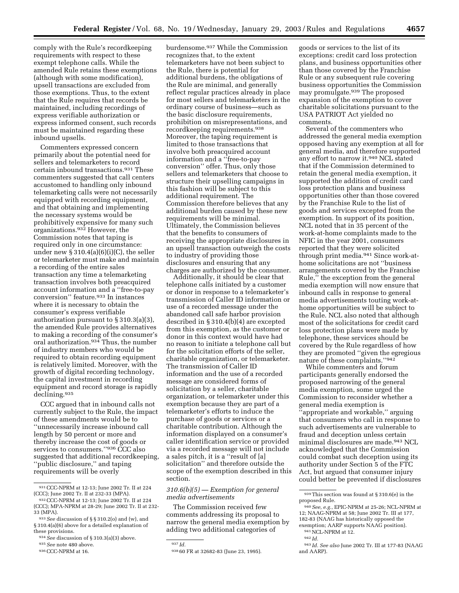comply with the Rule's recordkeeping requirements with respect to these exempt telephone calls. While the amended Rule retains these exemptions (although with some modification), upsell transactions are excluded from those exemptions. Thus, to the extent that the Rule requires that records be maintained, including recordings of express verifiable authorization or express informed consent, such records must be maintained regarding these inbound upsells.

Commenters expressed concern primarily about the potential need for sellers and telemarketers to record certain inbound transactions.931 These commenters suggested that call centers accustomed to handling only inbound telemarketing calls were not necessarily equipped with recording equipment, and that obtaining and implementing the necessary systems would be prohibitively expensive for many such organizations.932 However, the Commission notes that taping is required only in one circumstance: under new  $\S 310.4(a)(6)(i)(C)$ , the seller or telemarketer must make and maintain a recording of the entire sales transaction any time a telemarketing transaction involves both preacquired account information and a ''free-to-pay conversion'' feature.933 In instances where it is necessary to obtain the consumer's express verifiable authorization pursuant to § 310.3(a)(3), the amended Rule provides alternatives to making a recording of the consumer's oral authorization.<sup>934</sup> Thus, the number of industry members who would be required to obtain recording equipment is relatively limited. Moreover, with the growth of digital recording technology, the capital investment in recording equipment and record storage is rapidly declining.935

CCC argued that in inbound calls not currently subject to the Rule, the impact of these amendments would be to ''unnecessarily increase inbound call length by 50 percent or more and thereby increase the cost of goods or services to consumers."936 CCC also suggested that additional recordkeeping, ''public disclosure,'' and taping requirements will be overly

936CCC-NPRM at 16.

burdensome.937 While the Commission recognizes that, to the extent telemarketers have not been subject to the Rule, there is potential for additional burdens, the obligations of the Rule are minimal, and generally reflect regular practices already in place for most sellers and telemarketers in the ordinary course of business—such as the basic disclosure requirements, prohibition on misrepresentations, and recordkeeping requirements.938 Moreover, the taping requirement is limited to those transactions that involve both preacquired account information and a ''free-to-pay conversion'' offer. Thus, only those sellers and telemarketers that choose to structure their upselling campaigns in this fashion will be subject to this additional requirement. The Commission therefore believes that any additional burden caused by these new requirements will be minimal. Ultimately, the Commission believes that the benefits to consumers of receiving the appropriate disclosures in an upsell transaction outweigh the costs to industry of providing those disclosures and ensuring that any charges are authorized by the consumer.

Additionally, it should be clear that telephone calls initiated by a customer or donor in response to a telemarketer's transmission of Caller ID information or use of a recorded message under the abandoned call safe harbor provision described in § 310.4(b)(4) are excepted from this exemption, as the customer or donor in this context would have had no reason to initiate a telephone call but for the solicitation efforts of the seller, charitable organization, or telemarketer. The transmission of Caller ID information and the use of a recorded message are considered forms of solicitation by a seller, charitable organization, or telemarketer under this exemption because they are part of a telemarketer's efforts to induce the purchase of goods or services or a charitable contribution. Although the information displayed on a consumer's caller identification service or provided via a recorded message will not include a sales pitch, it is a ''result of [a] solicitation'' and therefore outside the scope of the exemption described in this section.

# *310.6(b)(5) — Exemption for general media advertisements*

The Commission received few comments addressing its proposal to narrow the general media exemption by adding two additional categories of

goods or services to the list of its exceptions: credit card loss protection plans, and business opportunities other than those covered by the Franchise Rule or any subsequent rule covering business opportunities the Commission may promulgate.939 The proposed expansion of the exemption to cover charitable solicitations pursuant to the USA PATRIOT Act yielded no comments.

Several of the commenters who addressed the general media exemption opposed having any exemption at all for general media, and therefore supported any effort to narrow it.940 NCL stated that if the Commission determined to retain the general media exemption, it supported the addition of credit card loss protection plans and business opportunities other than those covered by the Franchise Rule to the list of goods and services excepted from the exemption. In support of its position, NCL noted that in 35 percent of the work-at-home complaints made to the NFIC in the year 2001, consumers reported that they were solicited through print media.941 Since work-athome solicitations are not ''business arrangements covered by the Franchise Rule,'' the exception from the general media exemption will now ensure that inbound calls in response to general media advertisements touting work-athome opportunities will be subject to the Rule. NCL also noted that although most of the solicitations for credit card loss protection plans were made by telephone, these services should be covered by the Rule regardless of how they are promoted ''given the egregious nature of these complaints.''942

While commenters and forum participants generally endorsed the proposed narrowing of the general media exemption, some urged the Commission to reconsider whether a general media exemption is ''appropriate and workable,'' arguing that consumers who call in response to such advertisements are vulnerable to fraud and deception unless certain minimal disclosures are made.<sup>943</sup> NCL acknowledged that the Commission could combat such deception using its authority under Section 5 of the FTC Act, but argued that consumer injury could better be prevented if disclosures

942 *Id.*

<sup>931</sup>CCC-NPRM at 12-13; June 2002 Tr. II at 224 (CCC); June 2002 Tr. II at 232-33 (MPA).

<sup>932</sup>CCC-NPRM at 12-13; June 2002 Tr. II at 224 (CCC); MPA-NPRM at 28-29; June 2002 Tr. II at 232- 33 (MPA).

<sup>933</sup>*See* discussion of § § 310.2(o) and (w), and § 310.4(a)(6) above for a detailed explanation of these provisions.

<sup>934</sup>*See* discussion of § 310.3(a)(3) above.

<sup>935</sup>*See* note 480 above.

<sup>937</sup> *Id.*

<sup>938</sup> 60 FR at 32682-83 (June 23, 1995).

<sup>939</sup>This section was found at § 310.6(e) in the proposed Rule.

<sup>940</sup>*See, e.g.*, EPIC-NPRM at 25-26; NCL-NPRM at 12; NAAG-NPRM at 58; June 2002 Tr. III at 177, 182-83 (NAAG has historically opposed the exemption; AARP supports NAAG position). 941NCL-NPRM at 12.

<sup>943</sup> *Id. See also* June 2002 Tr. III at 177-83 (NAAG and AARP).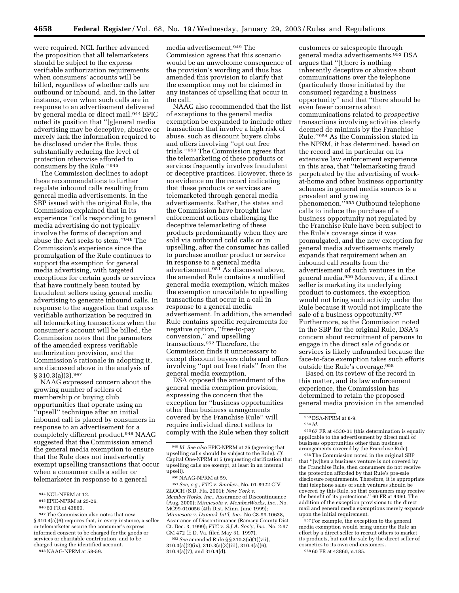were required. NCL further advanced the proposition that all telemarketers should be subject to the express verifiable authorization requirements when consumers' accounts will be billed, regardless of whether calls are outbound or inbound, and, in the latter instance, even when such calls are in response to an advertisement delivered by general media or direct mail.944 EPIC noted its position that ''[g]eneral media advertising may be deceptive, abusive or merely lack the information required to be disclosed under the Rule, thus substantially reducing the level of protection otherwise afforded to consumers by the Rule.''945

The Commission declines to adopt these recommendations to further regulate inbound calls resulting from general media advertisements. In the SBP issued with the original Rule, the Commission explained that in its experience ''calls responding to general media advertising do not typically involve the forms of deception and abuse the Act seeks to stem.''946 The Commission's experience since the promulgation of the Rule continues to support the exemption for general media advertising, with targeted exceptions for certain goods or services that have routinely been touted by fraudulent sellers using general media advertising to generate inbound calls. In response to the suggestion that express verifiable authorization be required in all telemarketing transactions when the consumer's account will be billed, the Commission notes that the parameters of the amended express verifiable authorization provision, and the Commission's rationale in adopting it, are discussed above in the analysis of  $§ 310.3(a)(3).<sup>947</sup>$ 

NAAG expressed concern about the growing number of sellers of membership or buying club opportunities that operate using an ''upsell'' technique after an initial inbound call is placed by consumers in response to an advertisement for a completely different product.948 NAAG suggested that the Commission amend the general media exemption to ensure that the Rule does not inadvertently exempt upselling transactions that occur when a consumer calls a seller or telemarketer in response to a general

or telemarketer secure the consumer's express informed consent to be charged for the goods or services or charitable contribution, and to be charged using the identified account.

948NAAG-NPRM at 58-59.

media advertisement.949 The Commission agrees that this scenario would be an unwelcome consequence of the provision's wording and thus has amended this provision to clarify that the exemption may not be claimed in any instances of upselling that occur in the call.

NAAG also recommended that the list of exceptions to the general media exemption be expanded to include other transactions that involve a high risk of abuse, such as discount buyers clubs and offers involving ''opt out free trials.''950 The Commission agrees that the telemarketing of these products or services frequently involves fraudulent or deceptive practices. However, there is no evidence on the record indicating that these products or services are telemarketed through general media advertisements. Rather, the states and the Commission have brought law enforcement actions challenging the deceptive telemarketing of these products predominantly when they are sold via outbound cold calls or in upselling, after the consumer has called to purchase another product or service in response to a general media advertisement.951 As discussed above, the amended Rule contains a modified general media exemption, which makes the exemption unavailable to upselling transactions that occur in a call in response to a general media advertisement. In addition, the amended Rule contains specific requirements for negative option, ''free-to-pay conversion,'' and upselling transactions.952 Therefore, the Commission finds it unnecessary to except discount buyers clubs and offers involving ''opt out free trials'' from the general media exemption.

DSA opposed the amendment of the general media exemption provision, expressing the concern that the exception for ''business opportunities other than business arrangements covered by the Franchise Rule'' will require individual direct sellers to comply with the Rule when they solicit

951*See, e.g., FTC v. Smolev.*, No. 01-8922 CIV ZLOCH (S.D. Fla. 2001); *New York v. MemberWorks, Inc.*, Assurance of Discontinuance (Aug. 2000); M*innesota v. MemberWorks, Inc.*, No. MC99-010056 (4th Dist. Minn. June 1999); *Minnesota v. Damark Int'l, Inc.*, No C8-99-10638, Assurance of Discontinuance (Ramsey County Dist. Ct. Dec. 3, 1999); *FTC v. S.J.A. Soc'y, Inc.*, No. 2:97 CM 472 (E.D. Va. filed May 31, 1997).

952*See* amended Rule § § 310.3(a)(1)(vii), 310.3(a)(2)(ix), 310.3(a)(3)(iii), 310.4(a)(6), 310.4(a)(7), and 310.4(d).

customers or salespeople through general media advertisements.953 DSA argues that ''[t]here is nothing inherently deceptive or abusive about communications over the telephone (particularly those initiated by the consumer) regarding a business opportunity'' and that ''there should be even fewer concerns about communications related to *prospective* transactions involving activities clearly deemed de minimis by the Franchise Rule.''954 As the Commission stated in the NPRM, it has determined, based on the record and in particular on its extensive law enforcement experience in this area, that ''telemarketing fraud perpetrated by the advertising of workat-home and other business opportunity schemes in general media sources is a prevalent and growing phenomenon.''955 Outbound telephone calls to induce the purchase of a business opportunity not regulated by the Franchise Rule have been subject to the Rule's coverage since it was promulgated, and the new exception for general media advertisements merely expands that requirement when an inbound call results from the advertisement of such ventures in the general media.956 Moreover, if a direct seller is marketing its underlying product to customers, the exception would not bring such activity under the Rule because it would not implicate the sale of a business opportunity.957 Furthermore, as the Commission noted in the SBP for the original Rule, DSA's concern about recruitment of persons to engage in the direct sale of goods or services is likely unfounded because the face-to-face exemption takes such efforts outside the Rule's coverage.958

Based on its review of the record in this matter, and its law enforcement experience, the Commission has determined to retain the proposed general media provision in the amended

955 67 FR at 4530-31 (this determination is equally applicable to the advertisement by direct mail of business opportunities other than business arrangements covered by the Franchise Rule).

956The Commission noted in the original SBP that ''[w]hen a business venture is not covered by the Franchise Rule, then consumers do not receive the protection afforded by that Rule's pre-sale disclosure requirements. Therefore, it is appropriate that telephone sales of such ventures should be covered by this Rule, so that consumers may receive the benefit of its protections.'' 60 FR at 4360. The addition of the exception provisions to the direct mail and general media exemptions merely expands upon the initial requirement.

957For example, the exception to the general media exemption would bring under the Rule an effort by a direct seller to recruit others to market its products, but not the sale by the direct seller of cosmetics to its own end-customers. 958 60 FR at 43860, n.185.

<sup>944</sup>NCL-NPRM at 12.

<sup>945</sup>EPIC-NPRM at 25-26.

<sup>946</sup> 60 FR at 43860.

<sup>947</sup>The Commission also notes that new § 310.4(a)(6) requires that, in every instance, a seller

<sup>949</sup> *Id. See also* EPIC-NPRM at 25 (agreeing that upselling calls should be subject to the Rule). *Cf.* Capital One-NPRM at 5 (requesting clarification that upselling calls are exempt, at least in an internal upsell).

 $^{950}\rm NAA$ -NPRM at 59.

<sup>953</sup> DSA-NPRM at 8-9.

<sup>954</sup> *Id.*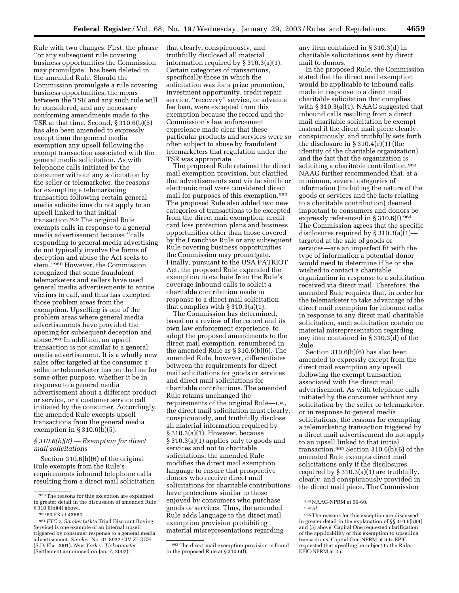Rule with two changes. First, the phrase ''or any subsequent rule covering business opportunities the Commission may promulgate'' has been deleted in the amended Rule. Should the Commission promulgate a rule covering business opportunities, the nexus between the TSR and any such rule will be considered, and any necessary conforming amendments made to the TSR at that time. Second, § 310.6(b)(5) has also been amended to expressly except from the general media exemption any upsell following the exempt transaction associated with the general media solicitation. As with telephone calls initiated by the consumer without any solicitation by the seller or telemarketer, the reasons for exempting a telemarketing transaction following certain general media solicitations do not apply to an upsell linked to that initial transaction.959 The original Rule exempts calls in response to a general media advertisement because ''calls responding to general media advertising do not typically involve the forms of deception and abuse the Act seeks to stem.''960 However, the Commission recognized that some fraudulent telemarketers and sellers have used general media advertisements to entice victims to call, and thus has excepted those problem areas from the exemption. Upselling is one of the problem areas where general media advertisements have provided the

opening for subsequent deception and abuse.961 In addition, an upsell transaction is not similar to a general media advertisement. It is a wholly new sales offer targeted at the consumer a seller or telemarketer has on the line for some other purpose, whether it be in response to a general media advertisement about a different product or service, or a customer service call initiated by the consumer. Accordingly, the amended Rule excepts upsell transactions from the general media exemption in § 310.6(b)(5).

# *§ 310.6(b)(6) — Exemption for direct mail solicitations*

Section 310.6(b)(6) of the original Rule exempts from the Rule's requirements inbound telephone calls resulting from a direct mail solicitation that clearly, conspicuously, and truthfully disclosed all material information required by § 310.3(a)(1). Certain categories of transactions, specifically those in which the solicitation was for a prize promotion, investment opportunity, credit repair service, ''recovery'' service, or advance fee loan, were excepted from this exemption because the record and the Commission's law enforcement experience made clear that these particular products and services were so often subject to abuse by fraudulent telemarketers that regulation under the TSR was appropriate.

The proposed Rule retained the direct mail exemption provision, but clarified that advertisements sent via facsimile or electronic mail were considered direct mail for purposes of this exemption.962 The proposed Rule also added two new categories of transactions to be excepted from the direct mail exemption: credit card loss protection plans and business opportunities other than those covered by the Franchise Rule or any subsequent Rule covering business opportunities the Commission may promulgate. Finally, pursuant to the USA PATRIOT Act, the proposed Rule expanded the exemption to exclude from the Rule's coverage inbound calls to solicit a charitable contribution made in response to a direct mail solicitation that complies with § 310.3(a)(1).

The Commission has determined, based on a review of the record and its own law enforcement experience, to adopt the proposed amendments to the direct mail exemption, renumbered in the amended Rule as § 310.6(b)(6). The amended Rule, however, differentiates between the requirements for direct mail solicitations for goods or services and direct mail solicitations for charitable contributions. The amended Rule retains unchanged the requirements of the original Rule—*i.e.*, the direct mail solicitation must clearly, conspicuously, and truthfully disclose all material information required by § 310.3(a)(1). However, because § 310.3(a)(1) applies only to goods and services and not to charitable solicitations, the amended Rule modifies the direct mail exemption language to ensure that prospective donors who receive direct mail solicitations for charitable contributions have protections similar to those enjoyed by consumers who purchase goods or services. Thus, the amended Rule adds language to the direct mail exemption provision prohibiting material misrepresentations regarding

any item contained in § 310.3(d) in charitable solicitations sent by direct mail to donors.

In the proposed Rule, the Commission stated that the direct mail exemption would be applicable to inbound calls made in response to a direct mail charitable solicitation that complies with § 310.3(a)(1). NAAG suggested that inbound calls resulting from a direct mail charitable solicitation be exempt instead if the direct mail piece clearly, conspicuously, and truthfully sets forth the disclosure in § 310.4(e)(1) (the identity of the charitable organization) and the fact that the organization is soliciting a charitable contribution.963 NAAG further recommended that, at a minimum, several categories of information (including the nature of the goods or services and the facts relating to a charitable contribution) deemed important to consumers and donors be expressly referenced in § 310.6(f).964 The Commission agrees that the specific disclosures required by § 310.3(a)(1) targeted at the sale of goods or services—are an imperfect fit with the type of information a potential donor would need to determine if he or she wished to contact a charitable organization in response to a solicitation received via direct mail. Therefore, the amended Rule requires that, in order for the telemarketer to take advantage of the direct mail exemption for inbound calls in response to any direct mail charitable solicitation, such solicitation contain no material misrepresentation regarding any item contained in § 310.3(d) of the Rule.

Section 310.6(b)(6) has also been amended to expressly except from the direct mail exemption any upsell following the exempt transaction associated with the direct mail advertisement. As with telephone calls initiated by the consumer without any solicitation by the seller or telemarketer, or in response to general media solicitations, the reasons for exempting a telemarketing transaction triggered by a direct mail advertisement do not apply to an upsell linked to that initial transaction.965 Section 310.6(b)(6) of the amended Rule exempts direct mail solicitations only if the disclosures required by § 310.3(a)(1) are truthfully, clearly, and conspicuously provided in the direct mail piece. The Commission

<sup>959</sup>The reasons for this exception are explained in greater detail in the discussion of amended Rule § 310.6(b)(4) above.

<sup>960</sup> 60 FR at 43860.

<sup>961</sup>*FTC v. Smolev* (a/k/a Triad Discount Buying Service) is one example of an internal upsell triggered by consumer response to a general media advertisement. *Smolev*, No. 01-8922-CIV ZLOCH (S.D. Fla. 2001). *New York v. Ticketmaster* (Settlement announced on Jan. 7, 2002).

<sup>962</sup>The direct mail exemption provision is found in the proposed Rule at § 310.6(f).

<sup>963</sup>NAAG-NPRM at 59-60.

<sup>964</sup> *Id.*

<sup>965</sup>The reasons for this exception are discussed in greater detail in the explanation of §§ 310.6(b)(4) and (5) above. Capital One requested clarification of the applicability of this exemption to upselling transactions. Capital One-NPRM at 5-6. EPIC requested that upselling be subject to the Rule. EPIC-NPRM at 25.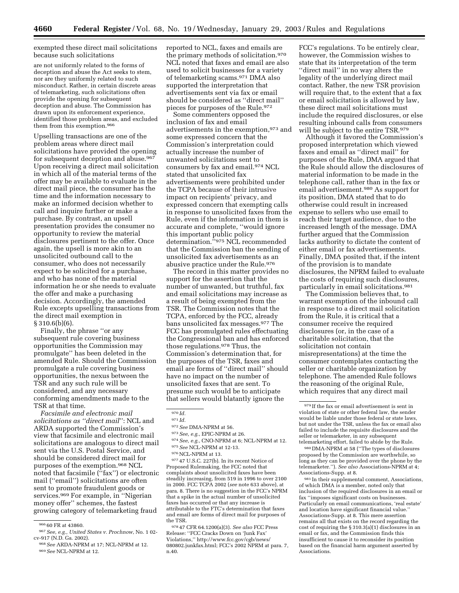exempted these direct mail solicitations because such solicitations

are not uniformly related to the forms of deception and abuse the Act seeks to stem, nor are they uniformly related to such misconduct. Rather, in certain discrete areas of telemarketing, such solicitations often provide the opening for subsequent deception and abuse. The Commission has drawn upon its enforcement experience, identified those problem areas, and excluded them from this exemption.966

Upselling transactions are one of the problem areas where direct mail solicitations have provided the opening for subsequent deception and abuse.967 Upon receiving a direct mail solicitation in which all of the material terms of the offer may be available to evaluate in the direct mail piece, the consumer has the time and the information necessary to make an informed decision whether to call and inquire further or make a purchase. By contrast, an upsell presentation provides the consumer no opportunity to review the material disclosures pertinent to the offer. Once again, the upsell is more akin to an unsolicited outbound call to the consumer, who does not necessarily expect to be solicited for a purchase, and who has none of the material information he or she needs to evaluate the offer and make a purchasing decision. Accordingly, the amended Rule excepts upselling transactions from the direct mail exemption in  $\S 310.6(b)(6)$ .

Finally, the phrase ''or any subsequent rule covering business opportunities the Commission may promulgate'' has been deleted in the amended Rule. Should the Commission promulgate a rule covering business opportunities, the nexus between the TSR and any such rule will be considered, and any necessary conforming amendments made to the TSR at that time.

*Facsimile and electronic mail solicitations as ''direct mail*'': NCL and ARDA supported the Commission's view that facsimile and electronic mail solicitations are analogous to direct mail sent via the U.S. Postal Service, and should be considered direct mail for purposes of the exemption.968 NCL noted that facsimile (''fax'') or electronic mail (''email'') solicitations are often sent to promote fraudulent goods or services.969 For example, in ''Nigerian money offer'' schemes, the fastest growing category of telemarketing fraud

reported to NCL, faxes and emails are the primary methods of solicitation.970 NCL noted that faxes and email are also used to solicit businesses for a variety of telemarketing scams.971 DMA also supported the interpretation that advertisements sent via fax or email should be considered as ''direct mail'' pieces for purposes of the Rule.972

Some commenters opposed the inclusion of fax and email advertisements in the exemption,973 and some expressed concern that the Commission's interpretation could actually increase the number of unwanted solicitations sent to consumers by fax and email.974 NCL stated that unsolicited fax advertisements were prohibited under the TCPA because of their intrusive impact on recipients' privacy, and expressed concern that exempting calls in response to unsolicited faxes from the Rule, even if the information in them is accurate and complete, ''would ignore this important public policy determination.''975 NCL recommended that the Commission ban the sending of unsolicited fax advertisements as an abusive practice under the Rule.976

The record in this matter provides no support for the assertion that the number of unwanted, but truthful, fax and email solicitations may increase as a result of being exempted from the TSR. The Commission notes that the TCPA, enforced by the FCC, already bans unsolicited fax messages.977 The FCC has promulgated rules effectuating the Congressional ban and has enforced those regulations.978 Thus, the Commission's determination that, for the purposes of the TSR, faxes and email are forms of ''direct mail'' should have no impact on the number of unsolicited faxes that are sent. To presume such would be to anticipate that sellers would blatantly ignore the

977 47 U.S.C. 227(b). In its recent Notice of Proposed Rulemaking, the FCC noted that complaints about unsolicited faxes have been steadily increasing, from 519 in 1996 to over 2100 in 2000. FCC TCPA 2002 (*see* note 633 above), at para. 8. There is no suggestion in the FCC's NPRM that a spike in the actual number of unsolicited faxes has occurred or that any increase is attributable to the FTC's determination that faxes and email are forms of direct mail for purposes of the TSR.

978 47 CFR 64.1200(a)(3). *See also* FCC Press Release: ''FCC Cracks Down on 'Junk Fax' Violations,'' http://www.fcc.gov/cgb/news/ 080802.junkfax.html; FCC's 2002 NPRM at para. 7, n.40.

FCC's regulations. To be entirely clear, however, the Commission wishes to state that its interpretation of the term ''direct mail'' in no way alters the legality of the underlying direct mail contact. Rather, the new TSR provision will require that, to the extent that a fax or email solicitation is allowed by law, these direct mail solicitations must include the required disclosures, or else resulting inbound calls from consumers will be subject to the entire TSR.979

Although it favored the Commission's proposed interpretation which viewed faxes and email as ''direct mail'' for purposes of the Rule, DMA argued that the Rule should allow the disclosures of material information to be made in the telephone call, rather than in the fax or email advertisement.980 As support for its position, DMA stated that to do otherwise could result in increased expense to sellers who use email to reach their target audience, due to the increased length of the message. DMA further argued that the Commission lacks authority to dictate the content of either email or fax advertisements. Finally, DMA posited that, if the intent of the provision is to mandate disclosures, the NPRM failed to evaluate the costs of requiring such disclosures, particularly in email solicitations.981

The Commission believes that, to warrant exemption of the inbound call in response to a direct mail solicitation from the Rule, it is critical that a consumer receive the required disclosures (or, in the case of a charitable solicitation, that the solicitation not contain misrepresentations) at the time the consumer contemplates contacting the seller or charitable organization by telephone. The amended Rule follows the reasoning of the original Rule, which requires that any direct mail

980 DMA-NPRM at 58 (''The types of disclosures proposed by the Commission are worthwhile, so long as they can be provided over the phone by the telemarketer.''). *See also* Associations-NPRM at 4; Associations-Supp. at 8.

981 In their supplemental comment, Associations, of which DMA is a member, noted only that inclusion of the required disclosures in an email or fax ''imposes significant costs on businesses. Particularly on email communications, 'real estate' and location have significant financial value.'' Associations-Supp. at 8. This mere assertion remains all that exists on the record regarding the cost of requiring the § 310.3(a)(1) disclosures in an email or fax, and the Commission finds this insufficient to cause it to reconsider its position based on the financial harm argument asserted by Associations.

<sup>966</sup> 60 FR at 43860.

<sup>967</sup>*See, e.g., United States v. Prochnow*, No. 1 02 cv-917 (N.D. Ga. 2002).

<sup>968</sup>*See* ARDA-NPRM at 17; NCL-NPRM at 12. 969*See* NCL-NPRM at 12.

<sup>970</sup> *Id.*

<sup>971</sup> *Id.*

<sup>972</sup>*See* DMA-NPRM at 56.

<sup>973</sup>*See, e.g.*, EPIC-NPRM at 26.

<sup>974</sup>*See, e.g.*, CNO-NPRM at 6; NCL-NPRM at 12. 975*See* NCL-NPRM at 12-13.

<sup>976</sup> NCL-NPRM at 13.

<sup>979</sup> If the fax or email advertisement is sent in violation of state or other federal law, the sender would be liable under those federal or state laws, but not under the TSR, unless the fax or email also failed to include the requisite disclosures and the seller or telemarketer, in any subsequent telemarketing effort, failed to abide by the Rule.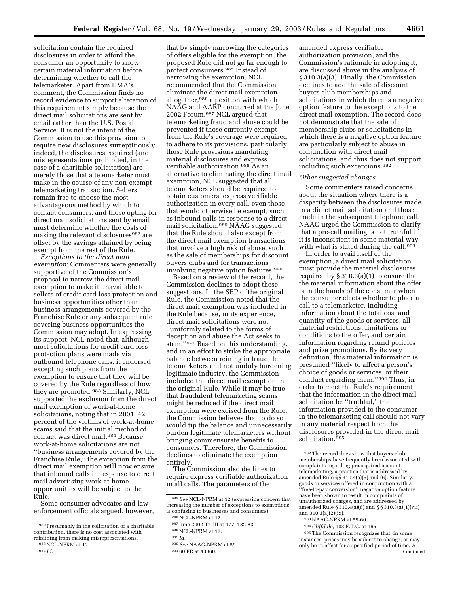solicitation contain the required disclosures in order to afford the consumer an opportunity to know certain material information before determining whether to call the telemarketer. Apart from DMA's comment, the Commission finds no record evidence to support alteration of this requirement simply because the direct mail solicitations are sent by email rather than the U.S. Postal Service. It is not the intent of the Commission to use this provision to require new disclosures surreptitiously; indeed, the disclosures required (and misrepresentations prohibited, in the case of a charitable solicitation) are merely those that a telemarketer must make in the course of any non-exempt telemarketing transaction. Sellers remain free to choose the most advantageous method by which to contact consumers, and those opting for direct mail solicitations sent by email must determine whether the costs of making the relevant disclosures<sup>982</sup> are offset by the savings attained by being exempt from the rest of the Rule.

*Exceptions to the direct mail exemption*: Commenters were generally supportive of the Commission's proposal to narrow the direct mail exemption to make it unavailable to sellers of credit card loss protection and business opportunities other than business arrangements covered by the Franchise Rule or any subsequent rule covering business opportunities the Commission may adopt. In expressing its support, NCL noted that, although most solicitations for credit card loss protection plans were made via outbound telephone calls, it endorsed excepting such plans from the exemption to ensure that they will be covered by the Rule regardless of how they are promoted.983 Similarly, NCL supported the exclusion from the direct mail exemption of work-at-home solicitations, noting that in 2001, 42 percent of the victims of work-at-home scams said that the initial method of contact was direct mail.984 Because work-at-home solicitations are not ''business arrangements covered by the Franchise Rule,'' the exception from the direct mail exemption will now ensure that inbound calls in response to direct mail advertising work-at-home opportunities will be subject to the Rule.

Some consumer advocates and law enforcement officials argued, however,

that by simply narrowing the categories of offers eligible for the exemption, the proposed Rule did not go far enough to protect consumers.985 Instead of narrowing the exemption, NCL recommended that the Commission eliminate the direct mail exemption altogether,986 a position with which NAAG and AARP concurred at the June 2002 Forum.987 NCL argued that telemarketing fraud and abuse could be prevented if those currently exempt from the Rule's coverage were required to adhere to its provisions, particularly those Rule provisions mandating material disclosures and express verifiable authorization.988 As an alternative to eliminating the direct mail exemption, NCL suggested that all telemarketers should be required to obtain customers' express verifiable authorization in every call, even those that would otherwise be exempt, such as inbound calls in response to a direct mail solicitation.989 NAAG suggested that the Rule should also except from the direct mail exemption transactions that involve a high risk of abuse, such as the sale of memberships for discount buyers clubs and for transactions involving negative option features.990

Based on a review of the record, the Commission declines to adopt these suggestions. In the SBP of the original Rule, the Commission noted that the direct mail exemption was included in the Rule because, in its experience, direct mail solicitations were not ''uniformly related to the forms of deception and abuse the Act seeks to stem.''991 Based on this understanding, and in an effort to strike the appropriate balance between reining in fraudulent telemarketers and not unduly burdening legitimate industry, the Commission included the direct mail exemption in the original Rule. While it may be true that fraudulent telemarketing scams might be reduced if the direct mail exemption were excised from the Rule, the Commission believes that to do so would tip the balance and unnecessarily burden legitimate telemarketers without bringing commensurate benefits to consumers. Therefore, the Commission declines to eliminate the exemption entirely.

The Commission also declines to require express verifiable authorization in all calls. The parameters of the

amended express verifiable authorization provision, and the Commission's rationale in adopting it, are discussed above in the analysis of § 310.3(a)(3). Finally, the Commission declines to add the sale of discount buyers club memberships and solicitations in which there is a negative option feature to the exceptions to the direct mail exemption. The record does not demonstrate that the sale of membership clubs or solicitations in which there is a negative option feature are particularly subject to abuse in conjunction with direct mail solicitations, and thus does not support including such exceptions.992

#### *Other suggested changes*

Some commenters raised concerns about the situation where there is a disparity between the disclosures made in a direct mail solicitation and those made in the subsequent telephone call. NAAG urged the Commission to clarify that a pre-call mailing is not truthful if it is inconsistent in some material way with what is stated during the call.<sup>993</sup>

In order to avail itself of the exemption, a direct mail solicitation must provide the material disclosures required by § 310.3(a)(1) to ensure that the material information about the offer is in the hands of the consumer when the consumer elects whether to place a call to a telemarketer, including information about the total cost and quantity of the goods or services, all material restrictions, limitations or conditions to the offer, and certain information regarding refund policies and prize promotions. By its very definition, this material information is presumed ''likely to affect a person's choice of goods or services, or their conduct regarding them.''994 Thus, in order to meet the Rule's requirement that the information in the direct mail solicitation be ''truthful,'' the information provided to the consumer in the telemarketing call should not vary in any material respect from the disclosures provided in the direct mail solicitation.995

<sup>982</sup>Presumably in the solicitation of a charitable contribution, there is no cost associated with refraining from making misrepresentations.

<sup>983</sup>NCL-NPRM at 12.

<sup>984</sup> *Id.*

<sup>985</sup>*See* NCL-NPRM at 12 (expressing concern that increasing the number of exceptions to exemptions is confusing to businesses and consumers).

<sup>986</sup>NCL-NPRM at 12.

<sup>987</sup> June 2002 Tr. III at 177, 182-83.

<sup>988</sup>NCL-NPRM at 12.

<sup>989</sup> *Id.*

<sup>990</sup>*See* NAAG-NPRM at 59.

<sup>991</sup> 60 FR at 43860.

 $\real^{992}$  The record does show that buyers club memberships have frequently been associated with complaints regarding preacquired account telemarketing, a practice that is addressed by amended Rule  $\S$   $\S$  310.4(a)(5) and (6). Similarly, goods or services offered in conjunction with a ''free-to-pay conversion'' negative option feature have been shown to result in complaints of unauthorized charges, and are addressed by amended Rule § 310.4(a)(6) and § § 310.3(a)(1)(vii) and 310.3(a)(2)(ix).

<sup>993</sup>NAAG-NPRM at 59-60.

<sup>994</sup>*Cliffdale*, 103 F.T.C. at 165.

<sup>995</sup>The Commission recognizes that, in some instances, prices may be subject to change, or may only be in effect for a specified period of time. A Continued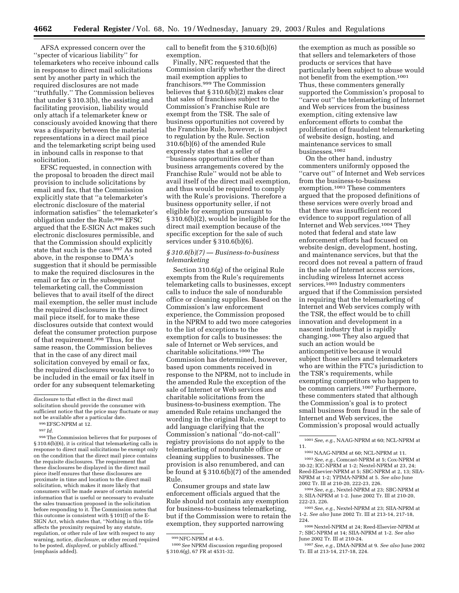AFSA expressed concern over the ''specter of vicarious liability'' for telemarketers who receive inbound calls in response to direct mail solicitations sent by another party in which the required disclosures are not made ''truthfully.'' The Commission believes that under § 310.3(b), the assisting and facilitating provision, liability would only attach if a telemarketer knew or consciously avoided knowing that there was a disparity between the material representations in a direct mail piece and the telemarketing script being used in inbound calls in response to that solicitation.

EFSC requested, in connection with the proposal to broaden the direct mail provision to include solicitations by email and fax, that the Commission explicitly state that ''a telemarketer's electronic disclosure of the material information satisfies'' the telemarketer's obligation under the Rule.996 EFSC argued that the E-SIGN Act makes such electronic disclosures permissible, and that the Commission should explicitly state that such is the case.997 As noted above, in the response to DMA's suggestion that it should be permissible to make the required disclosures in the email or fax *or* in the subsequent telemarketing call, the Commission believes that to avail itself of the direct mail exemption, the seller must include the required disclosures in the direct mail piece itself, for to make these disclosures outside that context would defeat the consumer protection purpose of that requirement.998 Thus, for the same reason, the Commission believes that in the case of any direct mail solicitation conveyed by email or fax, the required disclosures would have to be included in the email or fax itself in order for any subsequent telemarketing

call to benefit from the § 310.6(b)(6) exemption.

Finally, NFC requested that the Commission clarify whether the direct mail exemption applies to franchisors.999 The Commission believes that § 310.6(b)(2) makes clear that sales of franchises subject to the Commission's Franchise Rule are exempt from the TSR. The sale of business opportunities not covered by the Franchise Rule, however, is subject to regulation by the Rule. Section 310.6(b)(6) of the amended Rule expressly states that a seller of ''business opportunities other than business arrangements covered by the Franchise Rule'' would not be able to avail itself of the direct mail exemption, and thus would be required to comply with the Rule's provisions. Therefore a business opportunity seller, if not eligible for exemption pursuant to § 310.6(b)(2), would be ineligible for the direct mail exemption because of the specific exception for the sale of such services under § 310.6(b)(6).

# *§ 310.6(b)(7) — Business-to-business telemarketing*

Section 310.6(g) of the original Rule exempts from the Rule's requirements telemarketing calls to businesses, except calls to induce the sale of nondurable office or cleaning supplies. Based on the Commission's law enforcement experience, the Commission proposed in the NPRM to add two more categories to the list of exceptions to the exemption for calls to businesses: the sale of Internet or Web services, and charitable solicitations.1000 The Commission has determined, however, based upon comments received in response to the NPRM, not to include in the amended Rule the exception of the sale of Internet or Web services and charitable solicitations from the business-to-business exemption. The amended Rule retains unchanged the wording in the original Rule, except to add language clarifying that the Commission's national ''do-not-call'' registry provisions do not apply to the telemarketing of nondurable office or cleaning supplies to businesses. The provision is also renumbered, and can be found at § 310.6(b)(7) of the amended Rule.

Consumer groups and state law enforcement officials argued that the Rule should not contain any exemption for business-to-business telemarketing, but if the Commission were to retain the exemption, they supported narrowing

the exemption as much as possible so that sellers and telemarketers of those products or services that have particularly been subject to abuse would not benefit from the exemption.1001 Thus, these commenters generally supported the Commission's proposal to ''carve out'' the telemarketing of Internet and Web services from the business exemption, citing extensive law enforcement efforts to combat the proliferation of fraudulent telemarketing of website design, hosting, and maintenance services to small businesses.1002

On the other hand, industry commenters uniformly opposed the ''carve out'' of Internet and Web services from the business-to-business exemption.1003 These commenters argued that the proposed definitions of these services were overly broad and that there was insufficient record evidence to support regulation of all Internet and Web services.1004 They noted that federal and state law enforcement efforts had focused on website design, development, hosting, and maintenance services, but that the record does not reveal a pattern of fraud in the sale of Internet access services, including wireless Internet access services.<sup>1005</sup> Industry commenters argued that if the Commission persisted in requiring that the telemarketing of Internet and Web services comply with the TSR, the effect would be to chill innovation and development in a nascent industry that is rapidly changing.1006 They also argued that such an action would be anticompetitive because it would subject those sellers and telemarketers who are within the FTC's jurisdiction to the TSR's requirements, while exempting competitors who happen to be common carriers.<sup>1007</sup> Furthermore, these commenters stated that although the Commission's goal is to protect small business from fraud in the sale of Internet and Web services, the Commission's proposal would actually

disclosure to that effect in the direct mail solicitation should provide the consumer with sufficient notice that the price may fluctuate or may not be available after a particular date.

<sup>996</sup>EFSC-NPRM at 12.

<sup>997</sup> *Id.*

<sup>998</sup>The Commission believes that for purposes of § 310.6(b)(6), it is critical that telemarketing calls in response to direct mail solicitations be exempt only on the condition that the direct mail piece contains the requisite disclosures. The requirement that these disclosures be displayed in the direct mail piece itself ensures that these disclosures are proximate in time and location to the direct mail solicitation, which makes it more likely that consumers will be made aware of certain material information that is useful or necessary to evaluate the sales transaction proposed in the solicitation before responding to it. The Commission notes that this outcome is consistent with § 101(f) of the E-SIGN Act, which states that, ''Nothing in this title affects the proximity required by any statute, regulation, or other rule of law with respect to any warning, notice, *disclosure*, or other record required to be posted, *displayed*, or publicly affixed.'' (emphasis added).

<sup>999</sup>NFC-NPRM at 4-5.

<sup>1000</sup>*See* NPRM discussion regarding proposed § 310.6(g), 67 FR at 4531-32.

<sup>1001</sup>*See, e.g.*, NAAG-NPRM at 60; NCL-NPRM at 11.

 $1002$  NAAG-NPRM at 60; NCL-NPRM at 11. 1003*See, e.g.*, Comcast-NPRM at 5; Cox-NPRM at 30-32; ICC-NPRM at 1-2; Nextel-NPRM at 23, 24; Reed-Elsevier-NPRM at 5; SBC-NPRM at 2, 13; SIIA-NPRM at 1-2; YPIMA-NPRM at 5. *See also* June 2002 Tr. III at 210-20, 222-23, 226.

<sup>1004</sup>*See, e.g.*, Nextel-NPRM at 23; SBC-NPRM at 3; SIIA-NPRM at 1-2. June 2002 Tr. III at 210-20, 222-23, 226.

<sup>1005</sup>*See, e.g.*, Nextel-NPRM at 23; SIIA-NPRM at 1-2. *See also* June 2002 Tr. III at 213-14, 217-18, 224.

 $^{\rm 1006}\rm\,Nextel-NPRM$  at 24; Reed-Elsevier-NPRM at 7; SBC-NPRM at 14; SIIA-NPRM at 1-2. *See also* June 2002 Tr. III at 210-24.

<sup>1007</sup>*See, e.g.*, DMA-NPRM at 9. *See also* June 2002 Tr. III at 213-14, 217-18, 224.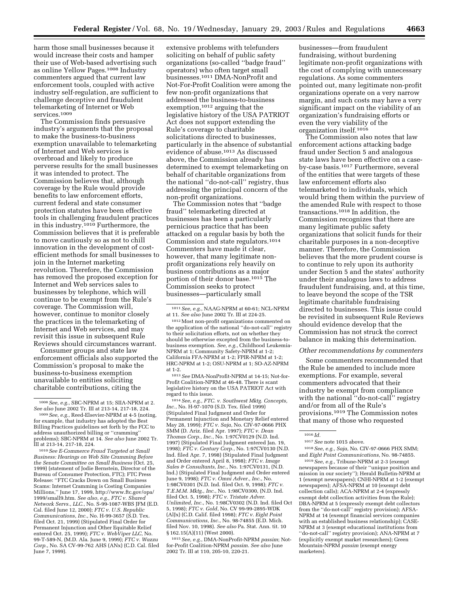harm those small businesses because it would increase their costs and hamper their use of Web-based advertising such as online Yellow Pages.1008 Industry commenters argued that current law enforcement tools, coupled with active industry self-regulation, are sufficient to challenge deceptive and fraudulent telemarketing of Internet or Web services.1009

The Commission finds persuasive industry's arguments that the proposal to make the business-to-business exemption unavailable to telemarketing of Internet and Web services is overbroad and likely to produce perverse results for the small businesses it was intended to protect. The Commission believes that, although coverage by the Rule would provide benefits to law enforcement efforts, current federal and state consumer protection statutes have been effective tools in challenging fraudulent practices in this industry.1010 Furthermore, the Commission believes that it is preferable to move cautiously so as not to chill innovation in the development of costefficient methods for small businesses to join in the Internet marketing revolution. Therefore, the Commission has removed the proposed exception for Internet and Web services sales to businesses by telephone, which will continue to be exempt from the Rule's coverage. The Commission will, however, continue to monitor closely the practices in the telemarketing of Internet and Web services, and may revisit this issue in subsequent Rule Reviews should circumstances warrant.

Consumer groups and state law enforcement officials also supported the Commission's proposal to make the business-to-business exemption unavailable to entities soliciting charitable contributions, citing the

1010*See E-Commerce Fraud Targeted at Small Business: Hearings on Web Site Cramming Before the Senate Committee on Small Business* (Oct. 25, 1999) (statement of Jodie Bernstein, Director of the Bureau of Consumer Protection, FTC); FTC Press Release: ''FTC Cracks Down on Small Business Scams: Internet Cramming is Costing Companies Millions,'' June 17, 1999, http://www.ftc.gov/opa/ 1999/small9.htm. *See also, e.g., FTC v. Shared Network Servs., LLC.*, No. S-99-1087-WBS JFM (E.D. Cal. filed June 12, 2000); *FTC v. U.S. Republic Communications, Inc.*, No. H-99-3657 (S.D. Tex. filed Oct. 21, 1999) (Stipulated Final Order for Permanent Injunction and Other Equitable Relief entered Oct. 25, 1999); *FTC v. WebViper LLC*, No. 99-T-589-N, (M.D. Ala. June 9, 1999); *FTC v. Wazzu Corp.*, No. SA CV-99-762 AHS (ANx) (C.D. Cal. filed June 7, 1999).

extensive problems with telefunders soliciting on behalf of public safety organizations (so-called ''badge fraud'' operators) who often target small businesses.1011 DMA-NonProfit and Not-For-Profit Coalition were among the few non-profit organizations that addressed the business-to-business exemption,1012 arguing that the legislative history of the USA PATRIOT Act does not support extending the Rule's coverage to charitable solicitations directed to businesses, particularly in the absence of substantial evidence of abuse.1013 As discussed above, the Commission already has determined to exempt telemarketing on behalf of charitable organizations from the national ''do-not-call'' registry, thus addressing the principal concern of the non-profit organizations.

The Commission notes that ''badge fraud'' telemarketing directed at businesses has been a particularly pernicious practice that has been attacked on a regular basis by both the Commission and state regulators.1014 Commenters have made it clear, however, that many legitimate nonprofit organizations rely heavily on business contributions as a major portion of their donor base.1015 The Commission seeks to protect businesses—particularly small

1013*See* DMA-NonProfit-NPRM at 14-15; Not-for-Profit Coalition-NPRM at 46-48. There is scant legislative history on the USA PATRIOT Act with regard to this issue.

1014*See, e.g., FTC. v. Southwest Mktg. Concepts, Inc.*, No. H-97-1070 (S.D. Tex. filed 1999) (Stipulated Final Judgment and Order for Permanent Injunction and Monetary Relief entered May 28, 1999); *FTC v. Saja*, No. CIV-97-0666 PHX SMM (D. Ariz. filed Apr. 1997); *FTC v. Dean Thomas Corp., Inc.*, No. 1:97CV0129 (N.D. Ind. 1997) (Stipulated Final Judgment entered Jan. 19, 1998); *FTC v. Century Corp.*, No. 1:97CV0130 (N.D. Ind. filed Apr. 7, 1998) (Stipulated Final Judgment and Order entered April 8, 1998); *FTC v. Image Sales & Consultants, Inc.*, No. 1:97CV0131, (N.D. Ind.) (Stipulated Final Judgment and Order entered June 9, 1998); *FTC v. Omni Adver., Inc.*, No. 1:98CV0301 (N.D. Ind. filed Oct. 9, 1998); *FTC v. T.E.M.M. Mktg., Inc.*, No. 1:98CV0300, (N.D. Ind. filed Oct. 5, 1998); *FTC v. Tristate Adver. Unlimited, Inc.*, No. 1:98CV0302 (N.D. Ind. filed Oct 5, 1998); *FTC v. Gold*, No. CV 99-99-2895-WDK (AlJx) (C.D. Calif. filed 1998); *FTC v. Eight Point Communications, Inc.*, No. 98-74855 (E.D. Mich. filed Nov. 10, 1998). *See also* Pa. Stat. Ann. tit. 10 § 162.15(A)(11) (West 2000).

1015*See, e.g.*, DMA-NonProfit-NPRM *passim*; Notfor-Profit Coalition-NPRM *passim*. *See also* June 2002 Tr. III at 110, 205-10, 220-21.

businesses—from fraudulent fundraising, without burdening legitimate non-profit organizations with the cost of complying with unnecessary regulations. As some commenters pointed out, many legitimate non-profit organizations operate on a very narrow margin, and such costs may have a very significant impact on the viability of an organization's fundraising efforts or even the very viability of the organization itself.1016

The Commission also notes that law enforcement actions attacking badge fraud under Section 5 and analogous state laws have been effective on a caseby-case basis.1017 Furthermore, several of the entities that were targets of these law enforcement efforts also telemarketed to individuals, which would bring them within the purview of the amended Rule with respect to those transactions.1018 In addition, the Commission recognizes that there are many legitimate public safety organizations that solicit funds for their charitable purposes in a non-deceptive manner. Therefore, the Commission believes that the more prudent course is to continue to rely upon its authority under Section 5 and the states' authority under their analogous laws to address fraudulent fundraising, and, at this time, to leave beyond the scope of the TSR legitimate charitable fundraising directed to businesses. This issue could be revisited in subsequent Rule Reviews should evidence develop that the Commission has not struck the correct balance in making this determination.

# *Other recommendations by commenters*

Some commenters recommended that the Rule be amended to include more exemptions. For example, several commenters advocated that their industry be exempt from compliance with the national "do-not-call" registry and/or from all of the Rule's provisions.1019 The Commission notes that many of those who requested

1018*See, e.g., Saja*, No. CIV-97-0666 PHX SMM; and *Eight Point Communications*, No. 98-74855.

1019*See, e.g.*, Tribune-NPRM at 2-3 (exempt newspapers because of their ''unique position and mission in our society''); Herald Bulletin-NPRM at 1 (exempt newspapers); CNHI-NPRM at 1-2 (exempt newspapers); AFSA-NPRM at 10 (exempt debt collection calls); ACA-NPRM at 2-4 (expressly exempt debt collection activities from the Rule); DBA-NPRM at 5 (expressly exempt debt collectors from the ''do-not-call'' registry provision); AFSA-NPRM at 14 (exempt financial services companies with an established business relationship); CASE-NPRM at 3 (exempt educational institutions from ''do-not-call'' registry provision); ANA-NPRM at 7 (explicitly exempt market researchers); Green Mountain-NPRM *passim* (exempt energy marketers).

<sup>1008</sup>*See, e.g.*, SBC-NPRM at 15; SIIA-NPRM at 2. *See also* June 2002 Tr. III at 213-14, 217-18, 224.

<sup>1009</sup>*See, e.g.*, Reed-Elsevier-NPRM at 4-5 (noting, for example, that industry has adopted the Best Billing Practices guidelines set forth by the FCC to address unauthorized billing or ''cramming'' problems); SBC-NPRM at 14. *See also* June 2002 Tr. III at 213-14, 217-18, 224.

<sup>1011</sup>*See, e.g.*, NAAG-NPRM at 60-61; NCL-NPRM at 11. *See also* June 2002 Tr. III at 224-25.

<sup>1012</sup>Most non-profit organizations commented on the application of the national ''do-not-call'' registry to their solicitation efforts, not on whether they should be otherwise excepted from the business-tobusiness exemption. *See, e.g.*, Childhood Leukemia-NPRM at 1; Community Safety-NPRM at 1-2; California FFA-NPRM at 1-2; FPIR-NPRM at 1-2; HRC-NPRM at 1-2; OSU-NPRM at 1; SO-AZ-NPRM at 1-2.

<sup>1016</sup> *Id.*

<sup>1017</sup>*See* note 1015 above.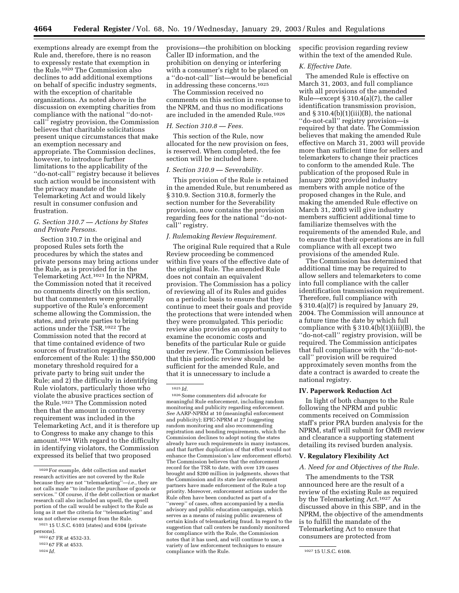exemptions already are exempt from the Rule and, therefore, there is no reason to expressly restate that exemption in the Rule.1020 The Commission also declines to add additional exemptions on behalf of specific industry segments, with the exception of charitable organizations. As noted above in the discussion on exempting charities from compliance with the national ''do-notcall'' registry provision, the Commission believes that charitable solicitations present unique circumstances that make an exemption necessary and appropriate. The Commission declines, however, to introduce further limitations to the applicability of the ''do-not-call'' registry because it believes such action would be inconsistent with the privacy mandate of the Telemarketing Act and would likely result in consumer confusion and frustration.

# *G. Section 310.7 — Actions by States and Private Persons.*

Section 310.7 in the original and proposed Rules sets forth the procedures by which the states and private persons may bring actions under the Rule, as is provided for in the Telemarketing Act.1021 In the NPRM, the Commission noted that it received no comments directly on this section, but that commenters were generally supportive of the Rule's enforcement scheme allowing the Commission, the states, and private parties to bring actions under the TSR.1022 The Commission noted that the record at that time contained evidence of two sources of frustration regarding enforcement of the Rule: 1) the \$50,000 monetary threshold required for a private party to bring suit under the Rule; and 2) the difficulty in identifying Rule violators, particularly those who violate the abusive practices section of the Rule.1023 The Commission noted then that the amount in controversy requirement was included in the Telemarketing Act, and it is therefore up to Congress to make any change to this amount.1024 With regard to the difficulty in identifying violators, the Commission expressed its belief that two proposed

1021 15 U.S.C. 6103 (states) and 6104 (private persons).

1022 67 FR at 4532-33.

1023 67 FR at 4533.

1024 *Id.*

provisions—the prohibition on blocking Caller ID information, and the prohibition on denying or interfering with a consumer's right to be placed on a ''do-not-call'' list—would be beneficial in addressing these concerns.1025

The Commission received no comments on this section in response to the NPRM, and thus no modifications are included in the amended Rule.1026

# *H. Section 310.8 — Fees.*

This section of the Rule, now allocated for the new provision on fees, is reserved. When completed, the fee section will be included here.

## *I. Section 310.9 — Severability.*

This provision of the Rule is retained in the amended Rule, but renumbered as § 310.9. Section 310.8, formerly the section number for the Severability provision, now contains the provision regarding fees for the national ''do-notcall'' registry.

## *J. Rulemaking Review Requirement.*

The original Rule required that a Rule Review proceeding be commenced within five years of the effective date of the original Rule. The amended Rule does not contain an equivalent provision. The Commission has a policy of reviewing all of its Rules and guides on a periodic basis to ensure that they continue to meet their goals and provide the protections that were intended when they were promulgated. This periodic review also provides an opportunity to examine the economic costs and benefits of the particular Rule or guide under review. The Commission believes that this periodic review should be sufficient for the amended Rule, and that it is unnecessary to include a

### 1025 *Id.*

1026Some commenters did advocate for meaningful Rule enforcement, including random monitoring and publicity regarding enforcement. *See* AARP-NPRM at 10 (meaningful enforcement and publicity); EPIC-NPRM at 27 (suggesting random monitoring and also recommending registration and bonding requirements, which the Commission declines to adopt noting the states already have such requirements in many instances, and that further duplication of that effort would not enhance the Commission's law enforcement efforts). The Commission believes that the enforcement record for the TSR to date, with over 139 cases brought and \$200 million in judgments, shows that the Commission and its state law enforcement partners have made enforcement of the Rule a top priority. Moreover, enforcement actions under the Rule often have been conducted as part of a ''sweep'' of cases, often accompanied by a media advisory and public education campaign, which serves as a means of raising public awareness of certain kinds of telemarketing fraud. In regard to the suggestion that call centers be randomly monitored for compliance with the Rule, the Commission notes that it has used, and will continue to use, a variety of law enforcement techniques to ensure compliance with the Rule.  $10^{27}$  15 U.S.C. 6108.

specific provision regarding review within the text of the amended Rule.

#### *K. Effective Date.*

The amended Rule is effective on March 31, 2003, and full compliance with all provisions of the amended Rule—except  $\S 310.4(a)(7)$ , the caller identification transmission provision, and  $\S 310.4(b)(1)(iii)(B)$ , the national ''do-not-call'' registry provision—is required by that date. The Commission believes that making the amended Rule effective on March 31, 2003 will provide more than sufficient time for sellers and telemarketers to change their practices to conform to the amended Rule. The publication of the proposed Rule in January 2002 provided industry members with ample notice of the proposed changes in the Rule, and making the amended Rule effective on March 31, 2003 will give industry members sufficient additional time to familiarize themselves with the requirements of the amended Rule, and to ensure that their operations are in full compliance with all except two provisions of the amended Rule.

The Commission has determined that additional time may be required to allow sellers and telemarketers to come into full compliance with the caller identification transmission requirement. Therefore, full compliance with § 310.4(a)(7) is required by January 29, 2004. The Commission will announce at a future time the date by which full compliance with  $\S 310.4(b)(1)(iii)(B)$ , the ''do-not-call'' registry provision, will be required. The Commission anticipates that full compliance with the ''do-notcall'' provision will be required approximately seven months from the date a contract is awarded to create the national registry.

## **IV. Paperwork Reduction Act**

In light of both changes to the Rule following the NPRM and public comments received on Commission staff's prior PRA burden analysis for the NPRM, staff will submit for OMB review and clearance a supporting statement detailing its revised burden analysis.

# **V. Regulatory Flexibility Act**

## *A. Need for and Objectives of the Rule.*

The amendments to the TSR announced here are the result of a review of the existing Rule as required by the Telemarketing Act.1027 As discussed above in this SBP, and in the NPRM, the objective of the amendments is to fulfill the mandate of the Telemarketing Act to ensure that consumers are protected from

<sup>1020</sup>For example, debt collection and market research activities are not covered by the Rule because they are not ''telemarketing''—*i.e.*, they are not calls made ''to induce the purchase of goods or services.'' Of course, if the debt collection or market research call also included an upsell, the upsell portion of the call would be subject to the Rule as long as it met the criteria for ''telemarketing'' and was not otherwise exempt from the Rule.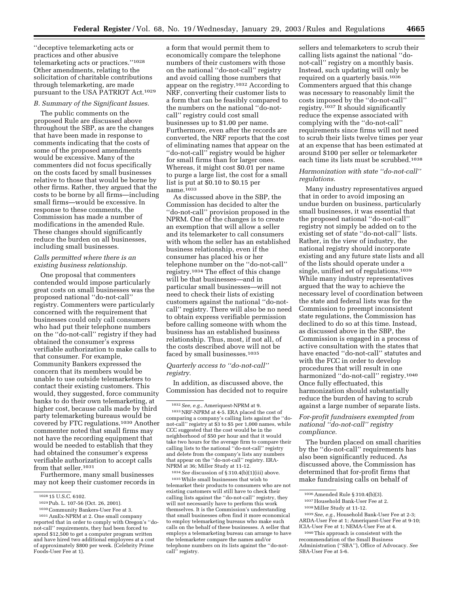''deceptive telemarketing acts or practices and other abusive telemarketing acts or practices.''1028 Other amendments, relating to the solicitation of charitable contributions through telemarketing, are made pursuant to the USA PATRIOT Act.1029

## *B. Summary of the Significant Issues.*

The public comments on the proposed Rule are discussed above throughout the SBP, as are the changes that have been made in response to comments indicating that the costs of some of the proposed amendments would be excessive. Many of the commenters did not focus specifically on the costs faced by small businesses relative to those that would be borne by other firms. Rather, they argued that the costs to be borne by all firms—including small firms—would be excessive. In response to these comments, the Commission has made a number of modifications in the amended Rule. These changes should significantly reduce the burden on all businesses, including small businesses.

# *Calls permitted where there is an existing business relationship.*

One proposal that commenters contended would impose particularly great costs on small businesses was the proposed national ''do-not-call'' registry. Commenters were particularly concerned with the requirement that businesses could only call consumers who had put their telephone numbers on the ''do-not-call'' registry if they had obtained the consumer's express verifiable authorization to make calls to that consumer. For example, Community Bankers expressed the concern that its members would be unable to use outside telemarketers to contact their existing customers. This would, they suggested, force community banks to do their own telemarketing, at higher cost, because calls made by third party telemarketing bureaus would be covered by FTC regulations.1030 Another commenter noted that small firms may not have the recording equipment that would be needed to establish that they had obtained the consumer's express verifiable authorization to accept calls from that seller.1031

Furthermore, many small businesses may not keep their customer records in

a form that would permit them to economically compare the telephone numbers of their customers with those on the national ''do-not-call'' registry and avoid calling those numbers that appear on the registry.1032 According to NRF, converting their customer lists to a form that can be feasibly compared to the numbers on the national ''do-notcall'' registry could cost small businesses up to \$1.00 per name. Furthermore, even after the records are converted, the NRF reports that the cost of eliminating names that appear on the ''do-not-call'' registry would be higher for small firms than for larger ones. Whereas, it might cost \$0.01 per name to purge a large list, the cost for a small list is put at \$0.10 to \$0.15 per name.<sup>1033</sup>

As discussed above in the SBP, the Commission has decided to alter the ''do-not-call'' provision proposed in the NPRM. One of the changes is to create an exemption that will allow a seller and its telemarketer to call consumers with whom the seller has an established business relationship, even if the consumer has placed his or her telephone number on the ''do-not-call'' registry.1034 The effect of this change will be that businesses—and in particular small businesses—will not need to check their lists of existing customers against the national ''do-notcall'' registry. There will also be no need to obtain express verifiable permission before calling someone with whom the business has an established business relationship. Thus, most, if not all, of the costs described above will not be faced by small businesses.1035

## *Quarterly access to ''do-not-call'' registry.*

In addition, as discussed above, the Commission has decided not to require

1034*See* discussion of § 310.4(b)(1)(iii) above.

1035While small businesses that wish to telemarket their products to consumers who are not existing customers will still have to check their calling lists against the ''do-not-call'' registry, they will not necessarily have to perform this work themselves. It is the Commission's understanding that small businesses often find it more economical to employ telemarketing bureaus who make such calls on the behalf of these businesses. A seller that employs a telemarketing bureau can arrange to have the telemarketer compare the names and/or telephone numbers on its lists against the ''do-notcall'' registry.

sellers and telemarketers to scrub their calling lists against the national ''donot-call'' registry on a monthly basis. Instead, such updating will only be required on a quarterly basis.1036 Commenters argued that this change was necessary to reasonably limit the costs imposed by the ''do-not-call'' registry.1037 It should significantly reduce the expense associated with complying with the ''do-not-call'' requirements since firms will not need to scrub their lists twelve times per year at an expense that has been estimated at around \$100 per seller or telemarketer each time its lists must be scrubbed.<sup>1038</sup>

# *Harmonization with state ''do-not-call'' regulations.*

Many industry representatives argued that in order to avoid imposing an undue burden on business, particularly small businesses, it was essential that the proposed national ''do-not-call'' registry not simply be added on to the existing set of state ''do-not-call'' lists. Rather, in the view of industry, the national registry should incorporate existing and any future state lists and all of the lists should operate under a single, unified set of regulations.1039 While many industry representatives argued that the way to achieve the necessary level of coordination between the state and federal lists was for the Commission to preempt inconsistent state regulations, the Commission has declined to do so at this time. Instead, as discussed above in the SBP, the Commission is engaged in a process of active consultation with the states that have enacted ''do-not-call'' statutes and with the FCC in order to develop procedures that will result in one harmonized ''do-not-call'' registry.1040 Once fully effectuated, this harmonization should substantially reduce the burden of having to scrub against a large number of separate lists.

# *For-profit fundraisers exempted from national ''do-not-call'' registry compliance.*

The burden placed on small charities by the ''do-not-call'' requirements has also been significantly reduced. As discussed above, the Commission has determined that for-profit firms that make fundraising calls on behalf of

<sup>1028</sup> 15 U.S.C. 6102.

<sup>1029</sup>Pub. L. 107-56 (Oct. 26, 2001).

<sup>1030</sup>Community Bankers-User Fee at 3.

<sup>1031</sup>AmEx-NPRM at 2. One small company reported that in order to comply with Oregon's ''donot-call'' requirements, they had been forced to spend \$12,500 to get a computer program written and have hired two additional employees at a cost of approximately \$800 per week. (Celebrity Prime Foods-User Fee at 1).

<sup>1032</sup>*See, e.g.*, Ameriquest-NPRM at 9. 1033NRF-NPRM at 4-5. ERA placed the cost of comparing a company's calling lists against the ''donot-call'' registry at \$3 to \$5 per 1,000 names, while CCC suggested that the cost would be in the neighborhood of \$50 per hour and that it would take two hours for the average firm to compare their calling lists to the national ''do-not-call'' registry and delete from the company's lists any numbers that appear on the ''do-not-call'' registry. ERA-NPRM at 36; Miller Study at 11-12.

<sup>1036</sup>Amended Rule § 310.4(b)(3).

<sup>1037</sup>Household Bank-User Fee at 2.

<sup>1038</sup>Miller Study at 11-12.

<sup>1039</sup>*See, e.g.*, Household Bank-User Fee at 2-3; ARDA-User Fee at 1; Ameriquest-User Fee at 9-10; ICIA-User Fee at 1; NEMA-User Fee at 4.

<sup>1040</sup>This approach is consistent with the recommendation of the Small Business Administration (''SBA''), Office of Advocacy. *See* SBA-User Fee at 5-6.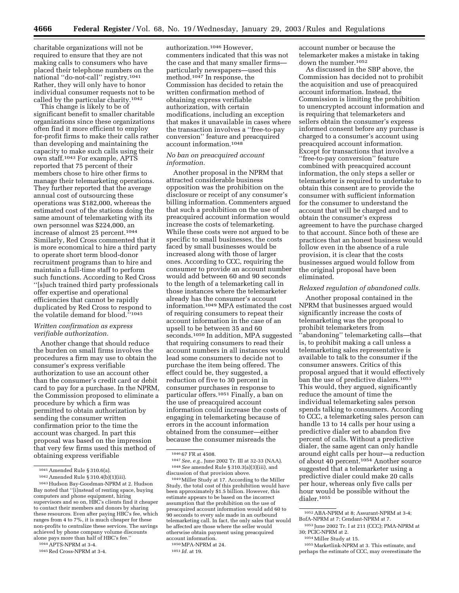charitable organizations will not be required to ensure that they are not making calls to consumers who have placed their telephone numbers on the national ''do-not-call'' registry.1041 Rather, they will only have to honor individual consumer requests not to be called by the particular charity.1042

This change is likely to be of significant benefit to smaller charitable organizations since these organizations often find it more efficient to employ for-profit firms to make their calls rather than developing and maintaining the capacity to make such calls using their own staff.1043 For example, APTS reported that 75 percent of their members chose to hire other firms to manage their telemarketing operations. They further reported that the average annual cost of outsourcing these operations was \$182,000, whereas the estimated cost of the stations doing the same amount of telemarketing with its own personnel was \$224,000, an increase of almost 25 percent.1044 Similarly, Red Cross commented that it is more economical to hire a third party to operate short term blood-donor recruitment programs than to hire and maintain a full-time staff to perform such functions. According to Red Cross ''[s]uch trained third party professionals offer expertise and operational efficiencies that cannot be rapidly duplicated by Red Cross to respond to the volatile demand for blood."<sup>1045</sup>

# *Written confirmation as express verifiable authorization.*

Another change that should reduce the burden on small firms involves the procedures a firm may use to obtain the consumer's express verifiable authorization to use an account other than the consumer's credit card or debit card to pay for a purchase. In the NPRM, the Commission proposed to eliminate a procedure by which a firm was permitted to obtain authorization by sending the consumer written confirmation prior to the time the account was charged. In part this proposal was based on the impression that very few firms used this method of obtaining express verifiable

authorization.1046 However, commenters indicated that this was not the case and that many smaller firms particularly newspapers—used this method.<sup>1047</sup> In response, the Commission has decided to retain the written confirmation method of obtaining express verifiable authorization, with certain modifications, including an exception that makes it unavailable in cases where the transaction involves a ''free-to-pay conversion'' feature and preacquired account information.1048

# *No ban on preacquired account information.*

Another proposal in the NPRM that attracted considerable business opposition was the prohibition on the disclosure or receipt of any consumer's billing information. Commenters argued that such a prohibition on the use of preacquired account information would increase the costs of telemarketing. While these costs were not argued to be specific to small businesses, the costs faced by small businesses would be increased along with those of larger ones. According to CCC, requiring the consumer to provide an account number would add between 60 and 90 seconds to the length of a telemarketing call in those instances where the telemarketer already has the consumer's account information.1049 MPA estimated the cost of requiring consumers to repeat their account information in the case of an upsell to be between 35 and 60 seconds.1050 In addition, MPA suggested that requiring consumers to read their account numbers in all instances would lead some consumers to decide not to purchase the item being offered. The effect could be, they suggested, a reduction of five to 30 percent in consumer purchases in response to particular offers.1051 Finally, a ban on the use of preacquired account information could increase the costs of engaging in telemarketing because of errors in the account information obtained from the consumer—either because the consumer misreads the

1049Miller Study at 17. According to the Miller Study, the total cost of this prohibition would have been approximately \$1.5 billion. However, this estimate appears to be based on the incorrect assumption that the prohibition on the use of preacquired account information would add 60 to 90 seconds to every sale made in an outbound telemarketing call. In fact, the only sales that would be affected are those where the seller would otherwise obtain payment using preacquired account information.

1051 *Id.* at 19.

account number or because the telemarketer makes a mistake in taking down the number.1052

As discussed in the SBP above, the Commission has decided not to prohibit the acquisition and use of preacquired account information. Instead, the Commission is limiting the prohibition to unencrypted account information and is requiring that telemarketers and sellers obtain the consumer's express informed consent before any purchase is charged to a consumer's account using preacquired account information. Except for transactions that involve a ''free-to-pay conversion'' feature combined with preacquired account information, the only steps a seller or telemarketer is required to undertake to obtain this consent are to provide the consumer with sufficient information for the consumer to understand the account that will be charged and to obtain the consumer's express agreement to have the purchase charged to that account. Since both of these are practices that an honest business would follow even in the absence of a rule provision, it is clear that the costs businesses argued would follow from the original proposal have been eliminated.

#### *Relaxed regulation of abandoned calls.*

Another proposal contained in the NPRM that businesses argued would significantly increase the costs of telemarketing was the proposal to prohibit telemarketers from ''abandoning'' telemarketing calls—that is, to prohibit making a call unless a telemarketing sales representative is available to talk to the consumer if the consumer answers. Critics of this proposal argued that it would effectively ban the use of predictive dialers.1053 This would, they argued, significantly reduce the amount of time the individual telemarketing sales person spends talking to consumers. According to CCC, a telemarketing sales person can handle 13 to 14 calls per hour using a predictive dialer set to abandon five percent of calls. Without a predictive dialer, the same agent can only handle around eight calls per hour—a reduction of about 40 percent.1054 Another source suggested that a telemarketer using a predictive dialer could make 20 calls per hour, whereas only five calls per hour would be possible without the dialer.1055

<sup>1041</sup>Amended Rule § 310.6(a).

<sup>1042</sup>Amended Rule § 310.4(b)(1)(iii). 1043Hudson Bay-Goodman-NPRM at 2. Hudson Bay noted that ''[i]nstead of renting space, buying computers and phone equipment, hiring supervisors and so on, HBC's clients find it cheaper to contact their members and donors by sharing these resources. Even after paying HBC's fee, which ranges from 4 to 7%, it is much cheaper for these non-profits to centralize these services. The savings achieved by phone company volume discounts alone pays more than half of HBC's fee.

<sup>1044</sup>APTS-NPRM at 3-4.

<sup>1045</sup>Red Cross-NPRM at 3-4.

<sup>1046</sup> 67 FR at 4508.

<sup>1047</sup>*See, e.g.*, June 2002 Tr. III at 32-33 (NAA). 1048*See* amended Rule § 310.3(a)(3)(iii), and discussion of that provision above.

<sup>1050</sup>MPA-NPRM at 24.

<sup>1052</sup>ABA-NPRM at 8; Assurant-NPRM at 3-4; BofA-NPRM at 7; Cendant-NPRM at 7.

<sup>1053</sup> June 2002 Tr. I at 211 (CCC); PMA-NPRM at 30; PCIC-NPRM at 2.

<sup>1054</sup>Miller Study at 15.

<sup>1055</sup>Marketlink-NPRM at 3. This estimate, and perhaps the estimate of CCC, may overestimate the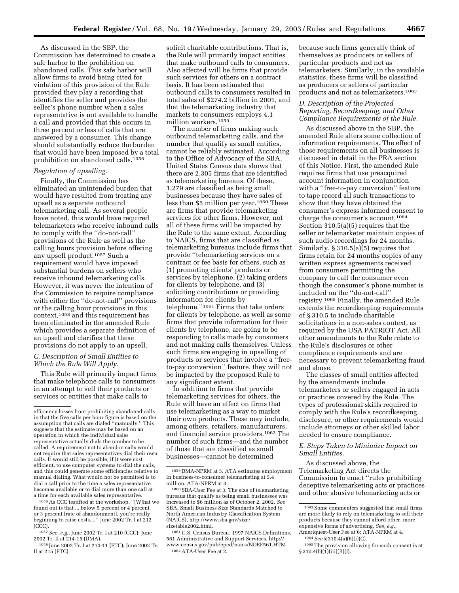As discussed in the SBP, the Commission has determined to create a safe harbor to the prohibition on abandoned calls. This safe harbor will allow firms to avoid being cited for violation of this provision of the Rule provided they play a recording that identifies the seller and provides the seller's phone number when a sales representative is not available to handle a call and provided that this occurs in three percent or less of calls that are answered by a consumer. This change should substantially reduce the burden that would have been imposed by a total prohibition on abandoned calls.1056

#### *Regulation of upselling.*

Finally, the Commission has eliminated an unintended burden that would have resulted from treating any upsell as a separate outbound telemarketing call. As several people have noted, this would have required telemarketers who receive inbound calls to comply with the ''do-not-call'' provisions of the Rule as well as the calling hours provision before offering any upsell product.1057 Such a requirement would have imposed substantial burdens on sellers who receive inbound telemarketing calls. However, it was never the intention of the Commission to require compliance with either the ''do-not-call'' provisions or the calling hour provisions in this context,1058 and this requirement has been eliminated in the amended Rule which provides a separate definition of an upsell and clarifies that these provisions do not apply to an upsell.

# *C. Description of Small Entities to Which the Rule Will Apply.*

This Rule will primarily impact firms that make telephone calls to consumers in an attempt to sell their products or services or entities that make calls to

1056As CCC testified at the workshop, ''[W]hat we found out is that ... below 5 percent or 4 percent or 3 percent [rate of abandonment], you're really beginning to raise costs....'' June 2002 Tr. I at 212 (CCC).

1057*See, e.g.*, June 2002 Tr. I at 210 (CCC); June 2002 Tr. II at 214-15 (DMA).

1058 June 2002 Tr. I at 210-11 (FTC); June 2002 Tr. II at 215 (FTC).

solicit charitable contributions. That is, the Rule will primarily impact entities that make outbound calls to consumers. Also affected will be firms that provide such services for others on a contract basis. It has been estimated that outbound calls to consumers resulted in total sales of \$274.2 billion in 2001, and that the telemarketing industry that markets to consumers employs 4.1 million workers.1059

The number of firms making such outbound telemarketing calls, and the number that qualify as small entities, cannot be reliably estimated. According to the Office of Advocacy of the SBA, United States Census data shows that there are 2,305 firms that are identified as telemarketing bureaus. Of these, 1,279 are classified as being small businesses because they have sales of less than \$5 million per year.1060 These are firms that provide telemarketing services for other firms. However, not all of these firms will be impacted by the Rule to the same extent. According to NAICS, firms that are classified as telemarketing bureaus include firms that provide ''telemarketing services on a contract or fee basis for others, such as (1) promoting clients' products or services by telephone, (2) taking orders for clients by telephone, and (3) soliciting contributions or providing information for clients by telephone.''1061 Firms that take orders for clients by telephone, as well as some firms that provide information for their clients by telephone, are going to be responding to calls made by consumers and not making calls themselves. Unless such firms are engaging in upselling of products or services that involve a ''freeto-pay conversion'' feature, they will not be impacted by the proposed Rule to any significant extent.

In addition to firms that provide telemarketing services for others, the Rule will have an effect on firms that use telemarketing as a way to market their own products. These may include, among others, retailers, manufacturers, and financial service providers.1062 The number of such firms—and the number of those that are classified as small businesses—cannot be determined

1061U.S. Census Bureau, 1997 NAICS Definitions, 561 Administrative and Support Services, http:// www.census.gov/pub/epcd/naics/NDEF561.HTM. 1062ATA-User Fee at 2.

because such firms generally think of themselves as producers or sellers of particular products and not as telemarketers. Similarly, in the available statistics, these firms will be classified as producers or sellers of particular products and not as telemarketers.1063

# *D. Description of the Projected Reporting, Recordkeeping, and Other Compliance Requirements of the Rule.*

As discussed above in the SBP, the amended Rule alters some collection of information requirements. The effect of those requirements on all businesses is discussed in detail in the PRA section of this Notice. First, the amended Rule requires firms that use preacquired account information in conjunction with a ''free-to-pay conversion'' feature to tape record all such transactions to show that they have obtained the consumer's express informed consent to charge the consumer's account.1064 Section 310.5(a)(5) requires that the seller or telemarketer maintain copies of such audio recordings for 24 months. Similarly, § 310.5(a)(5) requires that firms retain for 24 months copies of any written express agreements received from consumers permitting the company to call the consumer even though the consumer's phone number is included on the ''do-not-call'' registry.1065 Finally, the amended Rule extends the recordkeeping requirements of § 310.5 to include charitable solicitations in a non-sales context, as required by the USA PATRIOT Act. All other amendments to the Rule relate to the Rule's disclosures or other compliance requirements and are necessary to prevent telemarketing fraud and abuse.

The classes of small entities affected by the amendments include telemarketers or sellers engaged in acts or practices covered by the Rule. The types of professional skills required to comply with the Rule's recordkeeping, disclosure, or other requirements would include attorneys or other skilled labor needed to ensure compliance.

# *E. Steps Taken to Minimize Impact on Small Entities.*

As discussed above, the Telemarketing Act directs the Commission to enact ''rules prohibiting deceptive telemarketing acts or practices and other abusive telemarketing acts or

efficiency losses from prohibiting abandoned calls in that the five calls per hour figure is based on the assumption that calls are dialed ''manually.'' This suggests that the estimate may be based on an operation in which the individual sales representative actually dials the number to be called. A requirement not to abandon calls would not require that sales representatives dial their own calls. It would still be possible, if it were cost efficient, to use computer systems to dial the calls, and this could generate some efficiencies relative to manual dialing. What would not be permitted is to dial a call prior to the time a sales representative becomes available or to dial more than one call at a time for each available sales representative.

<sup>1059</sup> DMA-NPRM at 5. ATA estimates employment in business-to-consumer telemarketing at 5.4 million. ATA-NPRM at 3.

<sup>1060</sup>SBA-User Fee at 3. The size of telemarketing bureaus that qualify as being small businesses was increased to \$6 million as of October 2, 2002. *See* SBA, Small Business Size Standards Matched to North American Industry Classification System (NAICS), http://www.sba.gov/size/ sizetable2002.html.

<sup>1063</sup> Some commenters suggested that small firms are more likely to rely on telemarketing to sell their products because they cannot afford other, more expensive forms of advertising. *See, e.g.*, Ameriquest-User Fee at 6; ATA-NPRM at 4.

<sup>1064</sup>*See* § 310.4(a)(6)(i)(C).

<sup>1065</sup>The provision allowing for such consent is at  $§ 310.4(b)(1)(iii)(B)(i).$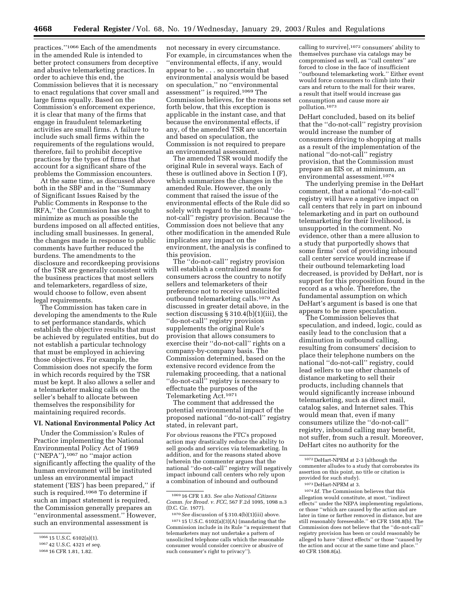practices.''1066 Each of the amendments in the amended Rule is intended to better protect consumers from deceptive and abusive telemarketing practices. In order to achieve this end, the Commission believes that it is necessary to enact regulations that cover small and large firms equally. Based on the Commission's enforcement experience, it is clear that many of the firms that engage in fraudulent telemarketing activities are small firms. A failure to include such small firms within the requirements of the regulations would, therefore, fail to prohibit deceptive practices by the types of firms that account for a significant share of the problems the Commission encounters.

At the same time, as discussed above both in the SBP and in the ''Summary of Significant Issues Raised by the Public Comments in Response to the IRFA,'' the Commission has sought to minimize as much as possible the burdens imposed on all affected entities, including small businesses. In general, the changes made in response to public comments have further reduced the burdens. The amendments to the disclosure and recordkeeping provisions of the TSR are generally consistent with the business practices that most sellers and telemarketers, regardless of size, would choose to follow, even absent legal requirements.

The Commission has taken care in developing the amendments to the Rule to set performance standards, which establish the objective results that must be achieved by regulated entities, but do not establish a particular technology that must be employed in achieving those objectives. For example, the Commission does not specify the form in which records required by the TSR must be kept. It also allows a seller and a telemarketer making calls on the seller's behalf to allocate between themselves the responsibility for maintaining required records.

# **VI. National Environmental Policy Act**

Under the Commission's Rules of Practice implementing the National Environmental Policy Act of 1969 (''NEPA''),1067 no ''major action significantly affecting the quality of the human environment will be instituted unless an environmental impact statement ('EIS') has been prepared,'' if such is required.1068 To determine if such an impact statement is required, the Commission generally prepares an ''environmental assessment.'' However, such an environmental assessment is

not necessary in every circumstance. For example, in circumstances when the ''environmental effects, if any, would appear to be . . . so uncertain that environmental analysis would be based on speculation,'' no ''environmental assessment'' is required.1069 The Commission believes, for the reasons set forth below, that this exception is applicable in the instant case, and that because the environmental effects, if any, of the amended TSR are uncertain and based on speculation, the Commission is not required to prepare an environmental assessment.

The amended TSR would modify the original Rule in several ways. Each of these is outlined above in Section I (F), which summarizes the changes in the amended Rule. However, the only comment that raised the issue of the environmental effects of the Rule did so solely with regard to the national ''donot-call'' registry provision. Because the Commission does not believe that any other modification in the amended Rule implicates any impact on the environment, the analysis is confined to this provision.

The ''do-not-call'' registry provision will establish a centralized means for consumers across the country to notify sellers and telemarketers of their preference not to receive unsolicited outbound telemarketing calls.1070 As discussed in greater detail above, in the section discussing § 310.4(b)(1)(iii), the ''do-not-call'' registry provision supplements the original Rule's provision that allows consumers to exercise their ''do-not-call'' rights on a company-by-company basis. The Commission determined, based on the extensive record evidence from the rulemaking proceeding, that a national ''do-not-call'' registry is necessary to effectuate the purposes of the Telemarketing Act.1071

The comment that addressed the potential environmental impact of the proposed national ''do-not-call'' registry stated, in relevant part,

For obvious reasons the FTC's proposed action may drastically reduce the ability to sell goods and services via telemarketing. In addition, and for the reasons stated above [wherein the commenter argues that the national ''do-not-call'' registry will negatively impact inbound call centers who rely upon a combination of inbound and outbound

calling to survive],1072 consumers' ability to themselves purchase via catalogs may be compromised as well, as ''call centers'' are forced to close in the face of insufficient ''outbound telemarketing work.'' Either event would force consumers to climb into their cars and return to the mall for their wares, a result that itself would increase gas consumption and cause more air pollution.1073

DeHart concluded, based on its belief that the ''do-not-call'' registry provision would increase the number of consumers driving to shopping at malls as a result of the implementation of the national ''do-not-call'' registry provision, that the Commission must prepare an EIS or, at minimum, an environmental assessment.1074

The underlying premise in the DeHart comment, that a national ''do-not-call'' registry will have a negative impact on call centers that rely in part on inbound telemarketing and in part on outbound telemarketing for their livelihood, is unsupported in the comment. No evidence, other than a mere allusion to a study that purportedly shows that some firms' cost of providing inbound call center service would increase if their outbound telemarketing load decreased, is provided by DeHart, nor is support for this proposition found in the record as a whole. Therefore, the fundamental assumption on which DeHart's argument is based is one that appears to be mere speculation.

The Commission believes that speculation, and indeed, logic, could as easily lead to the conclusion that a diminution in outbound calling, resulting from consumers' decision to place their telephone numbers on the national ''do-not-call'' registry, could lead sellers to use other channels of distance marketing to sell their products, including channels that would significantly increase inbound telemarketing, such as direct mail, catalog sales, and Internet sales. This would mean that, even if many consumers utilize the ''do-not-call'' registry, inbound calling may benefit, not suffer, from such a result. Moreover, DeHart cites no authority for the

1074 *Id.* The Commission believes that this allegation would constitute, at most, ''indirect effects'' under the NEPA implementing regulations, or those ''which are caused by the action and are later in time or farther removed in distance, but are still reasonably foreseeable.'' 40 CFR 1508.8(b). The Commission does not believe that the ''do-not-call'' registry provision has been or could reasonably be alleged to have ''direct effects'' or those ''caused by the action and occur at the same time and place.'' 40 CFR 1508.8(a).

<sup>1066</sup> 15 U.S.C. 6102(a)(1).

<sup>1067</sup> 42 U.S.C. 4321 *et seq.*

<sup>1068</sup> 16 CFR 1.81, 1.82.

<sup>1069</sup> 16 CFR 1.83. *See also National Citizens Comm. for Broad. v. FCC*, 567 F.2d 1095, 1098 n.3 (D.C. Cir. 1977).

<sup>1070</sup>*See* discussion of § 310.4(b)(1)(iii) above. 1071 15 U.S.C. 6102(a)(3)(A) (mandating that the Commission include in its Rule ''a requirement that telemarketers may not undertake a pattern of unsolicited telephone calls which the reasonable consumer would consider coercive or abusive of such consumer's right to privacy'').

<sup>1072</sup> DeHart-NPRM at 2-3 (although the commenter alludes to a study that corroborates its assertion on this point, no title or citation is provided for such study).

<sup>1073</sup> DeHart-NPRM at 3.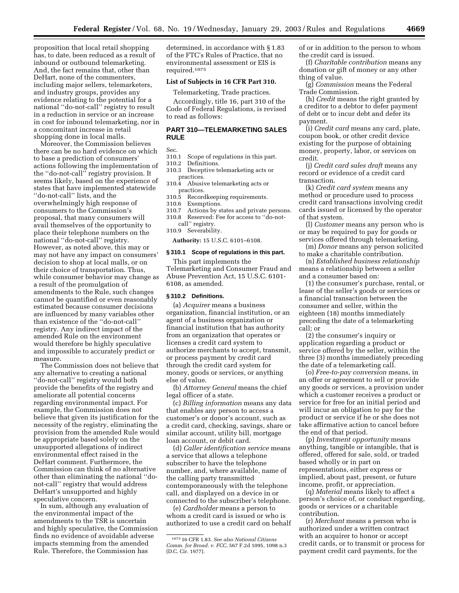proposition that local retail shopping has, to date, been reduced as a result of inbound or outbound telemarketing. And, the fact remains that, other than DeHart, none of the commenters, including major sellers, telemarketers, and industry groups, provides any evidence relating to the potential for a national ''do-not-call'' registry to result in a reduction in service or an increase in cost for inbound telemarketing, nor in a concomitant increase in retail shopping done in local malls.

Moreover, the Commission believes there can be no hard evidence on which to base a prediction of consumers' actions following the implementation of the ''do-not-call'' registry provision. It seems likely, based on the experience of states that have implemented statewide ''do-not-call'' lists, and the overwhelmingly high response of consumers to the Commission's proposal, that many consumers will avail themselves of the opportunity to place their telephone numbers on the national ''do-not-call'' registry. However, as noted above, this may or may not have any impact on consumers' decision to shop at local malls, or on their choice of transportation. Thus, while consumer behavior may change as a result of the promulgation of amendments to the Rule, such changes cannot be quantified or even reasonably estimated because consumer decisions are influenced by many variables other than existence of the ''do-not-call'' registry. Any indirect impact of the amended Rule on the environment would therefore be highly speculative and impossible to accurately predict or measure.

The Commission does not believe that any alternative to creating a national ''do-not-call'' registry would both provide the benefits of the registry and ameliorate all potential concerns regarding environmental impact. For example, the Commission does not believe that given its justification for the necessity of the registry, eliminating the provision from the amended Rule would be appropriate based solely on the unsupported allegations of indirect environmental effect raised in the DeHart comment. Furthermore, the Commission can think of no alternative other than eliminating the national ''donot-call'' registry that would address DeHart's unsupported and highly speculative concern.

In sum, although any evaluation of the environmental impact of the amendments to the TSR is uncertain and highly speculative, the Commission finds no evidence of avoidable adverse impacts stemming from the amended Rule. Therefore, the Commission has

determined, in accordance with § 1.83 of the FTC's Rules of Practice, that no environmental assessment or EIS is required.1075

# **List of Subjects in 16 CFR Part 310.**

Telemarketing, Trade practices. Accordingly, title 16, part 310 of the Code of Federal Regulations, is revised to read as follows:

# **PART 310—TELEMARKETING SALES RULE**

- Sec.<br>310.1 310.1 Scope of regulations in this part.<br>310.2 Definitions.
- 310.2 Definitions.<br>310.3 Decentive to
- Deceptive telemarketing acts or practices.
- 310.4 Abusive telemarketing acts or practices.
- 310.5 Recordkeeping requirements.
- 310.6 Exemptions.
- 310.7 Actions by states and private persons.<br>310.8 Reserved: Fee for access to "do-not-Reserved: Fee for access to "do-not-
- call'' registry.
- 310.9 Severability.

**Authority:** 15 U.S.C. 6101–6108.

#### **§ 310.1 Scope of regulations in this part.**

This part implements the Telemarketing and Consumer Fraud and Abuse Prevention Act, 15 U.S.C. 6101- 6108, as amended.

## **§ 310.2 Definitions.**

(a) *Acquirer* means a business organization, financial institution, or an agent of a business organization or financial institution that has authority from an organization that operates or licenses a credit card system to authorize merchants to accept, transmit, or process payment by credit card through the credit card system for money, goods or services, or anything else of value.

(b) *Attorney General* means the chief legal officer of a state.

(c) *Billing information* means any data that enables any person to access a customer's or donor's account, such as a credit card, checking, savings, share or similar account, utility bill, mortgage loan account, or debit card.

(d) *Caller identification service* means a service that allows a telephone subscriber to have the telephone number, and, where available, name of the calling party transmitted contemporaneously with the telephone call, and displayed on a device in or connected to the subscriber's telephone.

(e) *Cardholder* means a person to whom a credit card is issued or who is authorized to use a credit card on behalf of or in addition to the person to whom the credit card is issued.

(f) *Charitable contribution* means any donation or gift of money or any other thing of value.

(g) *Commission* means the Federal Trade Commission.

(h) *Credit* means the right granted by a creditor to a debtor to defer payment of debt or to incur debt and defer its payment.

(i) *Credit card* means any card, plate, coupon book, or other credit device existing for the purpose of obtaining money, property, labor, or services on credit.

(j) *Credit card sales draft* means any record or evidence of a credit card transaction.

(k) *Credit card system* means any method or procedure used to process credit card transactions involving credit cards issued or licensed by the operator of that system.

(l) *Customer* means any person who is or may be required to pay for goods or services offered through telemarketing.

(m) *Donor* means any person solicited to make a charitable contribution.

(n) *Established business relationship* means a relationship between a seller and a consumer based on:

(1) the consumer's purchase, rental, or lease of the seller's goods or services or a financial transaction between the consumer and seller, within the eighteen (18) months immediately preceding the date of a telemarketing call; or

(2) the consumer's inquiry or application regarding a product or service offered by the seller, within the three (3) months immediately preceding the date of a telemarketing call.

(o) *Free-to-pay conversion* means, in an offer or agreement to sell or provide any goods or services, a provision under which a customer receives a product or service for free for an initial period and will incur an obligation to pay for the product or service if he or she does not take affirmative action to cancel before the end of that period.

(p) *Investment opportunity* means anything, tangible or intangible, that is offered, offered for sale, sold, or traded based wholly or in part on representations, either express or implied, about past, present, or future income, profit, or appreciation.

(q) *Material* means likely to affect a person's choice of, or conduct regarding, goods or services or a charitable contribution.

(r) *Merchant* means a person who is authorized under a written contract with an acquirer to honor or accept credit cards, or to transmit or process for payment credit card payments, for the

<sup>1075</sup> 16 CFR 1.83. *See also National Citizens Comm. for Broad. v. FCC*, 567 F.2d 1095, 1098 n.3 (D.C. Cir. 1977).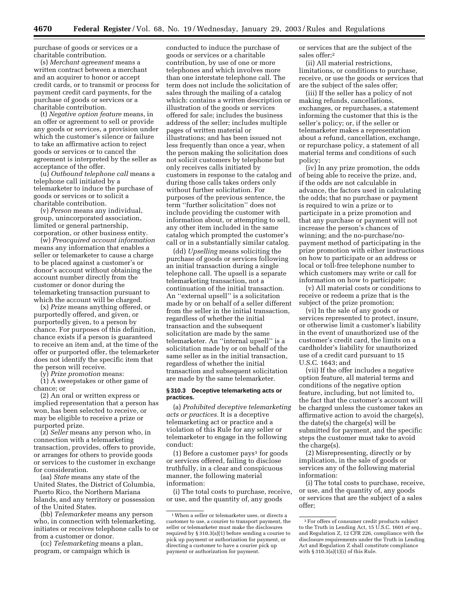purchase of goods or services or a charitable contribution.

(s) *Merchant agreement* means a written contract between a merchant and an acquirer to honor or accept credit cards, or to transmit or process for payment credit card payments, for the purchase of goods or services or a charitable contribution.

(t) *Negative option feature* means, in an offer or agreement to sell or provide any goods or services, a provision under which the customer's silence or failure to take an affirmative action to reject goods or services or to cancel the agreement is interpreted by the seller as acceptance of the offer.

(u) *Outbound telephone call* means a telephone call initiated by a telemarketer to induce the purchase of goods or services or to solicit a charitable contribution.

(v) *Person* means any individual, group, unincorporated association, limited or general partnership, corporation, or other business entity.

(w) *Preacquired account information* means any information that enables a seller or telemarketer to cause a charge to be placed against a customer's or donor's account without obtaining the account number directly from the customer or donor during the telemarketing transaction pursuant to which the account will be charged.

(x) *Prize* means anything offered, or purportedly offered, and given, or purportedly given, to a person by chance. For purposes of this definition, chance exists if a person is guaranteed to receive an item and, at the time of the offer or purported offer, the telemarketer does not identify the specific item that the person will receive.

(y) *Prize promotion* means:

(1) A sweepstakes or other game of chance; or

(2) An oral or written express or implied representation that a person has won, has been selected to receive, or may be eligible to receive a prize or purported prize.

(z) *Seller* means any person who, in connection with a telemarketing transaction, provides, offers to provide, or arranges for others to provide goods or services to the customer in exchange for consideration.

(aa) *State* means any state of the United States, the District of Columbia, Puerto Rico, the Northern Mariana Islands, and any territory or possession of the United States.

(bb) *Telemarketer* means any person who, in connection with telemarketing, initiates or receives telephone calls to or from a customer or donor.

(cc) *Telemarketing* means a plan, program, or campaign which is

conducted to induce the purchase of goods or services or a charitable contribution, by use of one or more telephones and which involves more than one interstate telephone call. The term does not include the solicitation of sales through the mailing of a catalog which: contains a written description or illustration of the goods or services offered for sale; includes the business address of the seller; includes multiple pages of written material or illustrations; and has been issued not less frequently than once a year, when the person making the solicitation does not solicit customers by telephone but only receives calls initiated by customers in response to the catalog and during those calls takes orders only without further solicitation. For purposes of the previous sentence, the term ''further solicitation'' does not include providing the customer with information about, or attempting to sell, any other item included in the same catalog which prompted the customer's call or in a substantially similar catalog.

(dd) *Upselling* means soliciting the purchase of goods or services following an initial transaction during a single telephone call. The upsell is a separate telemarketing transaction, not a continuation of the initial transaction. An ''external upsell'' is a solicitation made by or on behalf of a seller different from the seller in the initial transaction, regardless of whether the initial transaction and the subsequent solicitation are made by the same telemarketer. An ''internal upsell'' is a solicitation made by or on behalf of the same seller as in the initial transaction, regardless of whether the initial transaction and subsequent solicitation are made by the same telemarketer.

# **§ 310.3 Deceptive telemarketing acts or practices.**

(a) *Prohibited deceptive telemarketing acts or practices.* It is a deceptive telemarketing act or practice and a violation of this Rule for any seller or telemarketer to engage in the following conduct:

 $(1)$  Before a customer pays<sup>1</sup> for goods or services offered, failing to disclose truthfully, in a clear and conspicuous manner, the following material information:

(i) The total costs to purchase, receive, or use, and the quantity of, any goods

or services that are the subject of the sales offer;<sup>2</sup>

(ii) All material restrictions, limitations, or conditions to purchase, receive, or use the goods or services that are the subject of the sales offer;

(iii) If the seller has a policy of not making refunds, cancellations, exchanges, or repurchases, a statement informing the customer that this is the seller's policy; or, if the seller or telemarketer makes a representation about a refund, cancellation, exchange, or repurchase policy, a statement of all material terms and conditions of such policy;

(iv) In any prize promotion, the odds of being able to receive the prize, and, if the odds are not calculable in advance, the factors used in calculating the odds; that no purchase or payment is required to win a prize or to participate in a prize promotion and that any purchase or payment will not increase the person's chances of winning; and the no-purchase/nopayment method of participating in the prize promotion with either instructions on how to participate or an address or local or toll-free telephone number to which customers may write or call for information on how to participate;

(v) All material costs or conditions to receive or redeem a prize that is the subject of the prize promotion;

(vi) In the sale of any goods or services represented to protect, insure, or otherwise limit a customer's liability in the event of unauthorized use of the customer's credit card, the limits on a cardholder's liability for unauthorized use of a credit card pursuant to 15 U.S.C. 1643; and

(vii) If the offer includes a negative option feature, all material terms and conditions of the negative option feature, including, but not limited to, the fact that the customer's account will be charged unless the customer takes an affirmative action to avoid the charge(s), the date(s) the charge(s) will be submitted for payment, and the specific steps the customer must take to avoid the charge(s).

(2) Misrepresenting, directly or by implication, in the sale of goods or services any of the following material information:

(i) The total costs to purchase, receive, or use, and the quantity of, any goods or services that are the subject of a sales offer;

<sup>1</sup>When a seller or telemarketer uses, or directs a customer to use, a courier to transport payment, the seller or telemarketer must make the disclosures required by § 310.3(a)(1) before sending a courier to pick up payment or authorization for payment, or directing a customer to have a courier pick up payment or authorization for payment.

<sup>2</sup>For offers of consumer credit products subject to the Truth in Lending Act, 15 U.S.C. 1601 *et seq.*, and Regulation Z, 12 CFR 226, compliance with the disclosure requirements under the Truth in Lending Act and Regulation Z shall constitute compliance with  $\S 310.\overline{3}(a)(1)(i)$  of this Rule.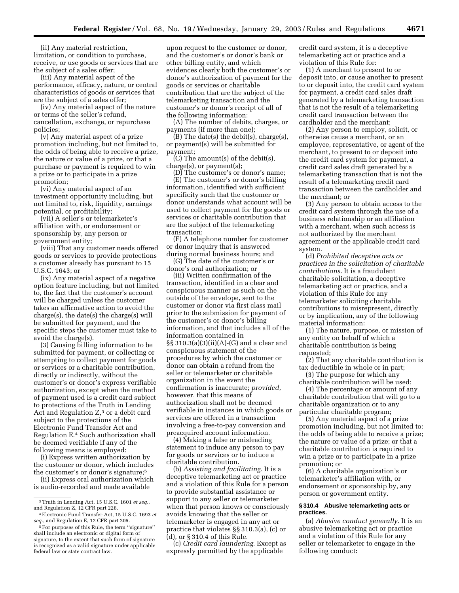(ii) Any material restriction, limitation, or condition to purchase, receive, or use goods or services that are the subject of a sales offer;

(iii) Any material aspect of the performance, efficacy, nature, or central characteristics of goods or services that are the subject of a sales offer;

(iv) Any material aspect of the nature or terms of the seller's refund, cancellation, exchange, or repurchase policies;

(v) Any material aspect of a prize promotion including, but not limited to, the odds of being able to receive a prize, the nature or value of a prize, or that a purchase or payment is required to win a prize or to participate in a prize promotion;

(vi) Any material aspect of an investment opportunity including, but not limited to, risk, liquidity, earnings potential, or profitability;

(vii) A seller's or telemarketer's affiliation with, or endorsement or sponsorship by, any person or government entity;

(viii) That any customer needs offered goods or services to provide protections a customer already has pursuant to 15 U.S.C. 1643; or

(ix) Any material aspect of a negative option feature including, but not limited to, the fact that the customer's account will be charged unless the customer takes an affirmative action to avoid the charge(s), the date(s) the charge(s) will be submitted for payment, and the specific steps the customer must take to avoid the charge(s).

(3) Causing billing information to be submitted for payment, or collecting or attempting to collect payment for goods or services or a charitable contribution, directly or indirectly, without the customer's or donor's express verifiable authorization, except when the method of payment used is a credit card subject to protections of the Truth in Lending Act and Regulation  $Z<sub>1</sub><sup>3</sup>$  or a debit card subject to the protections of the Electronic Fund Transfer Act and Regulation E.4 Such authorization shall be deemed verifiable if any of the following means is employed:

(i) Express written authorization by the customer or donor, which includes the customer's or donor's signature;5

(ii) Express oral authorization which is audio-recorded and made available

upon request to the customer or donor, and the customer's or donor's bank or other billing entity, and which evidences clearly both the customer's or donor's authorization of payment for the goods or services or charitable contribution that are the subject of the telemarketing transaction and the customer's or donor's receipt of all of the following information:

(A) The number of debits, charges, or payments (if more than one);

(B) The date(s) the debit(s), charge(s), or payment(s) will be submitted for payment;

(C) The amount(s) of the debit(s), charge(s), or payment(s);

(D) The customer's or donor's name; (E) The customer's or donor's billing information, identified with sufficient

specificity such that the customer or donor understands what account will be used to collect payment for the goods or services or charitable contribution that are the subject of the telemarketing transaction;

(F) A telephone number for customer or donor inquiry that is answered during normal business hours; and

(G) The date of the customer's or donor's oral authorization; or

(iii) Written confirmation of the transaction, identified in a clear and conspicuous manner as such on the outside of the envelope, sent to the customer or donor via first class mail prior to the submission for payment of the customer's or donor's billing information, and that includes all of the information contained in §§ 310.3(a)(3)(ii)(A)-(G) and a clear and conspicuous statement of the procedures by which the customer or donor can obtain a refund from the seller or telemarketer or charitable organization in the event the confirmation is inaccurate; *provided*, however, that this means of authorization shall not be deemed verifiable in instances in which goods or services are offered in a transaction involving a free-to-pay conversion and preacquired account information.

(4) Making a false or misleading statement to induce any person to pay for goods or services or to induce a charitable contribution.

(b) *Assisting and facilitating.* It is a deceptive telemarketing act or practice and a violation of this Rule for a person to provide substantial assistance or support to any seller or telemarketer when that person knows or consciously avoids knowing that the seller or telemarketer is engaged in any act or practice that violates §§ 310.3(a), (c) or (d), or § 310.4 of this Rule.

(c) *Credit card laundering.* Except as expressly permitted by the applicable

credit card system, it is a deceptive telemarketing act or practice and a violation of this Rule for:

(1) A merchant to present to or deposit into, or cause another to present to or deposit into, the credit card system for payment, a credit card sales draft generated by a telemarketing transaction that is not the result of a telemarketing credit card transaction between the cardholder and the merchant;

(2) Any person to employ, solicit, or otherwise cause a merchant, or an employee, representative, or agent of the merchant, to present to or deposit into the credit card system for payment, a credit card sales draft generated by a telemarketing transaction that is not the result of a telemarketing credit card transaction between the cardholder and the merchant; or

(3) Any person to obtain access to the credit card system through the use of a business relationship or an affiliation with a merchant, when such access is not authorized by the merchant agreement or the applicable credit card system.

(d) *Prohibited deceptive acts or practices in the solicitation of charitable contributions.* It is a fraudulent charitable solicitation, a deceptive telemarketing act or practice, and a violation of this Rule for any telemarketer soliciting charitable contributions to misrepresent, directly or by implication, any of the following material information:

(1) The nature, purpose, or mission of any entity on behalf of which a charitable contribution is being requested;

(2) That any charitable contribution is tax deductible in whole or in part;

(3) The purpose for which any charitable contribution will be used;

(4) The percentage or amount of any charitable contribution that will go to a charitable organization or to any particular charitable program;

(5) Any material aspect of a prize promotion including, but not limited to: the odds of being able to receive a prize; the nature or value of a prize; or that a charitable contribution is required to win a prize or to participate in a prize promotion; or

(6) A charitable organization's or telemarketer's affiliation with, or endorsement or sponsorship by, any person or government entity.

#### **§ 310.4 Abusive telemarketing acts or practices.**

(a) *Abusive conduct generally.* It is an abusive telemarketing act or practice and a violation of this Rule for any seller or telemarketer to engage in the following conduct:

<sup>3</sup>Truth in Lending Act, 15 U.S.C. 1601 *et seq.*, and Regulation Z, 12 CFR part 226.

<sup>4</sup>Electronic Fund Transfer Act, 15 U.S.C. 1693 *et seq.*, and Regulation E, 12 CFR part 205.

<sup>5</sup>For purposes of this Rule, the term ''signature'' shall include an electronic or digital form of signature, to the extent that such form of signature is recognized as a valid signature under applicable federal law or state contract law.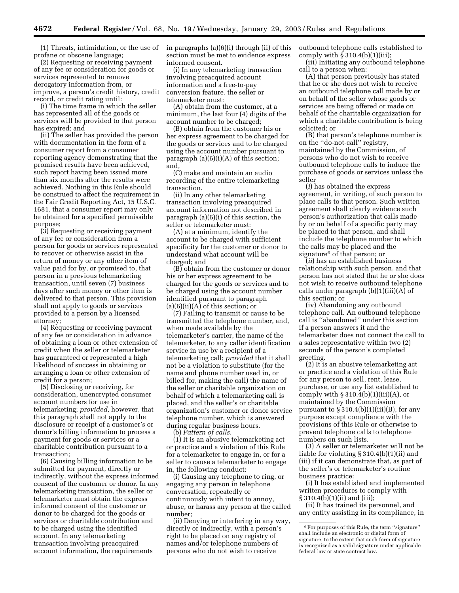(1) Threats, intimidation, or the use of profane or obscene language;

(2) Requesting or receiving payment of any fee or consideration for goods or services represented to remove derogatory information from, or improve, a person's credit history, credit record, or credit rating until:

(i) The time frame in which the seller has represented all of the goods or services will be provided to that person has expired; and

(ii) The seller has provided the person with documentation in the form of a consumer report from a consumer reporting agency demonstrating that the promised results have been achieved, such report having been issued more than six months after the results were achieved. Nothing in this Rule should be construed to affect the requirement in the Fair Credit Reporting Act, 15 U.S.C. 1681, that a consumer report may only be obtained for a specified permissible purpose;

(3) Requesting or receiving payment of any fee or consideration from a person for goods or services represented to recover or otherwise assist in the return of money or any other item of value paid for by, or promised to, that person in a previous telemarketing transaction, until seven (7) business days after such money or other item is delivered to that person. This provision shall not apply to goods or services provided to a person by a licensed attorney;

(4) Requesting or receiving payment of any fee or consideration in advance of obtaining a loan or other extension of credit when the seller or telemarketer has guaranteed or represented a high likelihood of success in obtaining or arranging a loan or other extension of credit for a person;

(5) Disclosing or receiving, for consideration, unencrypted consumer account numbers for use in telemarketing; *provided*, however, that this paragraph shall not apply to the disclosure or receipt of a customer's or donor's billing information to process a payment for goods or services or a charitable contribution pursuant to a transaction;

(6) Causing billing information to be submitted for payment, directly or indirectly, without the express informed consent of the customer or donor. In any telemarketing transaction, the seller or telemarketer must obtain the express informed consent of the customer or donor to be charged for the goods or services or charitable contribution and to be charged using the identified account. In any telemarketing transaction involving preacquired account information, the requirements

in paragraphs (a)(6)(i) through (ii) of this section must be met to evidence express informed consent.

(i) In any telemarketing transaction involving preacquired account information and a free-to-pay conversion feature, the seller or telemarketer must:

(A) obtain from the customer, at a minimum, the last four (4) digits of the account number to be charged;

(B) obtain from the customer his or her express agreement to be charged for the goods or services and to be charged using the account number pursuant to paragraph  $(a)(6)(i)(A)$  of this section; and,

(C) make and maintain an audio recording of the entire telemarketing transaction.

(ii) In any other telemarketing transaction involving preacquired account information not described in paragraph (a)(6)(i) of this section, the seller or telemarketer must:

(A) at a minimum, identify the account to be charged with sufficient specificity for the customer or donor to understand what account will be charged; and

(B) obtain from the customer or donor his or her express agreement to be charged for the goods or services and to be charged using the account number identified pursuant to paragraph  $(a)(6)(ii)(A)$  of this section; or

(7) Failing to transmit or cause to be transmitted the telephone number, and, when made available by the telemarketer's carrier, the name of the telemarketer, to any caller identification service in use by a recipient of a telemarketing call; *provided* that it shall not be a violation to substitute (for the name and phone number used in, or billed for, making the call) the name of the seller or charitable organization on behalf of which a telemarketing call is placed, and the seller's or charitable organization's customer or donor service telephone number, which is answered during regular business hours.

(b) *Pattern of calls.*

(1) It is an abusive telemarketing act or practice and a violation of this Rule for a telemarketer to engage in, or for a seller to cause a telemarketer to engage in, the following conduct:

(i) Causing any telephone to ring, or engaging any person in telephone conversation, repeatedly or continuously with intent to annoy, abuse, or harass any person at the called number;

(ii) Denying or interfering in any way, directly or indirectly, with a person's right to be placed on any registry of names and/or telephone numbers of persons who do not wish to receive

outbound telephone calls established to comply with  $\S 310.4(b)(1)(iii)$ ;

(iii) Initiating any outbound telephone call to a person when:

(A) that person previously has stated that he or she does not wish to receive an outbound telephone call made by or on behalf of the seller whose goods or services are being offered or made on behalf of the charitable organization for which a charitable contribution is being solicited; or

(B) that person's telephone number is on the ''do-not-call'' registry, maintained by the Commission, of persons who do not wish to receive outbound telephone calls to induce the purchase of goods or services unless the seller

(*i*) has obtained the express agreement, in writing, of such person to place calls to that person. Such written agreement shall clearly evidence such person's authorization that calls made by or on behalf of a specific party may be placed to that person, and shall include the telephone number to which the calls may be placed and the signature<sup>6</sup> of that person; or

(*ii*) has an established business relationship with such person, and that person has not stated that he or she does not wish to receive outbound telephone calls under paragraph (b)(1)(iii)(A) of this section; or

(iv) Abandoning any outbound telephone call. An outbound telephone call is ''abandoned'' under this section if a person answers it and the telemarketer does not connect the call to a sales representative within two (2) seconds of the person's completed greeting.

(2) It is an abusive telemarketing act or practice and a violation of this Rule for any person to sell, rent, lease, purchase, or use any list established to comply with  $\S 310.4(b)(1)(iii)(A)$ , or maintained by the Commission pursuant to  $\S 310.4(b)(1)(iii)(B)$ , for any purpose except compliance with the provisions of this Rule or otherwise to prevent telephone calls to telephone numbers on such lists.

(3) A seller or telemarketer will not be liable for violating § 310.4(b)(1)(ii) and (iii) if it can demonstrate that, as part of the seller's or telemarketer's routine business practice:

(i) It has established and implemented written procedures to comply with § 310.4(b)(1)(ii) and (iii);

(ii) It has trained its personnel, and any entity assisting in its compliance, in

<sup>6</sup>For purposes of this Rule, the term ''signature'' shall include an electronic or digital form of signature, to the extent that such form of signature is recognized as a valid signature under applicable federal law or state contract law.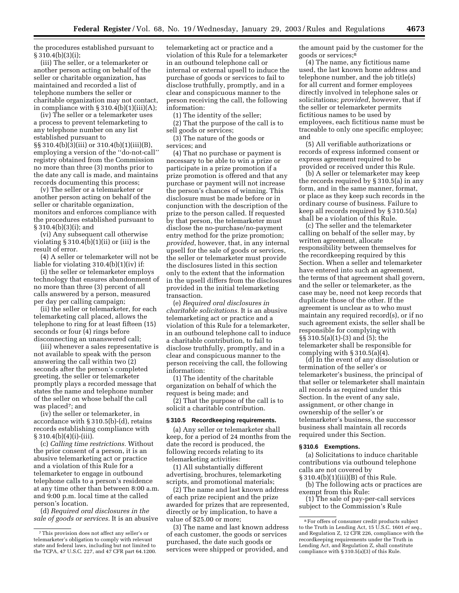the procedures established pursuant to § 310.4(b)(3)(i);

(iii) The seller, or a telemarketer or another person acting on behalf of the seller or charitable organization, has maintained and recorded a list of telephone numbers the seller or charitable organization may not contact, in compliance with  $\S 310.4(b)(1)(iii)(A);$ 

(iv) The seller or a telemarketer uses a process to prevent telemarketing to any telephone number on any list established pursuant to §§ 310.4(b)(3)(iii) or 310.4(b)(1)(iii)(B), employing a version of the ''do-not-call'' registry obtained from the Commission no more than three (3) months prior to the date any call is made, and maintains records documenting this process;

(v) The seller or a telemarketer or another person acting on behalf of the seller or charitable organization, monitors and enforces compliance with the procedures established pursuant to § 310.4(b)(3)(i); and

(vi) Any subsequent call otherwise violating  $\S 310.4(b)(1)(ii)$  or (iii) is the result of error.

(4) A seller or telemarketer will not be liable for violating 310.4(b)(1)(iv) if:

(i) the seller or telemarketer employs technology that ensures abandonment of no more than three (3) percent of all calls answered by a person, measured per day per calling campaign;

(ii) the seller or telemarketer, for each telemarketing call placed, allows the telephone to ring for at least fifteen (15) seconds or four (4) rings before disconnecting an unanswered call;

(iii) whenever a sales representative is not available to speak with the person answering the call within two (2) seconds after the person's completed greeting, the seller or telemarketer promptly plays a recorded message that states the name and telephone number of the seller on whose behalf the call was placed<sup>7</sup>; and

(iv) the seller or telemarketer, in accordance with § 310.5(b)-(d), retains records establishing compliance with  $§ 310.4(b)(4)(i) - (iii).$ 

(c) *Calling time restrictions.* Without the prior consent of a person, it is an abusive telemarketing act or practice and a violation of this Rule for a telemarketer to engage in outbound telephone calls to a person's residence at any time other than between 8:00 a.m. and 9:00 p.m. local time at the called person's location.

(d) *Required oral disclosures in the sale of goods or services.* It is an abusive telemarketing act or practice and a violation of this Rule for a telemarketer in an outbound telephone call or internal or external upsell to induce the purchase of goods or services to fail to disclose truthfully, promptly, and in a clear and conspicuous manner to the person receiving the call, the following information:

(1) The identity of the seller; (2) That the purpose of the call is to sell goods or services;

(3) The nature of the goods or services; and

(4) That no purchase or payment is necessary to be able to win a prize or participate in a prize promotion if a prize promotion is offered and that any purchase or payment will not increase the person's chances of winning. This disclosure must be made before or in conjunction with the description of the prize to the person called. If requested by that person, the telemarketer must disclose the no-purchase/no-payment entry method for the prize promotion; *provided*, however, that, in any internal upsell for the sale of goods or services, the seller or telemarketer must provide the disclosures listed in this section only to the extent that the information in the upsell differs from the disclosures provided in the initial telemarketing transaction.

(e) *Required oral disclosures in charitable solicitations.* It is an abusive telemarketing act or practice and a violation of this Rule for a telemarketer, in an outbound telephone call to induce a charitable contribution, to fail to disclose truthfully, promptly, and in a clear and conspicuous manner to the person receiving the call, the following information:

(1) The identity of the charitable organization on behalf of which the request is being made; and

(2) That the purpose of the call is to solicit a charitable contribution.

## **§ 310.5 Recordkeeping requirements.**

(a) Any seller or telemarketer shall keep, for a period of 24 months from the date the record is produced, the following records relating to its telemarketing activities:

(1) All substantially different advertising, brochures, telemarketing scripts, and promotional materials;

(2) The name and last known address of each prize recipient and the prize awarded for prizes that are represented, directly or by implication, to have a value of \$25.00 or more;

(3) The name and last known address of each customer, the goods or services purchased, the date such goods or services were shipped or provided, and

the amount paid by the customer for the goods or services;8

(4) The name, any fictitious name used, the last known home address and telephone number, and the job title(s) for all current and former employees directly involved in telephone sales or solicitations; *provided*, however, that if the seller or telemarketer permits fictitious names to be used by employees, each fictitious name must be traceable to only one specific employee; and

(5) All verifiable authorizations or records of express informed consent or express agreement required to be provided or received under this Rule.

(b) A seller or telemarketer may keep the records required by § 310.5(a) in any form, and in the same manner, format, or place as they keep such records in the ordinary course of business. Failure to keep all records required by § 310.5(a) shall be a violation of this Rule.

(c) The seller and the telemarketer calling on behalf of the seller may, by written agreement, allocate responsibility between themselves for the recordkeeping required by this Section. When a seller and telemarketer have entered into such an agreement, the terms of that agreement shall govern, and the seller or telemarketer, as the case may be, need not keep records that duplicate those of the other. If the agreement is unclear as to who must maintain any required record(s), or if no such agreement exists, the seller shall be responsible for complying with §§ 310.5(a)(1)-(3) and (5); the telemarketer shall be responsible for complying with  $\S 310.5(a)(4)$ .

(d) In the event of any dissolution or termination of the seller's or telemarketer's business, the principal of that seller or telemarketer shall maintain all records as required under this Section. In the event of any sale, assignment, or other change in ownership of the seller's or telemarketer's business, the successor business shall maintain all records required under this Section.

#### **§ 310.6 Exemptions.**

(a) Solicitations to induce charitable contributions via outbound telephone calls are not covered by

§ 310.4(b)(1)(iii)(B) of this Rule.

(b) The following acts or practices are exempt from this Rule:

(1) The sale of pay-per-call services subject to the Commission's Rule

<sup>7</sup>This provision does not affect any seller's or telemarketer's obligation to comply with relevant state and federal laws, including but not limited to the TCPA, 47 U.S.C. 227, and 47 CFR part 64.1200.

<sup>8</sup>For offers of consumer credit products subject to the Truth in Lending Act, 15 U.S.C. 1601 *et seq.*, and Regulation Z, 12 CFR 226, compliance with the recordkeeping requirements under the Truth in Lending Act, and Regulation Z, shall constitute compliance with § 310.5(a)(3) of this Rule.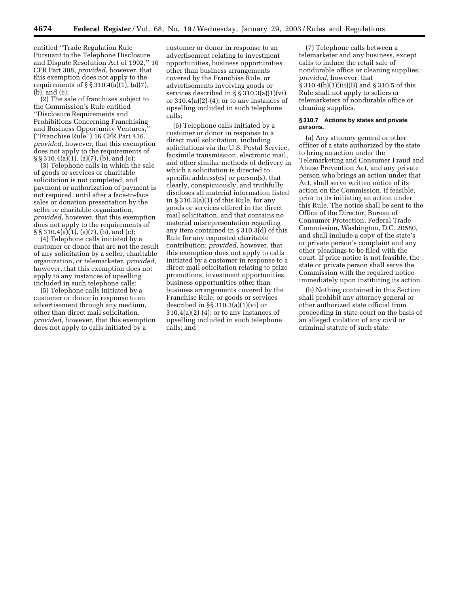entitled ''Trade Regulation Rule Pursuant to the Telephone Disclosure and Dispute Resolution Act of 1992,'' 16 CFR Part 308, *provided*, however, that this exemption does not apply to the requirements of  $\S$   $\S$  310.4(a)(1), (a)(7), (b), and (c);

(2) The sale of franchises subject to the Commission's Rule entitled ''Disclosure Requirements and Prohibitions Concerning Franchising and Business Opportunity Ventures,'' (''Franchise Rule'') 16 CFR Part 436, *provided*, however, that this exemption does not apply to the requirements of § § 310.4(a)(1), (a)(7), (b), and (c);

(3) Telephone calls in which the sale of goods or services or charitable solicitation is not completed, and payment or authorization of payment is not required, until after a face-to-face sales or donation presentation by the seller or charitable organization, *provided*, however, that this exemption does not apply to the requirements of  $\S$  § 310.4(a)(1), (a)(7), (b), and (c);

(4) Telephone calls initiated by a customer or donor that are not the result of any solicitation by a seller, charitable organization, or telemarketer, *provided*, however, that this exemption does not apply to any instances of upselling included in such telephone calls;

(5) Telephone calls initiated by a customer or donor in response to an advertisement through any medium, other than direct mail solicitation, *provided*, however, that this exemption does not apply to calls initiated by a

customer or donor in response to an advertisement relating to investment opportunities, business opportunities other than business arrangements covered by the Franchise Rule, or advertisements involving goods or services described in § § 310.3(a)(1)(vi) or  $310.4(a)(2)-(4)$ ; or to any instances of upselling included in such telephone calls;

(6) Telephone calls initiated by a customer or donor in response to a direct mail solicitation, including solicitations via the U.S. Postal Service, facsimile transmission, electronic mail, and other similar methods of delivery in which a solicitation is directed to specific address(es) or person(s), that clearly, conspicuously, and truthfully discloses all material information listed in § 310.3(a)(1) of this Rule, for any goods or services offered in the direct mail solicitation, and that contains no material misrepresentation regarding any item contained in § 310.3(d) of this Rule for any requested charitable contribution; *provided*, however, that this exemption does not apply to calls initiated by a customer in response to a direct mail solicitation relating to prize promotions, investment opportunities, business opportunities other than business arrangements covered by the Franchise Rule, or goods or services described in §§ 310.3(a)(1)(vi) or  $310.4(a)(2)-(4)$ ; or to any instances of upselling included in such telephone calls; and

(7) Telephone calls between a telemarketer and any business, except calls to induce the retail sale of nondurable office or cleaning supplies; *provided*, however, that § 310.4(b)(1)(iii)(B) and § 310.5 of this Rule shall not apply to sellers or telemarketers of nondurable office or cleaning supplies.

#### **§ 310.7 Actions by states and private persons.**

(a) Any attorney general or other officer of a state authorized by the state to bring an action under the Telemarketing and Consumer Fraud and Abuse Prevention Act, and any private person who brings an action under that Act, shall serve written notice of its action on the Commission, if feasible, prior to its initiating an action under this Rule. The notice shall be sent to the Office of the Director, Bureau of Consumer Protection, Federal Trade Commission, Washington, D.C. 20580, and shall include a copy of the state's or private person's complaint and any other pleadings to be filed with the court. If prior notice is not feasible, the state or private person shall serve the Commission with the required notice immediately upon instituting its action.

(b) Nothing contained in this Section shall prohibit any attorney general or other authorized state official from proceeding in state court on the basis of an alleged violation of any civil or criminal statute of such state.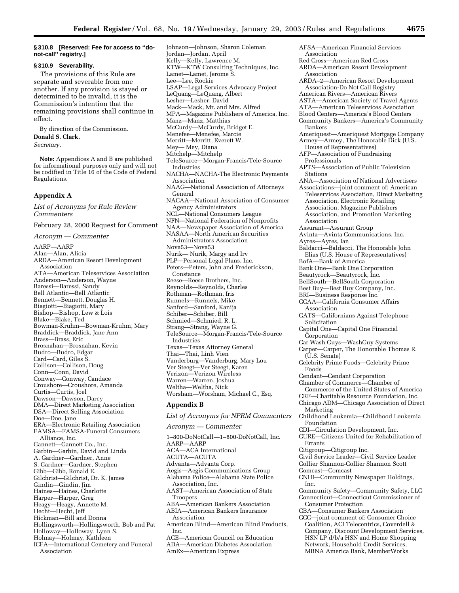# **§ 310.8 [Reserved: Fee for access to ''donot-call'' registry.]**

## **§ 310.9 Severability.**

The provisions of this Rule are separate and severable from one another. If any provision is stayed or determined to be invalid, it is the Commission's intention that the remaining provisions shall continue in effect.

By direction of the Commission. **Donald S. Clark,**

*Secretary.*

**Note:** Appendices A and B are published for informational purposes only and will not be codified in Title 16 of the Code of Federal Regulations.

## **Appendix A**

*List of Acronyms for Rule Review Commenters*

February 28, 2000 Request for Comment

*Acronym — Commenter*

AARP—AARP Alan—Alan, Alicia ARDA—American Resort Development Association ATA—American Teleservices Association Anderson—Anderson, Wayne Baressi—Baressi, Sandy Bell Atlantic—Bell Atlantic Bennett—Bennett, Douglas H. Biagiotti—Biagiotti, Mary Bishop—Bishop, Lew & Lois Blake—Blake, Ted Bowman-Kruhm—Bowman-Kruhm, Mary Braddick—Braddick, Jane Ann Brass—Brass, Eric Brosnahan—Brosnahan, Kevin Budro—Budro, Edgar Card—Card, Giles S. Collison—Collison, Doug Conn—Conn, David Conway—Conway, Candace Croushore—Croushore, Amanda Curtis—Curtis, Joel Dawson—Dawson, Darcy DMA—Direct Marketing Association DSA—Direct Selling Association Doe—Doe, Jane ERA—Electronic Retailing Association FAMSA—FAMSA-Funeral Consumers Alliance, Inc. Gannett—Gannett Co., Inc. Garbin—Garbin, David and Linda A. Gardner—Gardner, Anne S. Gardner—Gardner, Stephen Gibb—Gibb, Ronald E. Gilchrist—Gilchrist, Dr. K. James Gindin—Gindin, Jim Haines—Haines, Charlotte Harper—Harper, Greg Heagy—Heagy, Annette M. Hecht—Hecht, Jeff Hickman—Bill and Donna Hollingsworth—Hollingsworth, Bob and Pat Holloway—Holloway, Lynn S. Holmay—Holmay, Kathleen ICFA—International Cemetery and Funeral Association

Johnson—Johnson, Sharon Coleman Jordan—Jordan, April Kelly—Kelly, Lawrence M. KTW—KTW Consulting Techniques, Inc. Lamet—Lamet, Jerome S. Lee—Lee, Rockie LSAP—Legal Services Advocacy Project LeQuang—LeQuang, Albert Lesher—Lesher, David Mack—Mack, Mr. and Mrs. Alfred MPA—Magazine Publishers of America, Inc. Manz—Manz, Matthias McCurdy—McCurdy, Bridget E. Menefee—Menefee, Marcie Merritt—Merritt, Everett W. Mey— Mey, Diana Mitchelp—Mitchelp TeleSource—Morgan-Francis/Tele-Source Industries NACHA—NACHA-The Electronic Payments Association NAAG—National Association of Attorneys General NACAA—National Association of Consumer Agency Administrators NCL—National Consumers League NFN—National Federation of Nonprofits NAA—Newspaper Association of America NASAA—North American Securities Administrators Association Nova53—Nova53 Nurik— Nurik, Margy and Irv PLP—Personal Legal Plans, Inc. Peters—Peters, John and Frederickson, Constance Reese—Reese Brothers, Inc. Reynolds—Reynolds, Charles Rothman—Rothman, Iris Runnels—Runnels, Mike Sanford—Sanford, Kanija Schiber—Schiber, Bill Schmied—Schmied, R. L. Strang—Strang, Wayne G. TeleSource—Morgan-Francis/Tele-Source Industries Texas—Texas Attorney General Thai—Thai, Linh Vien Vanderburg—Vanderburg, Mary Lou Ver Steegt—Ver Steegt, Karen Verizon—Verizon Wireless Warren—Warren, Joshua Weltha—Weltha, Nick Worsham—Worsham, Michael C., Esq. **Appendix B** *List of Acronyms for NPRM Commenters Acronym — Commenter* 1–800-DoNotCall—1–800-DoNotCall, Inc. AARP—AARP ACA—ACA International ACUTA—ACUTA Advanta—Advanta Corp. Aegis—Aegis Communications Group

Alabama Police—Alabama State Police Association, Inc. AAST—American Association of State

Troopers ABA—American Bankers Association

ABIA—American Bankers Insurance Association

American Blind—American Blind Products, Inc.

ACE—American Council on Education ADA—American Diabetes Association AmEx—American Express

Consumer Protection CBA—Consumer Bankers Association CCC—joint comment of: Consumer Choice

American Rivers—American Rivers ASTA—American Society of Travel Agents ATA—American Teleservices Association Blood Centers—America's Blood Centers Community Bankers—America's Community Bankers Ameriquest—Ameriquest Mortgage Company Armey—Armey, The Honorable Dick (U.S. House of Representatives) AFP—Association of Fundraising Professionals APTS—Association of Public Television Stations ANA—Association of National Advertisers Associations—joint comment of: American Teleservices Association, Direct Marketing Association, Electronic Retailing Association, Magazine Publishers Association, and Promotion Marketing Association Assurant—Assurant Group Avinta—Avinta Communications, Inc. Ayres—Ayres, Ian Baldacci—Baldacci, The Honorable John Elias (U.S. House of Representatives) BofA—Bank of America Bank One—Bank One Corporation Beautyrock—Beautyrock, Inc. BellSouth—BellSouth Corporation Best Buy—Best Buy Company, Inc. BRI—Business Response Inc. CCAA—California Consumer Affairs Association CATS—Californians Against Telephone Solicitation Capital One—Capital One Financial Corporation Car Wash Guys—WashGuy Systems Carper—Carper, The Honorable Thomas R. (U.S. Senate) Celebrity Prime Foods—Celebrity Prime Foods

AFSA—American Financial Services

ARDA–2—American Resort Development Association-Do Not Call Registry

Red Cross—American Red Cross ARDA—American Resort Development

Association

Association

Cendant—Cendant Corporation

- Chamber of Commerce—Chamber of Commerce of the United States of America
- CRF—Charitable Resource Foundation, Inc. Chicago ADM—Chicago Association of Direct
- Marketing Childhood Leukemia—Childhood Leukemia

Foundation

CDI—Circulation Development, Inc.

CURE—Citizens United for Rehabilitation of Errants

Citigroup—Citigroup Inc.

Civil Service Leader—Civil Service Leader

Collier Shannon-Collier Shannon Scott Comcast—Comcast

CNHI—Community Newspaper Holdings,

Inc. Community Safety—Community Safety, LLC

- Connecticut—Connecticut Commissioner of
- 
- Coalition, ACI Telecentrics, Coverdell & Company, Discount Development Services, HSN LP d/b/a HSN and Home Shopping Network, Household Credit Services, MBNA America Bank, MemberWorks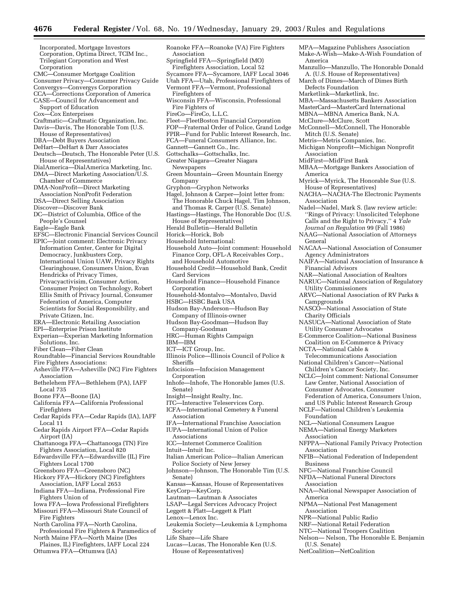- Incorporated, Mortgage Investors Corporation, Optima Direct, TCIM Inc., Trilegiant Corporation and West Corporation CMC—Consumer Mortgage Coalition Consumer Privacy—Consumer Privacy Guide Convergys—Convergys Corporation CCA—Corrections Corporation of America CASE—Council for Advancement and Support of Education Cox—Cox Enterprises Craftmatic—Craftmatic Organization, Inc. Davis—Davis, The Honorable Tom (U.S. House of Representatives) DBA—Debt Buyers Association DeHart—DeHart & Darr Associates Deutsch—Deutsch, The Honorable Peter (U.S. House of Representatives) DialAmerica—DialAmerica Marketing, Inc. DMA—Direct Marketing Association/U.S. Chamber of Commerce DMA-NonProfit—Direct Marketing Association NonProfit Federation DSA—Direct Selling Association Discover—Discover Bank DC—District of Columbia, Office of the People's Counsel Eagle—Eagle Bank EFSC—Electronic Financial Services Council EPIC—Joint comment: Electronic Privacy Information Center, Center for Digital Democracy, Junkbusters Corp, International Union UAW, Privacy Rights Clearinghouse, Consumers Union, Evan Hendricks of Privacy Times, Privacyactivisim, Consumer Action, Consumer Project on Technology, Robert Ellis Smith of Privacy Journal, Consumer Federation of America, Computer Scientists for Social Responsibility, and Private Citizen, Inc. ERA—Electronic Retailing Association EPI—Enterprise Prison Institute Experian—Experian Marketing Information Solutions, Inc. Fiber Clean—Fiber Clean Roundtable—Financial Services Roundtable Fire Fighters Associations: Asheville FFA—Asheville (NC) Fire Fighters Association Bethelehem FFA—Bethlehem (PA), IAFF Local 735 Boone FFA—Boone (IA)
- California FFA—California Professional Firefighters
- Cedar Rapids FFA—Cedar Rapids (IA), IAFF Local 11
- Cedar Rapids Airport FFA—Cedar Rapids Airport (IA)
- Chattanooga FFA—Chattanooga (TN) Fire Fighters Association, Local 820
- Edwardsville FFA—Edwardsville (IL) Fire Fighters Local 1700
- Greensboro FFA—Greensboro (NC)
- Hickory FFA—Hickory (NC) Firefighters Association, IAFF Local 2653
- Indiana FFA—Indiana, Professional Fire Fighters Union of
- Iowa FFA—Iowa Professional Firefighters Missouri FFA—Missouri State Council of Fire Fighters
- North Carolina FFA—North Carolina, Professional Fire Fighters & Paramedics of
- North Maine FFA—North Maine (Des Plaines, IL) Firefighters, IAFF Local 224
- Ottumwa FFA—Ottumwa (IA)
- Roanoke FFA—Roanoke (VA) Fire Fighters Association Springfield FFA—Springfield (MO) Firefighters Association, Local 52
- Sycamore FFA—Sycamore, IAFF Local 3046
- Utah FFA—Utah, Professional Firefighters of
- Vermont FFA—Vermont, Professional
- Firefighters of
- Wisconsin FFA—Wisconsin, Professional Fire Fighters of
- FireCo—FireCo, L.L.C.
- Fleet—FleetBoston Financial Corporation
- FOP—Fraternal Order of Police, Grand Lodge
- FPIR—Fund for Public Interest Research, Inc. FCA—Funeral Consumers Alliance, Inc.
- Gannett—Gannett Co., Inc.
- Gottschalks—Gottschalks, Inc.
- Greater Niagara—Greater Niagara Newspapers
- Green Mountain—Green Mountain Energy Company
- Gryphon—Gryphon Networks
- Hagel, Johnson & Carper—Joint letter from: The Honorable Chuck Hagel, Tim Johnson, and Thomas R. Carper (U.S. Senate)
- Hastings—Hastings, The Honorable Doc (U.S. House of Representatives)
- Herald Bulletin—Herald Bulletin
- Horick—Horick, Bob
- Household International:
- Household Auto—Joint comment: Household Finance Corp, OFL-A Receivables Corp., and Household Automotive
- Household Credit—Household Bank, Credit Card Services
- Household Finance—Household Finance Corporation
- Household-Montalvo—Montalvo, David
- HSBC—HSBC Bank USA
- Hudson Bay-Anderson—Hudson Bay Company of Illinois-owner
- Hudson Bay-Goodman—Hudson Bay Company-Goodman
- HRC—Human Rights Campaign IBM—IBM
- ICT—ICT Group, Inc.
- Illinois Police—Illinois Council of Police &
- Sheriffs Infocision—Infocision Management **Corporation**
- Inhofe—Inhofe, The Honorable James (U.S. Senate)
- Insight—Insight Realty, Inc.
- ITC—Interactive Teleservices Corp.
- ICFA—International Cemetery & Funeral Association
- IFA—International Franchise Association
- IUPA—International Union of Police
- Associations
- ICC—Internet Commerce Coalition
- Intuit—Intuit Inc.
- Italian American Police—Italian American Police Society of New Jersey
- Johnson—Johnson, The Honorable Tim (U.S. Senate)
- Kansas—Kansas, House of Representatives
- KeyCorp—KeyCorp.
- Lautman—Lautman & Associates
- LSAP—Legal Services Advocacy Project
- Leggett & Platt—Leggett & Platt Lenox—Lenox Inc.
- Leukemia Society—Leukemia & Lymphoma Society
- Life Share—Life Share
- Lucas—Lucas, The Honorable Ken (U.S. House of Representatives)
- MPA—Magazine Publishers Association Make-A-Wish—Make-A-Wish Foundation of America
- Manzullo—Manzullo, The Honorable Donald A. (U.S. House of Representatives)
- March of Dimes—March of Dimes Birth Defects Foundation
- Marketlink—Marketlink, Inc.
- MBA—Massachusetts Bankers Association
- MasterCard—MasterCard International
- MBNA—MBNA America Bank, N.A.
- McClure—McClure, Scott
- McConnell—McConnell, The Honorable Mitch (U.S. Senate)
- Metris—Metris Companies, Inc.
- Michigan Nonprofit—Michigan Nonprofit Association
- MidFirst—MidFirst Bank
- MBAA—Mortgage Bankers Association of America
- Myrick—Myrick, The Honorable Sue (U.S. House of Representatives)
- NACHA—NACHA-The Electronic Payments Association
- Nadel—Nadel, Mark S. (law review article: ''Rings of Privacy: Unsolicited Telephone Calls and the Right to Privacy,'' 4 *Yale Journal on Regulation* 99 (Fall 1986)
- NAAG—National Association of Attorneys General
- NACAA—National Association of Consumer Agency Administrators
- NAIFA—National Association of Insurance & Financial Advisors
- NAR—National Association of Realtors
- NARUC—National Association of Regulatory Utility Commissioners
- ARVC—National Association of RV Parks & Campgrounds
- NASCO—National Association of State Charity Officials
- NASUCA—National Association of State Utility Consumer Advocates
- E-Commerce Coalition—National Business Coalition on E-Commerce & Privacy
- NCTA—National Cable & Telecommunications Association
- National Children's Cancer—National Children's Cancer Society, Inc.
- NCLC—Joint comment: National Consumer Law Center, National Association of Consumer Advocates, Consumer Federation of America, Consumers Union,
- and US Public Interest Research Group NCLF—National Children's Leukemia
- Foundation
- NCL—National Consumers League NEMA—National Energy Marketers
- Association
- NFPPA—National Family Privacy Protection Association
- NFIB—National Federation of Independent Business

NNA—National Newspaper Association of

Nelson— Nelson, The Honorable E. Benjamin

NFC—National Franchise Council

America

Association

(U.S. Senate)

NFDA—National Funeral Directors Association

NPMA—National Pest Management

NPR—National Public Radio NRF—National Retail Federation NTC—National Troopers Coalition

NetCoalition—NetCoalition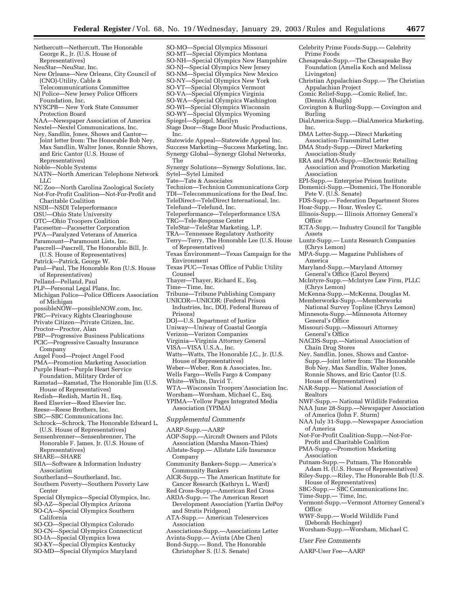- Nethercutt—Nethercutt, The Honorable George R., Jr. (U.S. House of Representatives) NeuStar—NeuStar, Inc. New Orleans—New Orleans, City Council of (CNO)-Utility, Cable & Telecommunications Committee NJ Police—New Jersey Police Officers
- Foundation, Inc. NYSCPB— New York State Consumer Protection Board
- NAA—Newspaper Association of America
- Nextel—Nextel Communications, Inc.
- Ney, Sandlin, Jones, Shows and Cantor—
- Joint letter from: The Honorable Bob Ney, Max Sandlin, Walter Jones, Ronnie Shows, and Eric Cantor (U.S. House of Representatives)
- Noble—Noble Systems
- NATN—North American Telephone Network LLC
- NC Zoo—North Carolina Zoological Society Not-For-Profit Coalition—Not-For-Profit and
- Charitable Coalition NSDI—NSDI Teleperformance
- OSU—Ohio State University
- OTC—Ohio Troopers Coalition
- 
- Pacesetter—Pacesetter Corporation PVA—Paralyzed Veterans of America
- Paramount—Paramount Lists, Inc.
- Pascrell—Pascrell, The Honorable Bill, Jr.
- (U.S. House of Representatives)
- Patrick—Patrick, George W.
- Paul—Paul, The Honorable Ron (U.S. House of Representatives)
- Pelland—Pelland, Paul
- PLP—Personal Legal Plans, Inc.
- Michigan Police—Police Officers Association of Michigan
- possibleNOW—possibleNOW.com, Inc.
- PRC—Privacy Rights Clearinghouse
- Private Citizen—Private Citizen, Inc.
- Proctor—Proctor, Alan
- PBP—Progressive Business Publications PCIC—Progressive Casualty Insurance Company
- Angel Food—Project Angel Food
- PMA—Promotion Marketing Association
- Purple Heart—Purple Heart Service
- Foundation, Military Order of
- Ramstad—Ramstad, The Honorable Jim (U.S. House of Representatives)
- Redish—Redish, Martin H., Esq.
- Reed Elsevier—Reed Elsevier Inc.
- Reese—Reese Brothers, Inc.
- SBC—SBC Communications Inc.
- Schrock—Schrock, The Honorable Edward L. (U.S. House of Representatives)
- Sensenbrenner—Sensenbrenner, The Honorable F. James, Jr. (U.S. House of Representatives)
- SHARE—SHARE
- SIIA—Software & Information Industry Association
- Southerland—Southerland, Inc.
- Southern Poverty—Southern Poverty Law Center
- Special Olympics—Special Olympics, Inc.
- SO-AZ—Special Olympics Arizona
- SO-CA—Special Olympics Southern California
- SO-CO—Special Olympics Colorado
- SO-CN—Special Olympics Connecticut
- SO-IA—Special Olympics Iowa
- SO-KY—Special Olympics Kentucky
- SO-MD—Special Olympics Maryland
- SO-MO—Special Olympics Missouri SO-MT—Special Olympics Montana SO-NH—Special Olympics New Hampshire SO-NJ—Special Olympics New Jersey SO-NM—Special Olympics New Mexico SO-NY—Special Olympics New York SO-VT—Special Olympics Vermont SO-VA—Special Olympics Virginia SO-WA—Special Olympics Washington SO-WI—Special Olympics Wisconsin SO-WY—Special Olympics Wyoming Spiegel—Spiegel, Marilyn Stage Door—Stage Door Music Productions, Inc. Statewide Appeal—Statewide Appeal Inc. Success Marketing—Success Marketing, Inc. Synergy Global—Synergy Global Networks, The Synergy Solutions—Synergy Solutions, Inc. Sytel—Sytel Limited Tate—Tate & Associates Technion—Technion Communications Corp TDI—Telecommunications for the Deaf, Inc. TeleDirect—TeleDirect International, Inc. Telefund—Telefund, Inc. Teleperformance—Teleperformance USA TRC—Tele-Response Center TeleStar—TeleStar Marketing, L.P. TRA—Tennessee Regulatory Authority Terry—Terry, The Honorable Lee (U.S. House of Representatives) Texas Environment—Texas Campaign for the Environment Texas PUC—Texas Office of Public Utility Counsel Thayer—Thayer, Richard E., Esq. Time—Time, Inc. Tribune—Tribune Publishing Company UNICOR—UNICOR: (Federal Prison Industries, Inc, DOJ, Federal Bureau of Prisons) DOJ—U.S. Department of Justice Uniway—Uniway of Coastal Georgia Verizon—Verizon Companies Virginia—Virginia Attorney General VISA—VISA U.S.A., Inc. Watts—Watts, The Honorable J.C., Jr. (U.S. House of Representatives) Weber—Weber, Ron & Associates, Inc. Wells Fargo—Wells Fargo & Company White—White, David T. WTA—Wisconsin Troopers'Association Inc. Worsham—Worsham, Michael C., Esq. YPIMA—Yellow Pages Integrated Media Association (YPIMA) *Supplemental Comments* AARP-Supp.—AARP AOP-Supp.—Aircraft Owners and Pilots Association (Marsha Mason-Thies) Allstate-Supp.— Allstate Life Insurance Company Community Bankers-Supp.— America's
- Community Bankers AICR-Supp.— The American Institute for
- Cancer Research (Kathryn L. Ward) Red Cross-Supp.—American Red Cross
- ARDA-Supp.— The American Resort
- Development Association (Yartin DePoy and Stratis Pridgeon)
- ATA-Supp.— American Teleservices Association
- Associations-Supp.—Associations Letter
- Avinta-Supp.— Avinta (Abe Chen)
- Bond-Supp.— Bond, The Honorable Christopher S. (U.S. Senate)

Prime Foods Chesapeake-Supp.—The Chesapeake Bay Foundation (Amelia Koch and Melissa Livingston) Christian Appalachian-Supp.— The Christian Appalachian Project Comic Relief-Supp.—Comic Relief, Inc. (Dennis Albaigh) Covington & Burling-Supp.— Covington and Burling DialAmerica-Supp.—DialAmerica Marketing, Inc. DMA Letter-Supp.—Direct Marketing Association-Transmittal Letter DMA Study-Supp.—Direct Marketing Association-Study ERA and PMA-Supp.—Electronic Retailing Association and Promotion Marketing Association EPI-Supp.— Enterprise Prison Institute Domenici-Supp.—Domenici, The Honorable Pete V. (U.S. Senate) FDS-Supp.— Federation Department Stores Hoar-Supp.— Hoar, Wesley C. Illinois-Supp.— Illinois Attorney General's **Office** ICTA-Supp.— Industry Council for Tangible Assets Luntz-Supp.— Luntz Research Companies (Chrys Lemon) MPA-Supp.— Magazine Publishers of America Maryland-Supp.—Maryland Attorney General's Office (Carol Beyers) McIntyre-Supp.—McIntyre Law Firm, PLLC (Chrys Lemon) McKenna-Supp.—McKenna, Douglas M. Memberworks-Supp.—Memberworks National Survey Topline (Chrys Lemon) Minnesota-Supp.—Minnesota Attorney General's Office Missouri-Supp.—Missouri Attorney General's Office NACDS-Supp.—National Association of Chain Drug Stores Ney, Sandlin, Jones, Shows and Cantor-Supp.—Joint letter from: The Honorable Bob Ney, Max Sandlin, Walter Jones, Ronnie Shows, and Eric Cantor (U.S. House of Representatives) NAR-Supp.— National Association of Realtors NWF-Supp.— National Wildlife Federation

Celebrity Prime Foods-Supp.— Celebrity

- NAA June 28-Supp.—Newspaper Association of America (John F. Sturm)
- NAA July 31-Supp.—Newspaper Association of America
- Not-For-Profit Coalition-Supp.—Not-For-Profit and Charitable Coalition
- PMA-Supp.—Promotion Marketing Association
- Putnam-Supp.— Putnam, The Honorable Adam H. (U.S. House of Representatives)
- Riley-Supp.—Riley, The Honorable Bob (U.S.
- House of Representatives)
- SBC-Supp.— SBC Communications Inc.
- Time-Supp.— Time, Inc.
- Vermont-Supp.—Vermont Attorney General's **Office**
- WWF-Supp.— World Wildlife Fund (Deborah Hechinger)
- Worsham-Supp.—Worsham, Michael C.
- *User Fee Comments*
- AARP-User Fee—AARP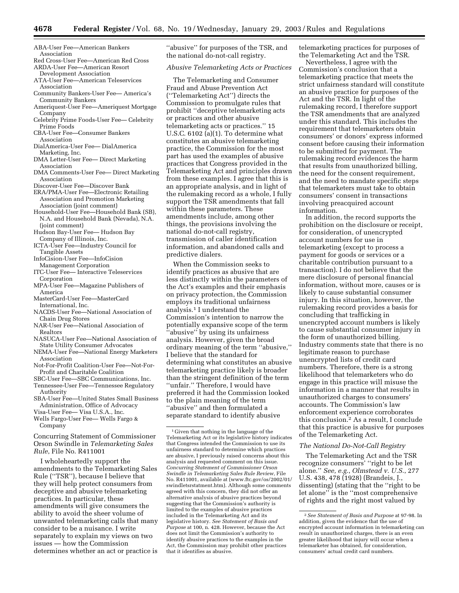- ABA-User Fee—American Bankers Association
- Red Cross-User Fee—American Red Cross ARDA-User Fee—American Resort
- Development Association ATA-User Fee—American Teleservices
- Association Community Bankers-User Fee— America's Community Bankers
- Ameriquest-User Fee—Ameriquest Mortgage Company
- Celebrity Prime Foods-User Fee— Celebrity Prime Foods
- CBA-User Fee—Consumer Bankers Association
- DialAmerica-User Fee— DialAmerica Marketing, Inc.
- DMA Letter-User Fee— Direct Marketing Association
- DMA Comments-User Fee— Direct Marketing Association
- Discover-User Fee—Discover Bank
- ERA/PMA-User Fee—Electronic Retailing Association and Promotion Marketing Association (joint comment)
- Household-User Fee—Household Bank (SB), N.A. and Household Bank (Nevada), N.A. (joint comment)
- Hudson Bay-User Fee— Hudson Bay Company of Illinois, Inc.
- ICTA-User Fee—Industry Council for Tangible Assets
- InfoCision-User Fee—InfoCision Management Corporation
- ITC-User Fee— Interactive Teleservices Corporation
- MPA-User Fee—Magazine Publishers of America
- MasterCard-User Fee—MasterCard International, Inc.
- NACDS-User Fee—National Association of Chain Drug Stores
- NAR-User Fee—National Association of Realtors
- NASUCA-User Fee—National Association of State Utility Consumer Advocates
- NEMA-User Fee—National Energy Marketers Association
- Not-For-Profit Coalition-User Fee—Not-For-Profit and Charitable Coalition
- SBC-User Fee—SBC Communications, Inc. Tennessee-User Fee—Tennessee Regulatory
- Authority SBA-User Fee—United States Small Business
- Administration, Office of Advocacy Visa-User Fee— Visa U.S.A., Inc.
- Wells Fargo-User Fee— Wells Fargo &
- Company

Concurring Statement of Commissioner Orson Swindle in *Telemarketing Sales Rule*, File No. R411001

I wholeheartedly support the amendments to the Telemarketing Sales Rule (''TSR''), because I believe that they will help protect consumers from deceptive and abusive telemarketing practices. In particular, these amendments will give consumers the ability to avoid the sheer volume of unwanted telemarketing calls that many consider to be a nuisance. I write separately to explain my views on two issues — how the Commission determines whether an act or practice is

''abusive'' for purposes of the TSR, and the national do-not-call registry.

### *Abusive Telemarketing Acts or Practices*

The Telemarketing and Consumer Fraud and Abuse Prevention Act (''Telemarketing Act'') directs the Commission to promulgate rules that prohibit ''deceptive telemarketing acts or practices and other abusive telemarketing acts or practices.'' 15 U.S.C. 6102 (a)(1). To determine what constitutes an abusive telemarketing practice, the Commission for the most part has used the examples of abusive practices that Congress provided in the Telemarketing Act and principles drawn from these examples. I agree that this is an appropriate analysis, and in light of the rulemaking record as a whole, I fully support the TSR amendments that fall within these parameters. These amendments include, among other things, the provisions involving the national do-not-call registry, transmission of caller identification information, and abandoned calls and predictive dialers.

When the Commission seeks to identify practices as abusive that are less distinctly within the parameters of the Act's examples and their emphasis on privacy protection, the Commission employs its traditional unfairness analysis.1 I understand the Commission's intention to narrow the potentially expansive scope of the term ''abusive'' by using its unfairness analysis. However, given the broad ordinary meaning of the term ''abusive,'' I believe that the standard for determining what constitutes an abusive telemarketing practice likely is broader than the stringent definition of the term ''unfair.'' Therefore, I would have preferred it had the Commission looked to the plain meaning of the term ''abusive'' and then formulated a separate standard to identify abusive

telemarketing practices for purposes of the Telemarketing Act and the TSR.

Nevertheless, I agree with the Commission's conclusion that a telemarketing practice that meets the strict unfairness standard will constitute an abusive practice for purposes of the Act and the TSR. In light of the rulemaking record, I therefore support the TSR amendments that are analyzed under this standard. This includes the requirement that telemarketers obtain consumers' or donors' express informed consent before causing their information to be submitted for payment. The rulemaking record evidences the harm that results from unauthorized billing, the need for the consent requirement, and the need to mandate specific steps that telemarketers must take to obtain consumers' consent in transactions involving preacquired account information.

In addition, the record supports the prohibition on the disclosure or receipt, for consideration, of unencrypted account numbers for use in telemarketing (except to process a payment for goods or services or a charitable contribution pursuant to a transaction). I do not believe that the mere disclosure of personal financial information, without more, causes or is likely to cause substantial consumer injury. In this situation, however, the rulemaking record provides a basis for concluding that trafficking in unencrypted account numbers is likely to cause substantial consumer injury in the form of unauthorized billing. Industry comments state that there is no legitimate reason to purchase unencrypted lists of credit card numbers. Therefore, there is a strong likelihood that telemarketers who do engage in this practice will misuse the information in a manner that results in unauthorized charges to consumers' accounts. The Commission's law enforcement experience corroborates this conclusion.2 As a result, I conclude that this practice is abusive for purposes of the Telemarketing Act.

## *The National Do-Not-Call Registry*

The Telemarketing Act and the TSR recognize consumers' ''right to be let alone.'' *See, e.g.*, *Olmstead v. U.S.*, 277 U.S. 438, 478 (1928) (Brandeis, J., dissenting) (stating that the ''right to be let alone'' is the ''most comprehensive of rights and the right most valued by

<sup>1</sup> Given that nothing in the language of the Telemarketing Act or its legislative history indicates that Congress intended the Commission to use its unfairness standard to determine which practices are abusive, I previously raised concerns about this analysis and requested comment on this issue. *Concurring Statement of Commissioner Orson Swindle in Telemarketing Sales Rule Review*, File No. R411001, available at (www.ftc.gov/os/2002/01/ swindletsrstatment.htm). Although some comments agreed with this concern, they did not offer an alternative analysis of abusive practices beyond suggesting that the Commission's authority is limited to the examples of abusive practices included in the Telemarketing Act and its legislative history. *See Statement of Basis and Purpose* at 100, n. 428. However, because the Act does not limit the Commission's authority to identify abusive practices to the examples in the Act, the Commission may prohibit other practices that it identifies as abusive.

<sup>2</sup>*See Statement of Basis and Purpose* at 97-98. In addition, given the evidence that the use of encrypted account information in telemarketing can result in unauthorized charges, there is an even greater likelihood that injury will occur when a telemarketer has obtained, for consideration, consumers' actual credit card numbers.